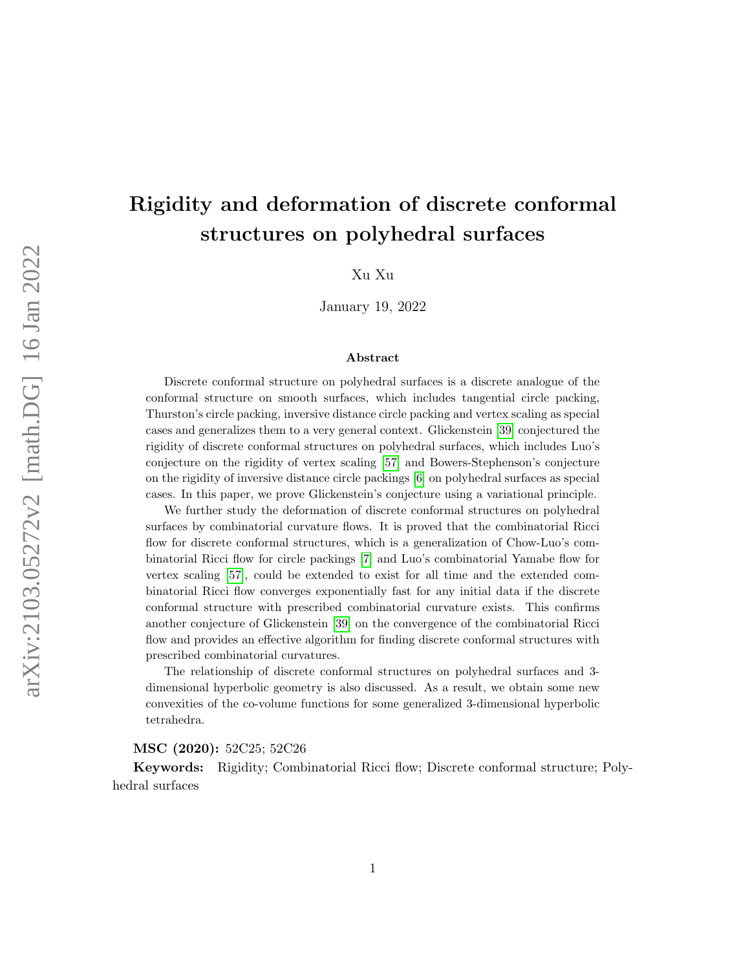# Rigidity and deformation of discrete conformal structures on polyhedral surfaces

Xu Xu

January 19, 2022

#### Abstract

Discrete conformal structure on polyhedral surfaces is a discrete analogue of the conformal structure on smooth surfaces, which includes tangential circle packing, Thurston's circle packing, inversive distance circle packing and vertex scaling as special cases and generalizes them to a very general context. Glickenstein [\[39\]](#page-60-0) conjectured the rigidity of discrete conformal structures on polyhedral surfaces, which includes Luo's conjecture on the rigidity of vertex scaling [\[57\]](#page-61-0) and Bowers-Stephenson's conjecture on the rigidity of inversive distance circle packings [\[6\]](#page-59-0) on polyhedral surfaces as special cases. In this paper, we prove Glickenstein's conjecture using a variational principle.

We further study the deformation of discrete conformal structures on polyhedral surfaces by combinatorial curvature flows. It is proved that the combinatorial Ricci flow for discrete conformal structures, which is a generalization of Chow-Luo's combinatorial Ricci flow for circle packings [\[7\]](#page-59-1) and Luo's combinatorial Yamabe flow for vertex scaling [\[57\]](#page-61-0), could be extended to exist for all time and the extended combinatorial Ricci flow converges exponentially fast for any initial data if the discrete conformal structure with prescribed combinatorial curvature exists. This confirms another conjecture of Glickenstein [\[39\]](#page-60-0) on the convergence of the combinatorial Ricci flow and provides an effective algorithm for finding discrete conformal structures with prescribed combinatorial curvatures.

The relationship of discrete conformal structures on polyhedral surfaces and 3 dimensional hyperbolic geometry is also discussed. As a result, we obtain some new convexities of the co-volume functions for some generalized 3-dimensional hyperbolic tetrahedra.

#### MSC (2020): 52C25; 52C26

Keywords: Rigidity; Combinatorial Ricci flow; Discrete conformal structure; Polyhedral surfaces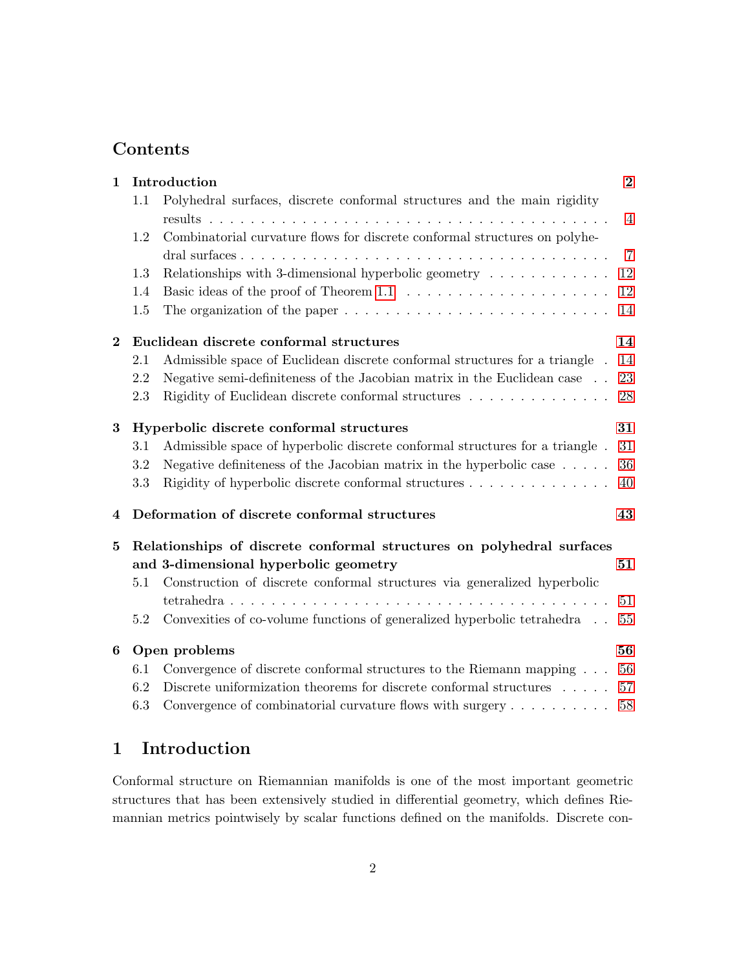## Contents

|                                                |                                                                                             | $\overline{2}$                                                                                                                                                                                                                                                                                                                                                                                                                                                                                            |  |  |
|------------------------------------------------|---------------------------------------------------------------------------------------------|-----------------------------------------------------------------------------------------------------------------------------------------------------------------------------------------------------------------------------------------------------------------------------------------------------------------------------------------------------------------------------------------------------------------------------------------------------------------------------------------------------------|--|--|
| 1.1                                            | Polyhedral surfaces, discrete conformal structures and the main rigidity                    |                                                                                                                                                                                                                                                                                                                                                                                                                                                                                                           |  |  |
|                                                |                                                                                             | $\overline{4}$                                                                                                                                                                                                                                                                                                                                                                                                                                                                                            |  |  |
| 1.2                                            |                                                                                             |                                                                                                                                                                                                                                                                                                                                                                                                                                                                                                           |  |  |
|                                                |                                                                                             | $\overline{7}$                                                                                                                                                                                                                                                                                                                                                                                                                                                                                            |  |  |
| 1.3                                            | Relationships with 3-dimensional hyperbolic geometry $\dots \dots \dots \dots$              | 12                                                                                                                                                                                                                                                                                                                                                                                                                                                                                                        |  |  |
| 1.4                                            |                                                                                             | 12                                                                                                                                                                                                                                                                                                                                                                                                                                                                                                        |  |  |
| 1.5                                            | The organization of the paper $\dots \dots \dots \dots \dots \dots \dots \dots \dots \dots$ | 14                                                                                                                                                                                                                                                                                                                                                                                                                                                                                                        |  |  |
|                                                |                                                                                             | 14                                                                                                                                                                                                                                                                                                                                                                                                                                                                                                        |  |  |
| 2.1                                            | Admissible space of Euclidean discrete conformal structures for a triangle.                 | 14                                                                                                                                                                                                                                                                                                                                                                                                                                                                                                        |  |  |
| 2.2                                            | Negative semi-definiteness of the Jacobian matrix in the Euclidean case                     | 23                                                                                                                                                                                                                                                                                                                                                                                                                                                                                                        |  |  |
| 2.3                                            | Rigidity of Euclidean discrete conformal structures                                         | 28                                                                                                                                                                                                                                                                                                                                                                                                                                                                                                        |  |  |
| 31<br>Hyperbolic discrete conformal structures |                                                                                             |                                                                                                                                                                                                                                                                                                                                                                                                                                                                                                           |  |  |
| 3.1                                            | Admissible space of hyperbolic discrete conformal structures for a triangle.                | 31                                                                                                                                                                                                                                                                                                                                                                                                                                                                                                        |  |  |
| 3.2                                            | Negative definiteness of the Jacobian matrix in the hyperbolic case $\dots$ .               | 36                                                                                                                                                                                                                                                                                                                                                                                                                                                                                                        |  |  |
| 3.3                                            | Rigidity of hyperbolic discrete conformal structures                                        | 40                                                                                                                                                                                                                                                                                                                                                                                                                                                                                                        |  |  |
|                                                |                                                                                             | 43                                                                                                                                                                                                                                                                                                                                                                                                                                                                                                        |  |  |
|                                                |                                                                                             |                                                                                                                                                                                                                                                                                                                                                                                                                                                                                                           |  |  |
|                                                |                                                                                             | 51                                                                                                                                                                                                                                                                                                                                                                                                                                                                                                        |  |  |
| 5.1                                            | Construction of discrete conformal structures via generalized hyperbolic                    |                                                                                                                                                                                                                                                                                                                                                                                                                                                                                                           |  |  |
|                                                |                                                                                             | 51                                                                                                                                                                                                                                                                                                                                                                                                                                                                                                        |  |  |
| 5.2                                            |                                                                                             | 55                                                                                                                                                                                                                                                                                                                                                                                                                                                                                                        |  |  |
|                                                |                                                                                             | 56                                                                                                                                                                                                                                                                                                                                                                                                                                                                                                        |  |  |
| 6.1                                            | Convergence of discrete conformal structures to the Riemann mapping                         | 56                                                                                                                                                                                                                                                                                                                                                                                                                                                                                                        |  |  |
| 6.2                                            | Discrete uniformization theorems for discrete conformal structures $\dots$ .                | 57                                                                                                                                                                                                                                                                                                                                                                                                                                                                                                        |  |  |
|                                                |                                                                                             | 58                                                                                                                                                                                                                                                                                                                                                                                                                                                                                                        |  |  |
|                                                |                                                                                             | Introduction<br>Combinatorial curvature flows for discrete conformal structures on polyhe-<br>Euclidean discrete conformal structures<br>Deformation of discrete conformal structures<br>Relationships of discrete conformal structures on polyhedral surfaces<br>and 3-dimensional hyperbolic geometry<br>Convexities of co-volume functions of generalized hyperbolic tetrahedra $\phantom{1}$<br>Open problems<br>6.3<br>Convergence of combinatorial curvature flows with surgery $\dots \dots \dots$ |  |  |

## <span id="page-1-0"></span>1 Introduction

Conformal structure on Riemannian manifolds is one of the most important geometric structures that has been extensively studied in differential geometry, which defines Riemannian metrics pointwisely by scalar functions defined on the manifolds. Discrete con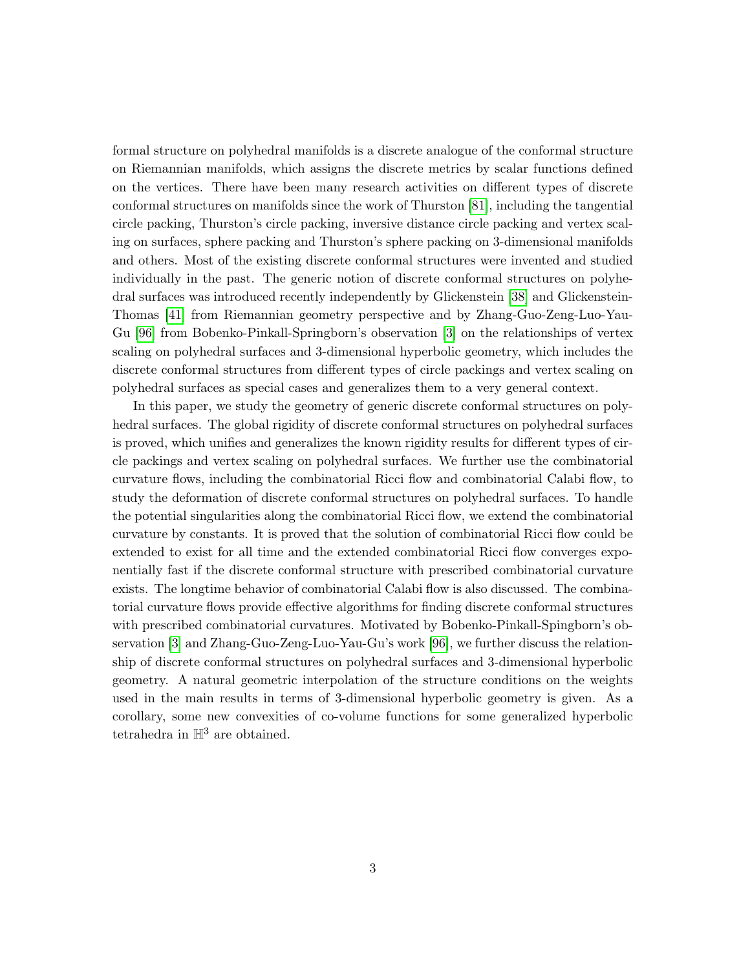formal structure on polyhedral manifolds is a discrete analogue of the conformal structure on Riemannian manifolds, which assigns the discrete metrics by scalar functions defined on the vertices. There have been many research activities on different types of discrete conformal structures on manifolds since the work of Thurston [\[81\]](#page-62-0), including the tangential circle packing, Thurston's circle packing, inversive distance circle packing and vertex scaling on surfaces, sphere packing and Thurston's sphere packing on 3-dimensional manifolds and others. Most of the existing discrete conformal structures were invented and studied individually in the past. The generic notion of discrete conformal structures on polyhedral surfaces was introduced recently independently by Glickenstein [\[38\]](#page-60-1) and Glickenstein-Thomas [\[41\]](#page-60-2) from Riemannian geometry perspective and by Zhang-Guo-Zeng-Luo-Yau-Gu [\[96\]](#page-63-0) from Bobenko-Pinkall-Springborn's observation [\[3\]](#page-58-0) on the relationships of vertex scaling on polyhedral surfaces and 3-dimensional hyperbolic geometry, which includes the discrete conformal structures from different types of circle packings and vertex scaling on polyhedral surfaces as special cases and generalizes them to a very general context.

In this paper, we study the geometry of generic discrete conformal structures on polyhedral surfaces. The global rigidity of discrete conformal structures on polyhedral surfaces is proved, which unifies and generalizes the known rigidity results for different types of circle packings and vertex scaling on polyhedral surfaces. We further use the combinatorial curvature flows, including the combinatorial Ricci flow and combinatorial Calabi flow, to study the deformation of discrete conformal structures on polyhedral surfaces. To handle the potential singularities along the combinatorial Ricci flow, we extend the combinatorial curvature by constants. It is proved that the solution of combinatorial Ricci flow could be extended to exist for all time and the extended combinatorial Ricci flow converges exponentially fast if the discrete conformal structure with prescribed combinatorial curvature exists. The longtime behavior of combinatorial Calabi flow is also discussed. The combinatorial curvature flows provide effective algorithms for finding discrete conformal structures with prescribed combinatorial curvatures. Motivated by Bobenko-Pinkall-Spingborn's observation [\[3\]](#page-58-0) and Zhang-Guo-Zeng-Luo-Yau-Gu's work [\[96\]](#page-63-0), we further discuss the relationship of discrete conformal structures on polyhedral surfaces and 3-dimensional hyperbolic geometry. A natural geometric interpolation of the structure conditions on the weights used in the main results in terms of 3-dimensional hyperbolic geometry is given. As a corollary, some new convexities of co-volume functions for some generalized hyperbolic tetrahedra in  $\mathbb{H}^3$  are obtained.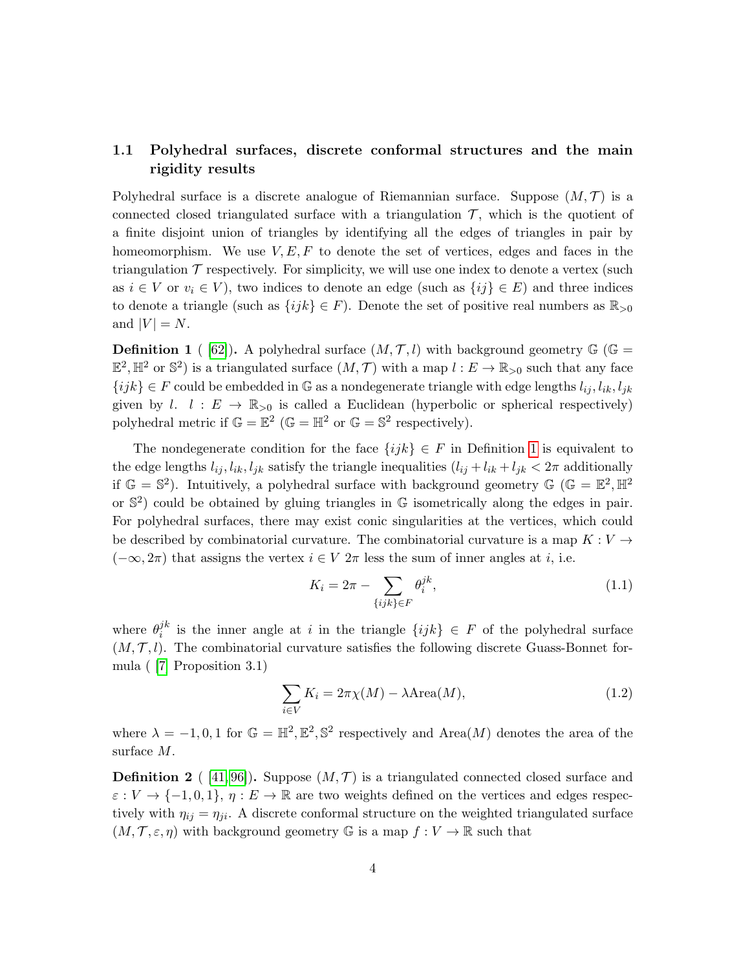## <span id="page-3-0"></span>1.1 Polyhedral surfaces, discrete conformal structures and the main rigidity results

Polyhedral surface is a discrete analogue of Riemannian surface. Suppose  $(M, \mathcal{T})$  is a connected closed triangulated surface with a triangulation  $\mathcal{T}$ , which is the quotient of a finite disjoint union of triangles by identifying all the edges of triangles in pair by homeomorphism. We use  $V, E, F$  to denote the set of vertices, edges and faces in the triangulation  $\mathcal T$  respectively. For simplicity, we will use one index to denote a vertex (such as  $i \in V$  or  $v_i \in V$ ), two indices to denote an edge (such as  $\{ij\} \in E$ ) and three indices to denote a triangle (such as  $\{ijk\} \in F$ ). Denote the set of positive real numbers as  $\mathbb{R}_{\geq 0}$ and  $|V| = N$ .

<span id="page-3-1"></span>**Definition 1** ( [\[62\]](#page-61-1)). A polyhedral surface  $(M, \mathcal{T}, l)$  with background geometry  $\mathbb{G}$  ( $\mathbb{G}$  =  $\mathbb{E}^2$ ,  $\mathbb{H}^2$  or  $\mathbb{S}^2$ ) is a triangulated surface  $(M, \mathcal{T})$  with a map  $l: E \to \mathbb{R}_{>0}$  such that any face  $\{ijk\} \in F$  could be embedded in G as a nondegenerate triangle with edge lengths  $l_{ij}, l_{ik}, l_{jk}$ given by l.  $l : E \to \mathbb{R}_{>0}$  is called a Euclidean (hyperbolic or spherical respectively) polyhedral metric if  $\mathbb{G} = \mathbb{E}^2$  ( $\mathbb{G} = \mathbb{H}^2$  or  $\mathbb{G} = \mathbb{S}^2$  respectively).

The nondegenerate condition for the face  $\{ijk\} \in F$  in Definition [1](#page-3-1) is equivalent to the edge lengths  $l_{ij}$ ,  $l_{ik}$ ,  $l_{jk}$  satisfy the triangle inequalities  $(l_{ij} + l_{ik} + l_{jk} < 2\pi$  additionally if  $\mathbb{G} = \mathbb{S}^2$ ). Intuitively, a polyhedral surface with background geometry  $\mathbb{G}$  ( $\mathbb{G} = \mathbb{E}^2$ ,  $\mathbb{H}^2$ ) or  $\mathbb{S}^2$  could be obtained by gluing triangles in  $\mathbb G$  isometrically along the edges in pair. For polyhedral surfaces, there may exist conic singularities at the vertices, which could be described by combinatorial curvature. The combinatorial curvature is a map  $K: V \rightarrow$  $(-\infty, 2\pi)$  that assigns the vertex  $i \in V$   $2\pi$  less the sum of inner angles at i, i.e.

$$
K_i = 2\pi - \sum_{\{ijk\} \in F} \theta_i^{jk},\tag{1.1}
$$

where  $\theta_i^{jk}$ <sup>jk</sup> is the inner angle at i in the triangle  $\{ijk\} \in F$  of the polyhedral surface  $(M, \mathcal{T}, l)$ . The combinatorial curvature satisfies the following discrete Guass-Bonnet formula ( [\[7\]](#page-59-1) Proposition 3.1)

<span id="page-3-3"></span>
$$
\sum_{i \in V} K_i = 2\pi \chi(M) - \lambda \text{Area}(M),\tag{1.2}
$$

where  $\lambda = -1, 0, 1$  for  $\mathbb{G} = \mathbb{H}^2, \mathbb{E}^2, \mathbb{S}^2$  respectively and Area $(M)$  denotes the area of the surface M.

<span id="page-3-2"></span>**Definition 2** ([41,96]). Suppose  $(M, \mathcal{T})$  is a triangulated connected closed surface and  $\varepsilon : V \to \{-1,0,1\}, \eta : E \to \mathbb{R}$  are two weights defined on the vertices and edges respectively with  $\eta_{ij} = \eta_{ji}$ . A discrete conformal structure on the weighted triangulated surface  $(M, \mathcal{T}, \varepsilon, \eta)$  with background geometry G is a map  $f: V \to \mathbb{R}$  such that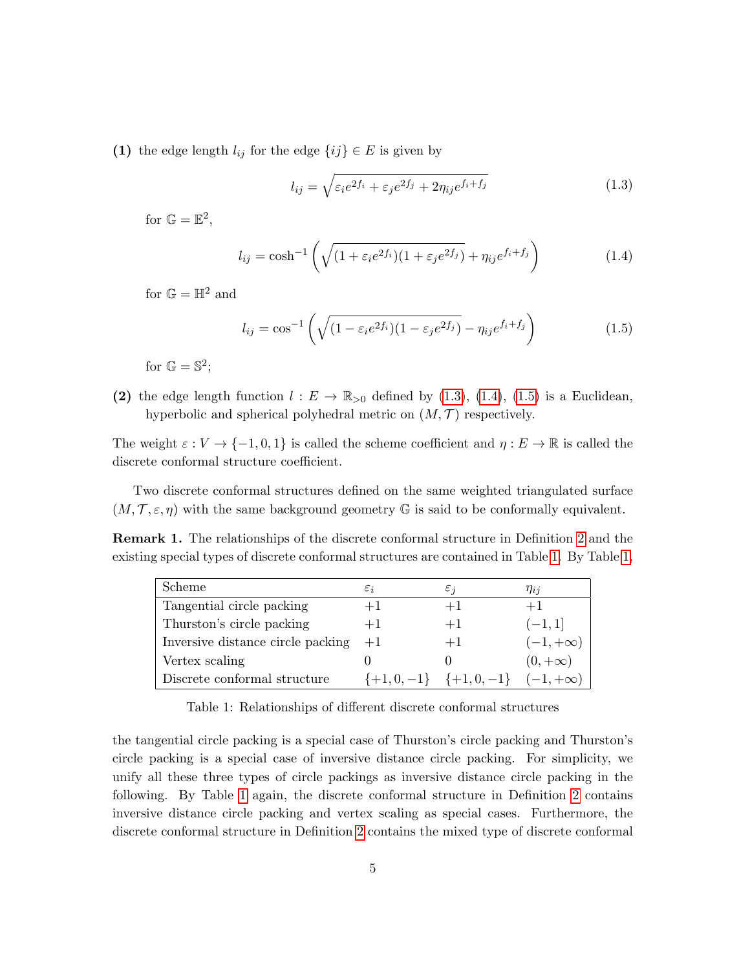(1) the edge length  $l_{ij}$  for the edge  $\{ij\} \in E$  is given by

<span id="page-4-0"></span>
$$
l_{ij} = \sqrt{\varepsilon_i e^{2f_i} + \varepsilon_j e^{2f_j} + 2\eta_{ij} e^{f_i + f_j}}
$$
(1.3)

for  $\mathbb{G} = \mathbb{E}^2$ ,

<span id="page-4-1"></span>
$$
l_{ij} = \cosh^{-1}\left(\sqrt{(1+\varepsilon_i e^{2f_i})(1+\varepsilon_j e^{2f_j})} + \eta_{ij} e^{f_i+f_j}\right)
$$
(1.4)

for  $\mathbb{G} = \mathbb{H}^2$  and

<span id="page-4-2"></span>
$$
l_{ij} = \cos^{-1}\left(\sqrt{(1 - \varepsilon_i e^{2f_i})(1 - \varepsilon_j e^{2f_j})} - \eta_{ij} e^{f_i + f_j}\right)
$$
(1.5)

for  $\mathbb{G} = \mathbb{S}^2$ ;

(2) the edge length function  $l : E \to \mathbb{R}_{>0}$  defined by [\(1.3\)](#page-4-0), [\(1.4\)](#page-4-1), [\(1.5\)](#page-4-2) is a Euclidean, hyperbolic and spherical polyhedral metric on  $(M, \mathcal{T})$  respectively.

The weight  $\varepsilon : V \to \{-1, 0, 1\}$  is called the scheme coefficient and  $\eta : E \to \mathbb{R}$  is called the discrete conformal structure coefficient.

Two discrete conformal structures defined on the same weighted triangulated surface  $(M, \mathcal{T}, \varepsilon, \eta)$  with the same background geometry G is said to be conformally equivalent.

Remark 1. The relationships of the discrete conformal structure in Definition [2](#page-3-2) and the existing special types of discrete conformal structures are contained in Table [1.](#page-4-3) By Table [1,](#page-4-3)

| Scheme                            | $\varepsilon_i$ | $\varepsilon$ i                 | $\eta_{ii}$     |
|-----------------------------------|-----------------|---------------------------------|-----------------|
| Tangential circle packing         | $+1$            | $+1$                            | $+1$            |
| Thurston's circle packing         | $+1$            | $+1$                            | $(-1, 1]$       |
| Inversive distance circle packing | $+1$            | $+1$                            | $(-1, +\infty)$ |
| Vertex scaling                    |                 |                                 | $(0, +\infty)$  |
| Discrete conformal structure      |                 | $\{+1, 0, -1\}$ $\{+1, 0, -1\}$ | $(-1, +\infty)$ |

<span id="page-4-3"></span>Table 1: Relationships of different discrete conformal structures

the tangential circle packing is a special case of Thurston's circle packing and Thurston's circle packing is a special case of inversive distance circle packing. For simplicity, we unify all these three types of circle packings as inversive distance circle packing in the following. By Table [1](#page-4-3) again, the discrete conformal structure in Definition [2](#page-3-2) contains inversive distance circle packing and vertex scaling as special cases. Furthermore, the discrete conformal structure in Definition [2](#page-3-2) contains the mixed type of discrete conformal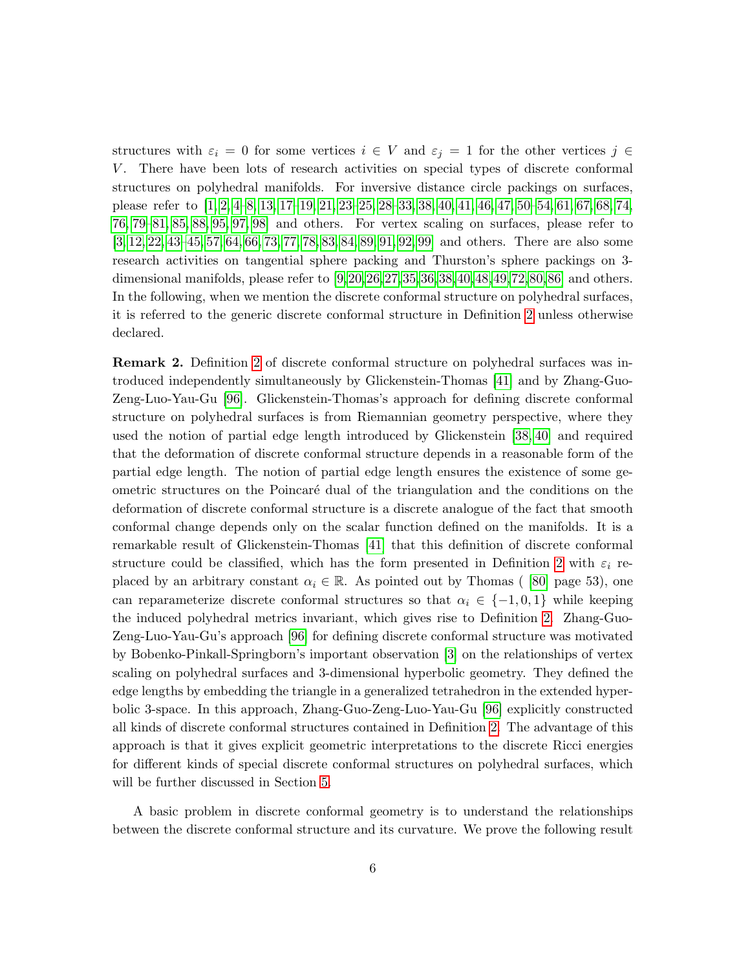structures with  $\varepsilon_i = 0$  for some vertices  $i \in V$  and  $\varepsilon_j = 1$  for the other vertices  $j \in$ V. There have been lots of research activities on special types of discrete conformal structures on polyhedral manifolds. For inversive distance circle packings on surfaces, please refer to [\[1,](#page-58-1) [2,](#page-58-2) [4](#page-58-3)[–8,](#page-59-2) [13,](#page-59-3) [17–](#page-59-4)[19,](#page-59-5) [21,](#page-59-6) [23–](#page-59-7)[25,](#page-60-3) [28–](#page-60-4)[33,](#page-60-5) [38,](#page-60-1) [40,](#page-60-6) [41,](#page-60-2) [46,](#page-61-2) [47,](#page-61-3) [50–](#page-61-4)[54,](#page-61-5) [61,](#page-61-6) [67,](#page-61-7) [68,](#page-62-1) [74,](#page-62-2) [76,](#page-62-3) [79](#page-62-4)[–81,](#page-62-0) [85,](#page-62-5) [88,](#page-63-1) [95,](#page-63-2) [97,](#page-63-3) [98\]](#page-63-4) and others. For vertex scaling on surfaces, please refer to [\[3,](#page-58-0) [12,](#page-59-8) [22,](#page-59-9) [43](#page-60-7)[–45,](#page-60-8) [57,](#page-61-0) [64,](#page-61-8) [66,](#page-61-9) [73,](#page-62-6) [77,](#page-62-7) [78,](#page-62-8) [83,](#page-62-9) [84,](#page-62-10) [89,](#page-63-5) [91,](#page-63-6) [92,](#page-63-7) [99\]](#page-63-8) and others. There are also some research activities on tangential sphere packing and Thurston's sphere packings on 3 dimensional manifolds, please refer to [\[9,](#page-59-10)[20,](#page-59-11)[26,](#page-60-9)[27,](#page-60-10)[35,](#page-60-11)[36,](#page-60-12)[38,](#page-60-1)[40,](#page-60-6)[48,](#page-61-10)[49,](#page-61-11)[72,](#page-62-11)[80,](#page-62-12)[86\]](#page-62-13) and others. In the following, when we mention the discrete conformal structure on polyhedral surfaces, it is referred to the generic discrete conformal structure in Definition [2](#page-3-2) unless otherwise declared.

Remark 2. Definition [2](#page-3-2) of discrete conformal structure on polyhedral surfaces was introduced independently simultaneously by Glickenstein-Thomas [\[41\]](#page-60-2) and by Zhang-Guo-Zeng-Luo-Yau-Gu [\[96\]](#page-63-0). Glickenstein-Thomas's approach for defining discrete conformal structure on polyhedral surfaces is from Riemannian geometry perspective, where they used the notion of partial edge length introduced by Glickenstein [\[38,](#page-60-1) [40\]](#page-60-6) and required that the deformation of discrete conformal structure depends in a reasonable form of the partial edge length. The notion of partial edge length ensures the existence of some geometric structures on the Poincar´e dual of the triangulation and the conditions on the deformation of discrete conformal structure is a discrete analogue of the fact that smooth conformal change depends only on the scalar function defined on the manifolds. It is a remarkable result of Glickenstein-Thomas [\[41\]](#page-60-2) that this definition of discrete conformal structure could be classified, which has the form presented in Definition [2](#page-3-2) with  $\varepsilon_i$  replaced by an arbitrary constant  $\alpha_i \in \mathbb{R}$ . As pointed out by Thomas ([80] page 53), one can reparameterize discrete conformal structures so that  $\alpha_i \in \{-1,0,1\}$  while keeping the induced polyhedral metrics invariant, which gives rise to Definition [2.](#page-3-2) Zhang-Guo-Zeng-Luo-Yau-Gu's approach [\[96\]](#page-63-0) for defining discrete conformal structure was motivated by Bobenko-Pinkall-Springborn's important observation [\[3\]](#page-58-0) on the relationships of vertex scaling on polyhedral surfaces and 3-dimensional hyperbolic geometry. They defined the edge lengths by embedding the triangle in a generalized tetrahedron in the extended hyperbolic 3-space. In this approach, Zhang-Guo-Zeng-Luo-Yau-Gu [\[96\]](#page-63-0) explicitly constructed all kinds of discrete conformal structures contained in Definition [2.](#page-3-2) The advantage of this approach is that it gives explicit geometric interpretations to the discrete Ricci energies for different kinds of special discrete conformal structures on polyhedral surfaces, which will be further discussed in Section [5.](#page-50-0)

A basic problem in discrete conformal geometry is to understand the relationships between the discrete conformal structure and its curvature. We prove the following result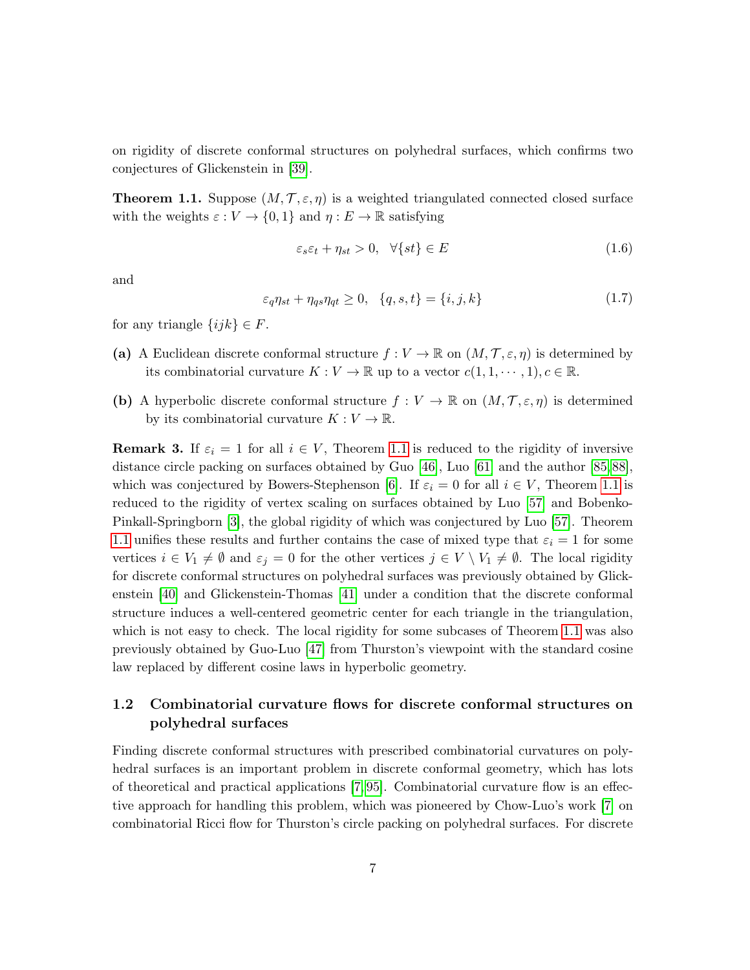on rigidity of discrete conformal structures on polyhedral surfaces, which confirms two conjectures of Glickenstein in [\[39\]](#page-60-0).

<span id="page-6-1"></span>**Theorem 1.1.** Suppose  $(M, \mathcal{T}, \varepsilon, \eta)$  is a weighted triangulated connected closed surface with the weights  $\varepsilon : V \to \{0,1\}$  and  $\eta : E \to \mathbb{R}$  satisfying

<span id="page-6-2"></span>
$$
\varepsilon_s \varepsilon_t + \eta_{st} > 0, \quad \forall \{st\} \in E \tag{1.6}
$$

and

<span id="page-6-3"></span>
$$
\varepsilon_q \eta_{st} + \eta_{qs} \eta_{qt} \ge 0, \quad \{q, s, t\} = \{i, j, k\}
$$
\n
$$
(1.7)
$$

for any triangle  $\{ijk\} \in F$ .

- (a) A Euclidean discrete conformal structure  $f: V \to \mathbb{R}$  on  $(M, \mathcal{T}, \varepsilon, \eta)$  is determined by its combinatorial curvature  $K: V \to \mathbb{R}$  up to a vector  $c(1, 1, \dots, 1), c \in \mathbb{R}$ .
- (b) A hyperbolic discrete conformal structure  $f: V \to \mathbb{R}$  on  $(M, \mathcal{T}, \varepsilon, \eta)$  is determined by its combinatorial curvature  $K: V \to \mathbb{R}$ .

**Remark 3.** If  $\varepsilon_i = 1$  for all  $i \in V$ , Theorem [1.1](#page-6-1) is reduced to the rigidity of inversive distance circle packing on surfaces obtained by Guo [\[46\]](#page-61-2), Luo [\[61\]](#page-61-6) and the author [\[85,](#page-62-5) [88\]](#page-63-1), which was conjectured by Bowers-Stephenson [\[6\]](#page-59-0). If  $\varepsilon_i = 0$  for all  $i \in V$ , Theorem [1.1](#page-6-1) is reduced to the rigidity of vertex scaling on surfaces obtained by Luo [\[57\]](#page-61-0) and Bobenko-Pinkall-Springborn [\[3\]](#page-58-0), the global rigidity of which was conjectured by Luo [\[57\]](#page-61-0). Theorem [1.1](#page-6-1) unifies these results and further contains the case of mixed type that  $\varepsilon_i = 1$  for some vertices  $i \in V_1 \neq \emptyset$  and  $\varepsilon_j = 0$  for the other vertices  $j \in V \setminus V_1 \neq \emptyset$ . The local rigidity for discrete conformal structures on polyhedral surfaces was previously obtained by Glickenstein [\[40\]](#page-60-6) and Glickenstein-Thomas [\[41\]](#page-60-2) under a condition that the discrete conformal structure induces a well-centered geometric center for each triangle in the triangulation, which is not easy to check. The local rigidity for some subcases of Theorem [1.1](#page-6-1) was also previously obtained by Guo-Luo [\[47\]](#page-61-3) from Thurston's viewpoint with the standard cosine law replaced by different cosine laws in hyperbolic geometry.

## <span id="page-6-0"></span>1.2 Combinatorial curvature flows for discrete conformal structures on polyhedral surfaces

Finding discrete conformal structures with prescribed combinatorial curvatures on polyhedral surfaces is an important problem in discrete conformal geometry, which has lots of theoretical and practical applications [\[7,](#page-59-1) [95\]](#page-63-2). Combinatorial curvature flow is an effective approach for handling this problem, which was pioneered by Chow-Luo's work [\[7\]](#page-59-1) on combinatorial Ricci flow for Thurston's circle packing on polyhedral surfaces. For discrete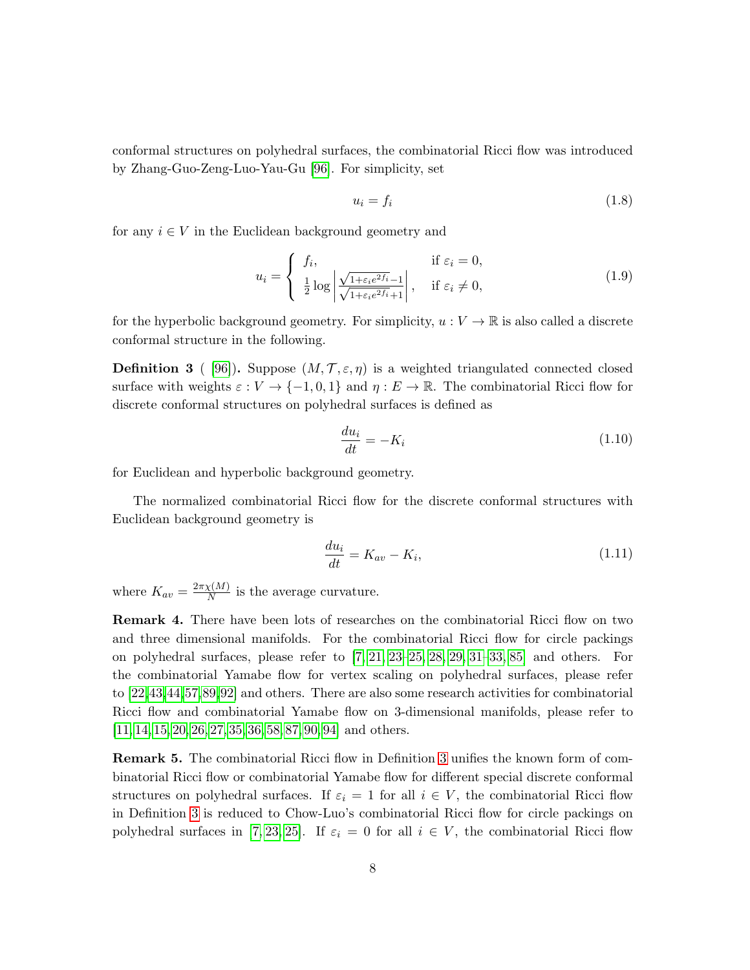conformal structures on polyhedral surfaces, the combinatorial Ricci flow was introduced by Zhang-Guo-Zeng-Luo-Yau-Gu [\[96\]](#page-63-0). For simplicity, set

<span id="page-7-3"></span>
$$
u_i = f_i \tag{1.8}
$$

for any  $i \in V$  in the Euclidean background geometry and

<span id="page-7-4"></span>
$$
u_i = \begin{cases} f_i, & \text{if } \varepsilon_i = 0, \\ \frac{1}{2} \log \left| \frac{\sqrt{1 + \varepsilon_i e^{2f_i}} - 1}{\sqrt{1 + \varepsilon_i e^{2f_i}} + 1} \right|, & \text{if } \varepsilon_i \neq 0, \end{cases}
$$
(1.9)

for the hyperbolic background geometry. For simplicity,  $u: V \to \mathbb{R}$  is also called a discrete conformal structure in the following.

<span id="page-7-0"></span>**Definition 3** ( [\[96\]](#page-63-0)). Suppose  $(M, \mathcal{T}, \varepsilon, \eta)$  is a weighted triangulated connected closed surface with weights  $\varepsilon : V \to \{-1,0,1\}$  and  $\eta : E \to \mathbb{R}$ . The combinatorial Ricci flow for discrete conformal structures on polyhedral surfaces is defined as

<span id="page-7-1"></span>
$$
\frac{du_i}{dt} = -K_i \tag{1.10}
$$

for Euclidean and hyperbolic background geometry.

The normalized combinatorial Ricci flow for the discrete conformal structures with Euclidean background geometry is

<span id="page-7-2"></span>
$$
\frac{du_i}{dt} = K_{av} - K_i,\tag{1.11}
$$

where  $K_{av} = \frac{2\pi\chi(M)}{N}$  $\frac{X(M)}{N}$  is the average curvature.

**Remark 4.** There have been lots of researches on the combinatorial Ricci flow on two and three dimensional manifolds. For the combinatorial Ricci flow for circle packings on polyhedral surfaces, please refer to [\[7,](#page-59-1) [21,](#page-59-6) [23–](#page-59-7)[25,](#page-60-3) [28,](#page-60-4) [29,](#page-60-13) [31–](#page-60-14)[33,](#page-60-5) [85\]](#page-62-5) and others. For the combinatorial Yamabe flow for vertex scaling on polyhedral surfaces, please refer to [\[22,](#page-59-9)[43,](#page-60-7)[44,](#page-60-15)[57,](#page-61-0)[89,](#page-63-5)[92\]](#page-63-7) and others. There are also some research activities for combinatorial Ricci flow and combinatorial Yamabe flow on 3-dimensional manifolds, please refer to [\[11,](#page-59-12) [14,](#page-59-13) [15,](#page-59-14) [20,](#page-59-11) [26,](#page-60-9) [27,](#page-60-10) [35,](#page-60-11) [36,](#page-60-12) [58,](#page-61-12) [87,](#page-62-14) [90,](#page-63-9) [94\]](#page-63-10) and others.

Remark 5. The combinatorial Ricci flow in Definition [3](#page-7-0) unifies the known form of combinatorial Ricci flow or combinatorial Yamabe flow for different special discrete conformal structures on polyhedral surfaces. If  $\varepsilon_i = 1$  for all  $i \in V$ , the combinatorial Ricci flow in Definition [3](#page-7-0) is reduced to Chow-Luo's combinatorial Ricci flow for circle packings on polyhedral surfaces in [\[7,](#page-59-1) [23,](#page-59-7) [25\]](#page-60-3). If  $\varepsilon_i = 0$  for all  $i \in V$ , the combinatorial Ricci flow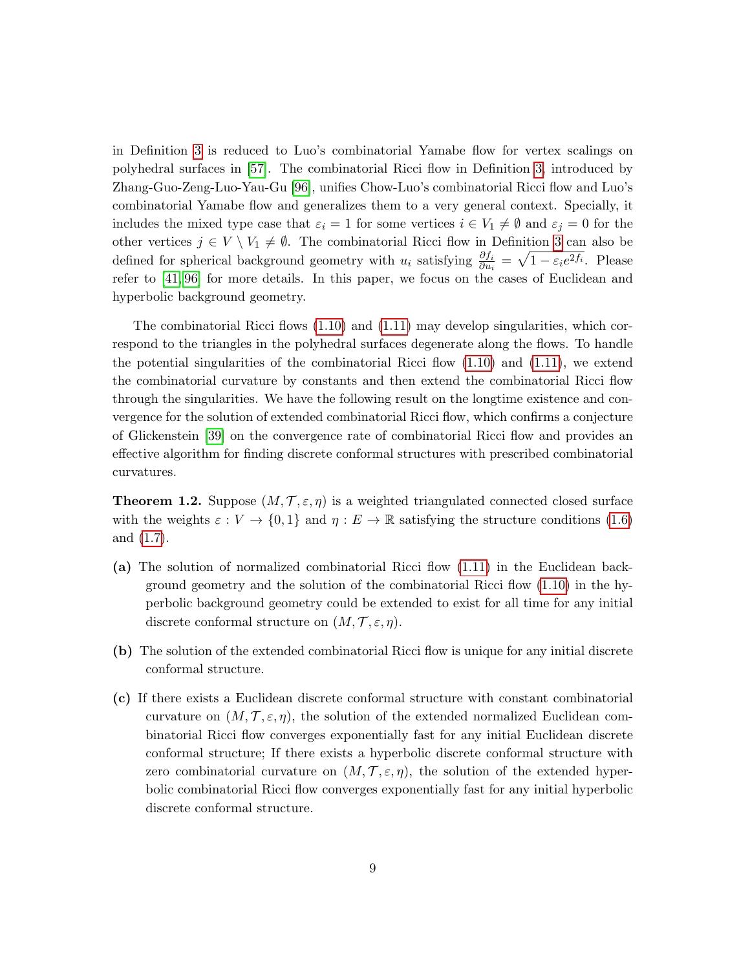in Definition [3](#page-7-0) is reduced to Luo's combinatorial Yamabe flow for vertex scalings on polyhedral surfaces in [\[57\]](#page-61-0). The combinatorial Ricci flow in Definition [3,](#page-7-0) introduced by Zhang-Guo-Zeng-Luo-Yau-Gu [\[96\]](#page-63-0), unifies Chow-Luo's combinatorial Ricci flow and Luo's combinatorial Yamabe flow and generalizes them to a very general context. Specially, it includes the mixed type case that  $\varepsilon_i = 1$  for some vertices  $i \in V_1 \neq \emptyset$  and  $\varepsilon_j = 0$  for the other vertices  $j \in V \setminus V_1 \neq \emptyset$ . The combinatorial Ricci flow in Definition [3](#page-7-0) can also be defined for spherical background geometry with  $u_i$  satisfying  $\frac{\partial f_i}{\partial u_i} = \sqrt{1 - \varepsilon_i e^{2f_i}}$ . Please refer to [\[41,](#page-60-2) [96\]](#page-63-0) for more details. In this paper, we focus on the cases of Euclidean and hyperbolic background geometry.

The combinatorial Ricci flows [\(1.10\)](#page-7-1) and [\(1.11\)](#page-7-2) may develop singularities, which correspond to the triangles in the polyhedral surfaces degenerate along the flows. To handle the potential singularities of the combinatorial Ricci flow  $(1.10)$  and  $(1.11)$ , we extend the combinatorial curvature by constants and then extend the combinatorial Ricci flow through the singularities. We have the following result on the longtime existence and convergence for the solution of extended combinatorial Ricci flow, which confirms a conjecture of Glickenstein [\[39\]](#page-60-0) on the convergence rate of combinatorial Ricci flow and provides an effective algorithm for finding discrete conformal structures with prescribed combinatorial curvatures.

<span id="page-8-0"></span>**Theorem 1.2.** Suppose  $(M, \mathcal{T}, \varepsilon, \eta)$  is a weighted triangulated connected closed surface with the weights  $\varepsilon : V \to \{0,1\}$  and  $\eta : E \to \mathbb{R}$  satisfying the structure conditions [\(1.6\)](#page-6-2) and [\(1.7\)](#page-6-3).

- (a) The solution of normalized combinatorial Ricci flow [\(1.11\)](#page-7-2) in the Euclidean background geometry and the solution of the combinatorial Ricci flow [\(1.10\)](#page-7-1) in the hyperbolic background geometry could be extended to exist for all time for any initial discrete conformal structure on  $(M, \mathcal{T}, \varepsilon, \eta)$ .
- (b) The solution of the extended combinatorial Ricci flow is unique for any initial discrete conformal structure.
- (c) If there exists a Euclidean discrete conformal structure with constant combinatorial curvature on  $(M, \mathcal{T}, \varepsilon, \eta)$ , the solution of the extended normalized Euclidean combinatorial Ricci flow converges exponentially fast for any initial Euclidean discrete conformal structure; If there exists a hyperbolic discrete conformal structure with zero combinatorial curvature on  $(M, \mathcal{T}, \varepsilon, \eta)$ , the solution of the extended hyperbolic combinatorial Ricci flow converges exponentially fast for any initial hyperbolic discrete conformal structure.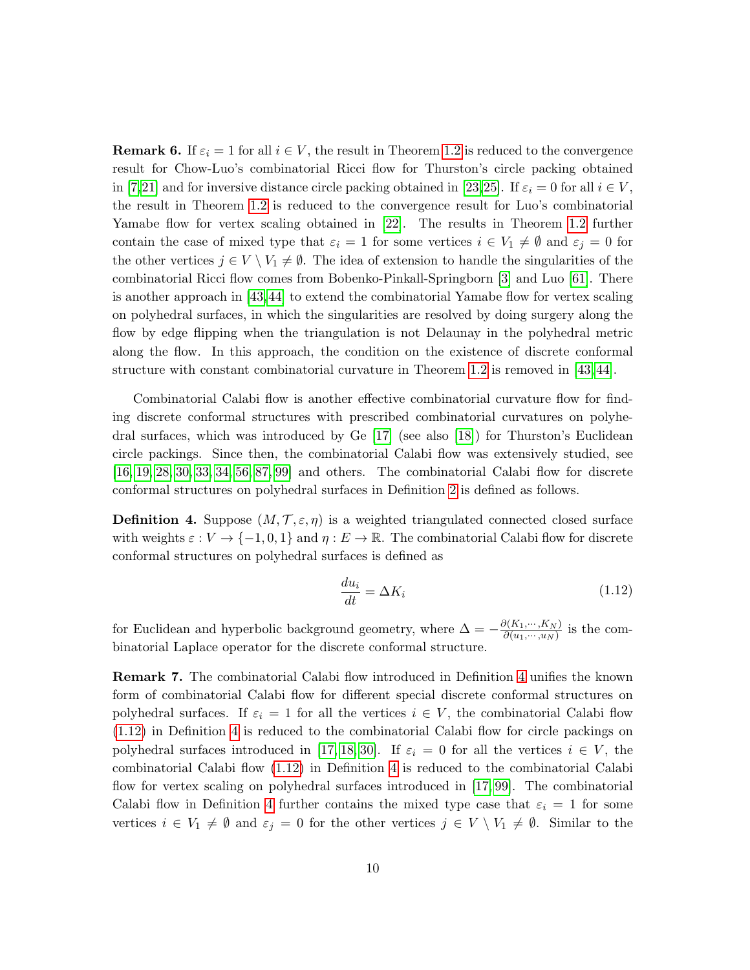**Remark 6.** If  $\varepsilon_i = 1$  for all  $i \in V$ , the result in Theorem [1.2](#page-8-0) is reduced to the convergence result for Chow-Luo's combinatorial Ricci flow for Thurston's circle packing obtained in [\[7,](#page-59-1)[21\]](#page-59-6) and for inversive distance circle packing obtained in [\[23,](#page-59-7)[25\]](#page-60-3). If  $\varepsilon_i = 0$  for all  $i \in V$ , the result in Theorem [1.2](#page-8-0) is reduced to the convergence result for Luo's combinatorial Yamabe flow for vertex scaling obtained in [\[22\]](#page-59-9). The results in Theorem [1.2](#page-8-0) further contain the case of mixed type that  $\varepsilon_i = 1$  for some vertices  $i \in V_1 \neq \emptyset$  and  $\varepsilon_j = 0$  for the other vertices  $j \in V \setminus V_1 \neq \emptyset$ . The idea of extension to handle the singularities of the combinatorial Ricci flow comes from Bobenko-Pinkall-Springborn [\[3\]](#page-58-0) and Luo [\[61\]](#page-61-6). There is another approach in [\[43,](#page-60-7) [44\]](#page-60-15) to extend the combinatorial Yamabe flow for vertex scaling on polyhedral surfaces, in which the singularities are resolved by doing surgery along the flow by edge flipping when the triangulation is not Delaunay in the polyhedral metric along the flow. In this approach, the condition on the existence of discrete conformal structure with constant combinatorial curvature in Theorem [1.2](#page-8-0) is removed in [\[43,](#page-60-7) [44\]](#page-60-15).

Combinatorial Calabi flow is another effective combinatorial curvature flow for finding discrete conformal structures with prescribed combinatorial curvatures on polyhedral surfaces, which was introduced by Ge [\[17\]](#page-59-4) (see also [\[18\]](#page-59-15)) for Thurston's Euclidean circle packings. Since then, the combinatorial Calabi flow was extensively studied, see [\[16,](#page-59-16) [19,](#page-59-5) [28,](#page-60-4) [30,](#page-60-16) [33,](#page-60-5) [34,](#page-60-17) [56,](#page-61-13) [87,](#page-62-14) [99\]](#page-63-8) and others. The combinatorial Calabi flow for discrete conformal structures on polyhedral surfaces in Definition [2](#page-3-2) is defined as follows.

<span id="page-9-0"></span>**Definition 4.** Suppose  $(M, \mathcal{T}, \varepsilon, \eta)$  is a weighted triangulated connected closed surface with weights  $\varepsilon : V \to \{-1, 0, 1\}$  and  $\eta : E \to \mathbb{R}$ . The combinatorial Calabi flow for discrete conformal structures on polyhedral surfaces is defined as

<span id="page-9-1"></span>
$$
\frac{du_i}{dt} = \Delta K_i \tag{1.12}
$$

for Euclidean and hyperbolic background geometry, where  $\Delta = -\frac{\partial (K_1, \dots, K_N)}{\partial (u_1, \dots, u_N)}$  $\frac{\partial (N_1,\dots,N_N)}{\partial (u_1,\dots,u_N)}$  is the combinatorial Laplace operator for the discrete conformal structure.

Remark 7. The combinatorial Calabi flow introduced in Definition [4](#page-9-0) unifies the known form of combinatorial Calabi flow for different special discrete conformal structures on polyhedral surfaces. If  $\varepsilon_i = 1$  for all the vertices  $i \in V$ , the combinatorial Calabi flow [\(1.12\)](#page-9-1) in Definition [4](#page-9-0) is reduced to the combinatorial Calabi flow for circle packings on polyhedral surfaces introduced in [\[17,](#page-59-4) [18,](#page-59-15) [30\]](#page-60-16). If  $\varepsilon_i = 0$  for all the vertices  $i \in V$ , the combinatorial Calabi flow [\(1.12\)](#page-9-1) in Definition [4](#page-9-0) is reduced to the combinatorial Calabi flow for vertex scaling on polyhedral surfaces introduced in [\[17,](#page-59-4) [99\]](#page-63-8). The combinatorial Calabi flow in Definition [4](#page-9-0) further contains the mixed type case that  $\varepsilon_i = 1$  for some vertices  $i \in V_1 \neq \emptyset$  and  $\varepsilon_j = 0$  for the other vertices  $j \in V \setminus V_1 \neq \emptyset$ . Similar to the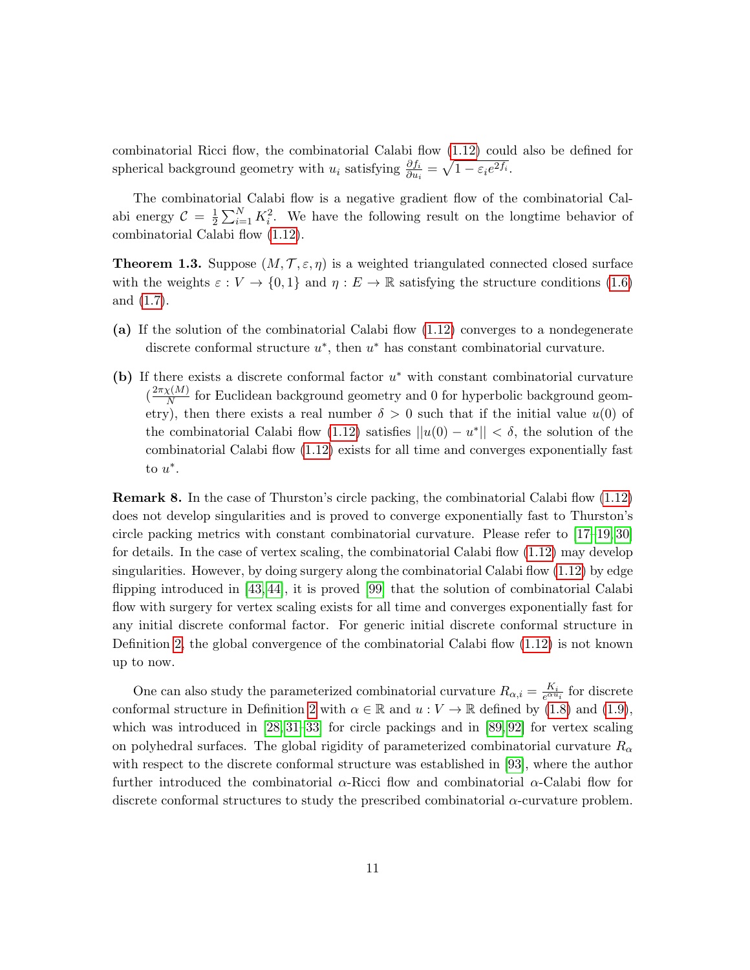combinatorial Ricci flow, the combinatorial Calabi flow [\(1.12\)](#page-9-1) could also be defined for spherical background geometry with  $u_i$  satisfying  $\frac{\partial f_i}{\partial u_i} = \sqrt{1 - \varepsilon_i e^{2f_i}}$ .

The combinatorial Calabi flow is a negative gradient flow of the combinatorial Calabi energy  $\mathcal{C} = \frac{1}{2}$  $\frac{1}{2}\sum_{i=1}^{N} K_i^2$ . We have the following result on the longtime behavior of combinatorial Calabi flow [\(1.12\)](#page-9-1).

<span id="page-10-0"></span>**Theorem 1.3.** Suppose  $(M, \mathcal{T}, \varepsilon, \eta)$  is a weighted triangulated connected closed surface with the weights  $\varepsilon : V \to \{0,1\}$  and  $\eta : E \to \mathbb{R}$  satisfying the structure conditions [\(1.6\)](#page-6-2) and [\(1.7\)](#page-6-3).

- (a) If the solution of the combinatorial Calabi flow [\(1.12\)](#page-9-1) converges to a nondegenerate discrete conformal structure  $u^*$ , then  $u^*$  has constant combinatorial curvature.
- (b) If there exists a discrete conformal factor  $u^*$  with constant combinatorial curvature  $\left(\frac{2\pi\chi(M)}{N}\right)$  $\frac{N(M)}{N}$  for Euclidean background geometry and 0 for hyperbolic background geometry), then there exists a real number  $\delta > 0$  such that if the initial value  $u(0)$  of the combinatorial Calabi flow [\(1.12\)](#page-9-1) satisfies  $||u(0) - u^*|| < \delta$ , the solution of the combinatorial Calabi flow [\(1.12\)](#page-9-1) exists for all time and converges exponentially fast to  $u^*$ .

Remark 8. In the case of Thurston's circle packing, the combinatorial Calabi flow [\(1.12\)](#page-9-1) does not develop singularities and is proved to converge exponentially fast to Thurston's circle packing metrics with constant combinatorial curvature. Please refer to [\[17–](#page-59-4)[19,](#page-59-5) [30\]](#page-60-16) for details. In the case of vertex scaling, the combinatorial Calabi flow [\(1.12\)](#page-9-1) may develop singularities. However, by doing surgery along the combinatorial Calabi flow  $(1.12)$  by edge flipping introduced in [\[43,](#page-60-7) [44\]](#page-60-15), it is proved [\[99\]](#page-63-8) that the solution of combinatorial Calabi flow with surgery for vertex scaling exists for all time and converges exponentially fast for any initial discrete conformal factor. For generic initial discrete conformal structure in Definition [2,](#page-3-2) the global convergence of the combinatorial Calabi flow [\(1.12\)](#page-9-1) is not known up to now.

One can also study the parameterized combinatorial curvature  $R_{\alpha,i} = \frac{K_i}{e^{\alpha u_i}}$  for discrete conformal structure in Definition [2](#page-3-2) with  $\alpha \in \mathbb{R}$  and  $u: V \to \mathbb{R}$  defined by [\(1.8\)](#page-7-3) and [\(1.9\)](#page-7-4), which was introduced in  $[28, 31-33]$  $[28, 31-33]$  $[28, 31-33]$  for circle packings and in  $[89, 92]$  $[89, 92]$  for vertex scaling on polyhedral surfaces. The global rigidity of parameterized combinatorial curvature  $R_{\alpha}$ with respect to the discrete conformal structure was established in [\[93\]](#page-63-11), where the author further introduced the combinatorial  $\alpha$ -Ricci flow and combinatorial  $\alpha$ -Calabi flow for discrete conformal structures to study the prescribed combinatorial  $\alpha$ -curvature problem.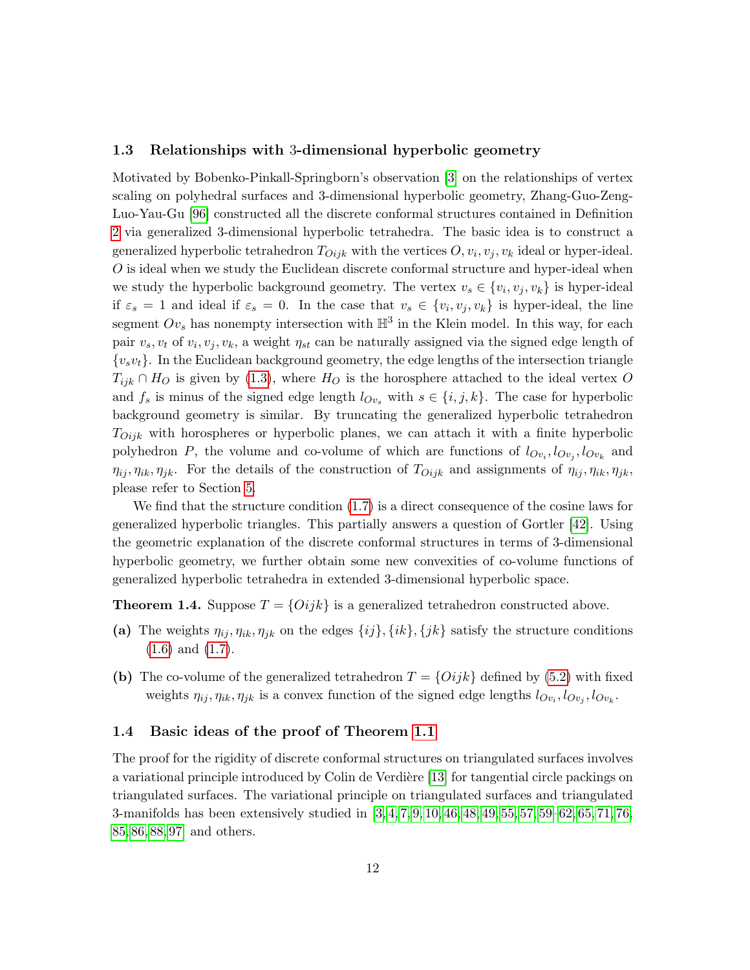#### <span id="page-11-0"></span>1.3 Relationships with 3-dimensional hyperbolic geometry

Motivated by Bobenko-Pinkall-Springborn's observation [\[3\]](#page-58-0) on the relationships of vertex scaling on polyhedral surfaces and 3-dimensional hyperbolic geometry, Zhang-Guo-Zeng-Luo-Yau-Gu [\[96\]](#page-63-0) constructed all the discrete conformal structures contained in Definition [2](#page-3-2) via generalized 3-dimensional hyperbolic tetrahedra. The basic idea is to construct a generalized hyperbolic tetrahedron  $T_{Oijk}$  with the vertices  $O, v_i, v_j, v_k$  ideal or hyper-ideal.  $O$  is ideal when we study the Euclidean discrete conformal structure and hyper-ideal when we study the hyperbolic background geometry. The vertex  $v_s \in \{v_i, v_j, v_k\}$  is hyper-ideal if  $\varepsilon_s = 1$  and ideal if  $\varepsilon_s = 0$ . In the case that  $v_s \in \{v_i, v_j, v_k\}$  is hyper-ideal, the line segment  $Ov_s$  has nonempty intersection with  $\mathbb{H}^3$  in the Klein model. In this way, for each pair  $v_s, v_t$  of  $v_i, v_j, v_k$ , a weight  $\eta_{st}$  can be naturally assigned via the signed edge length of  ${v_sv_t}$ . In the Euclidean background geometry, the edge lengths of the intersection triangle  $T_{ijk} \cap H_O$  is given by [\(1.3\)](#page-4-0), where  $H_O$  is the horosphere attached to the ideal vertex O and  $f_s$  is minus of the signed edge length  $l_{Ov_s}$  with  $s \in \{i, j, k\}$ . The case for hyperbolic background geometry is similar. By truncating the generalized hyperbolic tetrahedron  $T_{Oijk}$  with horospheres or hyperbolic planes, we can attach it with a finite hyperbolic polyhedron P, the volume and co-volume of which are functions of  $l_{Ov_i}, l_{Ov_j}, l_{Ov_k}$  and  $\eta_{ij}, \eta_{ik}, \eta_{jk}$ . For the details of the construction of  $T_{Oijk}$  and assignments of  $\eta_{ij}, \eta_{ik}, \eta_{jk}$ , please refer to Section [5.](#page-50-0)

We find that the structure condition [\(1.7\)](#page-6-3) is a direct consequence of the cosine laws for generalized hyperbolic triangles. This partially answers a question of Gortler [\[42\]](#page-60-18). Using the geometric explanation of the discrete conformal structures in terms of 3-dimensional hyperbolic geometry, we further obtain some new convexities of co-volume functions of generalized hyperbolic tetrahedra in extended 3-dimensional hyperbolic space.

<span id="page-11-2"></span>**Theorem 1.4.** Suppose  $T = \{Oijk\}$  is a generalized tetrahedron constructed above.

- (a) The weights  $\eta_{ij}, \eta_{ik}, \eta_{jk}$  on the edges  $\{ij\}, \{ik\}, \{jk\}$  satisfy the structure conditions [\(1.6\)](#page-6-2) and [\(1.7\)](#page-6-3).
- (b) The co-volume of the generalized tetrahedron  $T = \{Oijk\}$  defined by [\(5.2\)](#page-55-2) with fixed weights  $\eta_{ij}, \eta_{ik}, \eta_{jk}$  is a convex function of the signed edge lengths  $l_{Ov_i}, l_{Ov_j}, l_{Ov_k}$ .

#### <span id="page-11-1"></span>1.4 Basic ideas of the proof of Theorem [1.1](#page-6-1)

The proof for the rigidity of discrete conformal structures on triangulated surfaces involves a variational principle introduced by Colin de Verdière [\[13\]](#page-59-3) for tangential circle packings on triangulated surfaces. The variational principle on triangulated surfaces and triangulated 3-manifolds has been extensively studied in [\[3,](#page-58-0) [4,](#page-58-3) [7,](#page-59-1) [9,](#page-59-10) [10,](#page-59-17) [46,](#page-61-2) [48,](#page-61-10) [49,](#page-61-11) [55,](#page-61-14) [57,](#page-61-0) [59–](#page-61-15)[62,](#page-61-1) [65,](#page-61-16) [71,](#page-62-15) [76,](#page-62-3) [85,](#page-62-5) [86,](#page-62-13) [88,](#page-63-1) [97\]](#page-63-3) and others.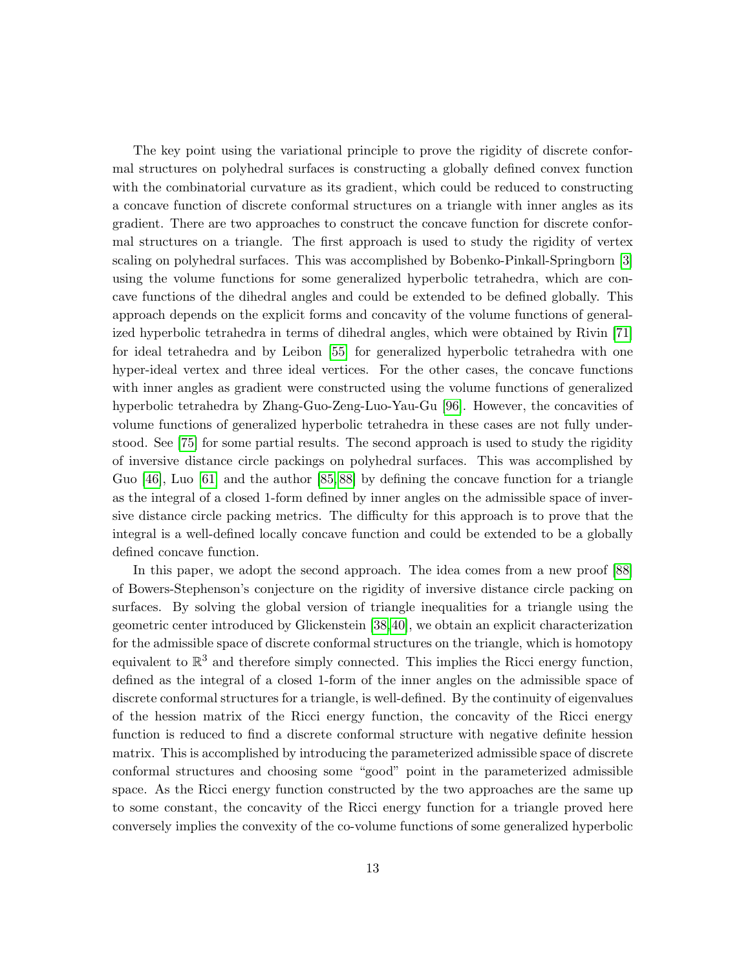The key point using the variational principle to prove the rigidity of discrete conformal structures on polyhedral surfaces is constructing a globally defined convex function with the combinatorial curvature as its gradient, which could be reduced to constructing a concave function of discrete conformal structures on a triangle with inner angles as its gradient. There are two approaches to construct the concave function for discrete conformal structures on a triangle. The first approach is used to study the rigidity of vertex scaling on polyhedral surfaces. This was accomplished by Bobenko-Pinkall-Springborn [\[3\]](#page-58-0) using the volume functions for some generalized hyperbolic tetrahedra, which are concave functions of the dihedral angles and could be extended to be defined globally. This approach depends on the explicit forms and concavity of the volume functions of generalized hyperbolic tetrahedra in terms of dihedral angles, which were obtained by Rivin [\[71\]](#page-62-15) for ideal tetrahedra and by Leibon [\[55\]](#page-61-14) for generalized hyperbolic tetrahedra with one hyper-ideal vertex and three ideal vertices. For the other cases, the concave functions with inner angles as gradient were constructed using the volume functions of generalized hyperbolic tetrahedra by Zhang-Guo-Zeng-Luo-Yau-Gu [\[96\]](#page-63-0). However, the concavities of volume functions of generalized hyperbolic tetrahedra in these cases are not fully understood. See [\[75\]](#page-62-16) for some partial results. The second approach is used to study the rigidity of inversive distance circle packings on polyhedral surfaces. This was accomplished by Guo [\[46\]](#page-61-2), Luo [\[61\]](#page-61-6) and the author [\[85,](#page-62-5) [88\]](#page-63-1) by defining the concave function for a triangle as the integral of a closed 1-form defined by inner angles on the admissible space of inversive distance circle packing metrics. The difficulty for this approach is to prove that the integral is a well-defined locally concave function and could be extended to be a globally defined concave function.

In this paper, we adopt the second approach. The idea comes from a new proof [\[88\]](#page-63-1) of Bowers-Stephenson's conjecture on the rigidity of inversive distance circle packing on surfaces. By solving the global version of triangle inequalities for a triangle using the geometric center introduced by Glickenstein [\[38,](#page-60-1)[40\]](#page-60-6), we obtain an explicit characterization for the admissible space of discrete conformal structures on the triangle, which is homotopy equivalent to  $\mathbb{R}^3$  and therefore simply connected. This implies the Ricci energy function, defined as the integral of a closed 1-form of the inner angles on the admissible space of discrete conformal structures for a triangle, is well-defined. By the continuity of eigenvalues of the hession matrix of the Ricci energy function, the concavity of the Ricci energy function is reduced to find a discrete conformal structure with negative definite hession matrix. This is accomplished by introducing the parameterized admissible space of discrete conformal structures and choosing some "good" point in the parameterized admissible space. As the Ricci energy function constructed by the two approaches are the same up to some constant, the concavity of the Ricci energy function for a triangle proved here conversely implies the convexity of the co-volume functions of some generalized hyperbolic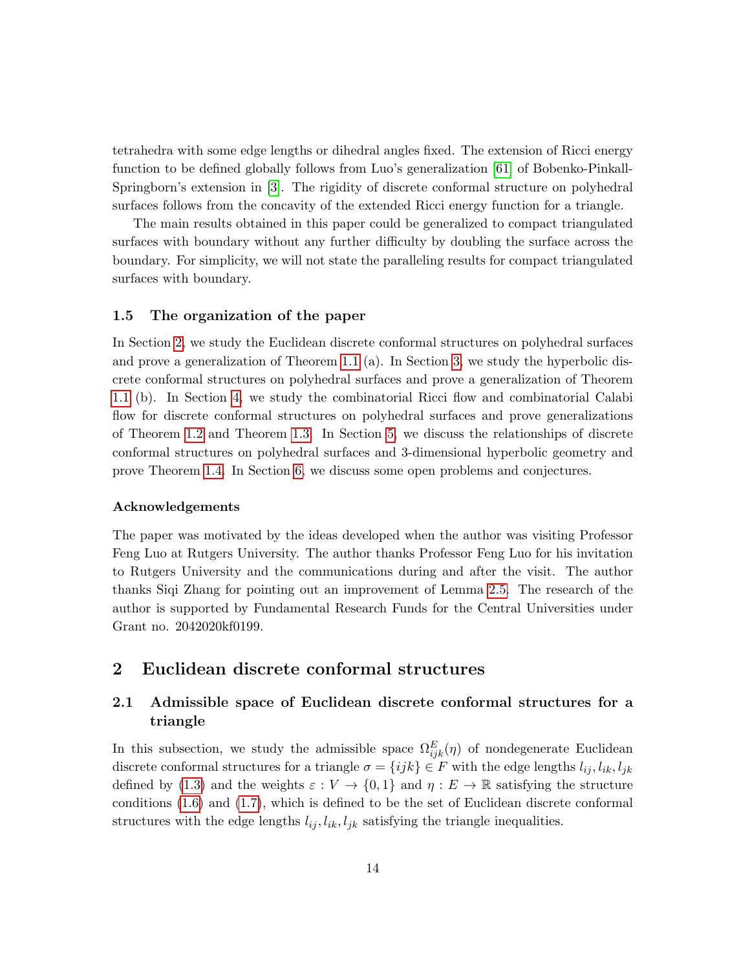tetrahedra with some edge lengths or dihedral angles fixed. The extension of Ricci energy function to be defined globally follows from Luo's generalization [\[61\]](#page-61-6) of Bobenko-Pinkall-Springborn's extension in [\[3\]](#page-58-0). The rigidity of discrete conformal structure on polyhedral surfaces follows from the concavity of the extended Ricci energy function for a triangle.

The main results obtained in this paper could be generalized to compact triangulated surfaces with boundary without any further difficulty by doubling the surface across the boundary. For simplicity, we will not state the paralleling results for compact triangulated surfaces with boundary.

#### <span id="page-13-0"></span>1.5 The organization of the paper

In Section [2,](#page-13-1) we study the Euclidean discrete conformal structures on polyhedral surfaces and prove a generalization of Theorem [1.1](#page-6-1) (a). In Section [3,](#page-30-0) we study the hyperbolic discrete conformal structures on polyhedral surfaces and prove a generalization of Theorem [1.1](#page-6-1) (b). In Section [4,](#page-42-0) we study the combinatorial Ricci flow and combinatorial Calabi flow for discrete conformal structures on polyhedral surfaces and prove generalizations of Theorem [1.2](#page-8-0) and Theorem [1.3.](#page-10-0) In Section [5,](#page-50-0) we discuss the relationships of discrete conformal structures on polyhedral surfaces and 3-dimensional hyperbolic geometry and prove Theorem [1.4.](#page-11-2) In Section [6,](#page-55-0) we discuss some open problems and conjectures.

#### Acknowledgements

The paper was motivated by the ideas developed when the author was visiting Professor Feng Luo at Rutgers University. The author thanks Professor Feng Luo for his invitation to Rutgers University and the communications during and after the visit. The author thanks Siqi Zhang for pointing out an improvement of Lemma [2.5.](#page-19-0) The research of the author is supported by Fundamental Research Funds for the Central Universities under Grant no. 2042020kf0199.

## <span id="page-13-1"></span>2 Euclidean discrete conformal structures

## <span id="page-13-2"></span>2.1 Admissible space of Euclidean discrete conformal structures for a triangle

In this subsection, we study the admissible space  $\Omega_{ijk}^E(\eta)$  of nondegenerate Euclidean discrete conformal structures for a triangle  $\sigma = \{ijk\} \in F$  with the edge lengths  $l_{ij}, l_{ik}, l_{jk}$ defined by [\(1.3\)](#page-4-0) and the weights  $\varepsilon : V \to \{0,1\}$  and  $\eta : E \to \mathbb{R}$  satisfying the structure conditions [\(1.6\)](#page-6-2) and [\(1.7\)](#page-6-3), which is defined to be the set of Euclidean discrete conformal structures with the edge lengths  $l_{ij}$ ,  $l_{ik}$ ,  $l_{jk}$  satisfying the triangle inequalities.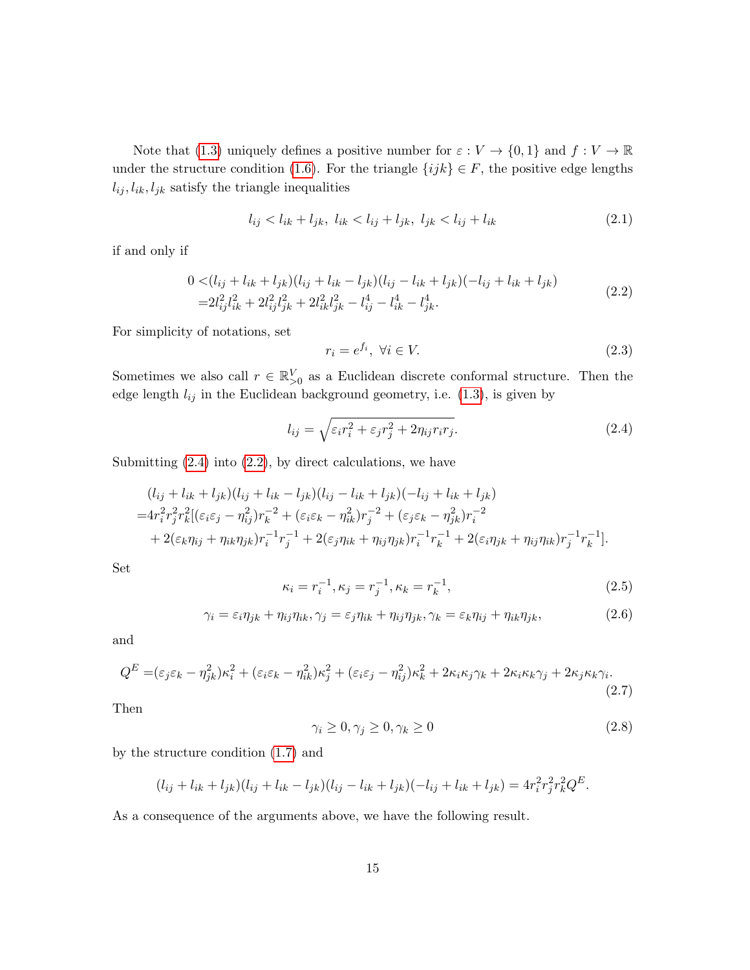Note that [\(1.3\)](#page-4-0) uniquely defines a positive number for  $\varepsilon : V \to \{0,1\}$  and  $f : V \to \mathbb{R}$ under the structure condition [\(1.6\)](#page-6-2). For the triangle  $\{ijk\} \in F$ , the positive edge lengths  $l_{ij}, l_{ik}, l_{jk}$  satisfy the triangle inequalities

$$
l_{ij} < l_{ik} + l_{jk}, \ l_{ik} < l_{ij} + l_{jk}, \ l_{jk} < l_{ij} + l_{ik} \tag{2.1}
$$

if and only if

<span id="page-14-1"></span>
$$
0 < (l_{ij} + l_{ik} + l_{jk})(l_{ij} + l_{ik} - l_{jk})(l_{ij} - l_{ik} + l_{jk})(-l_{ij} + l_{ik} + l_{jk})
$$
  
= 
$$
2l_{ij}^{2}l_{ik}^{2} + 2l_{ij}^{2}l_{jk}^{2} + 2l_{ik}^{2}l_{jk}^{2} - l_{ij}^{4} - l_{ik}^{4} - l_{jk}^{4}.
$$
 (2.2)

For simplicity of notations, set

$$
r_i = e^{f_i}, \ \forall i \in V. \tag{2.3}
$$

Sometimes we also call  $r \in \mathbb{R}_{\geq 0}^V$  as a Euclidean discrete conformal structure. Then the edge length  $l_{ij}$  in the Euclidean background geometry, i.e.  $(1.3)$ , is given by

<span id="page-14-0"></span>
$$
l_{ij} = \sqrt{\varepsilon_i r_i^2 + \varepsilon_j r_j^2 + 2\eta_{ij} r_i r_j}.
$$
\n(2.4)

Submitting  $(2.4)$  into  $(2.2)$ , by direct calculations, we have

$$
(l_{ij} + l_{ik} + l_{jk})(l_{ij} + l_{ik} - l_{jk})(l_{ij} - l_{ik} + l_{jk})(-l_{ij} + l_{ik} + l_{jk})
$$
  
=  $4r_i^2 r_j^2 r_k^2 [(\varepsilon_i \varepsilon_j - \eta_{ij}^2) r_k^{-2} + (\varepsilon_i \varepsilon_k - \eta_{ik}^2) r_j^{-2} + (\varepsilon_j \varepsilon_k - \eta_{jk}^2) r_i^{-2}$   
+  $2(\varepsilon_k \eta_{ij} + \eta_{ik} \eta_{jk}) r_i^{-1} r_j^{-1} + 2(\varepsilon_j \eta_{ik} + \eta_{ij} \eta_{jk}) r_i^{-1} r_k^{-1} + 2(\varepsilon_i \eta_{jk} + \eta_{ij} \eta_{ik}) r_j^{-1} r_k^{-1}].$ 

Set

$$
\kappa_i = r_i^{-1}, \kappa_j = r_j^{-1}, \kappa_k = r_k^{-1}, \tag{2.5}
$$

$$
\gamma_i = \varepsilon_i \eta_{jk} + \eta_{ij} \eta_{ik}, \gamma_j = \varepsilon_j \eta_{ik} + \eta_{ij} \eta_{jk}, \gamma_k = \varepsilon_k \eta_{ij} + \eta_{ik} \eta_{jk}, \tag{2.6}
$$

and

<span id="page-14-2"></span>
$$
Q^{E} = (\varepsilon_{j}\varepsilon_{k} - \eta_{jk}^{2})\kappa_{i}^{2} + (\varepsilon_{i}\varepsilon_{k} - \eta_{ik}^{2})\kappa_{j}^{2} + (\varepsilon_{i}\varepsilon_{j} - \eta_{ij}^{2})\kappa_{k}^{2} + 2\kappa_{i}\kappa_{j}\gamma_{k} + 2\kappa_{i}\kappa_{k}\gamma_{j} + 2\kappa_{j}\kappa_{k}\gamma_{i}.
$$
\n(2.7)

Then

$$
\gamma_i \ge 0, \gamma_j \ge 0, \gamma_k \ge 0 \tag{2.8}
$$

by the structure condition [\(1.7\)](#page-6-3) and

$$
(l_{ij} + l_{ik} + l_{jk})(l_{ij} + l_{ik} - l_{jk})(l_{ij} - l_{ik} + l_{jk})(-l_{ij} + l_{ik} + l_{jk}) = 4r_i^2r_j^2r_k^2Q^E.
$$

As a consequence of the arguments above, we have the following result.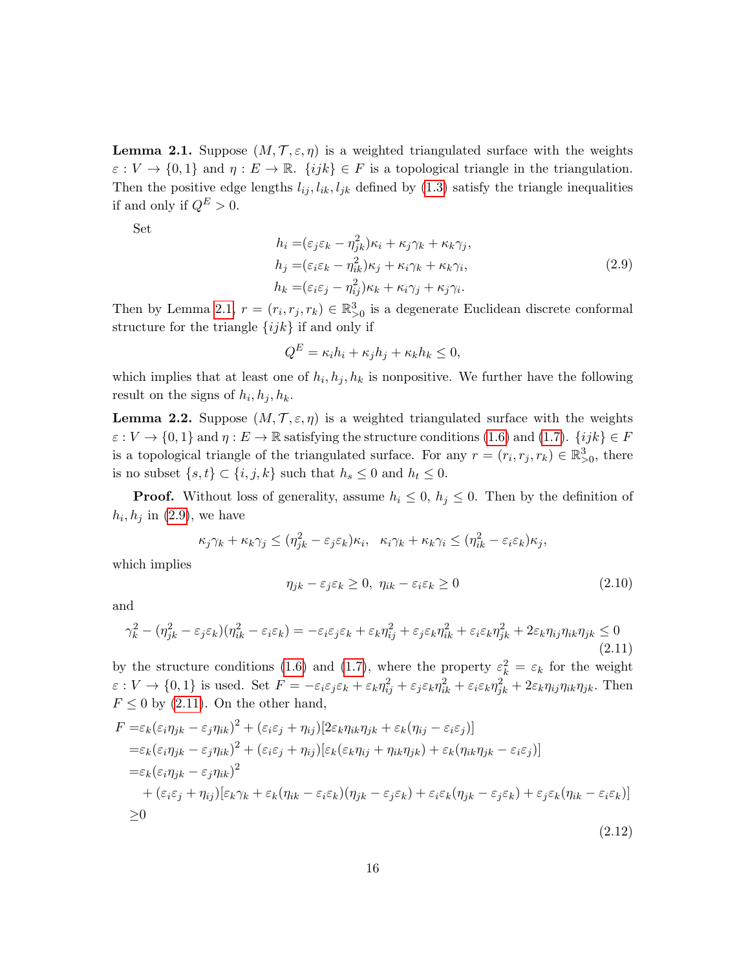<span id="page-15-0"></span>**Lemma 2.1.** Suppose  $(M, \mathcal{T}, \varepsilon, \eta)$  is a weighted triangulated surface with the weights  $\varepsilon : V \to \{0,1\}$  and  $\eta : E \to \mathbb{R}$ .  $\{ijk\} \in F$  is a topological triangle in the triangulation. Then the positive edge lengths  $l_{ij}, l_{ik}, l_{jk}$  defined by [\(1.3\)](#page-4-0) satisfy the triangle inequalities if and only if  $Q^E > 0$ .

Set

<span id="page-15-1"></span>
$$
h_i = (\varepsilon_j \varepsilon_k - \eta_{jk}^2) \kappa_i + \kappa_j \gamma_k + \kappa_k \gamma_j,
$$
  
\n
$$
h_j = (\varepsilon_i \varepsilon_k - \eta_{ik}^2) \kappa_j + \kappa_i \gamma_k + \kappa_k \gamma_i,
$$
  
\n
$$
h_k = (\varepsilon_i \varepsilon_j - \eta_{ij}^2) \kappa_k + \kappa_i \gamma_j + \kappa_j \gamma_i.
$$
\n(2.9)

Then by Lemma [2.1,](#page-15-0)  $r = (r_i, r_j, r_k) \in \mathbb{R}^3_{>0}$  is a degenerate Euclidean discrete conformal structure for the triangle  $\{ijk\}$  if and only if

$$
Q^E = \kappa_i h_i + \kappa_j h_j + \kappa_k h_k \le 0,
$$

which implies that at least one of  $h_i, h_j, h_k$  is nonpositive. We further have the following result on the signs of  $h_i, h_j, h_k$ .

<span id="page-15-5"></span>**Lemma 2.2.** Suppose  $(M, \mathcal{T}, \varepsilon, \eta)$  is a weighted triangulated surface with the weights  $\varepsilon : V \to \{0,1\}$  and  $\eta : E \to \mathbb{R}$  satisfying the structure conditions [\(1.6\)](#page-6-2) and [\(1.7\)](#page-6-3).  $\{ijk\} \in F$ is a topological triangle of the triangulated surface. For any  $r = (r_i, r_j, r_k) \in \mathbb{R}^3_{>0}$ , there is no subset  $\{s, t\} \subset \{i, j, k\}$  such that  $h_s \leq 0$  and  $h_t \leq 0$ .

**Proof.** Without loss of generality, assume  $h_i \leq 0$ ,  $h_j \leq 0$ . Then by the definition of  $h_i, h_j$  in [\(2.9\)](#page-15-1), we have

$$
\kappa_j \gamma_k + \kappa_k \gamma_j \leq (\eta_{jk}^2 - \varepsilon_j \varepsilon_k) \kappa_i, \quad \kappa_i \gamma_k + \kappa_k \gamma_i \leq (\eta_{ik}^2 - \varepsilon_i \varepsilon_k) \kappa_j,
$$

which implies

<span id="page-15-3"></span>
$$
\eta_{jk} - \varepsilon_j \varepsilon_k \ge 0, \ \eta_{ik} - \varepsilon_i \varepsilon_k \ge 0 \tag{2.10}
$$

and

<span id="page-15-2"></span>
$$
\gamma_k^2 - (\eta_{jk}^2 - \varepsilon_j \varepsilon_k)(\eta_{ik}^2 - \varepsilon_i \varepsilon_k) = -\varepsilon_i \varepsilon_j \varepsilon_k + \varepsilon_k \eta_{ij}^2 + \varepsilon_j \varepsilon_k \eta_{ik}^2 + \varepsilon_i \varepsilon_k \eta_{jk}^2 + 2\varepsilon_k \eta_{ij} \eta_{ik} \eta_{jk} \le 0
$$
\n(2.11)

by the structure conditions [\(1.6\)](#page-6-2) and [\(1.7\)](#page-6-3), where the property  $\varepsilon_k^2 = \varepsilon_k$  for the weight  $\varepsilon: V \to \{0, 1\}$  is used. Set  $F = -\varepsilon_i \varepsilon_j \varepsilon_k + \varepsilon_k \eta_{ij}^2 + \varepsilon_j \varepsilon_k \eta_{ik}^2 + \varepsilon_i \varepsilon_k \eta_{jk}^2 + 2\varepsilon_k \eta_{ij} \eta_{ik} \eta_{jk}$ . Then  $F \leq 0$  by [\(2.11\)](#page-15-2). On the other hand,

<span id="page-15-4"></span>
$$
F = \varepsilon_k (\varepsilon_i \eta_{jk} - \varepsilon_j \eta_{ik})^2 + (\varepsilon_i \varepsilon_j + \eta_{ij}) [2\varepsilon_k \eta_{ik} \eta_{jk} + \varepsilon_k (\eta_{ij} - \varepsilon_i \varepsilon_j)]
$$
  
\n
$$
= \varepsilon_k (\varepsilon_i \eta_{jk} - \varepsilon_j \eta_{ik})^2 + (\varepsilon_i \varepsilon_j + \eta_{ij}) [\varepsilon_k (\varepsilon_k \eta_{ij} + \eta_{ik} \eta_{jk}) + \varepsilon_k (\eta_{ik} \eta_{jk} - \varepsilon_i \varepsilon_j)]
$$
  
\n
$$
= \varepsilon_k (\varepsilon_i \eta_{jk} - \varepsilon_j \eta_{ik})^2
$$
  
\n
$$
+ (\varepsilon_i \varepsilon_j + \eta_{ij}) [\varepsilon_k \gamma_k + \varepsilon_k (\eta_{ik} - \varepsilon_i \varepsilon_k) (\eta_{jk} - \varepsilon_j \varepsilon_k) + \varepsilon_i \varepsilon_k (\eta_{jk} - \varepsilon_j \varepsilon_k) + \varepsilon_j \varepsilon_k (\eta_{ik} - \varepsilon_i \varepsilon_k)]
$$
  
\n
$$
\ge 0
$$
\n(2.12)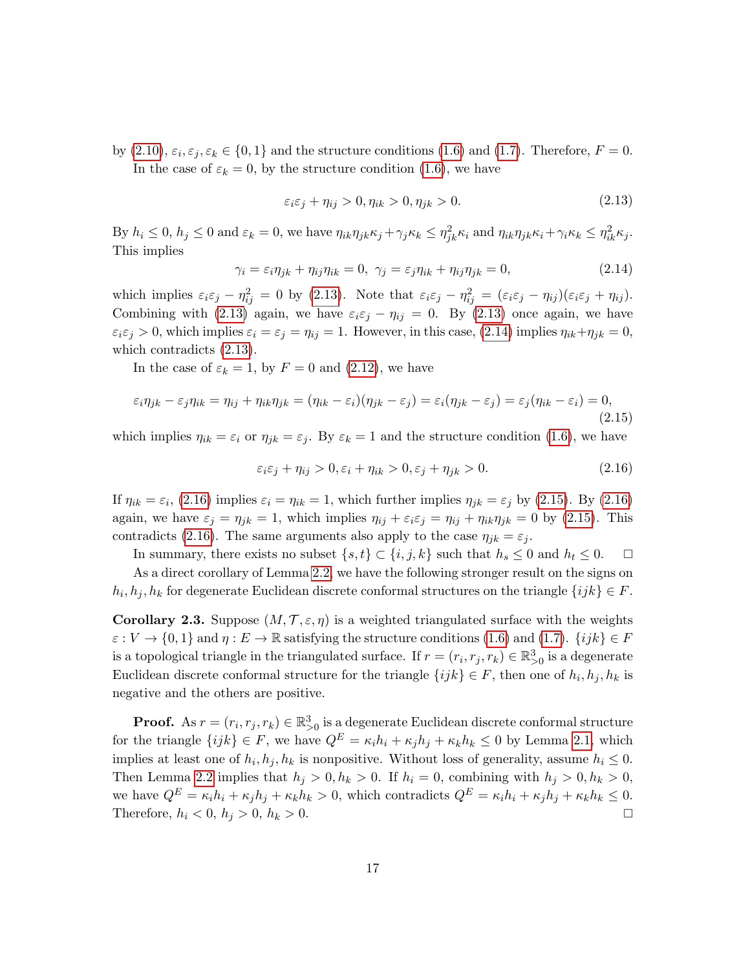by [\(2.10\)](#page-15-3),  $\varepsilon_i, \varepsilon_j, \varepsilon_k \in \{0, 1\}$  and the structure conditions [\(1.6\)](#page-6-2) and [\(1.7\)](#page-6-3). Therefore,  $F = 0$ . In the case of  $\varepsilon_k = 0$ , by the structure condition [\(1.6\)](#page-6-2), we have

<span id="page-16-0"></span>
$$
\varepsilon_i \varepsilon_j + \eta_{ij} > 0, \eta_{ik} > 0, \eta_{jk} > 0. \tag{2.13}
$$

By  $h_i \leq 0$ ,  $h_j \leq 0$  and  $\varepsilon_k = 0$ , we have  $\eta_{ik}\eta_{jk}\kappa_j + \gamma_j \kappa_k \leq \eta_{jk}^2 \kappa_i$  and  $\eta_{ik}\eta_{jk}\kappa_i + \gamma_i \kappa_k \leq \eta_{ik}^2 \kappa_j$ . This implies

<span id="page-16-1"></span>
$$
\gamma_i = \varepsilon_i \eta_{jk} + \eta_{ij} \eta_{ik} = 0, \ \gamma_j = \varepsilon_j \eta_{ik} + \eta_{ij} \eta_{jk} = 0, \tag{2.14}
$$

which implies  $\varepsilon_i \varepsilon_j - \eta_{ij}^2 = 0$  by [\(2.13\)](#page-16-0). Note that  $\varepsilon_i \varepsilon_j - \eta_{ij}^2 = (\varepsilon_i \varepsilon_j - \eta_{ij})(\varepsilon_i \varepsilon_j + \eta_{ij})$ . Combining with [\(2.13\)](#page-16-0) again, we have  $\varepsilon_i \varepsilon_j - \eta_{ij} = 0$ . By (2.13) once again, we have  $\varepsilon_i \varepsilon_j > 0$ , which implies  $\varepsilon_i = \varepsilon_j = \eta_{ij} = 1$ . However, in this case, [\(2.14\)](#page-16-1) implies  $\eta_{ik} + \eta_{jk} = 0$ , which contradicts [\(2.13\)](#page-16-0).

In the case of  $\varepsilon_k = 1$ , by  $F = 0$  and [\(2.12\)](#page-15-4), we have

<span id="page-16-3"></span>
$$
\varepsilon_i \eta_{jk} - \varepsilon_j \eta_{ik} = \eta_{ij} + \eta_{ik} \eta_{jk} = (\eta_{ik} - \varepsilon_i)(\eta_{jk} - \varepsilon_j) = \varepsilon_i (\eta_{jk} - \varepsilon_j) = \varepsilon_j (\eta_{ik} - \varepsilon_i) = 0,
$$
\n(2.15)

which implies  $\eta_{ik} = \varepsilon_i$  or  $\eta_{jk} = \varepsilon_j$ . By  $\varepsilon_k = 1$  and the structure condition [\(1.6\)](#page-6-2), we have

<span id="page-16-2"></span>
$$
\varepsilon_i \varepsilon_j + \eta_{ij} > 0, \varepsilon_i + \eta_{ik} > 0, \varepsilon_j + \eta_{jk} > 0.
$$
\n(2.16)

If  $\eta_{ik} = \varepsilon_i$ , [\(2.16\)](#page-16-2) implies  $\varepsilon_i = \eta_{ik} = 1$ , which further implies  $\eta_{jk} = \varepsilon_j$  by [\(2.15\)](#page-16-3). By (2.16) again, we have  $\varepsilon_j = \eta_{jk} = 1$ , which implies  $\eta_{ij} + \varepsilon_i \varepsilon_j = \eta_{ij} + \eta_{ik} \eta_{jk} = 0$  by [\(2.15\)](#page-16-3). This contradicts [\(2.16\)](#page-16-2). The same arguments also apply to the case  $\eta_{jk} = \varepsilon_j$ .

In summary, there exists no subset  $\{s, t\} \subset \{i, j, k\}$  such that  $h_s \leq 0$  and  $h_t \leq 0$ .  $\Box$ 

As a direct corollary of Lemma [2.2,](#page-15-5) we have the following stronger result on the signs on  $h_i, h_j, h_k$  for degenerate Euclidean discrete conformal structures on the triangle  $\{ijk\} \in F$ .

<span id="page-16-4"></span>**Corollary 2.3.** Suppose  $(M, \mathcal{T}, \varepsilon, \eta)$  is a weighted triangulated surface with the weights  $\varepsilon : V \to \{0,1\}$  and  $\eta : E \to \mathbb{R}$  satisfying the structure conditions [\(1.6\)](#page-6-2) and [\(1.7\)](#page-6-3).  $\{ijk\} \in F$ is a topological triangle in the triangulated surface. If  $r = (r_i, r_j, r_k) \in \mathbb{R}^3_{>0}$  is a degenerate Euclidean discrete conformal structure for the triangle  $\{ijk\} \in F$ , then one of  $h_i, h_j, h_k$  is negative and the others are positive.

**Proof.** As  $r = (r_i, r_j, r_k) \in \mathbb{R}^3_{>0}$  is a degenerate Euclidean discrete conformal structure for the triangle  $\{ijk\} \in F$ , we have  $Q^E = \kappa_i h_i + \kappa_j h_j + \kappa_k h_k \leq 0$  by Lemma [2.1,](#page-15-0) which implies at least one of  $h_i, h_j, h_k$  is nonpositive. Without loss of generality, assume  $h_i \leq 0$ . Then Lemma [2.2](#page-15-5) implies that  $h_j > 0$ ,  $h_k > 0$ . If  $h_i = 0$ , combining with  $h_j > 0$ ,  $h_k > 0$ , we have  $Q^E = \kappa_i h_i + \kappa_j h_j + \kappa_k h_k > 0$ , which contradicts  $Q^E = \kappa_i h_i + \kappa_j h_j + \kappa_k h_k \leq 0$ . Therefore,  $h_i < 0, h_j > 0, h_k > 0$ .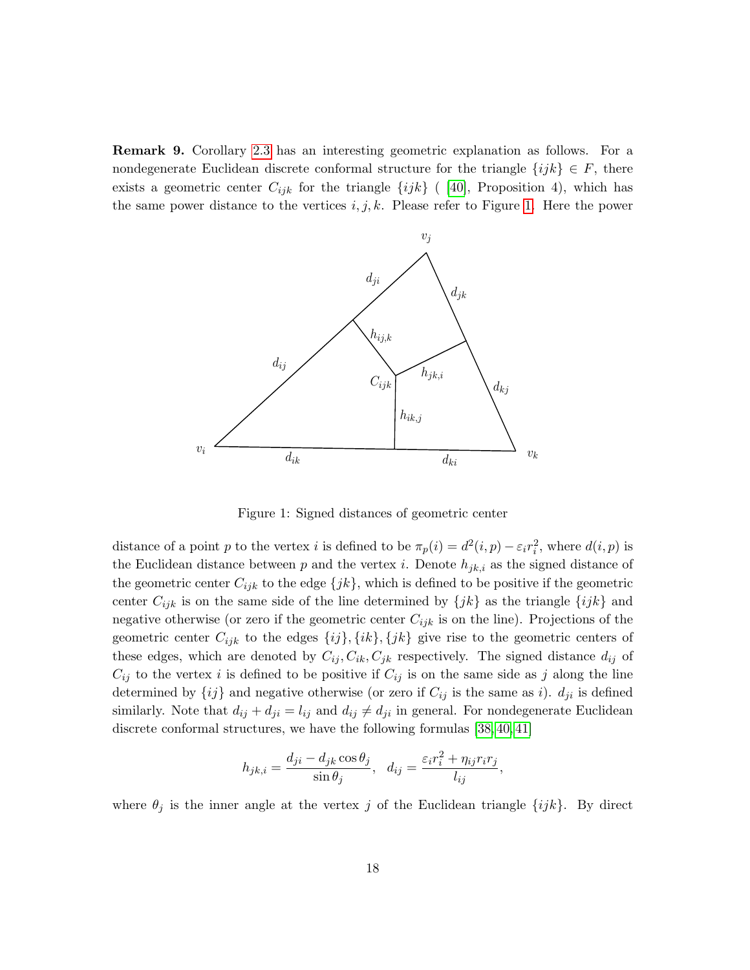Remark 9. Corollary [2.3](#page-16-4) has an interesting geometric explanation as follows. For a nondegenerate Euclidean discrete conformal structure for the triangle  $\{ijk\} \in F$ , there exists a geometric center  $C_{ijk}$  for the triangle  $\{ijk\}$  ( [\[40\]](#page-60-6), Proposition 4), which has **Remark 9.** Corollary 2.3 has an interesting geometric explanation as follows. For a nondegenerate Euclidean discrete conformal structure for the triangle  $\{ijk\} \in F$ , there exists a geometric center  $C_{ijk}$  for the triangl

<span id="page-17-1"></span>

<span id="page-17-0"></span>Figure 1: Signed distances of geometric center

(Xu) School of Mathematics and Statistics, Wuhan University, Wuhan  $\mathcal{L}$ distance of a point p to the vertex i is defined to be  $\pi_p(i) = d^2(i, p) - \varepsilon_i r_i^2$ , where  $d(i, p)$  is the Euclidean distance between p and the vertex i. Denote  $h_{jk,i}$  as the signed distance of  $C_{ij}$  to the vertex i is defined to be positive if  $C_{ij}$  is on the same side as j along the line the geometric center  $C_{ijk}$  to the edge  $\{jk\}$ , which is defined to be positive if the geometric center  $C_{ijk}$  is on the same side of the line determined by  $\{jk\}$  as the triangle  $\{ijk\}$  and negative otherwise (or zero if the geometric center  $C_{ijk}$  is on the line). Projections of the geometric center  $C_{ijk}$  to the edges  $\{ij\}, \{ik\}, \{jk\}$  give rise to the geometric centers of these edges, which are denoted by  $C_{ij}$ ,  $C_{ik}$ ,  $C_{jk}$  respectively. The signed distance  $d_{ij}$  of determined by  $\{ij\}$  and negative otherwise (or zero if  $C_{ij}$  is the same as i).  $d_{ji}$  is defined similarly. Note that  $d_{ij} + d_{ji} = l_{ij}$  and  $d_{ij} \neq d_{ji}$  in general. For nondegenerate Euclidean discrete conformal structures, we have the following formulas [\[38,](#page-60-1) [40,](#page-60-6) [41\]](#page-60-2)

$$
h_{jk,i} = \frac{d_{ji} - d_{jk}\cos\theta_j}{\sin\theta_j}, \quad d_{ij} = \frac{\varepsilon_i r_i^2 + \eta_{ij} r_i r_j}{l_{ij}},
$$

where  $\theta_j$  is the inner angle at the vertex j of the Euclidean triangle  $\{ijk\}$ . By direct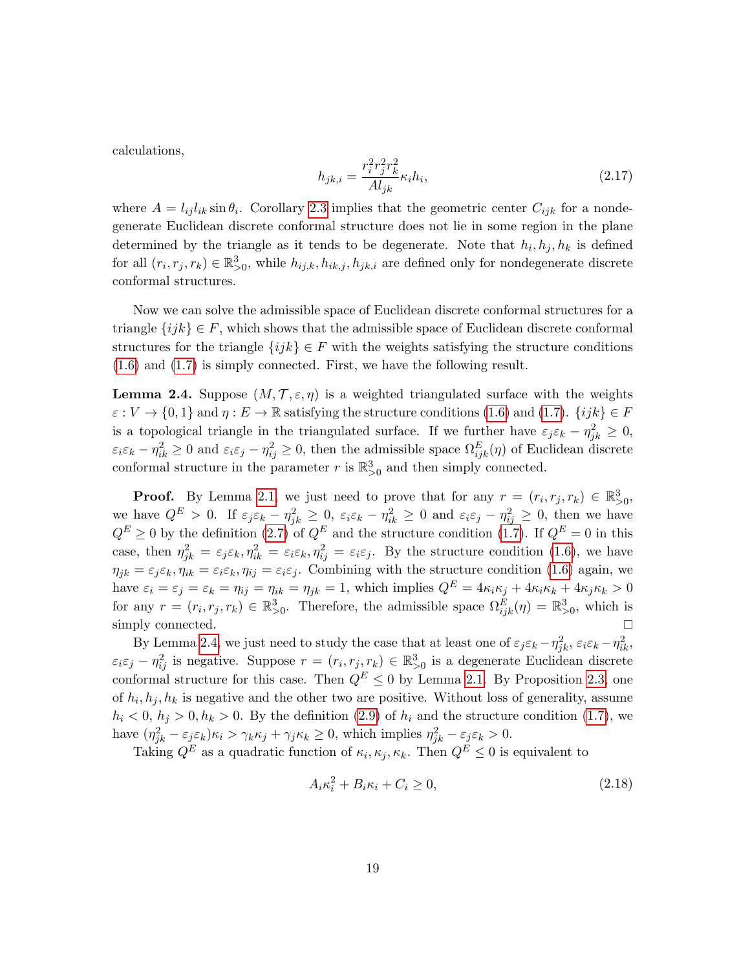calculations,

<span id="page-18-2"></span>
$$
h_{jk,i} = \frac{r_i^2 r_j^2 r_k^2}{A l_{jk}} \kappa_i h_i,
$$
\n(2.17)

where  $A = l_{ij}l_{ik} \sin \theta_i$ . Corollary [2.3](#page-16-4) implies that the geometric center  $C_{ijk}$  for a nondegenerate Euclidean discrete conformal structure does not lie in some region in the plane determined by the triangle as it tends to be degenerate. Note that  $h_i, h_j, h_k$  is defined for all  $(r_i, r_j, r_k) \in \mathbb{R}^3_{>0}$ , while  $h_{ij,k}, h_{ik,j}, h_{jk,i}$  are defined only for nondegenerate discrete conformal structures.

Now we can solve the admissible space of Euclidean discrete conformal structures for a triangle  $\{ijk\} \in F$ , which shows that the admissible space of Euclidean discrete conformal structures for the triangle  $\{ijk\} \in F$  with the weights satisfying the structure conditions [\(1.6\)](#page-6-2) and [\(1.7\)](#page-6-3) is simply connected. First, we have the following result.

<span id="page-18-0"></span>**Lemma 2.4.** Suppose  $(M, \mathcal{T}, \varepsilon, \eta)$  is a weighted triangulated surface with the weights  $\varepsilon: V \to \{0,1\}$  and  $\eta: E \to \mathbb{R}$  satisfying the structure conditions [\(1.6\)](#page-6-2) and [\(1.7\)](#page-6-3).  $\{ijk\} \in F$ is a topological triangle in the triangulated surface. If we further have  $\varepsilon_j \varepsilon_k - \eta_{jk}^2 \geq 0$ ,  $\varepsilon_i \varepsilon_k - \eta_{ik}^2 \ge 0$  and  $\varepsilon_i \varepsilon_j - \eta_{ij}^2 \ge 0$ , then the admissible space  $\Omega_{ijk}^E(\eta)$  of Euclidean discrete conformal structure in the parameter r is  $\mathbb{R}^3_{>0}$  and then simply connected.

**Proof.** By Lemma [2.1,](#page-15-0) we just need to prove that for any  $r = (r_i, r_j, r_k) \in \mathbb{R}^3_{>0}$ , we have  $Q^E > 0$ . If  $\varepsilon_j \varepsilon_k - \eta_{jk}^2 \geq 0$ ,  $\varepsilon_i \varepsilon_k - \eta_{ik}^2 \geq 0$  and  $\varepsilon_i \varepsilon_j - \eta_{ij}^2 \geq 0$ , then we have  $Q^E \geq 0$  by the definition [\(2.7\)](#page-14-2) of  $Q^E$  and the structure condition [\(1.7\)](#page-6-3). If  $Q^E = 0$  in this case, then  $\eta_{jk}^2 = \varepsilon_j \varepsilon_k, \eta_{ik}^2 = \varepsilon_i \varepsilon_k, \eta_{ij}^2 = \varepsilon_i \varepsilon_j$ . By the structure condition [\(1.6\)](#page-6-2), we have  $\eta_{jk} = \varepsilon_j \varepsilon_k$ ,  $\eta_{ik} = \varepsilon_i \varepsilon_k$ ,  $\eta_{ij} = \varepsilon_i \varepsilon_j$ . Combining with the structure condition [\(1.6\)](#page-6-2) again, we have  $\varepsilon_i = \varepsilon_j = \varepsilon_k = \eta_{ij} = \eta_{ik} = \eta_{jk} = 1$ , which implies  $Q^E = 4\kappa_i \kappa_j + 4\kappa_i \kappa_k + 4\kappa_j \kappa_k > 0$ for any  $r = (r_i, r_j, r_k) \in \mathbb{R}^3_{>0}$ . Therefore, the admissible space  $\Omega_{ijk}^E(\eta) = \mathbb{R}^3_{>0}$ , which is simply connected.

By Lemma [2.4,](#page-18-0) we just need to study the case that at least one of  $\varepsilon_j \varepsilon_k - \eta_{jk}^2$ ,  $\varepsilon_i \varepsilon_k - \eta_{ik}^2$ ,  $\varepsilon_i \varepsilon_j - \eta_{ij}^2$  is negative. Suppose  $r = (r_i, r_j, r_k) \in \mathbb{R}^3_{>0}$  is a degenerate Euclidean discrete conformal structure for this case. Then  $Q^E \leq 0$  by Lemma [2.1.](#page-15-0) By Proposition [2.3,](#page-16-4) one of  $h_i, h_j, h_k$  is negative and the other two are positive. Without loss of generality, assume  $h_i < 0, h_j > 0, h_k > 0$ . By the definition [\(2.9\)](#page-15-1) of  $h_i$  and the structure condition [\(1.7\)](#page-6-3), we have  $(\eta_{jk}^2 - \varepsilon_j \varepsilon_k)\kappa_i > \gamma_k \kappa_j + \gamma_j \kappa_k \ge 0$ , which implies  $\eta_{jk}^2 - \varepsilon_j \varepsilon_k > 0$ .

Taking  $Q^E$  as a quadratic function of  $\kappa_i, \kappa_j, \kappa_k$ . Then  $Q^E \leq 0$  is equivalent to

<span id="page-18-1"></span>
$$
A_i \kappa_i^2 + B_i \kappa_i + C_i \ge 0,\tag{2.18}
$$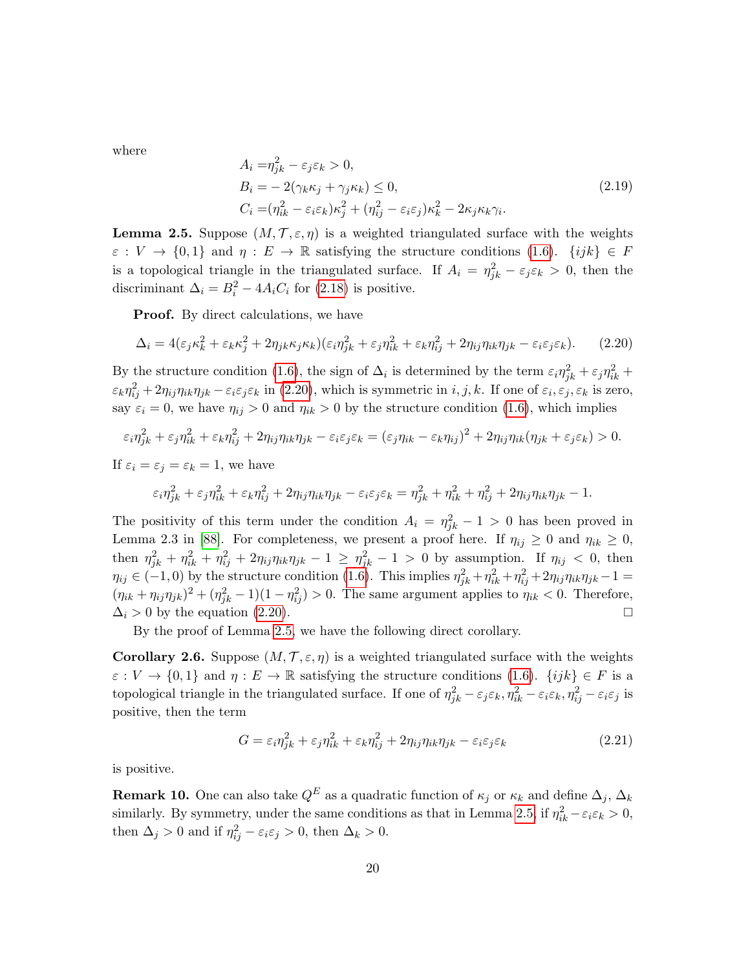where

$$
A_i = \eta_{jk}^2 - \varepsilon_j \varepsilon_k > 0,
$$
  
\n
$$
B_i = -2(\gamma_k \kappa_j + \gamma_j \kappa_k) \le 0,
$$
  
\n
$$
C_i = (\eta_{ik}^2 - \varepsilon_i \varepsilon_k) \kappa_j^2 + (\eta_{ij}^2 - \varepsilon_i \varepsilon_j) \kappa_k^2 - 2\kappa_j \kappa_k \gamma_i.
$$
\n(2.19)

<span id="page-19-0"></span>**Lemma 2.5.** Suppose  $(M, \mathcal{T}, \varepsilon, \eta)$  is a weighted triangulated surface with the weights  $\varepsilon : V \to \{0,1\}$  and  $\eta : E \to \mathbb{R}$  satisfying the structure conditions  $(1.6)$ .  $\{ijk\} \in F$ is a topological triangle in the triangulated surface. If  $A_i = \eta_{jk}^2 - \varepsilon_j \varepsilon_k > 0$ , then the discriminant  $\Delta_i = B_i^2 - 4A_iC_i$  for [\(2.18\)](#page-18-1) is positive.

**Proof.** By direct calculations, we have

<span id="page-19-1"></span>
$$
\Delta_i = 4(\varepsilon_j \kappa_k^2 + \varepsilon_k \kappa_j^2 + 2\eta_{jk} \kappa_j \kappa_k)(\varepsilon_i \eta_{jk}^2 + \varepsilon_j \eta_{ik}^2 + \varepsilon_k \eta_{ij}^2 + 2\eta_{ij} \eta_{ik} \eta_{jk} - \varepsilon_i \varepsilon_j \varepsilon_k). \tag{2.20}
$$

By the structure condition [\(1.6\)](#page-6-2), the sign of  $\Delta_i$  is determined by the term  $\varepsilon_i \eta_{jk}^2 + \varepsilon_j \eta_{ik}^2 +$  $\epsilon_k \eta_{ij}^2 + 2\eta_{ij}\eta_{ik}\eta_{jk} - \epsilon_i \epsilon_j \epsilon_k$  in [\(2.20\)](#page-19-1), which is symmetric in  $i, j, k$ . If one of  $\epsilon_i, \epsilon_j, \epsilon_k$  is zero, say  $\varepsilon_i = 0$ , we have  $\eta_{ij} > 0$  and  $\eta_{ik} > 0$  by the structure condition [\(1.6\)](#page-6-2), which implies

$$
\varepsilon_i \eta_{jk}^2 + \varepsilon_j \eta_{ik}^2 + \varepsilon_k \eta_{ij}^2 + 2\eta_{ij} \eta_{ik} \eta_{jk} - \varepsilon_i \varepsilon_j \varepsilon_k = (\varepsilon_j \eta_{ik} - \varepsilon_k \eta_{ij})^2 + 2\eta_{ij} \eta_{ik} (\eta_{jk} + \varepsilon_j \varepsilon_k) > 0.
$$

If  $\varepsilon_i = \varepsilon_j = \varepsilon_k = 1$ , we have

$$
\varepsilon_i \eta_{jk}^2 + \varepsilon_j \eta_{ik}^2 + \varepsilon_k \eta_{ij}^2 + 2\eta_{ij}\eta_{ik}\eta_{jk} - \varepsilon_i \varepsilon_j \varepsilon_k = \eta_{jk}^2 + \eta_{ik}^2 + \eta_{ij}^2 + 2\eta_{ij}\eta_{ik}\eta_{jk} - 1.
$$

The positivity of this term under the condition  $A_i = \eta_{jk}^2 - 1 > 0$  has been proved in Lemma 2.3 in [\[88\]](#page-63-1). For completeness, we present a proof here. If  $\eta_{ij} \geq 0$  and  $\eta_{ik} \geq 0$ , then  $\eta_{jk}^2 + \eta_{ik}^2 + \eta_{ij}^2 + 2\eta_{ij}\eta_{ik}\eta_{jk} - 1 \ge \eta_{jk}^2 - 1 > 0$  by assumption. If  $\eta_{ij} < 0$ , then  $\eta_{ij} \in (-1,0)$  by the structure condition [\(1.6\)](#page-6-2). This implies  $\eta_{jk}^2 + \eta_{ik}^2 + \eta_{ij}^2 + 2\eta_{ij}\eta_{ik}\eta_{jk} - 1 =$  $(\eta_{ik} + \eta_{ij}\eta_{jk})^2 + (\eta_{jk}^2 - 1)(1 - \eta_{ij}^2) > 0$ . The same argument applies to  $\eta_{ik} < 0$ . Therefore,  $\Delta_i > 0$  by the equation [\(2.20\)](#page-19-1).

By the proof of Lemma [2.5,](#page-19-0) we have the following direct corollary.

<span id="page-19-4"></span>Corollary 2.6. Suppose  $(M, \mathcal{T}, \varepsilon, \eta)$  is a weighted triangulated surface with the weights  $\varepsilon : V \to \{0,1\}$  and  $\eta : E \to \mathbb{R}$  satisfying the structure conditions [\(1.6\)](#page-6-2).  $\{ijk\} \in F$  is a topological triangle in the triangulated surface. If one of  $\eta_{jk}^2 - \varepsilon_j \varepsilon_k$ ,  $\eta_{ik}^2 - \varepsilon_i \varepsilon_k$ ,  $\eta_{ij}^2 - \varepsilon_i \varepsilon_j$  is positive, then the term

<span id="page-19-3"></span>
$$
G = \varepsilon_i \eta_{jk}^2 + \varepsilon_j \eta_{ik}^2 + \varepsilon_k \eta_{ij}^2 + 2\eta_{ij} \eta_{ik} \eta_{jk} - \varepsilon_i \varepsilon_j \varepsilon_k \tag{2.21}
$$

is positive.

<span id="page-19-2"></span>**Remark 10.** One can also take  $Q^E$  as a quadratic function of  $\kappa_j$  or  $\kappa_k$  and define  $\Delta_j$ ,  $\Delta_k$ similarly. By symmetry, under the same conditions as that in Lemma [2.5,](#page-19-0) if  $\eta_{ik}^2 - \varepsilon_i \varepsilon_k > 0$ , then  $\Delta_j > 0$  and if  $\eta_{ij}^2 - \varepsilon_i \varepsilon_j > 0$ , then  $\Delta_k > 0$ .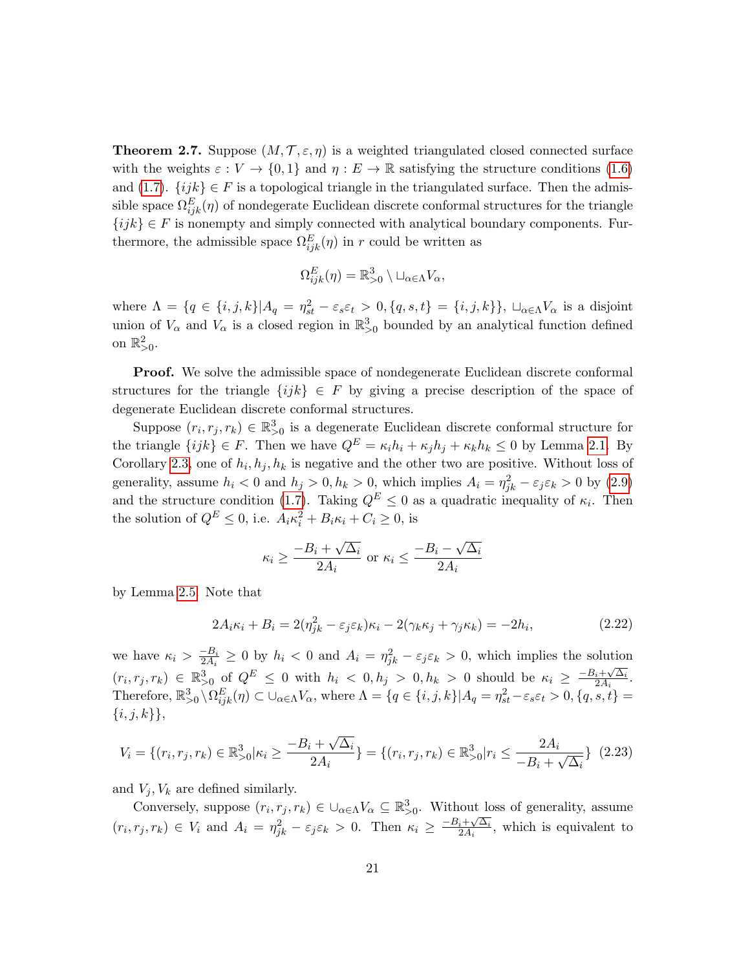<span id="page-20-1"></span>**Theorem 2.7.** Suppose  $(M, \mathcal{T}, \varepsilon, \eta)$  is a weighted triangulated closed connected surface with the weights  $\varepsilon : V \to \{0,1\}$  and  $\eta : E \to \mathbb{R}$  satisfying the structure conditions [\(1.6\)](#page-6-2) and [\(1.7\)](#page-6-3).  $\{ijk\} \in F$  is a topological triangle in the triangulated surface. Then the admissible space  $\Omega_{ijk}^E(\eta)$  of nondegerate Euclidean discrete conformal structures for the triangle  $\{ijk\} \in F$  is nonempty and simply connected with analytical boundary components. Furthermore, the admissible space  $\Omega_{ijk}^E(\eta)$  in r could be written as

$$
\Omega_{ijk}^E(\eta) = \mathbb{R}_{>0}^3 \setminus \sqcup_{\alpha \in \Lambda} V_{\alpha},
$$

where  $\Lambda = \{q \in \{i, j, k\} | A_q = \eta_{st}^2 - \varepsilon_s \varepsilon_t > 0, \{q, s, t\} = \{i, j, k\} \}, \sqcup_{\alpha \in \Lambda} V_\alpha$  is a disjoint union of  $V_{\alpha}$  and  $V_{\alpha}$  is a closed region in  $\mathbb{R}^3_{>0}$  bounded by an analytical function defined on  $\mathbb{R}^2_{>0}$ .

Proof. We solve the admissible space of nondegenerate Euclidean discrete conformal structures for the triangle  $\{ijk\} \in F$  by giving a precise description of the space of degenerate Euclidean discrete conformal structures.

Suppose  $(r_i, r_j, r_k) \in \mathbb{R}^3_{>0}$  is a degenerate Euclidean discrete conformal structure for the triangle  $\{ijk\} \in F$ . Then we have  $Q^E = \kappa_i h_i + \kappa_j h_j + \kappa_k h_k \leq 0$  by Lemma [2.1.](#page-15-0) By Corollary [2.3,](#page-16-4) one of  $h_i, h_j, h_k$  is negative and the other two are positive. Without loss of generality, assume  $h_i < 0$  and  $h_j > 0, h_k > 0$ , which implies  $A_i = \eta_{jk}^2 - \varepsilon_j \varepsilon_k > 0$  by [\(2.9\)](#page-15-1) and the structure condition [\(1.7\)](#page-6-3). Taking  $Q^E \leq 0$  as a quadratic inequality of  $\kappa_i$ . Then the solution of  $Q^E \leq 0$ , i.e.  $A_i \kappa_i^2 + B_i \kappa_i + C_i \geq 0$ , is

$$
\kappa_i \ge \frac{-B_i + \sqrt{\Delta_i}}{2A_i} \text{ or } \kappa_i \le \frac{-B_i - \sqrt{\Delta_i}}{2A_i}
$$

by Lemma [2.5.](#page-19-0) Note that

<span id="page-20-0"></span>
$$
2A_i\kappa_i + B_i = 2(\eta_{jk}^2 - \varepsilon_j \varepsilon_k)\kappa_i - 2(\gamma_k \kappa_j + \gamma_j \kappa_k) = -2h_i,
$$
\n(2.22)

we have  $\kappa_i > \frac{-B_i}{2A_i}$  $\frac{-B_i}{2A_i} \geq 0$  by  $h_i < 0$  and  $A_i = \eta_{jk}^2 - \varepsilon_j \varepsilon_k > 0$ , which implies the solution  $(r_i, r_j, r_k) \in \mathbb{R}^3_{>0}$  of  $Q^E \leq 0$  with  $h_i < 0, h_j > 0, h_k > 0$  should be  $\kappa_i \geq \frac{-B_i + \sqrt{\Delta_i}}{2A_i}$  $\frac{i+\sqrt{\Delta_i}}{2A_i}$ . Therefore,  $\mathbb{R}_{>0}^3 \setminus \Omega_{ijk}^E(\eta) \subset \cup_{\alpha \in \Lambda} V_\alpha$ , where  $\Lambda = \{q \in \{i, j, k\} | A_q = \eta_{st}^2 - \varepsilon_s \varepsilon_t > 0, \{q, s, t\} =$  $\{i, j, k\},\$ 

<span id="page-20-2"></span>
$$
V_i = \{(r_i, r_j, r_k) \in \mathbb{R}_{>0}^3 | \kappa_i \ge \frac{-B_i + \sqrt{\Delta_i}}{2A_i}\} = \{(r_i, r_j, r_k) \in \mathbb{R}_{>0}^3 | r_i \le \frac{2A_i}{-B_i + \sqrt{\Delta_i}}\} \tag{2.23}
$$

and  $V_i$ ,  $V_k$  are defined similarly.

Conversely, suppose  $(r_i, r_j, r_k) \in \bigcup_{\alpha \in \Lambda} V_\alpha \subseteq \mathbb{R}^3_{>0}$ . Without loss of generality, assume  $(r_i, r_j, r_k) \in V_i$  and  $A_i = \eta_{jk}^2 - \varepsilon_j \varepsilon_k > 0$ . Then  $\kappa_i \geq \frac{-B_i + \sqrt{\Delta_i}}{2A_i}$  $\frac{i+\sqrt{\Delta_i}}{2A_i}$ , which is equivalent to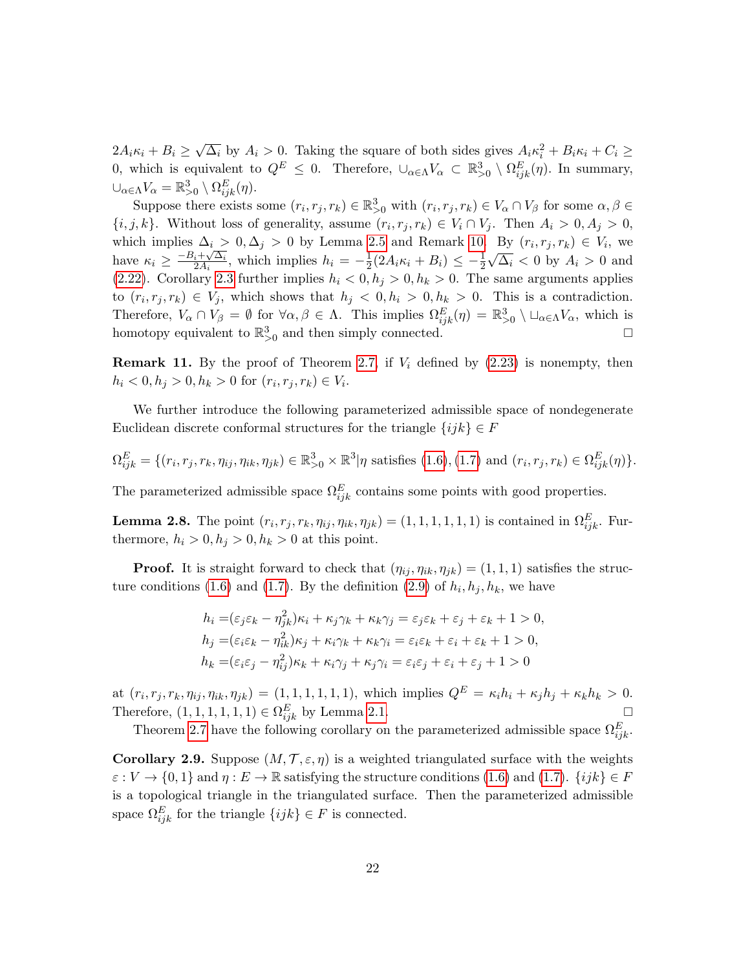$2A_i\kappa_i + B_i \geq$ √  $\overline{\Delta_i}$  by  $A_i > 0$ . Taking the square of both sides gives  $A_i \kappa_i^2 + B_i \kappa_i + C_i \geq 0$ 0, which is equivalent to  $Q^E \leq 0$ . Therefore,  $\cup_{\alpha \in \Lambda} V_{\alpha} \subset \mathbb{R}^3_{>0} \setminus \Omega_{ijk}^E(\eta)$ . In summary,  $\cup_{\alpha \in \Lambda} V_{\alpha} = \mathbb{R}^3_{>0} \setminus \Omega^E_{ijk}(\eta).$ 

Suppose there exists some  $(r_i, r_j, r_k) \in \mathbb{R}^3_{>0}$  with  $(r_i, r_j, r_k) \in V_\alpha \cap V_\beta$  for some  $\alpha, \beta \in$  $\{i, j, k\}$ . Without loss of generality, assume  $(r_i, r_j, r_k) \in V_i \cap V_j$ . Then  $A_i > 0, A_j > 0$ , which implies  $\Delta_i > 0, \Delta_j > 0$  by Lemma [2.5](#page-19-0) and Remark [10.](#page-19-2) By  $(r_i, r_j, r_k) \in V_i$ , we have  $\kappa_i \geq \frac{-B_i + \sqrt{\Delta_i}}{2A_i}$  $\frac{i+\sqrt{\Delta_i}}{2A_i}$ , which implies  $h_i = -\frac{1}{2}$  $\frac{1}{2}(2A_i\kappa_i + B_i) \leq -\frac{1}{2}$ √  $\Delta_i$  < 0 by  $A_i > 0$  and [\(2.22\)](#page-20-0). Corollary [2.3](#page-16-4) further implies  $h_i < 0, h_j > 0, h_k > 0$ . The same arguments applies to  $(r_i, r_j, r_k) \in V_j$ , which shows that  $h_j < 0, h_i > 0, h_k > 0$ . This is a contradiction. Therefore,  $V_{\alpha} \cap V_{\beta} = \emptyset$  for  $\forall \alpha, \beta \in \Lambda$ . This implies  $\Omega_{ijk}^{E}(\eta) = \mathbb{R}_{>0}^{3} \setminus \Box_{\alpha \in \Lambda} V_{\alpha}$ , which is homotopy equivalent to  $\mathbb{R}^3_{>0}$  and then simply connected.

<span id="page-21-0"></span>**Remark 11.** By the proof of Theorem [2.7,](#page-20-1) if  $V_i$  defined by  $(2.23)$  is nonempty, then  $h_i < 0, h_j > 0, h_k > 0$  for  $(r_i, r_j, r_k) \in V_i$ .

We further introduce the following parameterized admissible space of nondegenerate Euclidean discrete conformal structures for the triangle  $\{ijk\} \in F$ 

$$
\Omega_{ijk}^E = \{ (r_i, r_j, r_k, \eta_{ij}, \eta_{ik}, \eta_{jk}) \in \mathbb{R}_{\geq 0}^3 \times \mathbb{R}^3 | \eta \text{ satisfies (1.6), (1.7) and } (r_i, r_j, r_k) \in \Omega_{ijk}^E(\eta) \}.
$$

The parameterized admissible space  $\Omega_{ijk}^E$  contains some points with good properties.

<span id="page-21-2"></span>**Lemma 2.8.** The point  $(r_i, r_j, r_k, \eta_{ij}, \eta_{ik}, \eta_{jk}) = (1, 1, 1, 1, 1, 1)$  is contained in  $\Omega_{ijk}^E$ . Furthermore,  $h_i > 0, h_j > 0, h_k > 0$  at this point.

**Proof.** It is straight forward to check that  $(\eta_{ij}, \eta_{ik}, \eta_{jk}) = (1, 1, 1)$  satisfies the struc-ture conditions [\(1.6\)](#page-6-2) and [\(1.7\)](#page-6-3). By the definition [\(2.9\)](#page-15-1) of  $h_i, h_j, h_k$ , we have

$$
h_i = (\varepsilon_j \varepsilon_k - \eta_{jk}^2) \kappa_i + \kappa_j \gamma_k + \kappa_k \gamma_j = \varepsilon_j \varepsilon_k + \varepsilon_j + \varepsilon_k + 1 > 0,
$$
  
\n
$$
h_j = (\varepsilon_i \varepsilon_k - \eta_{ik}^2) \kappa_j + \kappa_i \gamma_k + \kappa_k \gamma_i = \varepsilon_i \varepsilon_k + \varepsilon_i + \varepsilon_k + 1 > 0,
$$
  
\n
$$
h_k = (\varepsilon_i \varepsilon_j - \eta_{ij}^2) \kappa_k + \kappa_i \gamma_j + \kappa_j \gamma_i = \varepsilon_i \varepsilon_j + \varepsilon_i + \varepsilon_j + 1 > 0
$$

at  $(r_i, r_j, r_k, \eta_{ij}, \eta_{ik}, \eta_{jk}) = (1, 1, 1, 1, 1, 1)$ , which implies  $Q^E = \kappa_i h_i + \kappa_j h_j + \kappa_k h_k > 0$ . Therefore,  $(1, 1, 1, 1, 1, 1) \in \Omega_{ijk}^E$  by Lemma [2.1.](#page-15-0)

Theorem [2.7](#page-20-1) have the following corollary on the parameterized admissible space  $\Omega_{ijk}^E$ .

<span id="page-21-1"></span>**Corollary 2.9.** Suppose  $(M, \mathcal{T}, \varepsilon, \eta)$  is a weighted triangulated surface with the weights  $\varepsilon: V \to \{0,1\}$  and  $\eta: E \to \mathbb{R}$  satisfying the structure conditions [\(1.6\)](#page-6-2) and [\(1.7\)](#page-6-3).  $\{ijk\} \in F$ is a topological triangle in the triangulated surface. Then the parameterized admissible space  $\Omega_{ijk}^E$  for the triangle  $\{ijk\} \in F$  is connected.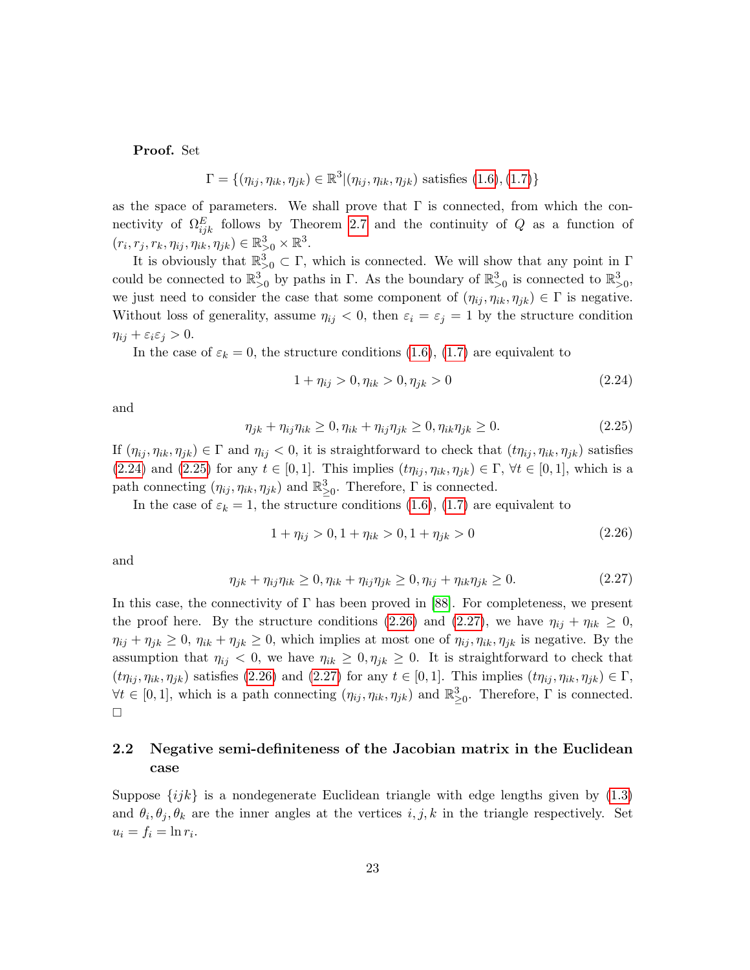Proof. Set

$$
\Gamma = \{(\eta_{ij}, \eta_{ik}, \eta_{jk}) \in \mathbb{R}^3 | (\eta_{ij}, \eta_{ik}, \eta_{jk}) \text{ satisfies (1.6), (1.7)}\}
$$

as the space of parameters. We shall prove that  $\Gamma$  is connected, from which the connectivity of  $\Omega_{ijk}^E$  follows by Theorem [2.7](#page-20-1) and the continuity of Q as a function of  $(r_i, r_j, r_k, \eta_{ij}, \eta_{ik}, \eta_{jk}) \in \mathbb{R}_{>0}^3 \times \mathbb{R}^3.$ 

It is obviously that  $\mathbb{R}^3_{>0} \subset \Gamma$ , which is connected. We will show that any point in  $\Gamma$ could be connected to  $\mathbb{R}^3_{>0}$  by paths in  $\Gamma$ . As the boundary of  $\mathbb{R}^3_{>0}$  is connected to  $\mathbb{R}^3_{>0}$ , we just need to consider the case that some component of  $(\eta_{ij}, \eta_{ik}, \eta_{jk}) \in \Gamma$  is negative. Without loss of generality, assume  $\eta_{ij} < 0$ , then  $\varepsilon_i = \varepsilon_j = 1$  by the structure condition  $\eta_{ij} + \varepsilon_i \varepsilon_j > 0.$ 

In the case of  $\varepsilon_k = 0$ , the structure conditions [\(1.6\)](#page-6-2), [\(1.7\)](#page-6-3) are equivalent to

<span id="page-22-1"></span>
$$
1 + \eta_{ij} > 0, \eta_{ik} > 0, \eta_{jk} > 0 \tag{2.24}
$$

and

<span id="page-22-2"></span>
$$
\eta_{jk} + \eta_{ij}\eta_{ik} \ge 0, \eta_{ik} + \eta_{ij}\eta_{jk} \ge 0, \eta_{ik}\eta_{jk} \ge 0.
$$
\n
$$
(2.25)
$$

If  $(\eta_{ij}, \eta_{ik}, \eta_{jk}) \in \Gamma$  and  $\eta_{ij} < 0$ , it is straightforward to check that  $(t\eta_{ij}, \eta_{ik}, \eta_{jk})$  satisfies [\(2.24\)](#page-22-1) and [\(2.25\)](#page-22-2) for any  $t \in [0,1]$ . This implies  $(t\eta_{ij}, \eta_{ik}, \eta_{jk}) \in \Gamma$ ,  $\forall t \in [0,1]$ , which is a path connecting  $(\eta_{ij}, \eta_{ik}, \eta_{jk})$  and  $\mathbb{R}^3_{\geq 0}$ . Therefore,  $\Gamma$  is connected.

In the case of  $\varepsilon_k = 1$ , the structure conditions [\(1.6\)](#page-6-2), [\(1.7\)](#page-6-3) are equivalent to

<span id="page-22-3"></span>
$$
1 + \eta_{ij} > 0, \quad 1 + \eta_{ik} > 0, \quad 1 + \eta_{jk} > 0 \tag{2.26}
$$

and

<span id="page-22-4"></span>
$$
\eta_{jk} + \eta_{ij}\eta_{ik} \ge 0, \eta_{ik} + \eta_{ij}\eta_{jk} \ge 0, \eta_{ij} + \eta_{ik}\eta_{jk} \ge 0.
$$
\n(2.27)

In this case, the connectivity of  $\Gamma$  has been proved in [\[88\]](#page-63-1). For completeness, we present the proof here. By the structure conditions [\(2.26\)](#page-22-3) and [\(2.27\)](#page-22-4), we have  $\eta_{ij} + \eta_{ik} \geq 0$ ,  $\eta_{ij} + \eta_{jk} \geq 0$ ,  $\eta_{ik} + \eta_{jk} \geq 0$ , which implies at most one of  $\eta_{ij}, \eta_{ik}, \eta_{jk}$  is negative. By the assumption that  $\eta_{ij} < 0$ , we have  $\eta_{ik} \geq 0$ ,  $\eta_{jk} \geq 0$ . It is straightforward to check that  $(t\eta_{ij}, \eta_{ik}, \eta_{jk})$  satisfies [\(2.26\)](#page-22-3) and [\(2.27\)](#page-22-4) for any  $t \in [0, 1]$ . This implies  $(t\eta_{ij}, \eta_{ik}, \eta_{jk}) \in \Gamma$ ,  $\forall t \in [0,1],$  which is a path connecting  $(\eta_{ij}, \eta_{ik}, \eta_{jk})$  and  $\mathbb{R}^3_{\geq 0}$ . Therefore,  $\Gamma$  is connected.  $\Box$ 

## <span id="page-22-0"></span>2.2 Negative semi-definiteness of the Jacobian matrix in the Euclidean case

Suppose  $\{ijk\}$  is a nondegenerate Euclidean triangle with edge lengths given by [\(1.3\)](#page-4-0) and  $\theta_i, \theta_j, \theta_k$  are the inner angles at the vertices  $i, j, k$  in the triangle respectively. Set  $u_i = f_i = \ln r_i.$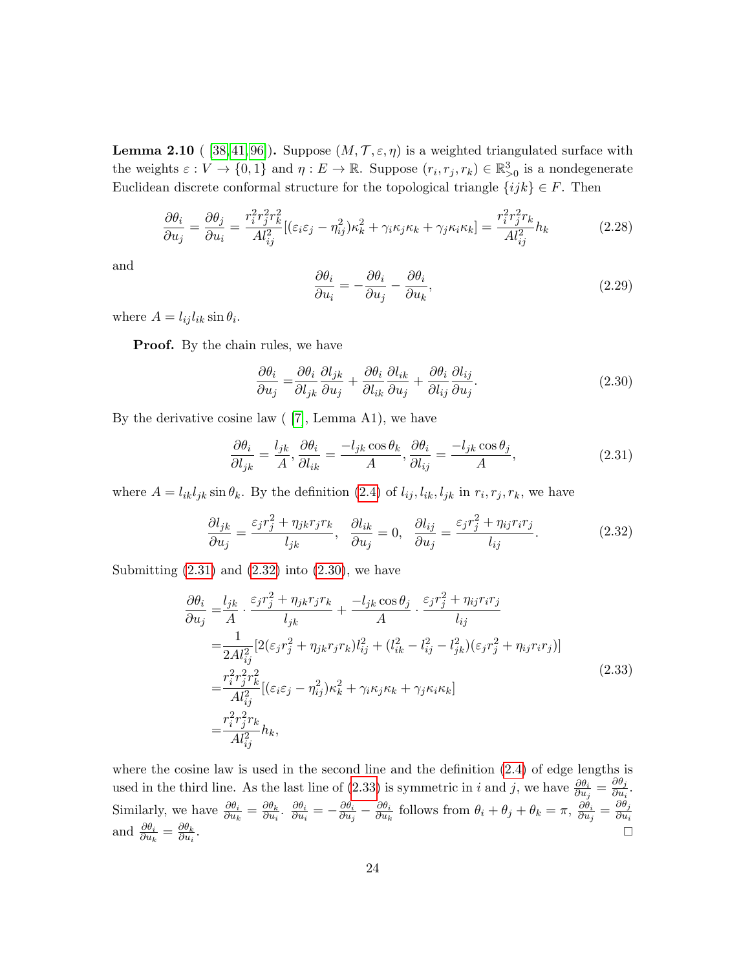<span id="page-23-4"></span>**Lemma 2.10** ( [\[38,](#page-60-1) [41,](#page-60-2) [96\]](#page-63-0)). Suppose  $(M, \mathcal{T}, \varepsilon, \eta)$  is a weighted triangulated surface with the weights  $\varepsilon: V \to \{0,1\}$  and  $\eta: E \to \mathbb{R}$ . Suppose  $(r_i, r_j, r_k) \in \mathbb{R}^3_{>0}$  is a nondegenerate Euclidean discrete conformal structure for the topological triangle  $\{ijk\} \in F$ . Then

<span id="page-23-5"></span>
$$
\frac{\partial \theta_i}{\partial u_j} = \frac{\partial \theta_j}{\partial u_i} = \frac{r_i^2 r_j^2 r_k^2}{Al_{ij}^2} [(\varepsilon_i \varepsilon_j - \eta_{ij}^2) \kappa_k^2 + \gamma_i \kappa_j \kappa_k + \gamma_j \kappa_i \kappa_k] = \frac{r_i^2 r_j^2 r_k}{Al_{ij}^2} h_k \tag{2.28}
$$

and

<span id="page-23-6"></span>
$$
\frac{\partial \theta_i}{\partial u_i} = -\frac{\partial \theta_i}{\partial u_j} - \frac{\partial \theta_i}{\partial u_k},\tag{2.29}
$$

where  $A = l_{ij} l_{ik} \sin \theta_i$ .

**Proof.** By the chain rules, we have

<span id="page-23-2"></span>
$$
\frac{\partial \theta_i}{\partial u_j} = \frac{\partial \theta_i}{\partial l_{jk}} \frac{\partial l_{jk}}{\partial u_j} + \frac{\partial \theta_i}{\partial l_{ik}} \frac{\partial l_{ik}}{\partial u_j} + \frac{\partial \theta_i}{\partial l_{ij}} \frac{\partial l_{ij}}{\partial u_j}.
$$
\n(2.30)

By the derivative cosine law  $(7]$ , Lemma A1), we have

<span id="page-23-0"></span>
$$
\frac{\partial \theta_i}{\partial l_{jk}} = \frac{l_{jk}}{A}, \frac{\partial \theta_i}{\partial l_{ik}} = \frac{-l_{jk}\cos\theta_k}{A}, \frac{\partial \theta_i}{\partial l_{ij}} = \frac{-l_{jk}\cos\theta_j}{A},
$$
(2.31)

where  $A = l_{ik}l_{jk}\sin\theta_k$ . By the definition [\(2.4\)](#page-14-0) of  $l_{ij}, l_{ik}, l_{jk}$  in  $r_i, r_j, r_k$ , we have

<span id="page-23-1"></span>
$$
\frac{\partial l_{jk}}{\partial u_j} = \frac{\varepsilon_j r_j^2 + \eta_{jk} r_j r_k}{l_{jk}}, \quad \frac{\partial l_{ik}}{\partial u_j} = 0, \quad \frac{\partial l_{ij}}{\partial u_j} = \frac{\varepsilon_j r_j^2 + \eta_{ij} r_i r_j}{l_{ij}}.
$$
(2.32)

Submitting  $(2.31)$  and  $(2.32)$  into  $(2.30)$ , we have

<span id="page-23-3"></span>
$$
\frac{\partial \theta_{i}}{\partial u_{j}} = \frac{l_{jk}}{A} \cdot \frac{\varepsilon_{j}r_{j}^{2} + \eta_{jk}r_{j}r_{k}}{l_{jk}} + \frac{-l_{jk}\cos\theta_{j}}{A} \cdot \frac{\varepsilon_{j}r_{j}^{2} + \eta_{ij}r_{i}r_{j}}{l_{ij}} \n= \frac{1}{2Al_{ij}^{2}} [2(\varepsilon_{j}r_{j}^{2} + \eta_{jk}r_{j}r_{k})l_{ij}^{2} + (l_{ik}^{2} - l_{ij}^{2} - l_{jk}^{2})(\varepsilon_{j}r_{j}^{2} + \eta_{ij}r_{i}r_{j})] \n= \frac{r_{i}^{2}r_{j}^{2}r_{k}^{2}}{Al_{ij}^{2}} [(\varepsilon_{i}\varepsilon_{j} - \eta_{ij}^{2})\kappa_{k}^{2} + \gamma_{i}\kappa_{j}\kappa_{k} + \gamma_{j}\kappa_{i}\kappa_{k}] \n= \frac{r_{i}^{2}r_{j}^{2}r_{k}}{Al_{ij}^{2}}h_{k},
$$
\n(2.33)

where the cosine law is used in the second line and the definition [\(2.4\)](#page-14-0) of edge lengths is used in the third line. As the last line of [\(2.33\)](#page-23-3) is symmetric in i and j, we have  $\frac{\partial \theta_i}{\partial u_j} = \frac{\partial \theta_j}{\partial u_i}$  $\frac{\partial v_j}{\partial u_i}$ . Similarly, we have  $\frac{\partial \theta_i}{\partial u_k} = \frac{\partial \theta_k}{\partial u_i}$  $\frac{\partial \theta_k}{\partial u_i}$ .  $\frac{\partial \theta_i}{\partial u_i}$  $\frac{\partial \theta_i}{\partial u_i} = - \frac{\partial \theta_i}{\partial u_j}$  $\frac{\partial \theta_i}{\partial u_j} - \frac{\partial \theta_i}{\partial u_k}$  $\frac{\partial \theta_i}{\partial u_k}$  follows from  $\theta_i + \theta_j + \theta_k = \pi$ ,  $\frac{\partial \theta_i}{\partial u_j}$  $\frac{\partial \theta_i}{\partial u_j} = \frac{\partial \theta_j}{\partial u_i}$  $\partial u_i$ and  $\frac{\partial \theta_i}{\partial u_k} = \frac{\partial \theta_k}{\partial u_i}$  $\partial u_i$ . In the contract of the contract of the contract of the contract of the contract of the contract of the contract of the contract of the contract of the contract of the contract of the contract of the contract of the contr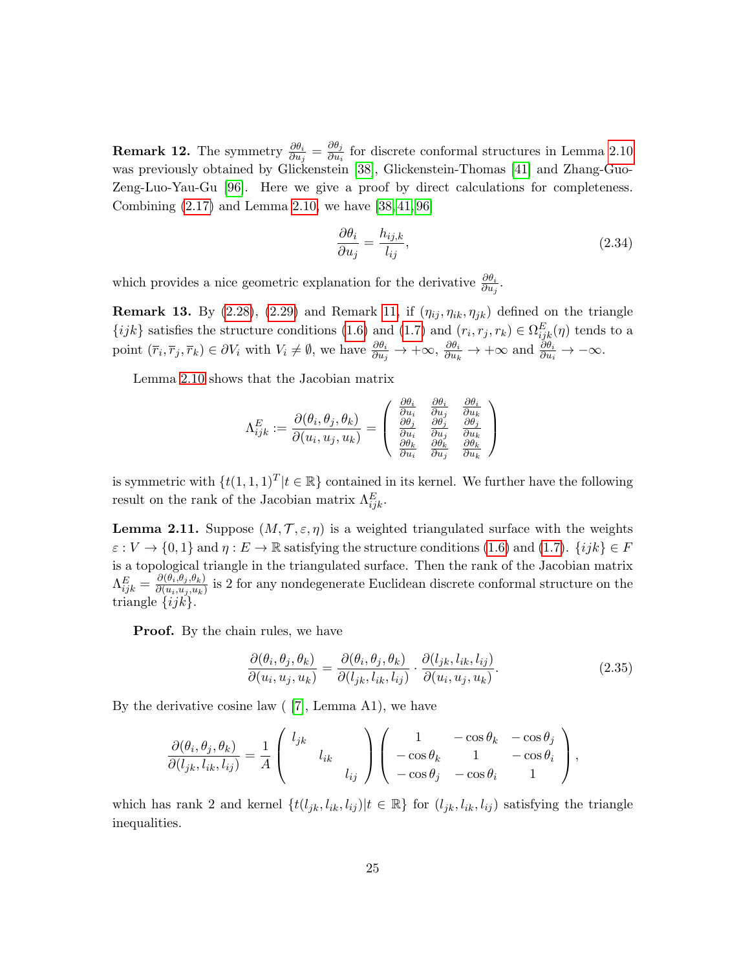**Remark 12.** The symmetry  $\frac{\partial \theta_i}{\partial u_j} = \frac{\partial \theta_j}{\partial u_i}$  $\frac{\partial v_j}{\partial u_i}$  for discrete conformal structures in Lemma [2.10](#page-23-4) was previously obtained by Glickenstein [\[38\]](#page-60-1), Glickenstein-Thomas [\[41\]](#page-60-2) and Zhang-Guo-Zeng-Luo-Yau-Gu [\[96\]](#page-63-0). Here we give a proof by direct calculations for completeness. Combining [\(2.17\)](#page-18-2) and Lemma [2.10,](#page-23-4) we have [\[38,](#page-60-1) [41,](#page-60-2) [96\]](#page-63-0)

<span id="page-24-2"></span>
$$
\frac{\partial \theta_i}{\partial u_j} = \frac{h_{ij,k}}{l_{ij}},\tag{2.34}
$$

which provides a nice geometric explanation for the derivative  $\frac{\partial \theta_i}{\partial u_j}$ .

<span id="page-24-3"></span>**Remark 13.** By [\(2.28\)](#page-23-5), [\(2.29\)](#page-23-6) and Remark [11,](#page-21-0) if  $(\eta_{ij}, \eta_{ik}, \eta_{jk})$  defined on the triangle  $\{ijk\}$  satisfies the structure conditions [\(1.6\)](#page-6-2) and [\(1.7\)](#page-6-3) and  $(r_i, r_j, r_k) \in \Omega_{ijk}^E(\eta)$  tends to a point  $(\bar{r}_i, \bar{r}_j, \bar{r}_k) \in \partial V_i$  with  $V_i \neq \emptyset$ , we have  $\frac{\partial \theta_i}{\partial u_j} \to +\infty$ ,  $\frac{\partial \theta_i}{\partial u_k} \to +\infty$  and  $\frac{\partial \theta_i}{\partial u_i} \to -\infty$ .

Lemma [2.10](#page-23-4) shows that the Jacobian matrix

$$
\Lambda_{ijk}^E:=\frac{\partial(\theta_i,\theta_j,\theta_k)}{\partial(u_i,u_j,u_k)}=\left(\begin{array}{ccc} \frac{\partial\theta_i}{\partial u_i} & \frac{\partial\theta_i}{\partial u_j} & \frac{\partial\theta_i}{\partial u_k} \\ \frac{\partial\theta_j}{\partial u_i} & \frac{\partial\theta_j}{\partial u_j} & \frac{\partial\theta_j}{\partial u_k} \\ \frac{\partial\theta_k}{\partial u_i} & \frac{\partial\theta_k}{\partial u_j} & \frac{\partial\theta_k}{\partial u_k} \end{array}\right)
$$

is symmetric with  $\{t(1,1,1)^T | t \in \mathbb{R}\}$  contained in its kernel. We further have the following result on the rank of the Jacobian matrix  $\Lambda_{ijk}^E$ .

<span id="page-24-1"></span>**Lemma 2.11.** Suppose  $(M, \mathcal{T}, \varepsilon, \eta)$  is a weighted triangulated surface with the weights  $\varepsilon : V \to \{0,1\}$  and  $\eta : E \to \mathbb{R}$  satisfying the structure conditions [\(1.6\)](#page-6-2) and [\(1.7\)](#page-6-3).  $\{ijk\} \in F$ is a topological triangle in the triangulated surface. Then the rank of the Jacobian matrix  $\Lambda_{ijk}^E=\frac{\partial(\theta_i,\theta_j,\theta_k)}{\partial(u_i,u_j,u_k)}$  $\frac{\partial(u_i, u_j, u_k)}{\partial(u_i, u_j, u_k)}$  is 2 for any nondegenerate Euclidean discrete conformal structure on the triangle  $\{ijk\}.$ 

**Proof.** By the chain rules, we have

<span id="page-24-0"></span>
$$
\frac{\partial(\theta_i, \theta_j, \theta_k)}{\partial(u_i, u_j, u_k)} = \frac{\partial(\theta_i, \theta_j, \theta_k)}{\partial(l_{jk}, l_{ik}, l_{ij})} \cdot \frac{\partial(l_{jk}, l_{ik}, l_{ij})}{\partial(u_i, u_j, u_k)}.
$$
(2.35)

By the derivative cosine law  $(7]$ , Lemma A1), we have

$$
\frac{\partial(\theta_i, \theta_j, \theta_k)}{\partial(l_{jk}, l_{ik}, l_{ij})} = \frac{1}{A} \begin{pmatrix} l_{jk} & & \\ & l_{ik} & \\ & & l_{ij} \end{pmatrix} \begin{pmatrix} 1 & -\cos\theta_k & -\cos\theta_j \\ -\cos\theta_k & 1 & -\cos\theta_i \\ -\cos\theta_j & -\cos\theta_i & 1 \end{pmatrix},
$$

which has rank 2 and kernel  $\{t(l_{jk}, l_{ik}, l_{ij}) | t \in \mathbb{R}\}$  for  $(l_{jk}, l_{ik}, l_{ij})$  satisfying the triangle inequalities.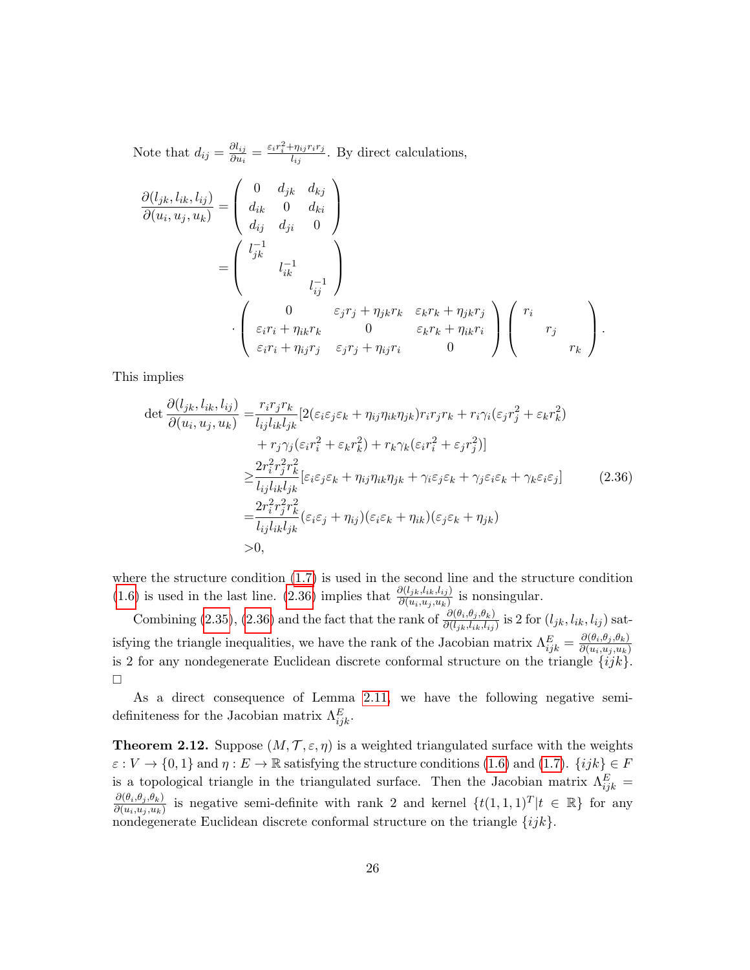Note that  $d_{ij} = \frac{\partial l_{ij}}{\partial u_i}$  $\frac{\partial l_{ij}}{\partial u_i} = \frac{\varepsilon_i r_i^2 + \eta_{ij} r_i r_j}{l_{ij}}$  $\frac{\partial \eta_{ij} \eta_{ij}}{\partial q_{ij}}$ . By direct calculations,  $\partial(l_{jk}, l_{ik}, l_{ij})$  $\frac{\partial (v_{jk}, v_{ik}, v_{ij})}{\partial (u_i, u_j, u_k)} =$  $\sqrt{ }$  $\overline{\mathcal{L}}$ 0  $d_{jk}$   $d_{kj}$  $d_{ik}$  0  $d_{ki}$  $d_{ij}$   $d_{ji}$  0  $\setminus$  $\Big\}$  $\sqrt{ }$  $l_{ik}^{-1}$ jk  $\setminus$ 

$$
= \begin{pmatrix} l_{ik}^{-1} & & \\ & l_{ij}^{-1} & \end{pmatrix}
$$
\n
$$
\cdot \begin{pmatrix} 0 & \varepsilon_j r_j + \eta_{jk} r_k & \varepsilon_k r_k + \eta_{jk} r_j \\ \varepsilon_i r_i + \eta_{ik} r_k & 0 & \varepsilon_k r_k + \eta_{ik} r_i \\ \varepsilon_i r_i + \eta_{ij} r_j & \varepsilon_j r_j + \eta_{ij} r_i & 0 \end{pmatrix} \begin{pmatrix} r_i & & \\ & r_j & \\ & & r_k \end{pmatrix}.
$$

This implies

<span id="page-25-0"></span>
$$
\det \frac{\partial(l_{jk}, l_{ik}, l_{ij})}{\partial(u_i, u_j, u_k)} = \frac{r_i r_j r_k}{l_{ij} l_{ik} l_{jk}} [2(\varepsilon_i \varepsilon_j \varepsilon_k + \eta_{ij} \eta_{ik} \eta_{jk}) r_i r_j r_k + r_i \gamma_i (\varepsilon_j r_j^2 + \varepsilon_k r_k^2) + r_j \gamma_j (\varepsilon_i r_i^2 + \varepsilon_k r_k^2) + r_k \gamma_k (\varepsilon_i r_i^2 + \varepsilon_j r_j^2)] \n\geq \frac{2r_i^2 r_j^2 r_k^2}{l_{ij} l_{ik} l_{jk}} [\varepsilon_i \varepsilon_j \varepsilon_k + \eta_{ij} \eta_{ik} \eta_{jk} + \gamma_i \varepsilon_j \varepsilon_k + \gamma_j \varepsilon_i \varepsilon_k + \gamma_k \varepsilon_i \varepsilon_j] \n= \frac{2r_i^2 r_j^2 r_k^2}{l_{ij} l_{ik} l_{jk}} (\varepsilon_i \varepsilon_j + \eta_{ij}) (\varepsilon_i \varepsilon_k + \eta_{ik}) (\varepsilon_j \varepsilon_k + \eta_{jk}) \n>0,
$$
\n(2.36)

where the structure condition [\(1.7\)](#page-6-3) is used in the second line and the structure condition [\(1.6\)](#page-6-2) is used in the last line. [\(2.36\)](#page-25-0) implies that  $\frac{\partial (l_{jk},l_{ik},l_{ij})}{\partial (u_i,u_j,u_k)}$  is nonsingular.

Combining [\(2.35\)](#page-24-0), [\(2.36\)](#page-25-0) and the fact that the rank of  $\frac{\partial(\theta_i, \theta_j, \theta_k)}{\partial(l_{jk}, l_{ik}, l_{ij})}$  is 2 for  $(l_{jk}, l_{ik}, l_{ij})$  satisfying the triangle inequalities, we have the rank of the Jacobian matrix  $\Lambda_{ijk}^E = \frac{\partial (\theta_i, \theta_j, \theta_k)}{\partial (u_i, u_j, u_k)}$  $\partial(u_i,u_j,u_k)$ is 2 for any nondegenerate Euclidean discrete conformal structure on the triangle  $\{ijk\}$ .  $\Box$ 

As a direct consequence of Lemma [2.11,](#page-24-1) we have the following negative semidefiniteness for the Jacobian matrix  $\Lambda_{ijk}^E$ .

<span id="page-25-1"></span>**Theorem 2.12.** Suppose  $(M, \mathcal{T}, \varepsilon, \eta)$  is a weighted triangulated surface with the weights  $\varepsilon : V \to \{0,1\}$  and  $\eta : E \to \mathbb{R}$  satisfying the structure conditions [\(1.6\)](#page-6-2) and [\(1.7\)](#page-6-3).  $\{ijk\} \in F$ is a topological triangle in the triangulated surface. Then the Jacobian matrix  $\Lambda_{ijk}^E =$  $\partial(\theta_i,\theta_j,\theta_k)$  $\frac{\partial(\theta_i,\theta_j,\theta_k)}{\partial(u_i,u_j,u_k)}$  is negative semi-definite with rank 2 and kernel  $\{t(1,1,1)^T | t \in \mathbb{R}\}$  for any nondegenerate Euclidean discrete conformal structure on the triangle  $\{ijk\}$ .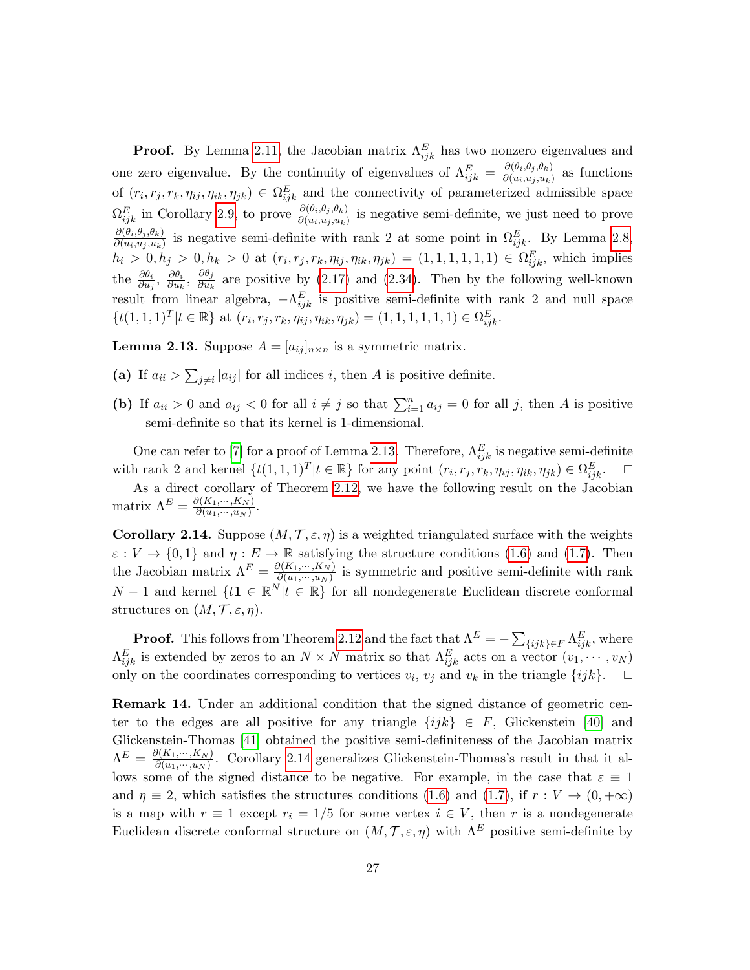**Proof.** By Lemma [2.11,](#page-24-1) the Jacobian matrix  $\Lambda_{ijk}^E$  has two nonzero eigenvalues and one zero eigenvalue. By the continuity of eigenvalues of  $\Lambda_{ijk}^E = \frac{\partial (\theta_i, \theta_j, \theta_k)}{\partial (u_i, u_j, u_k)}$  $\frac{\partial(v_i, v_j, v_k)}{\partial(u_i, u_j, u_k)}$  as functions of  $(r_i, r_j, r_k, \eta_{ij}, \eta_{ik}, \eta_{jk}) \in \Omega_{ijk}^E$  and the connectivity of parameterized admissible space  $\Omega_{ijk}^E$  in Corollary [2.9,](#page-21-1) to prove  $\frac{\partial(\theta_i, \theta_j, \theta_k)}{\partial(u_i, u_j, u_k)}$  is negative semi-definite, we just need to prove  $\partial(\theta_i,\theta_j,\theta_k)$  $\frac{\partial (b_i, b_j, b_k)}{\partial (u_i, u_j, u_k)}$  is negative semi-definite with rank 2 at some point in  $\Omega_{ijk}^E$ . By Lemma [2.8,](#page-21-2)  $h_i > 0, h_j > 0, h_k > 0$  at  $(r_i, r_j, r_k, \eta_{ij}, \eta_{ik}, \eta_{jk}) = (1, 1, 1, 1, 1, 1) \in \Omega_{ijk}^E$ , which implies the  $\frac{\partial \theta_i}{\partial u_j}$ ,  $\frac{\partial \theta_i}{\partial u_k}$  $\frac{\partial \theta_i}{\partial u_k}, \; \frac{\partial \theta_j}{\partial u_k}$  $\frac{\partial v_j}{\partial u_k}$  are positive by [\(2.17\)](#page-18-2) and [\(2.34\)](#page-24-2). Then by the following well-known result from linear algebra,  $-\Lambda_{ijk}^E$  is positive semi-definite with rank 2 and null space  $\{t(1,1,1)^T | t \in \mathbb{R}\}\$ at  $(r_i, r_j, r_k, \eta_{ij}, \eta_{ik}, \eta_{jk}) = (1,1,1,1,1,1) \in \Omega_{ijk}^E.$ 

<span id="page-26-0"></span>**Lemma 2.13.** Suppose  $A = [a_{ij}]_{n \times n}$  is a symmetric matrix.

- (a) If  $a_{ii} > \sum_{j \neq i} |a_{ij}|$  for all indices i, then A is positive definite.
- (b) If  $a_{ii} > 0$  and  $a_{ij} < 0$  for all  $i \neq j$  so that  $\sum_{i=1}^{n} a_{ij} = 0$  for all j, then A is positive semi-definite so that its kernel is 1-dimensional.

One can refer to [\[7\]](#page-59-1) for a proof of Lemma [2.13.](#page-26-0) Therefore,  $\Lambda_{ijk}^E$  is negative semi-definite with rank 2 and kernel  $\{t(1,1,1)^T | t \in \mathbb{R}\}$  for any point  $(r_i, r_j, r_k, \eta_{ij}, \eta_{ik}, \eta_{jk}) \in \Omega_{ijk}^E$ .  $\Box$ 

As a direct corollary of Theorem [2.12,](#page-25-1) we have the following result on the Jacobian matrix  $\Lambda^E = \frac{\partial (K_1, \dots, K_N)}{\partial (u_1, \dots, u_N)}$  $\frac{\partial (N_1,\cdots,N_N)}{\partial (u_1,\cdots,u_N)}$ .

<span id="page-26-1"></span>**Corollary 2.14.** Suppose  $(M, \mathcal{T}, \varepsilon, \eta)$  is a weighted triangulated surface with the weights  $\varepsilon: V \to \{0,1\}$  and  $\eta: E \to \mathbb{R}$  satisfying the structure conditions [\(1.6\)](#page-6-2) and [\(1.7\)](#page-6-3). Then the Jacobian matrix  $\Lambda^E = \frac{\partial (K_1, \dots, K_N)}{\partial (u_1, \dots, u_N)}$  $\frac{\partial (h_1,\dots,h_N)}{\partial (u_1,\dots,u_N)}$  is symmetric and positive semi-definite with rank  $N-1$  and kernel  $\{t\mathbf{1} \in \mathbb{R}^N | t \in \mathbb{R}\}$  for all nondegenerate Euclidean discrete conformal structures on  $(M, \mathcal{T}, \varepsilon, \eta)$ .

**Proof.** This follows from Theorem [2.12](#page-25-1) and the fact that  $\Lambda^E = -\sum_{\{ijk\} \in F} \Lambda_{ijk}^E$ , where  $\Lambda_{ijk}^E$  is extended by zeros to an  $N \times N$  matrix so that  $\Lambda_{ijk}^E$  acts on a vector  $(v_1, \dots, v_N)$ only on the coordinates corresponding to vertices  $v_i$ ,  $v_j$  and  $v_k$  in the triangle  $\{ijk\}$ .  $\Box$ 

Remark 14. Under an additional condition that the signed distance of geometric center to the edges are all positive for any triangle  $\{ijk\} \in F$ , Glickenstein [\[40\]](#page-60-6) and Glickenstein-Thomas [\[41\]](#page-60-2) obtained the positive semi-definiteness of the Jacobian matrix  $\Lambda^E = \frac{\partial (K_1, \cdots, K_N)}{\partial (u_1, \cdots, u_N)}$  $\frac{\partial (N_1,\dots,N_N)}{\partial (u_1,\dots,u_N)}$ . Corollary [2.14](#page-26-1) generalizes Glickenstein-Thomas's result in that it allows some of the signed distance to be negative. For example, in the case that  $\varepsilon \equiv 1$ and  $\eta \equiv 2$ , which satisfies the structures conditions [\(1.6\)](#page-6-2) and [\(1.7\)](#page-6-3), if  $r : V \to (0, +\infty)$ is a map with  $r \equiv 1$  except  $r_i = 1/5$  for some vertex  $i \in V$ , then r is a nondegenerate Euclidean discrete conformal structure on  $(M, \mathcal{T}, \varepsilon, \eta)$  with  $\Lambda^E$  positive semi-definite by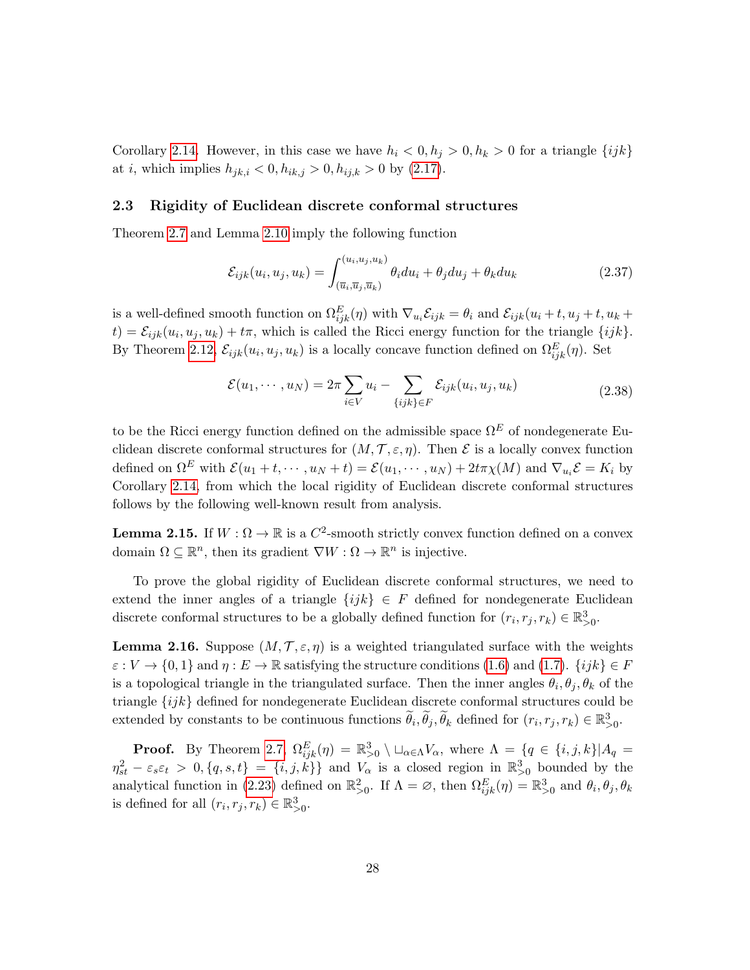Corollary [2.14.](#page-26-1) However, in this case we have  $h_i < 0, h_j > 0, h_k > 0$  for a triangle  $\{ijk\}$ at *i*, which implies  $h_{jk,i} < 0, h_{ik,j} > 0, h_{ij,k} > 0$  by [\(2.17\)](#page-18-2).

#### <span id="page-27-0"></span>2.3 Rigidity of Euclidean discrete conformal structures

Theorem [2.7](#page-20-1) and Lemma [2.10](#page-23-4) imply the following function

<span id="page-27-2"></span>
$$
\mathcal{E}_{ijk}(u_i, u_j, u_k) = \int_{(\overline{u}_i, \overline{u}_j, \overline{u}_k)}^{(u_i, u_j, u_k)} \theta_i du_i + \theta_j du_j + \theta_k du_k
$$
\n(2.37)

is a well-defined smooth function on  $\Omega_{ijk}^E(\eta)$  with  $\nabla_{u_i}\mathcal{E}_{ijk} = \theta_i$  and  $\mathcal{E}_{ijk}(u_i + t, u_j + t, u_k + t)$  $(t) = \mathcal{E}_{ijk}(u_i, u_j, u_k) + t\pi$ , which is called the Ricci energy function for the triangle  $\{ijk\}$ . By Theorem [2.12,](#page-25-1)  $\mathcal{E}_{ijk}(u_i, u_j, u_k)$  is a locally concave function defined on  $\Omega_{ijk}^E(\eta)$ . Set

<span id="page-27-3"></span>
$$
\mathcal{E}(u_1,\dots,u_N) = 2\pi \sum_{i\in V} u_i - \sum_{\{ijk\}\in F} \mathcal{E}_{ijk}(u_i,u_j,u_k)
$$
\n(2.38)

to be the Ricci energy function defined on the admissible space  $\Omega^E$  of nondegenerate Euclidean discrete conformal structures for  $(M, \mathcal{T}, \varepsilon, \eta)$ . Then  $\mathcal E$  is a locally convex function defined on  $\Omega^E$  with  $\mathcal{E}(u_1+t,\dots,u_N+t) = \mathcal{E}(u_1,\dots,u_N)+2t\pi\chi(M)$  and  $\nabla_{u_i}\mathcal{E}=K_i$  by Corollary [2.14,](#page-26-1) from which the local rigidity of Euclidean discrete conformal structures follows by the following well-known result from analysis.

<span id="page-27-4"></span>**Lemma 2.15.** If  $W : \Omega \to \mathbb{R}$  is a  $C^2$ -smooth strictly convex function defined on a convex domain  $\Omega \subseteq \mathbb{R}^n$ , then its gradient  $\nabla W : \Omega \to \mathbb{R}^n$  is injective.

To prove the global rigidity of Euclidean discrete conformal structures, we need to extend the inner angles of a triangle  $\{ijk\} \in F$  defined for nondegenerate Euclidean discrete conformal structures to be a globally defined function for  $(r_i, r_j, r_k) \in \mathbb{R}^3_{>0}$ .

<span id="page-27-1"></span>**Lemma 2.16.** Suppose  $(M, \mathcal{T}, \varepsilon, \eta)$  is a weighted triangulated surface with the weights  $\varepsilon : V \to \{0,1\}$  and  $\eta : E \to \mathbb{R}$  satisfying the structure conditions [\(1.6\)](#page-6-2) and [\(1.7\)](#page-6-3).  $\{ijk\} \in F$ is a topological triangle in the triangulated surface. Then the inner angles  $\theta_i, \theta_j, \theta_k$  of the triangle  $\{ijk\}$  defined for nondegenerate Euclidean discrete conformal structures could be extended by constants to be continuous functions  $\widetilde{\theta}_i, \widetilde{\theta}_j, \widetilde{\theta}_k$  defined for  $(r_i, r_j, r_k) \in \mathbb{R}^3_{>0}$ .

**Proof.** By Theorem [2.7,](#page-20-1)  $\Omega_{ijk}^E(\eta) = \mathbb{R}_{>0}^3 \setminus \Box_{\alpha \in \Lambda} V_\alpha$ , where  $\Lambda = \{q \in \{i, j, k\} | A_q =$  $\eta_{st}^2 - \varepsilon_s \varepsilon_t > 0, \{q, s, t\} = \{i, j, \kappa\}$  and  $V_\alpha$  is a closed region in  $\mathbb{R}_{>0}^3$  bounded by the analytical function in [\(2.23\)](#page-20-2) defined on  $\mathbb{R}^2_{>0}$ . If  $\Lambda = \emptyset$ , then  $\Omega_{ijk}^E(\eta) = \mathbb{R}^3_{>0}$  and  $\theta_i, \theta_j, \theta_k$ is defined for all  $(r_i, r_j, r_k) \in \mathbb{R}^3_{>0}$ .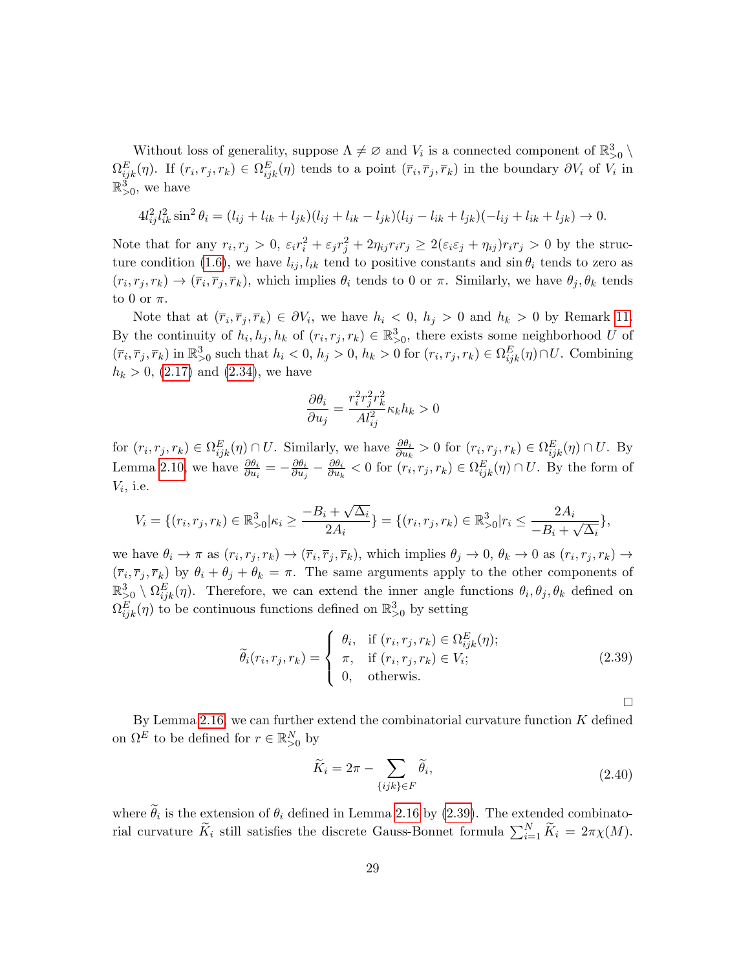Without loss of generality, suppose  $\Lambda \neq \emptyset$  and  $V_i$  is a connected component of  $\mathbb{R}^3_{>0} \setminus$  $\Omega_{ijk}^E(\eta)$ . If  $(r_i, r_j, r_k) \in \Omega_{ijk}^E(\eta)$  tends to a point  $(\overline{r}_i, \overline{r}_j, \overline{r}_k)$  in the boundary  $\partial V_i$  of  $V_i$  in  $\mathbb{R}_{>0}^3$ , we have

$$
4l_{ij}^{2}l_{ik}^{2}\sin^{2}\theta_{i} = (l_{ij} + l_{ik} + l_{jk})(l_{ij} + l_{ik} - l_{jk})(l_{ij} - l_{ik} + l_{jk})(-l_{ij} + l_{ik} + l_{jk}) \rightarrow 0.
$$

Note that for any  $r_i, r_j > 0$ ,  $\varepsilon_i r_i^2 + \varepsilon_j r_j^2 + 2\eta_{ij} r_i r_j \geq 2(\varepsilon_i \varepsilon_j + \eta_{ij}) r_i r_j > 0$  by the struc-ture condition [\(1.6\)](#page-6-2), we have  $l_{ij}$ ,  $l_{ik}$  tend to positive constants and  $\sin \theta_i$  tends to zero as  $(r_i, r_j, r_k) \to (\bar{r}_i, \bar{r}_j, \bar{r}_k)$ , which implies  $\theta_i$  tends to 0 or  $\pi$ . Similarly, we have  $\theta_j, \theta_k$  tends to 0 or  $\pi$ .

Note that at  $(\bar{r}_i, \bar{r}_j, \bar{r}_k) \in \partial V_i$ , we have  $h_i < 0$ ,  $h_j > 0$  and  $h_k > 0$  by Remark [11.](#page-21-0) By the continuity of  $h_i, h_j, h_k$  of  $(r_i, r_j, r_k) \in \mathbb{R}^3_{>0}$ , there exists some neighborhood U of  $(\overline{r}_i, \overline{r}_j, \overline{r}_k)$  in  $\mathbb{R}^3_{>0}$  such that  $h_i < 0$ ,  $h_j > 0$ ,  $h_k > 0$  for  $(r_i, r_j, r_k) \in \Omega_{ijk}^E(\eta) \cap U$ . Combining  $h_k > 0$ , [\(2.17\)](#page-18-2) and [\(2.34\)](#page-24-2), we have

$$
\frac{\partial \theta_i}{\partial u_j} = \frac{r_i^2 r_j^2 r_k^2}{A l_{ij}^2} \kappa_k h_k > 0
$$

for  $(r_i, r_j, r_k) \in \Omega_{ijk}^E(\eta) \cap U$ . Similarly, we have  $\frac{\partial \theta_i}{\partial u_k} > 0$  for  $(r_i, r_j, r_k) \in \Omega_{ijk}^E(\eta) \cap U$ . By Lemma [2.10,](#page-23-4) we have  $\frac{\partial \theta_i}{\partial u_i} = -\frac{\partial \theta_i}{\partial u_j}$  $\frac{\partial \theta_i}{\partial u_j}-\frac{\partial \theta_i}{\partial u_k}$  $\frac{\partial \theta_i}{\partial u_k} < 0$  for  $(r_i, r_j, r_k) \in \Omega_{ijk}^E(\eta) \cap U$ . By the form of  $V_i$ , i.e.

$$
V_i = \{(r_i, r_j, r_k) \in \mathbb{R}_{>0}^3 | \kappa_i \ge \frac{-B_i + \sqrt{\Delta_i}}{2A_i}\} = \{(r_i, r_j, r_k) \in \mathbb{R}_{>0}^3 | r_i \le \frac{2A_i}{-B_i + \sqrt{\Delta_i}}\},
$$

we have  $\theta_i \to \pi$  as  $(r_i, r_j, r_k) \to (\overline{r}_i, \overline{r}_j, \overline{r}_k)$ , which implies  $\theta_j \to 0$ ,  $\theta_k \to 0$  as  $(r_i, r_j, r_k) \to$  $(\bar{r}_i, \bar{r}_j, \bar{r}_k)$  by  $\theta_i + \theta_j + \theta_k = \pi$ . The same arguments apply to the other components of  $\mathbb{R}_{>0}^3 \setminus \Omega_{ijk}^E(\eta)$ . Therefore, we can extend the inner angle functions  $\theta_i, \theta_j, \theta_k$  defined on  $\Omega_{ijk}^E(\eta)$  to be continuous functions defined on  $\mathbb{R}_{>0}^3$  by setting

<span id="page-28-0"></span>
$$
\widetilde{\theta}_i(r_i, r_j, r_k) = \begin{cases}\n\theta_i, & \text{if } (r_i, r_j, r_k) \in \Omega_{ijk}^E(\eta); \\
\pi, & \text{if } (r_i, r_j, r_k) \in V_i; \\
0, & \text{otherwise.} \n\end{cases}
$$
\n(2.39)

 $\Box$ 

By Lemma [2.16,](#page-27-1) we can further extend the combinatorial curvature function  $K$  defined on  $\Omega^E$  to be defined for  $r \in \mathbb{R}^N_{>0}$  by

$$
\widetilde{K}_i = 2\pi - \sum_{\{ijk\} \in F} \widetilde{\theta}_i,\tag{2.40}
$$

where  $\theta_i$  is the extension of  $\theta_i$  defined in Lemma [2.16](#page-27-1) by [\(2.39\)](#page-28-0). The extended combinatorial curvature  $\tilde{K}_i$  still satisfies the discrete Gauss-Bonnet formula  $\sum_{i=1}^N \tilde{K}_i = 2\pi \chi(M)$ .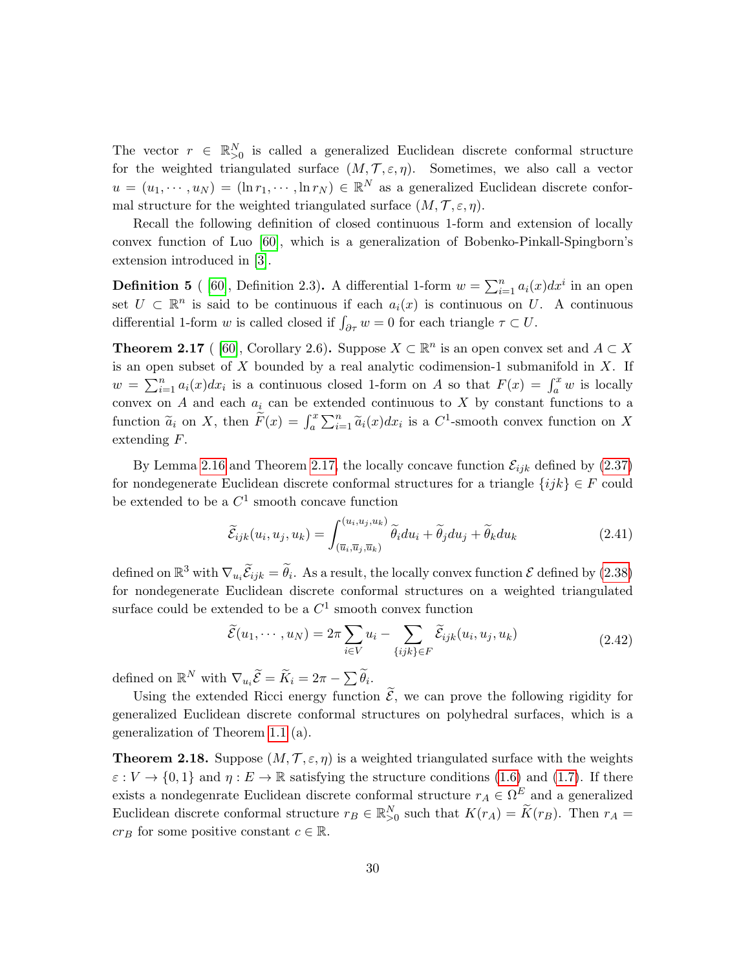The vector  $r \in \mathbb{R}^N_{>0}$  is called a generalized Euclidean discrete conformal structure for the weighted triangulated surface  $(M, \mathcal{T}, \varepsilon, \eta)$ . Sometimes, we also call a vector  $u = (u_1, \dots, u_N) = (\ln r_1, \dots, \ln r_N) \in \mathbb{R}^N$  as a generalized Euclidean discrete conformal structure for the weighted triangulated surface  $(M, \mathcal{T}, \varepsilon, \eta)$ .

Recall the following definition of closed continuous 1-form and extension of locally convex function of Luo [\[60\]](#page-61-17), which is a generalization of Bobenko-Pinkall-Spingborn's extension introduced in [\[3\]](#page-58-0).

**Definition 5** ([60], Definition 2.3). A differential 1-form  $w = \sum_{i=1}^{n} a_i(x) dx^i$  in an open set  $U \subset \mathbb{R}^n$  is said to be continuous if each  $a_i(x)$  is continuous on U. A continuous differential 1-form w is called closed if  $\int_{\partial \tau} w = 0$  for each triangle  $\tau \subset U$ .

<span id="page-29-0"></span>**Theorem 2.17** ([60], Corollary 2.6). Suppose  $X \subset \mathbb{R}^n$  is an open convex set and  $A \subset X$ is an open subset of  $X$  bounded by a real analytic codimension-1 submanifold in  $X$ . If  $w = \sum_{i=1}^n a_i(x) dx_i$  is a continuous closed 1-form on A so that  $F(x) = \int_a^x w$  is locally convex on A and each  $a_i$  can be extended continuous to X by constant functions to a function  $\tilde{a}_i$  on X, then  $\tilde{F}(x) = \int_a^x \sum_{i=1}^n \tilde{a}_i(x) dx_i$  is a  $C^1$ -smooth convex function on X extending F.

By Lemma [2.16](#page-27-1) and Theorem [2.17,](#page-29-0) the locally concave function  $\mathcal{E}_{ijk}$  defined by [\(2.37\)](#page-27-2) for nondegenerate Euclidean discrete conformal structures for a triangle  $\{ijk\} \in F$  could be extended to be a  $C^1$  smooth concave function

$$
\widetilde{\mathcal{E}}_{ijk}(u_i, u_j, u_k) = \int_{(\overline{u}_i, \overline{u}_j, \overline{u}_k)}^{(u_i, u_j, u_k)} \widetilde{\theta}_i du_i + \widetilde{\theta}_j du_j + \widetilde{\theta}_k du_k
$$
\n(2.41)

defined on  $\mathbb{R}^3$  with  $\nabla_{u_i}\widetilde{\mathcal{E}}_{ijk} = \widetilde{\theta}_i$ . As a result, the locally convex function  $\mathcal E$  defined by [\(2.38\)](#page-27-3) for nondegenerate Euclidean discrete conformal structures on a weighted triangulated surface could be extended to be a  $C^1$  smooth convex function

<span id="page-29-2"></span>
$$
\widetilde{\mathcal{E}}(u_1, \cdots, u_N) = 2\pi \sum_{i \in V} u_i - \sum_{\{ijk\} \in F} \widetilde{\mathcal{E}}_{ijk}(u_i, u_j, u_k)
$$
\n(2.42)

defined on  $\mathbb{R}^N$  with  $\nabla_{u_i} \widetilde{\mathcal{E}} = \widetilde{K}_i = 2\pi - \sum \widetilde{\theta}_i$ .

Using the extended Ricci energy function  $\widetilde{\mathcal{E}}$ , we can prove the following rigidity for generalized Euclidean discrete conformal structures on polyhedral surfaces, which is a generalization of Theorem [1.1](#page-6-1) (a).

<span id="page-29-1"></span>**Theorem 2.18.** Suppose  $(M, \mathcal{T}, \varepsilon, \eta)$  is a weighted triangulated surface with the weights  $\varepsilon: V \to \{0,1\}$  and  $\eta: E \to \mathbb{R}$  satisfying the structure conditions [\(1.6\)](#page-6-2) and [\(1.7\)](#page-6-3). If there exists a nondegenrate Euclidean discrete conformal structure  $r_A \in \Omega^E$  and a generalized Euclidean discrete conformal structure  $r_B \in \mathbb{R}_{\geq 0}^N$  such that  $K(r_A) = \widetilde{K}(r_B)$ . Then  $r_A =$  $cr_B$  for some positive constant  $c \in \mathbb{R}$ .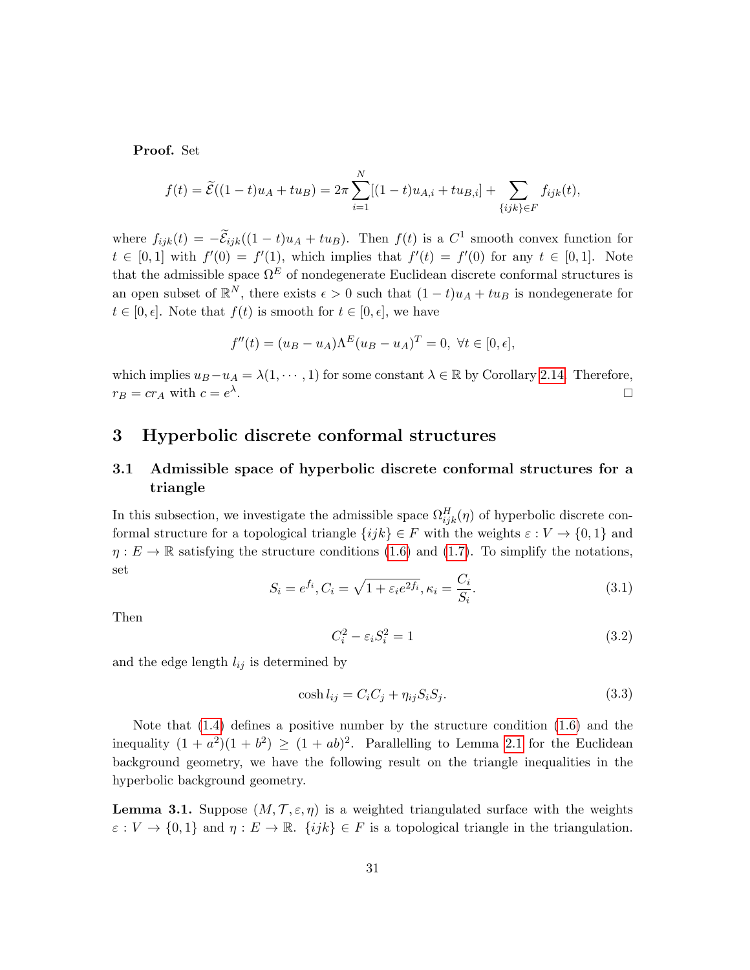Proof. Set

$$
f(t) = \widetilde{\mathcal{E}}((1-t)u_A + tu_B) = 2\pi \sum_{i=1}^N [(1-t)u_{A,i} + tu_{B,i}] + \sum_{\{ijk\} \in F} f_{ijk}(t),
$$

where  $f_{ijk}(t) = -\tilde{E}_{ijk}((1-t)u_A + tu_B)$ . Then  $f(t)$  is a  $C^1$  smooth convex function for  $t \in [0,1]$  with  $f'(0) = f'(1)$ , which implies that  $f'(t) = f'(0)$  for any  $t \in [0,1]$ . Note that the admissible space  $\Omega^E$  of nondegenerate Euclidean discrete conformal structures is an open subset of  $\mathbb{R}^N$ , there exists  $\epsilon > 0$  such that  $(1-t)u_A + tu_B$  is nondegenerate for  $t \in [0, \epsilon]$ . Note that  $f(t)$  is smooth for  $t \in [0, \epsilon]$ , we have

$$
f''(t) = (u_B - u_A)\Lambda^E (u_B - u_A)^T = 0, \ \forall t \in [0, \epsilon],
$$

which implies  $u_B - u_A = \lambda(1, \dots, 1)$  for some constant  $\lambda \in \mathbb{R}$  by Corollary [2.14.](#page-26-1) Therefore,  $r_B = cr_A$  with  $c = e^{\lambda}$ .

### <span id="page-30-0"></span>3 Hyperbolic discrete conformal structures

### <span id="page-30-1"></span>3.1 Admissible space of hyperbolic discrete conformal structures for a triangle

In this subsection, we investigate the admissible space  $\Omega_{ijk}^H(\eta)$  of hyperbolic discrete conformal structure for a topological triangle  $\{ijk\} \in F$  with the weights  $\varepsilon : V \to \{0,1\}$  and  $\eta: E \to \mathbb{R}$  satisfying the structure conditions [\(1.6\)](#page-6-2) and [\(1.7\)](#page-6-3). To simplify the notations, set

<span id="page-30-5"></span>
$$
S_i = e^{f_i}, C_i = \sqrt{1 + \varepsilon_i e^{2f_i}}, \kappa_i = \frac{C_i}{S_i}.
$$
\n(3.1)

Then

<span id="page-30-3"></span>
$$
C_i^2 - \varepsilon_i S_i^2 = 1\tag{3.2}
$$

and the edge length  $l_{ij}$  is determined by

<span id="page-30-2"></span>
$$
\cosh l_{ij} = C_i C_j + \eta_{ij} S_i S_j. \tag{3.3}
$$

Note that [\(1.4\)](#page-4-1) defines a positive number by the structure condition [\(1.6\)](#page-6-2) and the inequality  $(1 + a^2)(1 + b^2) \ge (1 + ab)^2$ . Parallelling to Lemma [2.1](#page-15-0) for the Euclidean background geometry, we have the following result on the triangle inequalities in the hyperbolic background geometry.

<span id="page-30-4"></span>**Lemma 3.1.** Suppose  $(M, \mathcal{T}, \varepsilon, \eta)$  is a weighted triangulated surface with the weights  $\varepsilon: V \to \{0,1\}$  and  $\eta: E \to \mathbb{R}$ .  $\{ijk\} \in F$  is a topological triangle in the triangulation.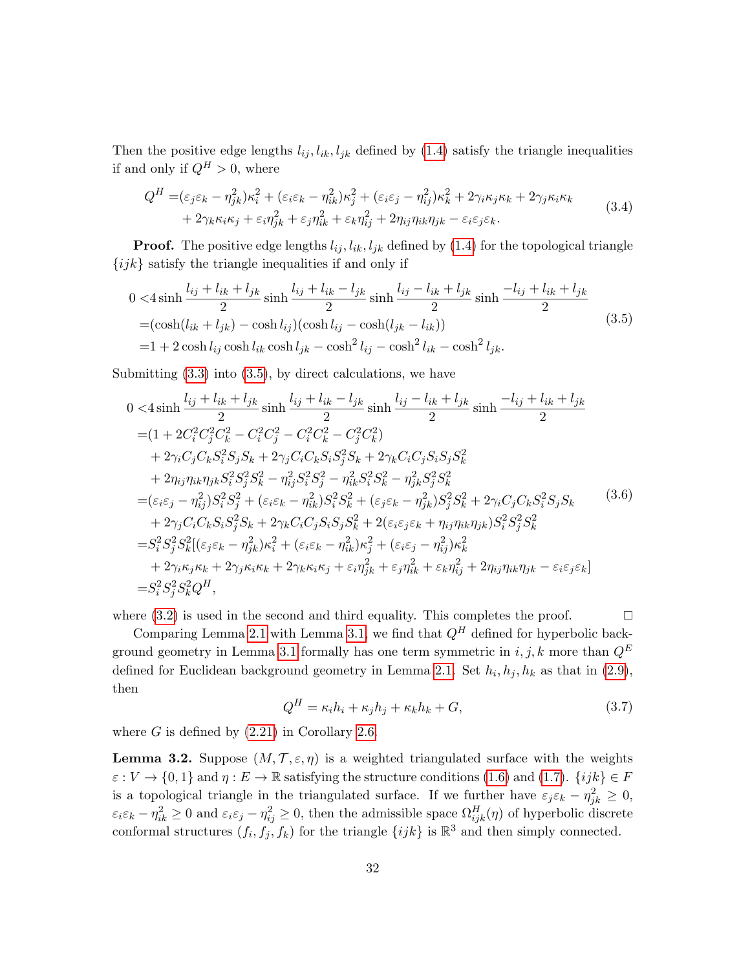Then the positive edge lengths  $l_{ij}$ ,  $l_{ik}$ ,  $l_{jk}$  defined by [\(1.4\)](#page-4-1) satisfy the triangle inequalities if and only if  $Q^H > 0$ , where

$$
Q^H = (\varepsilon_j \varepsilon_k - \eta_{jk}^2) \kappa_i^2 + (\varepsilon_i \varepsilon_k - \eta_{ik}^2) \kappa_j^2 + (\varepsilon_i \varepsilon_j - \eta_{ij}^2) \kappa_k^2 + 2\gamma_i \kappa_j \kappa_k + 2\gamma_j \kappa_i \kappa_k + 2\gamma_k \kappa_i \kappa_j + \varepsilon_i \eta_{jk}^2 + \varepsilon_j \eta_{ik}^2 + \varepsilon_k \eta_{ij}^2 + 2\eta_{ij} \eta_{ik} \eta_{jk} - \varepsilon_i \varepsilon_j \varepsilon_k.
$$
 (3.4)

**Proof.** The positive edge lengths  $l_{ij}$ ,  $l_{ik}$ ,  $l_{jk}$  defined by [\(1.4\)](#page-4-1) for the topological triangle  $\{ijk\}$  satisfy the triangle inequalities if and only if

<span id="page-31-0"></span>
$$
0 < 4 \sinh \frac{l_{ij} + l_{ik} + l_{jk}}{2} \sinh \frac{l_{ij} + l_{ik} - l_{jk}}{2} \sinh \frac{l_{ij} - l_{ik} + l_{jk}}{2} \sinh \frac{-l_{ij} + l_{ik} + l_{jk}}{2}
$$
  
=  $(\cosh(l_{ik} + l_{jk}) - \cosh(l_{ij})(\cosh l_{ij} - \cosh(l_{jk} - l_{ik}))$   
=  $1 + 2 \cosh l_{ij} \cosh l_{ik} \cosh l_{jk} - \cosh^2 l_{ij} - \cosh^2 l_{ik} - \cosh^2 l_{jk}.$  (3.5)

Submitting  $(3.3)$  into  $(3.5)$ , by direct calculations, we have

<span id="page-31-3"></span>
$$
0 < 4 \sinh \frac{l_{ij} + l_{ik} + l_{jk}}{2} \sinh \frac{l_{ij} + l_{ik} - l_{jk}}{2} \sinh \frac{l_{ij} - l_{ik} + l_{jk}}{2} \sinh \frac{-l_{ij} + l_{ik} + l_{jk}}{2}
$$
  
\n
$$
= (1 + 2C_i^2 C_j^2 C_k^2 - C_i^2 C_j^2 - C_i^2 C_k^2 - C_j^2 C_k^2)
$$
  
\n
$$
+ 2\gamma_i C_j C_k S_i^2 S_j S_k + 2\gamma_j C_i C_k S_i S_j^2 S_k + 2\gamma_k C_i C_j S_i S_j S_k^2
$$
  
\n
$$
+ 2\eta_{ij} \eta_{ik} \eta_{jk} S_i^2 S_j^2 S_k^2 - \eta_{ij}^2 S_i^2 S_j^2 - \eta_{ik}^2 S_i^2 S_k^2 - \eta_{jk}^2 S_j^2 S_k^2
$$
  
\n
$$
= (\varepsilon_i \varepsilon_j - \eta_{ij}^2) S_i^2 S_j^2 + (\varepsilon_i \varepsilon_k - \eta_{ik}^2) S_i^2 S_k^2 + (\varepsilon_j \varepsilon_k - \eta_{jk}^2) S_j^2 S_k^2 + 2\gamma_i C_j C_k S_i^2 S_j S_k
$$
  
\n
$$
+ 2\gamma_j C_i C_k S_i S_j^2 S_k + 2\gamma_k C_i C_j S_i S_j S_k^2 + 2(\varepsilon_i \varepsilon_j \varepsilon_k + \eta_{ij} \eta_{ik} \eta_{jk}) S_i^2 S_j^2 S_k^2
$$
  
\n
$$
= S_i^2 S_j^2 S_k^2 [(\varepsilon_j \varepsilon_k - \eta_{jk}^2) \kappa_i^2 + (\varepsilon_i \varepsilon_k - \eta_{ik}^2) \kappa_j^2 + (\varepsilon_i \varepsilon_j - \eta_{ij}^2) \kappa_k^2
$$
  
\n
$$
+ 2\gamma_i \kappa_j \kappa_k + 2\gamma_j \kappa_i \kappa_k + 2\gamma_k \kappa_i \kappa_j + \varepsilon_i \eta_{jk}^2 + \varepsilon_j \eta_{ik}^2 + \varepsilon_k \eta_{ij}^2 + 2\eta_{ij} \eta_{ik} \eta_{jk} - \varepsilon_i \varepsilon_j \varepsilon_k
$$

where  $(3.2)$  is used in the second and third equality. This completes the proof.  $\square$ 

Comparing Lemma [2.1](#page-15-0) with Lemma [3.1,](#page-30-4) we find that  $Q^H$  defined for hyperbolic back-ground geometry in Lemma [3.1](#page-30-4) formally has one term symmetric in  $i, j, k$  more than  $Q^E$ defined for Euclidean background geometry in Lemma [2.1.](#page-15-0) Set  $h_i, h_j, h_k$  as that in [\(2.9\)](#page-15-1), then

<span id="page-31-1"></span>
$$
Q^H = \kappa_i h_i + \kappa_j h_j + \kappa_k h_k + G,\tag{3.7}
$$

where  $G$  is defined by  $(2.21)$  in Corollary [2.6.](#page-19-4)

<span id="page-31-2"></span>**Lemma 3.2.** Suppose  $(M, \mathcal{T}, \varepsilon, \eta)$  is a weighted triangulated surface with the weights  $\varepsilon : V \to \{0, 1\}$  and  $\eta : E \to \mathbb{R}$  satisfying the structure conditions [\(1.6\)](#page-6-2) and [\(1.7\)](#page-6-3).  $\{ijk\} \in F$ is a topological triangle in the triangulated surface. If we further have  $\varepsilon_j \varepsilon_k - \eta_{jk}^2 \geq 0$ ,  $\varepsilon_i \varepsilon_k - \eta_{ik}^2 \ge 0$  and  $\varepsilon_i \varepsilon_j - \eta_{ij}^2 \ge 0$ , then the admissible space  $\Omega_{ijk}^H(\eta)$  of hyperbolic discrete conformal structures  $(f_i, f_j, f_k)$  for the triangle  $\{ijk\}$  is  $\mathbb{R}^3$  and then simply connected.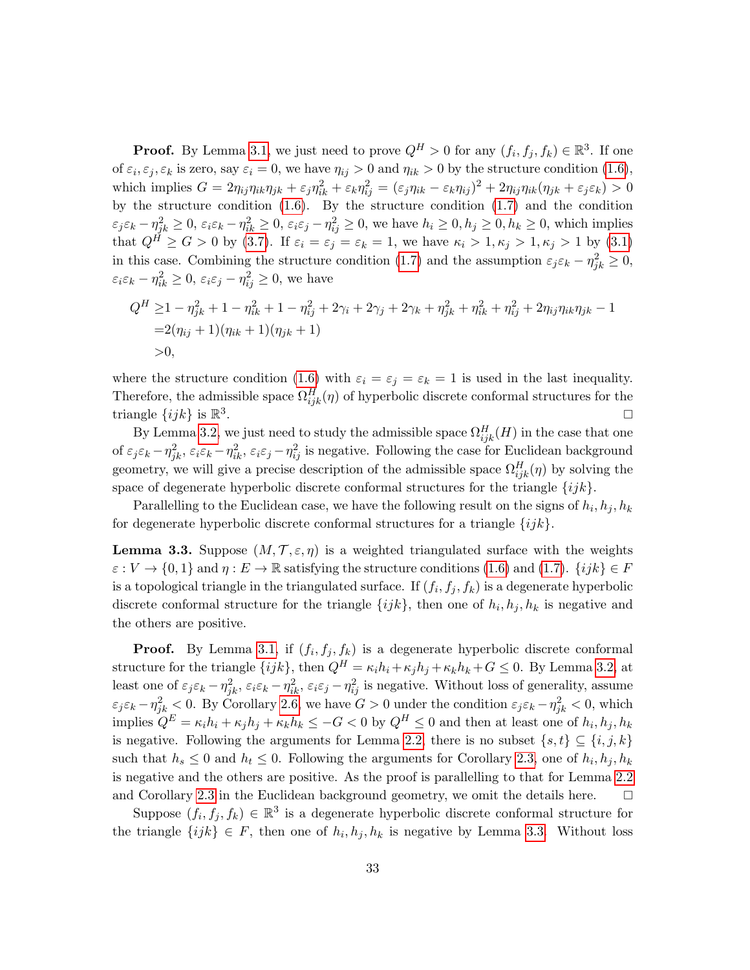**Proof.** By Lemma [3.1,](#page-30-4) we just need to prove  $Q^H > 0$  for any  $(f_i, f_j, f_k) \in \mathbb{R}^3$ . If one of  $\varepsilon_i, \varepsilon_j, \varepsilon_k$  is zero, say  $\varepsilon_i = 0$ , we have  $\eta_{ij} > 0$  and  $\eta_{ik} > 0$  by the structure condition  $(1.6)$ , which implies  $G = 2\eta_{ij}\eta_{ik}\eta_{jk} + \varepsilon_j\eta_{ik}^2 + \varepsilon_k\eta_{ij}^2 = (\varepsilon_j\eta_{ik} - \varepsilon_k\eta_{ij})^2 + 2\eta_{ij}\eta_{ik}(\eta_{jk} + \varepsilon_j\varepsilon_k) > 0$ by the structure condition [\(1.6\)](#page-6-2). By the structure condition [\(1.7\)](#page-6-3) and the condition  $\varepsilon_j \varepsilon_k - \eta_{jk}^2 \ge 0$ ,  $\varepsilon_i \varepsilon_k - \eta_{ik}^2 \ge 0$ ,  $\varepsilon_i \varepsilon_j - \eta_{ij}^2 \ge 0$ , we have  $h_i \ge 0$ ,  $h_j \ge 0$ ,  $h_k \ge 0$ , which implies that  $Q^{\tilde{H}} \geq G > 0$  by [\(3.7\)](#page-31-1). If  $\varepsilon_i = \varepsilon_j = \varepsilon_k = 1$ , we have  $\kappa_i > 1, \kappa_j > 1, \kappa_j > 1$  by [\(3.1\)](#page-30-5) in this case. Combining the structure condition [\(1.7\)](#page-6-3) and the assumption  $\varepsilon_j \varepsilon_k - \eta_{jk}^2 \ge 0$ ,  $\varepsilon_i \varepsilon_k - \eta_{ik}^2 \geq 0$ ,  $\varepsilon_i \varepsilon_j - \eta_{ij}^2 \geq 0$ , we have

$$
Q^H \ge 1 - \eta_{jk}^2 + 1 - \eta_{ik}^2 + 1 - \eta_{ij}^2 + 2\gamma_i + 2\gamma_j + 2\gamma_k + \eta_{jk}^2 + \eta_{ik}^2 + \eta_{ij}^2 + 2\eta_{ij}\eta_{ik}\eta_{jk} - 1
$$
  
= 2(\eta\_{ij} + 1)(\eta\_{ik} + 1)(\eta\_{jk} + 1)  
> 0,

where the structure condition [\(1.6\)](#page-6-2) with  $\varepsilon_i = \varepsilon_j = \varepsilon_k = 1$  is used in the last inequality. Therefore, the admissible space  $\Omega_{ijk}^H(\eta)$  of hyperbolic discrete conformal structures for the triangle  $\{ijk\}$  is  $\mathbb{R}^3$ .

By Lemma [3.2,](#page-31-2) we just need to study the admissible space  $\Omega_{ijk}^H(H)$  in the case that one of  $\varepsilon_j \varepsilon_k - \eta_{jk}^2$ ,  $\varepsilon_i \varepsilon_k - \eta_{ik}^2$ ,  $\varepsilon_i \varepsilon_j - \eta_{ij}^2$  is negative. Following the case for Euclidean background geometry, we will give a precise description of the admissible space  $\Omega_{ijk}^H(\eta)$  by solving the space of degenerate hyperbolic discrete conformal structures for the triangle  $\{ijk\}$ .

Parallelling to the Euclidean case, we have the following result on the signs of  $h_i, h_j, h_k$ for degenerate hyperbolic discrete conformal structures for a triangle  $\{ijk\}$ .

<span id="page-32-0"></span>**Lemma 3.3.** Suppose  $(M, \mathcal{T}, \varepsilon, \eta)$  is a weighted triangulated surface with the weights  $\varepsilon: V \to \{0,1\}$  and  $\eta: E \to \mathbb{R}$  satisfying the structure conditions [\(1.6\)](#page-6-2) and [\(1.7\)](#page-6-3).  $\{ijk\} \in F$ is a topological triangle in the triangulated surface. If  $(f_i, f_j, f_k)$  is a degenerate hyperbolic discrete conformal structure for the triangle  $\{ijk\}$ , then one of  $h_i, h_j, h_k$  is negative and the others are positive.

**Proof.** By Lemma [3.1,](#page-30-4) if  $(f_i, f_j, f_k)$  is a degenerate hyperbolic discrete conformal structure for the triangle  $\{ijk\}$ , then  $Q^H = \kappa_i h_i + \kappa_j h_j + \kappa_k h_k + G \leq 0$ . By Lemma [3.2,](#page-31-2) at least one of  $\varepsilon_j \varepsilon_k - \eta_{jk}^2$ ,  $\varepsilon_i \varepsilon_k - \eta_{ik}^2$ ,  $\varepsilon_i \varepsilon_j - \eta_{ij}^2$  is negative. Without loss of generality, assume  $\varepsilon_j \varepsilon_k - \eta_{jk}^2 < 0$ . By Corollary [2.6,](#page-19-4) we have  $G > 0$  under the condition  $\varepsilon_j \varepsilon_k - \eta_{jk}^2 < 0$ , which implies  $Q^E = \kappa_i h_i + \kappa_j h_j + \kappa_k h_k \leq -G < 0$  by  $Q^H \leq 0$  and then at least one of  $h_i, h_j, h_k$ is negative. Following the arguments for Lemma [2.2,](#page-15-5) there is no subset  $\{s, t\} \subseteq \{i, j, k\}$ such that  $h_s \leq 0$  and  $h_t \leq 0$ . Following the arguments for Corollary [2.3,](#page-16-4) one of  $h_i, h_j, h_k$ is negative and the others are positive. As the proof is parallelling to that for Lemma [2.2](#page-15-5) and Corollary [2.3](#page-16-4) in the Euclidean background geometry, we omit the details here.

Suppose  $(f_i, f_j, f_k) \in \mathbb{R}^3$  is a degenerate hyperbolic discrete conformal structure for the triangle  $\{ijk\} \in F$ , then one of  $h_i, h_j, h_k$  is negative by Lemma [3.3.](#page-32-0) Without loss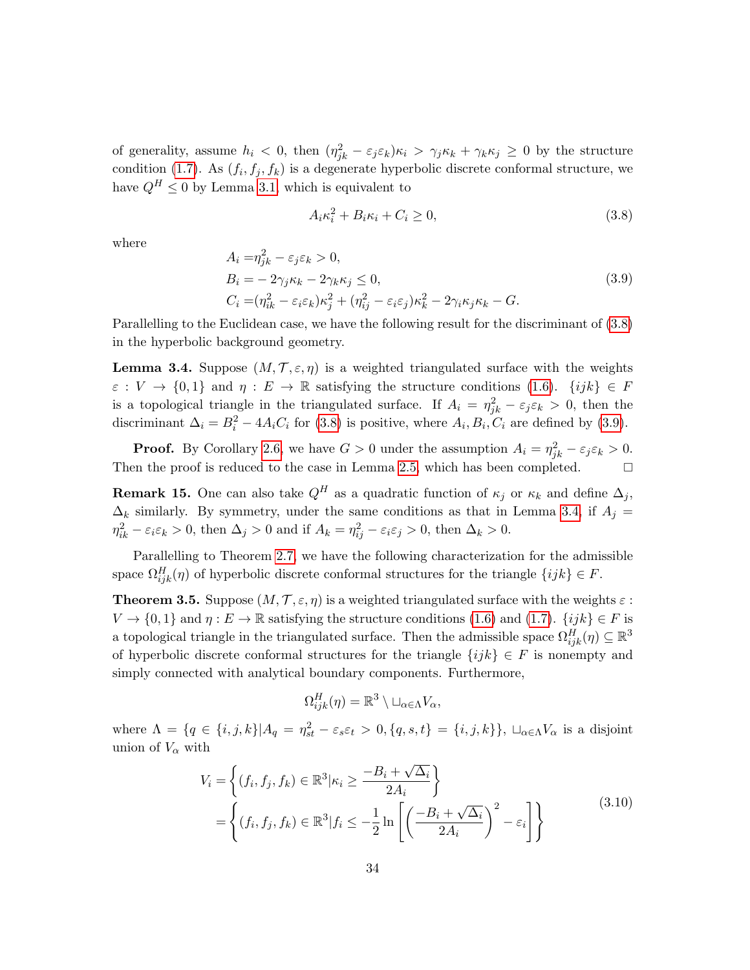of generality, assume  $h_i < 0$ , then  $(\eta_{jk}^2 - \varepsilon_j \varepsilon_k)\kappa_i > \gamma_j \kappa_k + \gamma_k \kappa_j \geq 0$  by the structure condition [\(1.7\)](#page-6-3). As  $(f_i, f_j, f_k)$  is a degenerate hyperbolic discrete conformal structure, we have  $Q^H \leq 0$  by Lemma [3.1,](#page-30-4) which is equivalent to

<span id="page-33-0"></span>
$$
A_i \kappa_i^2 + B_i \kappa_i + C_i \ge 0,\t\t(3.8)
$$

where

<span id="page-33-1"></span>
$$
A_i = \eta_{jk}^2 - \varepsilon_j \varepsilon_k > 0,
$$
  
\n
$$
B_i = -2\gamma_j \kappa_k - 2\gamma_k \kappa_j \le 0,
$$
  
\n
$$
C_i = (\eta_{ik}^2 - \varepsilon_i \varepsilon_k) \kappa_j^2 + (\eta_{ij}^2 - \varepsilon_i \varepsilon_j) \kappa_k^2 - 2\gamma_i \kappa_j \kappa_k - G.
$$
\n(3.9)

Parallelling to the Euclidean case, we have the following result for the discriminant of [\(3.8\)](#page-33-0) in the hyperbolic background geometry.

<span id="page-33-2"></span>**Lemma 3.4.** Suppose  $(M, \mathcal{T}, \varepsilon, \eta)$  is a weighted triangulated surface with the weights  $\varepsilon : V \to \{0,1\}$  and  $\eta : E \to \mathbb{R}$  satisfying the structure conditions [\(1.6\)](#page-6-2).  $\{ijk\} \in F$ is a topological triangle in the triangulated surface. If  $A_i = \eta_{jk}^2 - \varepsilon_j \varepsilon_k > 0$ , then the discriminant  $\Delta_i = B_i^2 - 4A_iC_i$  for [\(3.8\)](#page-33-0) is positive, where  $A_i, B_i, C_i$  are defined by [\(3.9\)](#page-33-1).

**Proof.** By Corollary [2.6,](#page-19-4) we have  $G > 0$  under the assumption  $A_i = \eta_{jk}^2 - \varepsilon_j \varepsilon_k > 0$ . Then the proof is reduced to the case in Lemma [2.5,](#page-19-0) which has been completed.  $\square$ 

**Remark 15.** One can also take  $Q^H$  as a quadratic function of  $\kappa_j$  or  $\kappa_k$  and define  $\Delta_j$ ,  $\Delta_k$  similarly. By symmetry, under the same conditions as that in Lemma [3.4,](#page-33-2) if  $A_j =$  $\eta_{ik}^2 - \varepsilon_i \varepsilon_k > 0$ , then  $\Delta_j > 0$  and if  $A_k = \eta_{ij}^2 - \varepsilon_i \varepsilon_j > 0$ , then  $\Delta_k > 0$ .

Parallelling to Theorem [2.7,](#page-20-1) we have the following characterization for the admissible space  $\Omega_{ijk}^H(\eta)$  of hyperbolic discrete conformal structures for the triangle  $\{ijk\} \in F$ .

<span id="page-33-3"></span>**Theorem 3.5.** Suppose  $(M, \mathcal{T}, \varepsilon, \eta)$  is a weighted triangulated surface with the weights  $\varepsilon$ :  $V \to \{0, 1\}$  and  $\eta : E \to \mathbb{R}$  satisfying the structure conditions [\(1.6\)](#page-6-2) and [\(1.7\)](#page-6-3).  $\{ijk\} \in F$  is a topological triangle in the triangulated surface. Then the admissible space  $\Omega_{ijk}^H(\eta) \subseteq \mathbb{R}^3$ of hyperbolic discrete conformal structures for the triangle  $\{ijk\} \in F$  is nonempty and simply connected with analytical boundary components. Furthermore,

$$
\Omega_{ijk}^H(\eta) = \mathbb{R}^3 \setminus \sqcup_{\alpha \in \Lambda} V_{\alpha},
$$

where  $\Lambda = \{q \in \{i, j, k\} | A_q = \eta_{st}^2 - \varepsilon_s \varepsilon_t > 0, \{q, s, t\} = \{i, j, k\} \}, \sqcup_{\alpha \in \Lambda} V_\alpha$  is a disjoint union of  $V_\alpha$  with

<span id="page-33-4"></span>
$$
V_i = \left\{ (f_i, f_j, f_k) \in \mathbb{R}^3 | \kappa_i \ge \frac{-B_i + \sqrt{\Delta_i}}{2A_i} \right\}
$$
  
= 
$$
\left\{ (f_i, f_j, f_k) \in \mathbb{R}^3 | f_i \le -\frac{1}{2} \ln \left[ \left( \frac{-B_i + \sqrt{\Delta_i}}{2A_i} \right)^2 - \varepsilon_i \right] \right\}
$$
 (3.10)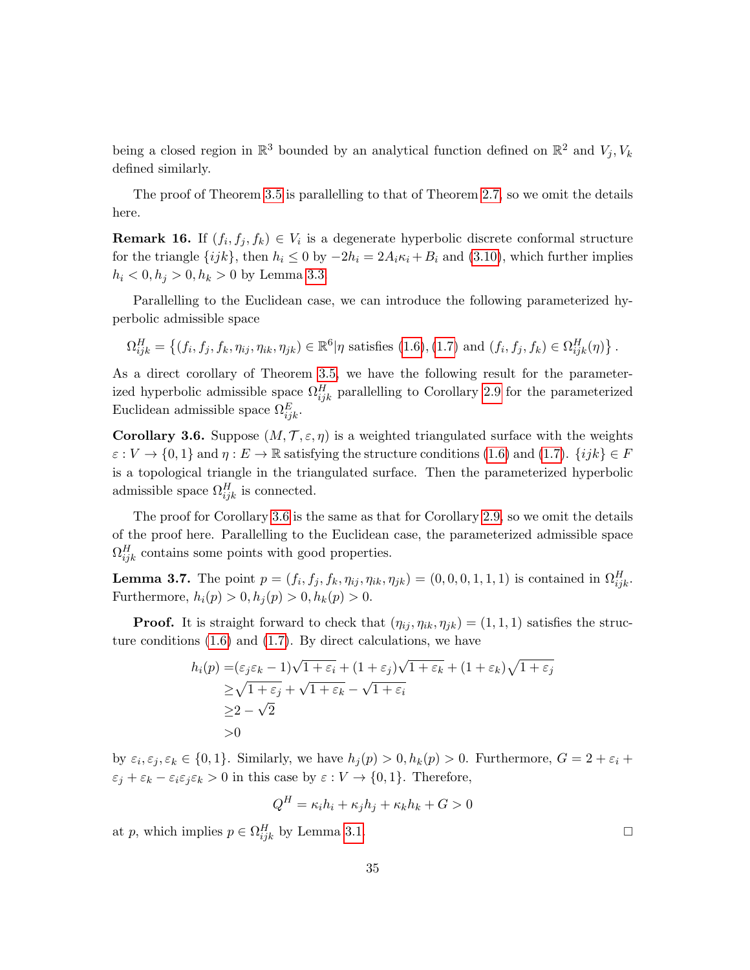being a closed region in  $\mathbb{R}^3$  bounded by an analytical function defined on  $\mathbb{R}^2$  and  $V_j, V_k$ defined similarly.

The proof of Theorem [3.5](#page-33-3) is parallelling to that of Theorem [2.7,](#page-20-1) so we omit the details here.

<span id="page-34-1"></span>**Remark 16.** If  $(f_i, f_j, f_k) \in V_i$  is a degenerate hyperbolic discrete conformal structure for the triangle  $\{ijk\}$ , then  $h_i \leq 0$  by  $-2h_i = 2A_i \kappa_i + B_i$  and  $(3.10)$ , which further implies  $h_i < 0, h_j > 0, h_k > 0$  by Lemma [3.3.](#page-32-0)

Parallelling to the Euclidean case, we can introduce the following parameterized hyperbolic admissible space

$$
\Omega_{ijk}^H = \left\{ (f_i, f_j, f_k, \eta_{ij}, \eta_{ik}, \eta_{jk}) \in \mathbb{R}^6 | \eta \text{ satisfies (1.6), (1.7) and } (f_i, f_j, f_k) \in \Omega_{ijk}^H(\eta) \right\}.
$$

As a direct corollary of Theorem [3.5,](#page-33-3) we have the following result for the parameterized hyperbolic admissible space  $\Omega_{ijk}^H$  parallelling to Corollary [2.9](#page-21-1) for the parameterized Euclidean admissible space  $\Omega_{ijk}^E$ .

<span id="page-34-0"></span>Corollary 3.6. Suppose  $(M, \mathcal{T}, \varepsilon, \eta)$  is a weighted triangulated surface with the weights  $\varepsilon: V \to \{0,1\}$  and  $\eta: E \to \mathbb{R}$  satisfying the structure conditions [\(1.6\)](#page-6-2) and [\(1.7\)](#page-6-3).  $\{ijk\} \in F$ is a topological triangle in the triangulated surface. Then the parameterized hyperbolic admissible space  $\Omega_{ijk}^H$  is connected.

The proof for Corollary [3.6](#page-34-0) is the same as that for Corollary [2.9,](#page-21-1) so we omit the details of the proof here. Parallelling to the Euclidean case, the parameterized admissible space  $\Omega_{ijk}^H$  contains some points with good properties.

<span id="page-34-2"></span>**Lemma 3.7.** The point  $p = (f_i, f_j, f_k, \eta_{ij}, \eta_{ik}, \eta_{jk}) = (0, 0, 0, 1, 1, 1)$  is contained in  $\Omega_{ijk}^H$ . Furthermore,  $h_i(p) > 0, h_i(p) > 0, h_k(p) > 0.$ 

**Proof.** It is straight forward to check that  $(\eta_{ij}, \eta_{ik}, \eta_{jk}) = (1, 1, 1)$  satisfies the structure conditions  $(1.6)$  and  $(1.7)$ . By direct calculations, we have

$$
h_i(p) = (\varepsilon_j \varepsilon_k - 1)\sqrt{1 + \varepsilon_i} + (1 + \varepsilon_j)\sqrt{1 + \varepsilon_k} + (1 + \varepsilon_k)\sqrt{1 + \varepsilon_j}
$$
  
\n
$$
\geq \sqrt{1 + \varepsilon_j} + \sqrt{1 + \varepsilon_k} - \sqrt{1 + \varepsilon_i}
$$
  
\n
$$
\geq 2 - \sqrt{2}
$$
  
\n
$$
> 0
$$

by  $\varepsilon_i, \varepsilon_j, \varepsilon_k \in \{0, 1\}$ . Similarly, we have  $h_j(p) > 0, h_k(p) > 0$ . Furthermore,  $G = 2 + \varepsilon_i +$  $\varepsilon_j + \varepsilon_k - \varepsilon_i \varepsilon_j \varepsilon_k > 0$  in this case by  $\varepsilon : V \to \{0, 1\}$ . Therefore,

$$
Q^H = \kappa_i h_i + \kappa_j h_j + \kappa_k h_k + G > 0
$$

at p, which implies  $p \in \Omega_{ijk}^H$  by Lemma [3.1.](#page-30-4)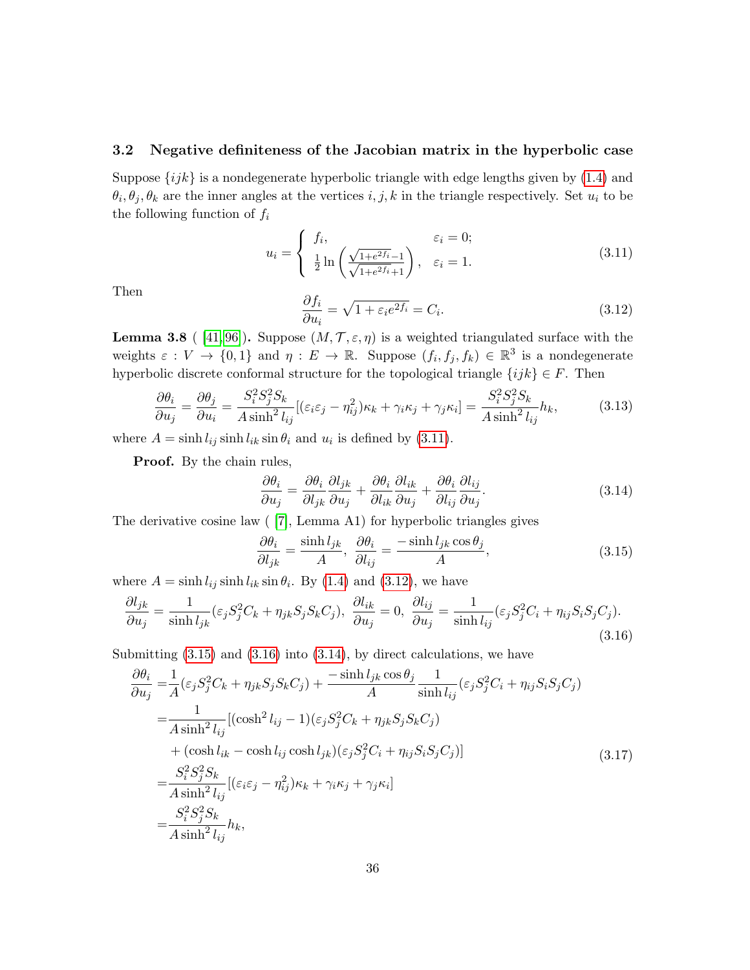#### <span id="page-35-0"></span>3.2 Negative definiteness of the Jacobian matrix in the hyperbolic case

Suppose  $\{ijk\}$  is a nondegenerate hyperbolic triangle with edge lengths given by [\(1.4\)](#page-4-1) and  $\theta_i, \theta_j, \theta_k$  are the inner angles at the vertices  $i, j, k$  in the triangle respectively. Set  $u_i$  to be the following function of  $f_i$ 

<span id="page-35-1"></span>
$$
u_i = \begin{cases} f_i, & \varepsilon_i = 0; \\ \frac{1}{2} \ln \left( \frac{\sqrt{1 + e^{2f_i}} - 1}{\sqrt{1 + e^{2f_i}} + 1} \right), & \varepsilon_i = 1. \end{cases}
$$
(3.11)

Then  $\partial f_i$ 

<span id="page-35-2"></span>
$$
\frac{\partial f_i}{\partial u_i} = \sqrt{1 + \varepsilon_i e^{2f_i}} = C_i.
$$
\n(3.12)

<span id="page-35-7"></span>**Lemma 3.8** ( [\[41,](#page-60-2) [96\]](#page-63-0)). Suppose  $(M, \mathcal{T}, \varepsilon, \eta)$  is a weighted triangulated surface with the weights  $\varepsilon: V \to \{0,1\}$  and  $\eta: E \to \mathbb{R}$ . Suppose  $(f_i, f_j, f_k) \in \mathbb{R}^3$  is a nondegenerate hyperbolic discrete conformal structure for the topological triangle  $\{ijk\} \in F$ . Then

<span id="page-35-8"></span>
$$
\frac{\partial \theta_i}{\partial u_j} = \frac{\partial \theta_j}{\partial u_i} = \frac{S_i^2 S_j^2 S_k}{A \sinh^2 l_{ij}} [(\varepsilon_i \varepsilon_j - \eta_{ij}^2) \kappa_k + \gamma_i \kappa_j + \gamma_j \kappa_i] = \frac{S_i^2 S_j^2 S_k}{A \sinh^2 l_{ij}} h_k,
$$
(3.13)

where  $A = \sinh l_{ij} \sinh l_{ik} \sin \theta_i$  and  $u_i$  is defined by [\(3.11\)](#page-35-1).

**Proof.** By the chain rules,

<span id="page-35-5"></span>
$$
\frac{\partial \theta_i}{\partial u_j} = \frac{\partial \theta_i}{\partial l_{jk}} \frac{\partial l_{jk}}{\partial u_j} + \frac{\partial \theta_i}{\partial l_{ik}} \frac{\partial l_{ik}}{\partial u_j} + \frac{\partial \theta_i}{\partial l_{ij}} \frac{\partial l_{ij}}{\partial u_j}.
$$
(3.14)

The derivative cosine law ( [\[7\]](#page-59-1), Lemma A1) for hyperbolic triangles gives

<span id="page-35-3"></span>
$$
\frac{\partial \theta_i}{\partial l_{jk}} = \frac{\sinh l_{jk}}{A}, \quad \frac{\partial \theta_i}{\partial l_{ij}} = \frac{-\sinh l_{jk} \cos \theta_j}{A}, \tag{3.15}
$$

where  $A = \sinh l_{ij} \sinh l_{ik} \sin \theta_i$ . By [\(1.4\)](#page-4-1) and [\(3.12\)](#page-35-2), we have

<span id="page-35-4"></span>
$$
\frac{\partial l_{jk}}{\partial u_j} = \frac{1}{\sinh l_{jk}} (\varepsilon_j S_j^2 C_k + \eta_{jk} S_j S_k C_j), \quad \frac{\partial l_{ik}}{\partial u_j} = 0, \quad \frac{\partial l_{ij}}{\partial u_j} = \frac{1}{\sinh l_{ij}} (\varepsilon_j S_j^2 C_i + \eta_{ij} S_i S_j C_j).
$$
\n(3.16)

Submitting  $(3.15)$  and  $(3.16)$  into  $(3.14)$ , by direct calculations, we have

<span id="page-35-6"></span>
$$
\frac{\partial \theta_i}{\partial u_j} = \frac{1}{A} (\varepsilon_j S_j^2 C_k + \eta_{jk} S_j S_k C_j) + \frac{-\sinh l_{jk} \cos \theta_j}{A} \frac{1}{\sinh l_{ij}} (\varepsilon_j S_j^2 C_i + \eta_{ij} S_i S_j C_j)
$$
  
\n
$$
= \frac{1}{A \sinh^2 l_{ij}} [(\cosh^2 l_{ij} - 1)(\varepsilon_j S_j^2 C_k + \eta_{jk} S_j S_k C_j)
$$
  
\n
$$
+ (\cosh l_{ik} - \cosh l_{ij} \cosh l_{jk})(\varepsilon_j S_j^2 C_i + \eta_{ij} S_i S_j C_j)]
$$
  
\n
$$
= \frac{S_i^2 S_j^2 S_k}{A \sinh^2 l_{ij}} [(\varepsilon_i \varepsilon_j - \eta_{ij}^2) \kappa_k + \gamma_i \kappa_j + \gamma_j \kappa_i]
$$
  
\n
$$
= \frac{S_i^2 S_j^2 S_k}{A \sinh^2 l_{ij}} h_k,
$$
  
\n(3.17)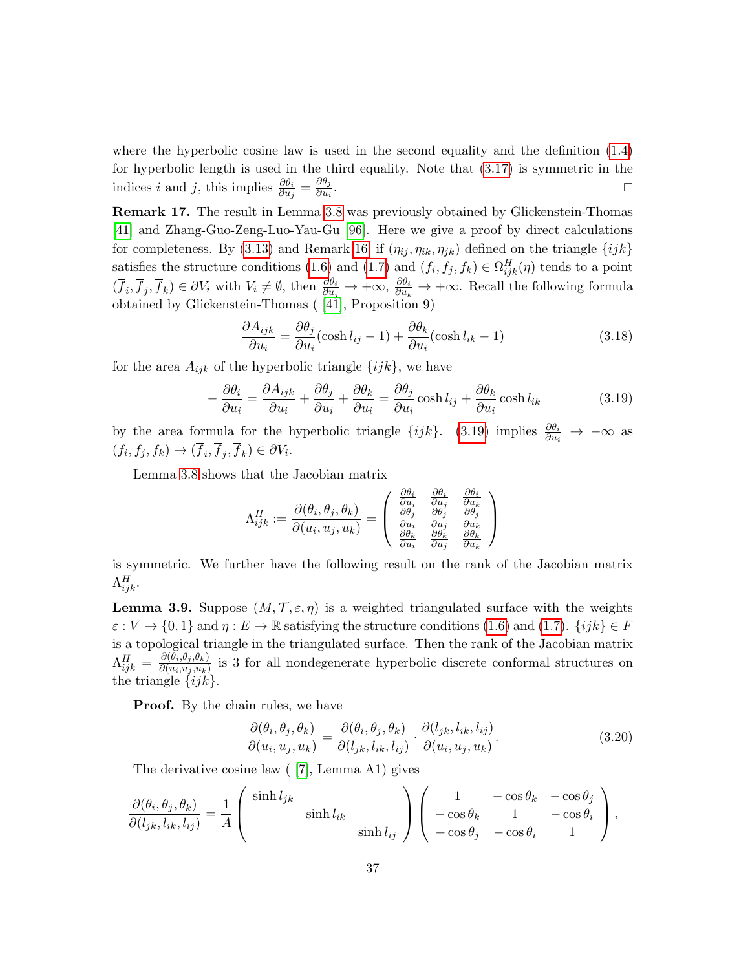where the hyperbolic cosine law is used in the second equality and the definition [\(1.4\)](#page-4-1) for hyperbolic length is used in the third equality. Note that [\(3.17\)](#page-35-6) is symmetric in the indices *i* and *j*, this implies  $\frac{\partial \theta_i}{\partial u_j} = \frac{\partial \theta_j}{\partial u_i}$  $\partial u_i$ . The contract of the contract of the contract of the contract of the contract of the contract of the contract of the contract of the contract of the contract of the contract of the contract of the contract of the contract

<span id="page-36-3"></span>Remark 17. The result in Lemma [3.8](#page-35-7) was previously obtained by Glickenstein-Thomas [\[41\]](#page-60-2) and Zhang-Guo-Zeng-Luo-Yau-Gu [\[96\]](#page-63-0). Here we give a proof by direct calculations for completeness. By [\(3.13\)](#page-35-8) and Remark [16,](#page-34-1) if  $(\eta_{ij}, \eta_{ik}, \eta_{jk})$  defined on the triangle  $\{ijk\}$ satisfies the structure conditions [\(1.6\)](#page-6-2) and [\(1.7\)](#page-6-3) and  $(f_i, f_j, f_k) \in \Omega_{ijk}^H(\eta)$  tends to a point  $(\overline{f}_i, \overline{f}_j, \overline{f}_k) \in \partial V_i$  with  $V_i \neq \emptyset$ , then  $\frac{\partial \theta_i}{\partial u_j} \to +\infty$ ,  $\frac{\partial \theta_i}{\partial u_k} \to +\infty$ . Recall the following formula obtained by Glickenstein-Thomas ( [\[41\]](#page-60-2), Proposition 9)

$$
\frac{\partial A_{ijk}}{\partial u_i} = \frac{\partial \theta_j}{\partial u_i} (\cosh l_{ij} - 1) + \frac{\partial \theta_k}{\partial u_i} (\cosh l_{ik} - 1)
$$
\n(3.18)

for the area  $A_{ijk}$  of the hyperbolic triangle  $\{ijk\}$ , we have

<span id="page-36-0"></span>
$$
-\frac{\partial \theta_i}{\partial u_i} = \frac{\partial A_{ijk}}{\partial u_i} + \frac{\partial \theta_j}{\partial u_i} + \frac{\partial \theta_k}{\partial u_i} = \frac{\partial \theta_j}{\partial u_i} \cosh l_{ij} + \frac{\partial \theta_k}{\partial u_i} \cosh l_{ik}
$$
(3.19)

by the area formula for the hyperbolic triangle  $\{ijk\}$ . [\(3.19\)](#page-36-0) implies  $\frac{\partial \theta_i}{\partial u_i} \to -\infty$  as  $(f_i, f_j, f_k) \rightarrow (f_i, f_j, f_k) \in \partial V_i.$ 

Lemma [3.8](#page-35-7) shows that the Jacobian matrix

$$
\Lambda_{ijk}^H:=\frac{\partial(\theta_i,\theta_j,\theta_k)}{\partial(u_i,u_j,u_k)}=\left(\begin{array}{ccc} \frac{\partial\theta_i}{\partial u_i} & \frac{\partial\theta_i}{\partial u_j} & \frac{\partial\theta_i}{\partial u_k} \\ \frac{\partial\theta_j}{\partial u_i} & \frac{\partial\theta_j}{\partial u_j} & \frac{\partial\theta_k}{\partial u_k} \\ \frac{\partial\theta_k}{\partial u_i} & \frac{\partial\theta_k}{\partial u_j} & \frac{\partial\theta_k}{\partial u_k} \end{array}\right)
$$

is symmetric. We further have the following result on the rank of the Jacobian matrix  $\Lambda^H_{ijk}$ .

<span id="page-36-2"></span>**Lemma 3.9.** Suppose  $(M, \mathcal{T}, \varepsilon, \eta)$  is a weighted triangulated surface with the weights  $\varepsilon : V \to \{0,1\}$  and  $\eta : E \to \mathbb{R}$  satisfying the structure conditions [\(1.6\)](#page-6-2) and [\(1.7\)](#page-6-3).  $\{ijk\} \in F$ is a topological triangle in the triangulated surface. Then the rank of the Jacobian matrix  $\Lambda_{ijk}^H = \frac{\partial(\theta_i, \theta_j, \theta_k)}{\partial(u_i, u_j, u_k)}$  $\frac{\partial(u_i, u_j, u_k)}{\partial(u_i, u_j, u_k)}$  is 3 for all nondegenerate hyperbolic discrete conformal structures on the triangle  $\{ijk\}$ .

**Proof.** By the chain rules, we have

<span id="page-36-1"></span>
$$
\frac{\partial(\theta_i, \theta_j, \theta_k)}{\partial(u_i, u_j, u_k)} = \frac{\partial(\theta_i, \theta_j, \theta_k)}{\partial(l_{jk}, l_{ik}, l_{ij})} \cdot \frac{\partial(l_{jk}, l_{ik}, l_{ij})}{\partial(u_i, u_j, u_k)}.
$$
(3.20)

The derivative cosine law ( [\[7\]](#page-59-1), Lemma A1) gives

$$
\frac{\partial(\theta_i, \theta_j, \theta_k)}{\partial(l_{jk}, l_{ik}, l_{ij})} = \frac{1}{A} \begin{pmatrix} \sinh l_{jk} \\ \sinh l_{ik} \\ \sinh l_{ij} \end{pmatrix} \begin{pmatrix} 1 & -\cos \theta_k & -\cos \theta_j \\ -\cos \theta_k & 1 & -\cos \theta_i \\ -\cos \theta_j & -\cos \theta_i & 1 \end{pmatrix},
$$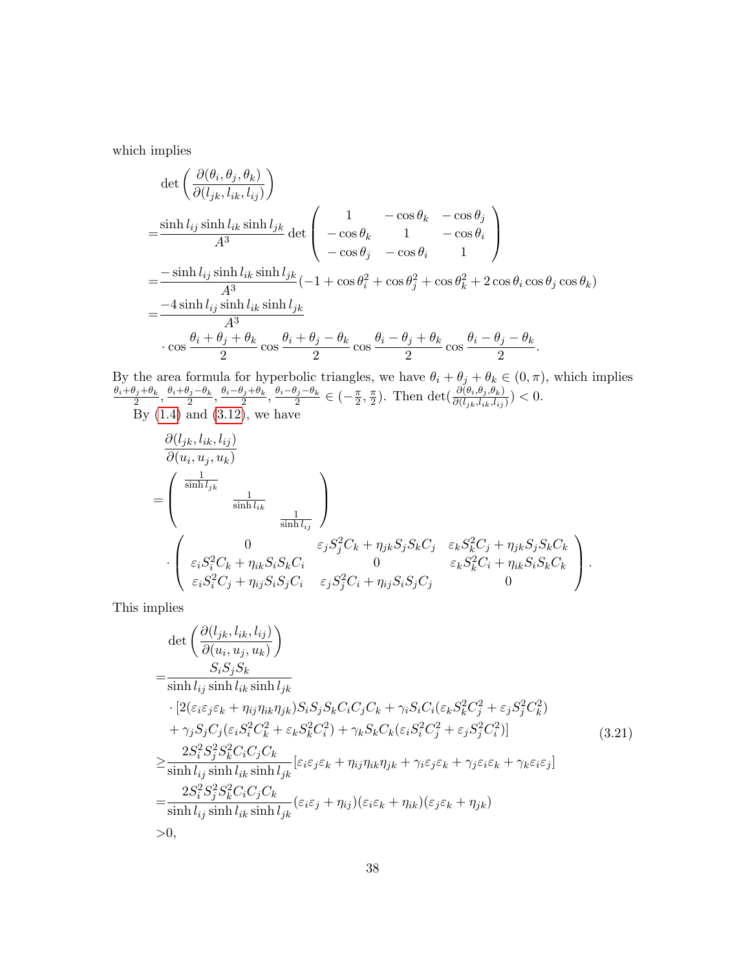which implies

$$
\det \left( \frac{\partial (\theta_i, \theta_j, \theta_k)}{\partial (l_{jk}, l_{ik}, l_{ij})} \right)
$$
\n
$$
= \frac{\sinh l_{ij} \sinh l_{ik} \sinh l_{jk}}{A^3} \det \begin{pmatrix} 1 & -\cos \theta_k & -\cos \theta_j \\ -\cos \theta_k & 1 & -\cos \theta_i \\ -\cos \theta_j & -\cos \theta_i & 1 \end{pmatrix}
$$
\n
$$
= \frac{-\sinh l_{ij} \sinh l_{ik} \sinh l_{jk}}{A^3} (-1 + \cos \theta_i^2 + \cos \theta_j^2 + \cos \theta_k^2 + 2 \cos \theta_i \cos \theta_j \cos \theta_k)
$$
\n
$$
= \frac{-4 \sinh l_{ij} \sinh l_{ik} \sinh l_{jk}}{A^3}
$$
\n
$$
\cdot \cos \frac{\theta_i + \theta_j + \theta_k}{2} \cos \frac{\theta_i + \theta_j - \theta_k}{2} \cos \frac{\theta_i - \theta_j + \theta_k}{2} \cos \frac{\theta_i - \theta_j - \theta_k}{2}.
$$

By the area formula for hyperbolic triangles, we have  $\theta_i + \theta_j + \theta_k \in (0, \pi)$ , which implies  $\theta_i+\theta_j+\theta_k$  $\frac{\theta_j+\theta_k}{2}, \frac{\theta_i+\theta_j-\theta_k}{2}$  $\frac{\theta_j-\theta_k}{2}, \frac{\theta_i-\theta_j+\theta_k}{2}$  $\frac{\theta_j+\theta_k}{2}, \frac{\theta_i-\theta_j-\theta_k}{2}$  $\frac{\partial j - \theta_k}{2} \in \left(-\frac{\pi}{2}, \frac{\pi}{2}\right)$ . Then det $\left(\frac{\partial (\theta_i, \theta_j, \theta_k)}{\partial (l_{jk}, l_{ik}, l_{ij})}\right) < 0$ .

By  $(1.4)$  and  $(3.12)$ , we have

$$
\frac{\partial (l_{jk}, l_{ik}, l_{ij})}{\partial (u_i, u_j, u_k)}
$$
\n
$$
= \begin{pmatrix}\n\frac{1}{\sinh l_{jk}} & \frac{1}{\sinh l_{ik}} \\
\frac{1}{\sinh l_{ij}} & \frac{1}{\sinh l_{ij}}\n\end{pmatrix}
$$
\n
$$
\cdot \begin{pmatrix}\n0 & \varepsilon_j S_j^2 C_k + \eta_{jk} S_j S_k C_j & \varepsilon_k S_k^2 C_j + \eta_{jk} S_j S_k C_k \\
\varepsilon_i S_i^2 C_k + \eta_{ik} S_i S_k C_i & 0 & \varepsilon_k S_k^2 C_i + \eta_{ik} S_i S_k C_k \\
\varepsilon_i S_i^2 C_j + \eta_{ij} S_i S_j C_i & \varepsilon_j S_j^2 C_i + \eta_{ij} S_i S_j C_j & 0\n\end{pmatrix}.
$$

This implies

<span id="page-37-0"></span>
$$
\det\left(\frac{\partial(l_{jk}, l_{ik}, l_{ij})}{\partial(u_i, u_j, u_k)}\right)
$$
\n
$$
=\frac{S_i S_j S_k}{\sinh l_{ij} \sinh l_{ik} \sinh l_{jk}}
$$
\n
$$
\cdot [2(\varepsilon_i \varepsilon_j \varepsilon_k + \eta_{ij} \eta_{ik} \eta_{jk}) S_i S_j S_k C_i C_j C_k + \gamma_i S_i C_i (\varepsilon_k S_k^2 C_j^2 + \varepsilon_j S_j^2 C_k^2) + \gamma_j S_j C_j (\varepsilon_i S_i^2 C_k^2 + \varepsilon_k S_k^2 C_i^2) + \gamma_k S_k C_k (\varepsilon_i S_i^2 C_j^2 + \varepsilon_j S_j^2 C_i^2)]
$$
\n
$$
\geq \frac{2S_i^2 S_j^2 S_k^2 C_i C_j C_k}{\sinh l_{ij} \sinh l_{ik} \sinh l_{jk}} [\varepsilon_i \varepsilon_j \varepsilon_k + \eta_{ij} \eta_{ik} \eta_{jk} + \gamma_i \varepsilon_j \varepsilon_k + \gamma_j \varepsilon_i \varepsilon_k + \gamma_k \varepsilon_i \varepsilon_j]
$$
\n
$$
=\frac{2S_i^2 S_j^2 S_k^2 C_i C_j C_k}{\sinh l_{ij} \sinh l_{ik} \sinh l_{jk}} (\varepsilon_i \varepsilon_j + \eta_{ij}) (\varepsilon_i \varepsilon_k + \eta_{ik}) (\varepsilon_j \varepsilon_k + \eta_{jk})
$$
\n
$$
>0,
$$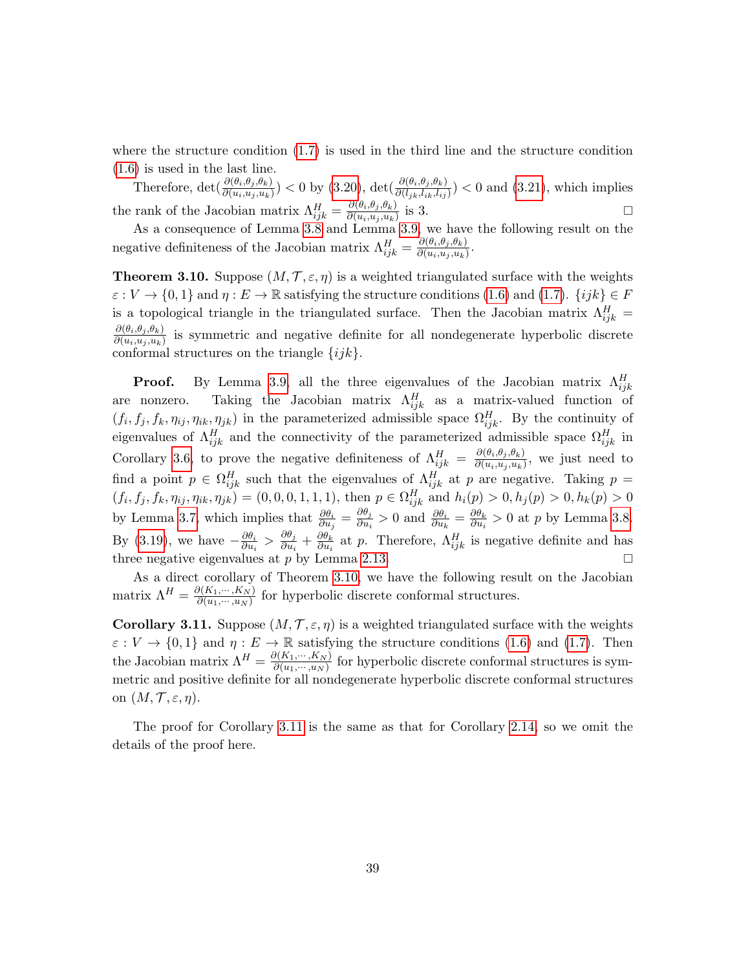where the structure condition  $(1.7)$  is used in the third line and the structure condition [\(1.6\)](#page-6-2) is used in the last line.

Therefore,  $\det(\frac{\partial(\theta_i,\theta_j,\theta_k)}{\partial(u_i,u_j,u_k)})$  < 0 by [\(3.20\)](#page-36-1),  $\det(\frac{\partial(\theta_i,\theta_j,\theta_k)}{\partial(l_{jk},l_{ik},l_{ij})})$  < 0 and [\(3.21\)](#page-37-0), which implies the rank of the Jacobian matrix  $\Lambda_{ijk}^H = \frac{\partial(\theta_i, \theta_j, \theta_k)}{\partial(u_i, u_j, u_k)}$  $\frac{\partial(\theta_i, \theta_j, \theta_k)}{\partial(u_i, u_j, u_k)}$  is 3.

As a consequence of Lemma [3.8](#page-35-7) and Lemma [3.9,](#page-36-2) we have the following result on the negative definiteness of the Jacobian matrix  $\Lambda_{ijk}^H = \frac{\partial (\theta_i, \theta_j, \theta_k)}{\partial (u_i, u_j, u_k)}$  $\partial(u_i,u_j,u_k)$ .

<span id="page-38-0"></span>**Theorem 3.10.** Suppose  $(M, \mathcal{T}, \varepsilon, \eta)$  is a weighted triangulated surface with the weights  $\varepsilon : V \to \{0,1\}$  and  $\eta : E \to \mathbb{R}$  satisfying the structure conditions [\(1.6\)](#page-6-2) and [\(1.7\)](#page-6-3).  $\{ijk\} \in F$ is a topological triangle in the triangulated surface. Then the Jacobian matrix  $\Lambda_{ijk}^H$  =  $\partial(\theta_i,\theta_j,\theta_k)$  $\frac{\partial(u_i, u_j, u_k)}{\partial(u_i, u_j, u_k)}$  is symmetric and negative definite for all nondegenerate hyperbolic discrete conformal structures on the triangle  $\{ijk\}.$ 

**Proof.** By Lemma [3.9,](#page-36-2) all the three eigenvalues of the Jacobian matrix  $\Lambda_{ijk}^H$ are nonzero. Taking the Jacobian matrix  $\Lambda_{ijk}^H$  as a matrix-valued function of  $(f_i, f_j, f_k, \eta_{ij}, \eta_{ik}, \eta_{jk})$  in the parameterized admissible space  $\Omega_{ijk}^H$ . By the continuity of eigenvalues of  $\Lambda_{ijk}^H$  and the connectivity of the parameterized admissible space  $\Omega_{ijk}^H$  in Corollary [3.6,](#page-34-0) to prove the negative definiteness of  $\Lambda_{ijk}^H = \frac{\partial (\theta_i, \theta_j, \theta_k)}{\partial (u_i, u_j, u_k)}$  $\frac{\partial(v_i, v_j, v_k)}{\partial(u_i, u_j, u_k)}$ , we just need to find a point  $p \in \Omega_{ijk}^H$  such that the eigenvalues of  $\Lambda_{ijk}^H$  at p are negative. Taking  $p =$  $(f_i, f_j, f_k, \eta_{ij}, \eta_{ik}, \eta_{jk}) = (0, 0, 0, 1, 1, 1)$ , then  $p \in \Omega_{ijk}^H$  and  $h_i(p) > 0, h_j(p) > 0, h_k(p) > 0$ by Lemma [3.7,](#page-34-2) which implies that  $\frac{\partial \theta_i}{\partial u_j} = \frac{\partial \theta_j}{\partial u_i}$  $\frac{\partial \theta_j}{\partial u_i} > 0$  and  $\frac{\partial \theta_i}{\partial u_k} = \frac{\partial \theta_k}{\partial u_i}$  $\frac{\partial \theta_k}{\partial u_i} > 0$  at p by Lemma [3.8.](#page-35-7) By [\(3.19\)](#page-36-0), we have  $-\frac{\partial \theta_i}{\partial w_i}$  $\frac{\partial \theta_i}{\partial u_i} > \frac{\partial \theta_j}{\partial u_i}$  $\frac{\partial \theta_j}{\partial u_i} + \frac{\partial \theta_k}{\partial u_i}$  $\frac{\partial \theta_k}{\partial u_i}$  at p. Therefore,  $\Lambda_{ijk}^H$  is negative definite and has three negative eigenvalues at p by Lemma [2.13.](#page-26-0)

As a direct corollary of Theorem [3.10,](#page-38-0) we have the following result on the Jacobian matrix  $\Lambda^H = \frac{\partial (K_1, \dots, K_N)}{\partial (u_1, \dots, u_N)}$  $\frac{\partial (h_1,\dots,h_N)}{\partial (u_1,\dots,u_N)}$  for hyperbolic discrete conformal structures.

<span id="page-38-1"></span>**Corollary 3.11.** Suppose  $(M, \mathcal{T}, \varepsilon, \eta)$  is a weighted triangulated surface with the weights  $\varepsilon : V \to \{0,1\}$  and  $\eta : E \to \mathbb{R}$  satisfying the structure conditions [\(1.6\)](#page-6-2) and [\(1.7\)](#page-6-3). Then the Jacobian matrix  $\Lambda^H = \frac{\partial (K_1, \dots, K_N)}{\partial (u_1, \dots, u_N)}$  $\frac{\partial (N_1,\dots,N_N)}{\partial (u_1,\dots,u_N)}$  for hyperbolic discrete conformal structures is symmetric and positive definite for all nondegenerate hyperbolic discrete conformal structures on  $(M, \mathcal{T}, \varepsilon, \eta)$ .

The proof for Corollary [3.11](#page-38-1) is the same as that for Corollary [2.14,](#page-26-1) so we omit the details of the proof here.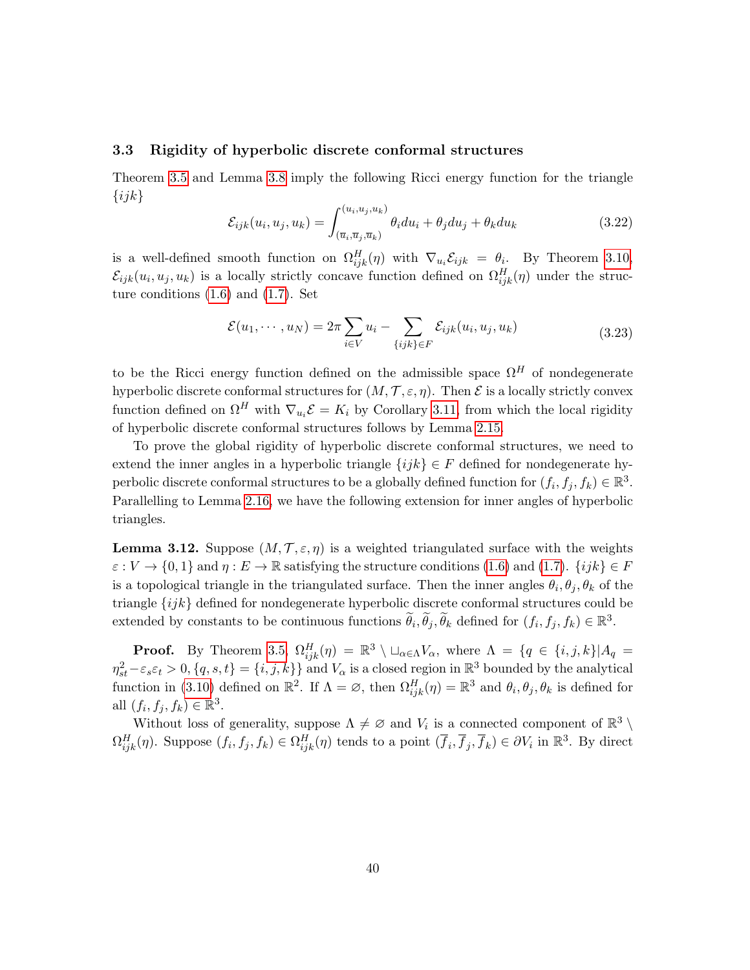#### <span id="page-39-0"></span>3.3 Rigidity of hyperbolic discrete conformal structures

Theorem [3.5](#page-33-3) and Lemma [3.8](#page-35-7) imply the following Ricci energy function for the triangle  $\{ijk\}$ 

<span id="page-39-2"></span>
$$
\mathcal{E}_{ijk}(u_i, u_j, u_k) = \int_{(\overline{u}_i, \overline{u}_j, \overline{u}_k)}^{(u_i, u_j, u_k)} \theta_i du_i + \theta_j du_j + \theta_k du_k
$$
\n(3.22)

is a well-defined smooth function on  $\Omega_{ijk}^H(\eta)$  with  $\nabla_{u_i}\mathcal{E}_{ijk} = \theta_i$ . By Theorem [3.10,](#page-38-0)  $\mathcal{E}_{ijk}(u_i, u_j, u_k)$  is a locally strictly concave function defined on  $\Omega_{ijk}^H(\eta)$  under the structure conditions  $(1.6)$  and  $(1.7)$ . Set

<span id="page-39-3"></span>
$$
\mathcal{E}(u_1,\dots,u_N) = 2\pi \sum_{i\in V} u_i - \sum_{\{ijk\}\in F} \mathcal{E}_{ijk}(u_i,u_j,u_k)
$$
\n(3.23)

to be the Ricci energy function defined on the admissible space  $\Omega^H$  of nondegenerate hyperbolic discrete conformal structures for  $(M, \mathcal{T}, \varepsilon, \eta)$ . Then  $\mathcal E$  is a locally strictly convex function defined on  $\Omega^H$  with  $\nabla_{u_i} \mathcal{E} = K_i$  by Corollary [3.11,](#page-38-1) from which the local rigidity of hyperbolic discrete conformal structures follows by Lemma [2.15.](#page-27-4)

To prove the global rigidity of hyperbolic discrete conformal structures, we need to extend the inner angles in a hyperbolic triangle  $\{ijk\} \in F$  defined for nondegenerate hyperbolic discrete conformal structures to be a globally defined function for  $(f_i, f_j, f_k) \in \mathbb{R}^3$ . Parallelling to Lemma [2.16,](#page-27-1) we have the following extension for inner angles of hyperbolic triangles.

<span id="page-39-1"></span>**Lemma 3.12.** Suppose  $(M, \mathcal{T}, \varepsilon, \eta)$  is a weighted triangulated surface with the weights  $\varepsilon: V \to \{0,1\}$  and  $\eta: E \to \mathbb{R}$  satisfying the structure conditions [\(1.6\)](#page-6-2) and [\(1.7\)](#page-6-3).  $\{ijk\} \in F$ is a topological triangle in the triangulated surface. Then the inner angles  $\theta_i, \theta_j, \theta_k$  of the triangle {ijk} defined for nondegenerate hyperbolic discrete conformal structures could be extended by constants to be continuous functions  $\tilde{\theta}_i$ ,  $\tilde{\theta}_j$ ,  $\tilde{\theta}_k$  defined for  $(f_i, f_j, f_k) \in \mathbb{R}^3$ .

**Proof.** By Theorem [3.5,](#page-33-3)  $\Omega_{ijk}^H(\eta) = \mathbb{R}^3 \setminus \square_{\alpha \in \Lambda} V_\alpha$ , where  $\Lambda = \{q \in \{i, j, k\} | A_q =$  $\eta_{st}^2 - \varepsilon_s \varepsilon_t > 0, \{q, s, t\} = \{i, j, k\}$  and  $V_\alpha$  is a closed region in  $\mathbb{R}^3$  bounded by the analytical function in [\(3.10\)](#page-33-4) defined on  $\mathbb{R}^2$ . If  $\Lambda = \emptyset$ , then  $\Omega_{ijk}^H(\eta) = \mathbb{R}^3$  and  $\theta_i, \theta_j, \theta_k$  is defined for all  $(f_i, f_j, f_k) \in \mathbb{R}^3$ .

Without loss of generality, suppose  $\Lambda \neq \emptyset$  and  $V_i$  is a connected component of  $\mathbb{R}^3 \setminus$  $\Omega_{ijk}^H(\eta)$ . Suppose  $(f_i, f_j, f_k) \in \Omega_{ijk}^H(\eta)$  tends to a point  $(\overline{f}_i, \overline{f}_j, \overline{f}_k) \in \partial V_i$  in  $\mathbb{R}^3$ . By direct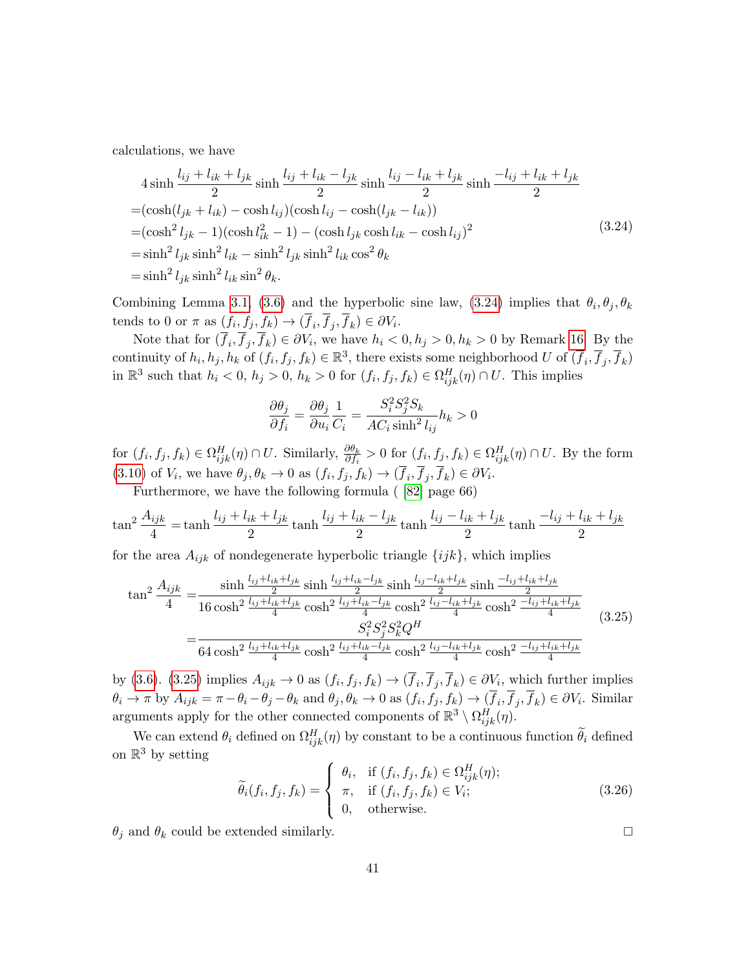calculations, we have

<span id="page-40-0"></span>
$$
4 \sinh \frac{l_{ij} + l_{ik} + l_{jk}}{2} \sinh \frac{l_{ij} + l_{ik} - l_{jk}}{2} \sinh \frac{l_{ij} - l_{ik} + l_{jk}}{2} \sinh \frac{-l_{ij} + l_{ik} + l_{jk}}{2}
$$
  
=  $(\cosh(l_{jk} + l_{ik}) - \cosh l_{ij})(\cosh l_{ij} - \cosh(l_{jk} - l_{ik}))$   
=  $(\cosh^2 l_{jk} - 1)(\cosh l_{ik}^2 - 1) - (\cosh l_{jk}\cosh l_{ik} - \cosh l_{ij})^2$   
=  $\sinh^2 l_{jk}\sinh^2 l_{ik} - \sinh^2 l_{jk}\sinh^2 l_{ik}\cos^2 \theta_k$   
=  $\sinh^2 l_{jk}\sinh^2 l_{ik}\sin^2 \theta_k$ . (3.24)

Combining Lemma [3.1,](#page-30-4) [\(3.6\)](#page-31-3) and the hyperbolic sine law, [\(3.24\)](#page-40-0) implies that  $\theta_i, \theta_j, \theta_k$ tends to 0 or  $\pi$  as  $(f_i, f_j, f_k) \rightarrow (f_i, f_j, f_k) \in \partial V_i$ .

Note that for  $(f_i, f_j, f_k) \in \partial V_i$ , we have  $h_i < 0, h_j > 0, h_k > 0$  by Remark [16.](#page-34-1) By the continuity of  $h_i, h_j, h_k$  of  $(f_i, f_j, f_k) \in \mathbb{R}^3$ , there exists some neighborhood U of  $(\overline{f}_i, \overline{f}_j, \overline{f}_k)$ in  $\mathbb{R}^3$  such that  $h_i < 0$ ,  $h_j > 0$ ,  $h_k > 0$  for  $(f_i, f_j, f_k) \in \Omega_{ijk}^H(\eta) \cap U$ . This implies

$$
\frac{\partial \theta_j}{\partial f_i} = \frac{\partial \theta_j}{\partial u_i} \frac{1}{C_i} = \frac{S_i^2 S_j^2 S_k}{A C_i \sinh^2 l_{ij}} h_k > 0
$$

for  $(f_i, f_j, f_k) \in \Omega_{ijk}^H(\eta) \cap U$ . Similarly,  $\frac{\partial \theta_k}{\partial f_i} > 0$  for  $(f_i, f_j, f_k) \in \Omega_{ijk}^H(\eta) \cap U$ . By the form [\(3.10\)](#page-33-4) of  $V_i$ , we have  $\theta_j, \theta_k \to 0$  as  $(f_i, f_j, f_k) \to (f_i, f_j, f_k) \in \partial V_i$ .

Furthermore, we have the following formula ( [\[82\]](#page-62-17) page 66)

$$
\tan^2 \frac{A_{ijk}}{4} = \tanh \frac{l_{ij} + l_{ik} + l_{jk}}{2} \tanh \frac{l_{ij} + l_{ik} - l_{jk}}{2} \tanh \frac{l_{ij} - l_{ik} + l_{jk}}{2} \tanh \frac{-l_{ij} + l_{ik} + l_{jk}}{2}
$$

for the area  $A_{ijk}$  of nondegenerate hyperbolic triangle  $\{ijk\}$ , which implies

<span id="page-40-1"></span>
$$
\tan^2 \frac{A_{ijk}}{4} = \frac{\sinh \frac{l_{ij} + l_{ik} + l_{jk}}{2} \sinh \frac{l_{ij} + l_{ik} - l_{jk}}{2} \sinh \frac{l_{ij} - l_{ik} + l_{jk}}{2} \sinh \frac{-l_{ij} + l_{ik} + l_{jk}}{2}}{16 \cosh^2 \frac{l_{ij} + l_{ik} + l_{jk}}{4} \cosh^2 \frac{l_{ij} + l_{ik} - l_{jk}}{4} \cosh^2 \frac{l_{ij} - l_{ik} + l_{jk}}{4} \cosh^2 \frac{-l_{ij} + l_{ik} + l_{jk}}{4}}{54 \cosh^2 \frac{l_{ij} + l_{ik} + l_{jk}}{4} \cosh^2 \frac{l_{ij} + l_{ik} - l_{jk}}{4} \cosh^2 \frac{l_{ij} + l_{ik} - l_{jk}}{4} \cosh^2 \frac{-l_{ik} + l_{jk}}{4} \cosh^2 \frac{-l_{ij} + l_{ik} + l_{jk}}{4}} \tag{3.25}
$$

by [\(3.6\)](#page-31-3). [\(3.25\)](#page-40-1) implies  $A_{ijk} \to 0$  as  $(f_i, f_j, f_k) \to (f_i, f_j, f_k) \in \partial V_i$ , which further implies  $\theta_i \to \pi$  by  $A_{ijk} = \pi - \theta_i - \theta_j - \theta_k$  and  $\theta_j, \theta_k \to 0$  as  $(f_i, f_j, f_k) \to (f_i, f_j, f_k) \in \partial V_i$ . Similar arguments apply for the other connected components of  $\mathbb{R}^3 \setminus \Omega_{ijk}^H(\eta)$ .

We can extend  $\theta_i$  defined on  $\Omega_{ijk}^H(\eta)$  by constant to be a continuous function  $\tilde{\theta}_i$  defined on  $\mathbb{R}^3$  by setting

<span id="page-40-2"></span>
$$
\widetilde{\theta}_i(f_i, f_j, f_k) = \begin{cases}\n\theta_i, & \text{if } (f_i, f_j, f_k) \in \Omega_{ijk}^H(\eta); \\
\pi, & \text{if } (f_i, f_j, f_k) \in V_i; \\
0, & \text{otherwise.} \n\end{cases}
$$
\n(3.26)

 $\theta_j$  and  $\theta_k$  could be extended similarly.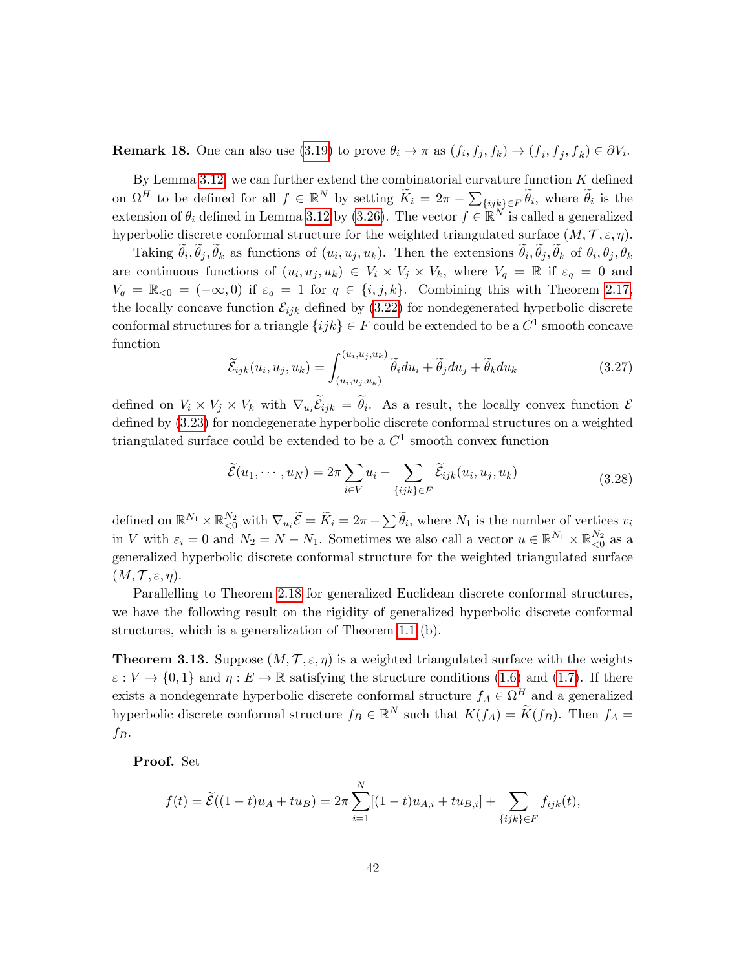**Remark 18.** One can also use  $(3.19)$  to prove  $\theta_i \to \pi$  as  $(f_i, f_j, f_k) \to (f_i, f_j, f_k) \in \partial V_i$ .

By Lemma [3.12,](#page-39-1) we can further extend the combinatorial curvature function  $K$  defined on  $\Omega^H$  to be defined for all  $f \in \mathbb{R}^N$  by setting  $\widetilde{K}_i = 2\pi - \sum_{\{ijk\} \in F} \widetilde{\theta}_i$ , where  $\widetilde{\theta}_i$  is the extension of  $\theta_i$  defined in Lemma [3.12](#page-39-1) by [\(3.26\)](#page-40-2). The vector  $f \in \mathbb{R}^N$  is called a generalized hyperbolic discrete conformal structure for the weighted triangulated surface  $(M, \mathcal{T}, \varepsilon, \eta)$ .

Taking  $\theta_i, \theta_j, \theta_k$  as functions of  $(u_i, u_j, u_k)$ . Then the extensions  $\theta_i, \theta_j, \theta_k$  of  $\theta_i, \theta_j, \theta_k$ are continuous functions of  $(u_i, u_j, u_k) \in V_i \times V_j \times V_k$ , where  $V_q = \mathbb{R}$  if  $\varepsilon_q = 0$  and  $V_q = \mathbb{R}_{\leq 0} = (-\infty, 0)$  if  $\varepsilon_q = 1$  for  $q \in \{i, j, k\}$ . Combining this with Theorem [2.17,](#page-29-0) the locally concave function  $\mathcal{E}_{ijk}$  defined by [\(3.22\)](#page-39-2) for nondegenerated hyperbolic discrete conformal structures for a triangle  $\{ijk\} \in F$  could be extended to be a  $C^1$  smooth concave function

$$
\widetilde{\mathcal{E}}_{ijk}(u_i, u_j, u_k) = \int_{(\overline{u}_i, \overline{u}_j, \overline{u}_k)}^{(u_i, u_j, u_k)} \widetilde{\theta}_i du_i + \widetilde{\theta}_j du_j + \widetilde{\theta}_k du_k
$$
\n(3.27)

defined on  $V_i \times V_j \times V_k$  with  $\nabla_{u_i} \mathcal{E}_{ijk} = \theta_i$ . As a result, the locally convex function  $\mathcal{E}$ defined by [\(3.23\)](#page-39-3) for nondegenerate hyperbolic discrete conformal structures on a weighted triangulated surface could be extended to be a  $C<sup>1</sup>$  smooth convex function

<span id="page-41-0"></span>
$$
\widetilde{\mathcal{E}}(u_1, \cdots, u_N) = 2\pi \sum_{i \in V} u_i - \sum_{\{ijk\} \in F} \widetilde{\mathcal{E}}_{ijk}(u_i, u_j, u_k)
$$
\n(3.28)

defined on  $\mathbb{R}^{N_1} \times \mathbb{R}_{\leq 0}^{N_2}$  with  $\nabla_{u_i} \widetilde{\mathcal{E}} = \widetilde{K}_i = 2\pi - \sum \widetilde{\theta}_i$ , where  $N_1$  is the number of vertices  $v_i$ in V with  $\varepsilon_i = 0$  and  $N_2 = N - N_1$ . Sometimes we also call a vector  $u \in \mathbb{R}^{N_1} \times \mathbb{R}_{\leq 0}^{N_2}$  as a generalized hyperbolic discrete conformal structure for the weighted triangulated surface  $(M, \mathcal{T}, \varepsilon, \eta).$ 

Parallelling to Theorem [2.18](#page-29-1) for generalized Euclidean discrete conformal structures, we have the following result on the rigidity of generalized hyperbolic discrete conformal structures, which is a generalization of Theorem [1.1](#page-6-1) (b).

**Theorem 3.13.** Suppose  $(M, \mathcal{T}, \varepsilon, \eta)$  is a weighted triangulated surface with the weights  $\varepsilon: V \to \{0,1\}$  and  $\eta: E \to \mathbb{R}$  satisfying the structure conditions [\(1.6\)](#page-6-2) and [\(1.7\)](#page-6-3). If there exists a nondegenrate hyperbolic discrete conformal structure  $f_A \in \Omega^H$  and a generalized hyperbolic discrete conformal structure  $f_B \in \mathbb{R}^N$  such that  $K(f_A) = \widetilde{K}(f_B)$ . Then  $f_A =$  $f_B$ .

Proof. Set

$$
f(t) = \widetilde{\mathcal{E}}((1-t)u_A + tu_B) = 2\pi \sum_{i=1}^N [(1-t)u_{A,i} + tu_{B,i}] + \sum_{\{ijk\} \in F} f_{ijk}(t),
$$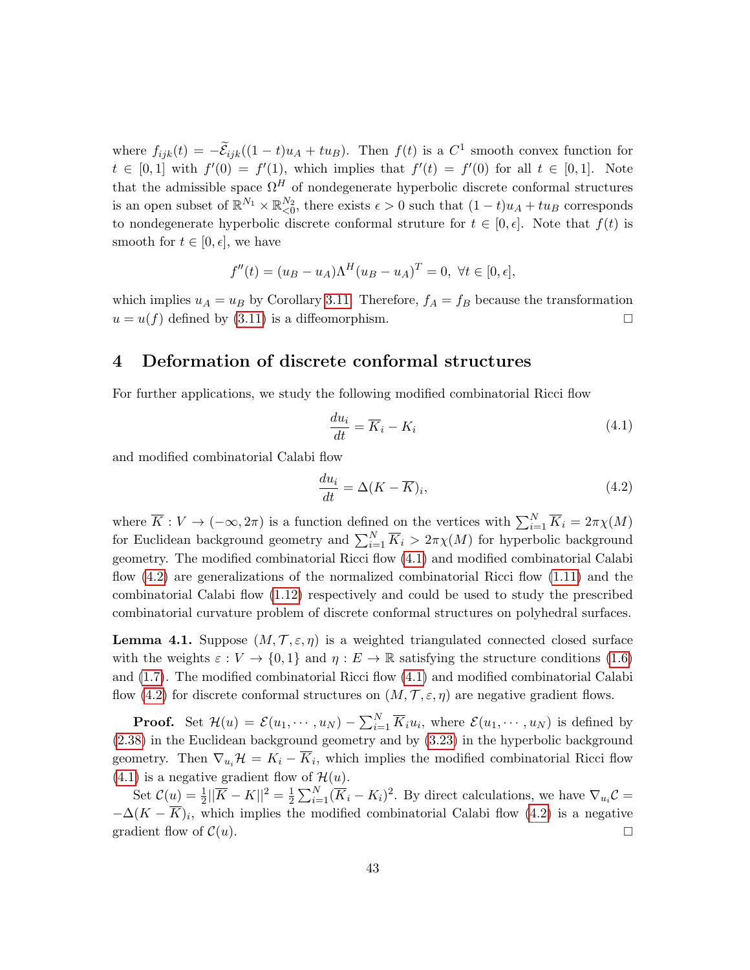where  $f_{ijk}(t) = -\tilde{E}_{ijk}((1-t)u_A + tu_B)$ . Then  $f(t)$  is a  $C^1$  smooth convex function for  $t \in [0,1]$  with  $f'(0) = f'(1)$ , which implies that  $f'(t) = f'(0)$  for all  $t \in [0,1]$ . Note that the admissible space  $\Omega^H$  of nondegenerate hyperbolic discrete conformal structures is an open subset of  $\mathbb{R}^{N_1} \times \mathbb{R}_{\leq 0}^{N_2}$ , there exists  $\epsilon > 0$  such that  $(1-t)u_A + tu_B$  corresponds to nondegenerate hyperbolic discrete conformal struture for  $t \in [0, \epsilon]$ . Note that  $f(t)$  is smooth for  $t \in [0, \epsilon]$ , we have

$$
f''(t) = (u_B - u_A)\Lambda^H (u_B - u_A)^T = 0, \ \forall t \in [0, \epsilon],
$$

which implies  $u_A = u_B$  by Corollary [3.11.](#page-38-1) Therefore,  $f_A = f_B$  because the transformation  $u = u(f)$  defined by [\(3.11\)](#page-35-1) is a diffeomorphism.

### <span id="page-42-0"></span>4 Deformation of discrete conformal structures

For further applications, we study the following modified combinatorial Ricci flow

<span id="page-42-1"></span>
$$
\frac{du_i}{dt} = \overline{K}_i - K_i \tag{4.1}
$$

and modified combinatorial Calabi flow

<span id="page-42-2"></span>
$$
\frac{du_i}{dt} = \Delta(K - \overline{K})_i,\tag{4.2}
$$

where  $\overline{K}: V \to (-\infty, 2\pi)$  is a function defined on the vertices with  $\sum_{i=1}^{N} \overline{K}_i = 2\pi \chi(M)$ for Euclidean background geometry and  $\sum_{i=1}^{N} \overline{K}_i > 2\pi \chi(M)$  for hyperbolic background geometry. The modified combinatorial Ricci flow [\(4.1\)](#page-42-1) and modified combinatorial Calabi flow [\(4.2\)](#page-42-2) are generalizations of the normalized combinatorial Ricci flow [\(1.11\)](#page-7-2) and the combinatorial Calabi flow [\(1.12\)](#page-9-1) respectively and could be used to study the prescribed combinatorial curvature problem of discrete conformal structures on polyhedral surfaces.

**Lemma 4.1.** Suppose  $(M, \mathcal{T}, \varepsilon, \eta)$  is a weighted triangulated connected closed surface with the weights  $\varepsilon : V \to \{0,1\}$  and  $\eta : E \to \mathbb{R}$  satisfying the structure conditions [\(1.6\)](#page-6-2) and [\(1.7\)](#page-6-3). The modified combinatorial Ricci flow [\(4.1\)](#page-42-1) and modified combinatorial Calabi flow [\(4.2\)](#page-42-2) for discrete conformal structures on  $(M, \mathcal{T}, \varepsilon, \eta)$  are negative gradient flows.

**Proof.** Set  $\mathcal{H}(u) = \mathcal{E}(u_1, \dots, u_N) - \sum_{i=1}^N \overline{K}_i u_i$ , where  $\mathcal{E}(u_1, \dots, u_N)$  is defined by [\(2.38\)](#page-27-3) in the Euclidean background geometry and by [\(3.23\)](#page-39-3) in the hyperbolic background geometry. Then  $\nabla_{u_i} \mathcal{H} = K_i - K_i$ , which implies the modified combinatorial Ricci flow [\(4.1\)](#page-42-1) is a negative gradient flow of  $\mathcal{H}(u)$ .

Set  $C(u) = \frac{1}{2} ||\overline{K} - K||^2 = \frac{1}{2}$  $\frac{1}{2}\sum_{i=1}^{N}(\overline{K}_{i}-K_{i})^{2}$ . By direct calculations, we have  $\nabla_{u_{i}}\mathcal{C} =$  $-\Delta(K - K)_i$ , which implies the modified combinatorial Calabi flow [\(4.2\)](#page-42-2) is a negative gradient flow of  $\mathcal{C}(u)$ .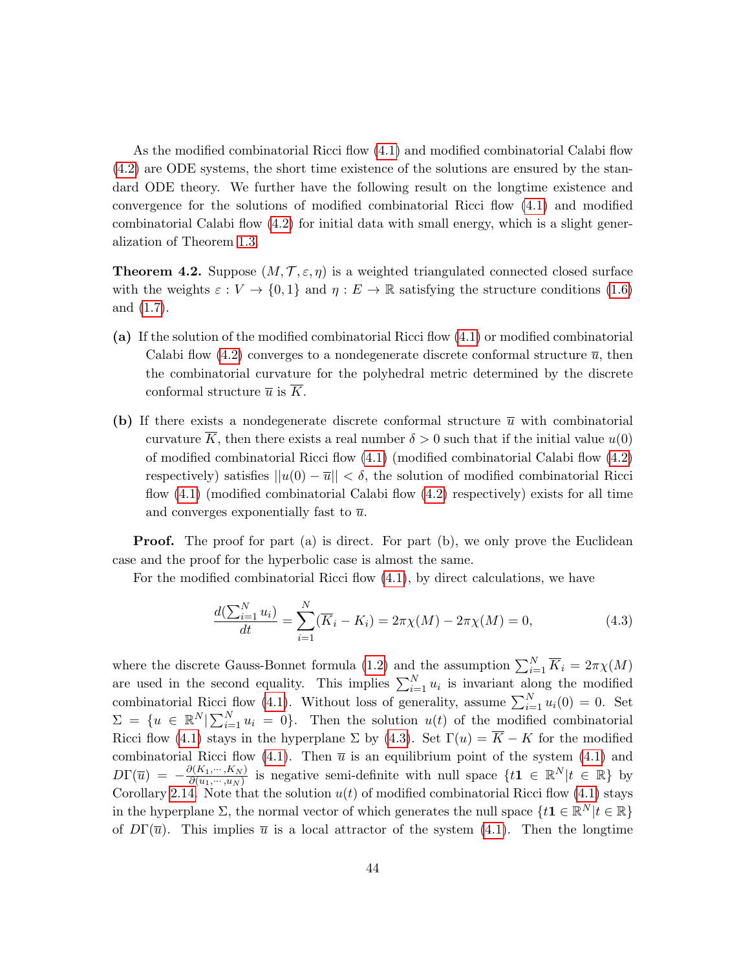As the modified combinatorial Ricci flow [\(4.1\)](#page-42-1) and modified combinatorial Calabi flow [\(4.2\)](#page-42-2) are ODE systems, the short time existence of the solutions are ensured by the standard ODE theory. We further have the following result on the longtime existence and convergence for the solutions of modified combinatorial Ricci flow [\(4.1\)](#page-42-1) and modified combinatorial Calabi flow [\(4.2\)](#page-42-2) for initial data with small energy, which is a slight generalization of Theorem [1.3.](#page-10-0)

**Theorem 4.2.** Suppose  $(M, \mathcal{T}, \varepsilon, \eta)$  is a weighted triangulated connected closed surface with the weights  $\varepsilon : V \to \{0,1\}$  and  $\eta : E \to \mathbb{R}$  satisfying the structure conditions [\(1.6\)](#page-6-2) and [\(1.7\)](#page-6-3).

- (a) If the solution of the modified combinatorial Ricci flow [\(4.1\)](#page-42-1) or modified combinatorial Calabi flow [\(4.2\)](#page-42-2) converges to a nondegenerate discrete conformal structure  $\bar{u}$ , then the combinatorial curvature for the polyhedral metric determined by the discrete conformal structure  $\overline{u}$  is  $\overline{K}$ .
- (b) If there exists a nondegenerate discrete conformal structure  $\bar{u}$  with combinatorial curvature  $\overline{K}$ , then there exists a real number  $\delta > 0$  such that if the initial value  $u(0)$ of modified combinatorial Ricci flow [\(4.1\)](#page-42-1) (modified combinatorial Calabi flow [\(4.2\)](#page-42-2) respectively) satisfies  $||u(0) - \overline{u}|| < \delta$ , the solution of modified combinatorial Ricci flow [\(4.1\)](#page-42-1) (modified combinatorial Calabi flow [\(4.2\)](#page-42-2) respectively) exists for all time and converges exponentially fast to  $\overline{u}$ .

**Proof.** The proof for part (a) is direct. For part (b), we only prove the Euclidean case and the proof for the hyperbolic case is almost the same.

For the modified combinatorial Ricci flow [\(4.1\)](#page-42-1), by direct calculations, we have

<span id="page-43-0"></span>
$$
\frac{d(\sum_{i=1}^{N} u_i)}{dt} = \sum_{i=1}^{N} (\overline{K}_i - K_i) = 2\pi \chi(M) - 2\pi \chi(M) = 0,
$$
\n(4.3)

where the discrete Gauss-Bonnet formula [\(1.2\)](#page-3-3) and the assumption  $\sum_{i=1}^{N} \overline{K}_i = 2\pi \chi(M)$ are used in the second equality. This implies  $\sum_{i=1}^{N} u_i$  is invariant along the modified combinatorial Ricci flow [\(4.1\)](#page-42-1). Without loss of generality, assume  $\sum_{i=1}^{N} u_i(0) = 0$ . Set  $\Sigma = \{u \in \mathbb{R}^N | \sum_{i=1}^N u_i = 0\}.$  Then the solution  $u(t)$  of the modified combinatorial Ricci flow [\(4.1\)](#page-42-1) stays in the hyperplane  $\Sigma$  by [\(4.3\)](#page-43-0). Set  $\Gamma(u) = \overline{K} - K$  for the modified combinatorial Ricci flow [\(4.1\)](#page-42-1). Then  $\bar{u}$  is an equilibrium point of the system (4.1) and  $D\Gamma(\overline{u}) = -\frac{\partial (K_1,\cdots,K_N)}{\partial (u_1,\cdots,u_N)}$  $\frac{\partial (K_1,\dots,K_N)}{\partial (u_1,\dots,u_N)}$  is negative semi-definite with null space  $\{t\mathbf{1} \in \mathbb{R}^N | t \in \mathbb{R}\}$  by Corollary [2.14.](#page-26-1) Note that the solution  $u(t)$  of modified combinatorial Ricci flow [\(4.1\)](#page-42-1) stays in the hyperplane  $\Sigma$ , the normal vector of which generates the null space  $\{t\mathbf{1} \in \mathbb{R}^N | t \in \mathbb{R}\}$ of  $D\Gamma(\overline{u})$ . This implies  $\overline{u}$  is a local attractor of the system [\(4.1\)](#page-42-1). Then the longtime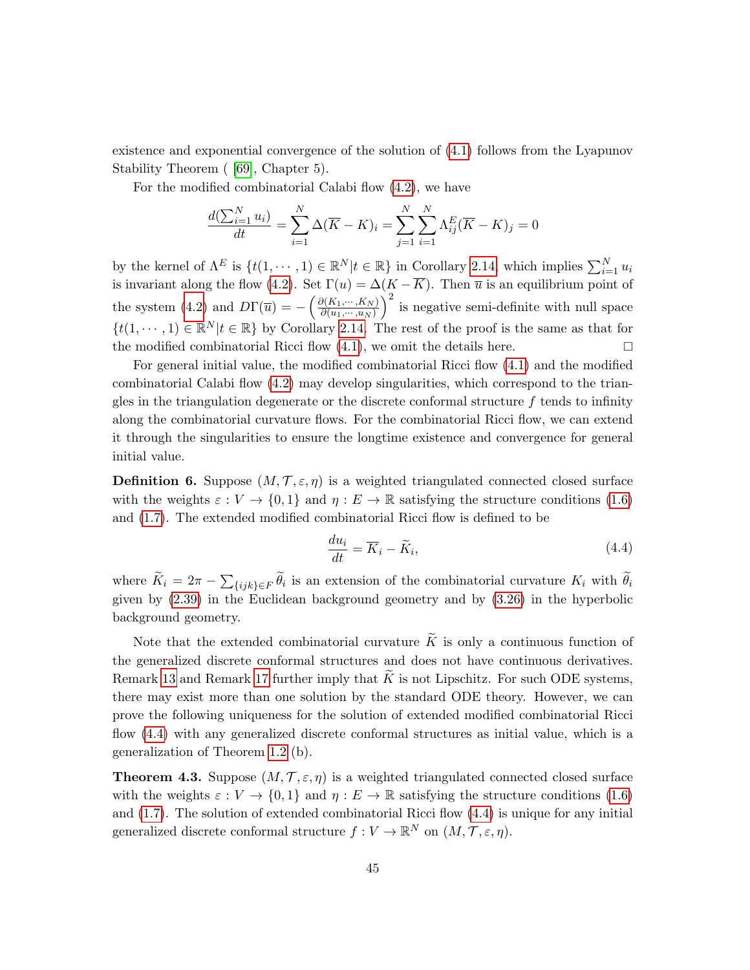existence and exponential convergence of the solution of [\(4.1\)](#page-42-1) follows from the Lyapunov Stability Theorem ( [\[69\]](#page-62-18), Chapter 5).

For the modified combinatorial Calabi flow [\(4.2\)](#page-42-2), we have

$$
\frac{d(\sum_{i=1}^{N} u_i)}{dt} = \sum_{i=1}^{N} \Delta(\overline{K} - K)_i = \sum_{j=1}^{N} \sum_{i=1}^{N} \Lambda_{ij}^{E} (\overline{K} - K)_j = 0
$$

by the kernel of  $\Lambda^E$  is  $\{t(1,\dots,1)\in\mathbb{R}^N | t \in \mathbb{R}\}$  in Corollary [2.14,](#page-26-1) which implies  $\sum_{i=1}^N u_i$ is invariant along the flow [\(4.2\)](#page-42-2). Set  $\Gamma(u) = \Delta(K - K)$ . Then  $\overline{u}$  is an equilibrium point of the system [\(4.2\)](#page-42-2) and  $D\Gamma(\overline{u}) = -\left(\frac{\partial (K_1,\dots,K_N)}{\partial (u_1,\dots,u_N)}\right)$  $\partial (u_1,\cdots,u_N)$  $\big)^2$  is negative semi-definite with null space  $\{t(1,\dots,1)\in\mathbb{R}^N|t\in\mathbb{R}\}\$  by Corollary [2.14.](#page-26-1) The rest of the proof is the same as that for the modified combinatorial Ricci flow  $(4.1)$ , we omit the details here.

For general initial value, the modified combinatorial Ricci flow [\(4.1\)](#page-42-1) and the modified combinatorial Calabi flow [\(4.2\)](#page-42-2) may develop singularities, which correspond to the triangles in the triangulation degenerate or the discrete conformal structure  $f$  tends to infinity along the combinatorial curvature flows. For the combinatorial Ricci flow, we can extend it through the singularities to ensure the longtime existence and convergence for general initial value.

**Definition 6.** Suppose  $(M, \mathcal{T}, \varepsilon, \eta)$  is a weighted triangulated connected closed surface with the weights  $\varepsilon : V \to \{0,1\}$  and  $\eta : E \to \mathbb{R}$  satisfying the structure conditions [\(1.6\)](#page-6-2) and [\(1.7\)](#page-6-3). The extended modified combinatorial Ricci flow is defined to be

<span id="page-44-0"></span>
$$
\frac{du_i}{dt} = \overline{K}_i - \widetilde{K}_i,\tag{4.4}
$$

where  $K_i = 2\pi - \sum_{\{ijk\} \in F} \theta_i$  is an extension of the combinatorial curvature  $K_i$  with  $\theta_i$ given by [\(2.39\)](#page-28-0) in the Euclidean background geometry and by [\(3.26\)](#page-40-2) in the hyperbolic background geometry.

Note that the extended combinatorial curvature  $\tilde{K}$  is only a continuous function of the generalized discrete conformal structures and does not have continuous derivatives. Remark [13](#page-24-3) and Remark [17](#page-36-3) further imply that  $\widetilde{K}$  is not Lipschitz. For such ODE systems, there may exist more than one solution by the standard ODE theory. However, we can prove the following uniqueness for the solution of extended modified combinatorial Ricci flow [\(4.4\)](#page-44-0) with any generalized discrete conformal structures as initial value, which is a generalization of Theorem [1.2](#page-8-0) (b).

**Theorem 4.3.** Suppose  $(M, \mathcal{T}, \varepsilon, \eta)$  is a weighted triangulated connected closed surface with the weights  $\varepsilon : V \to \{0,1\}$  and  $\eta : E \to \mathbb{R}$  satisfying the structure conditions [\(1.6\)](#page-6-2) and [\(1.7\)](#page-6-3). The solution of extended combinatorial Ricci flow [\(4.4\)](#page-44-0) is unique for any initial generalized discrete conformal structure  $f: V \to \mathbb{R}^N$  on  $(M, \mathcal{T}, \varepsilon, \eta)$ .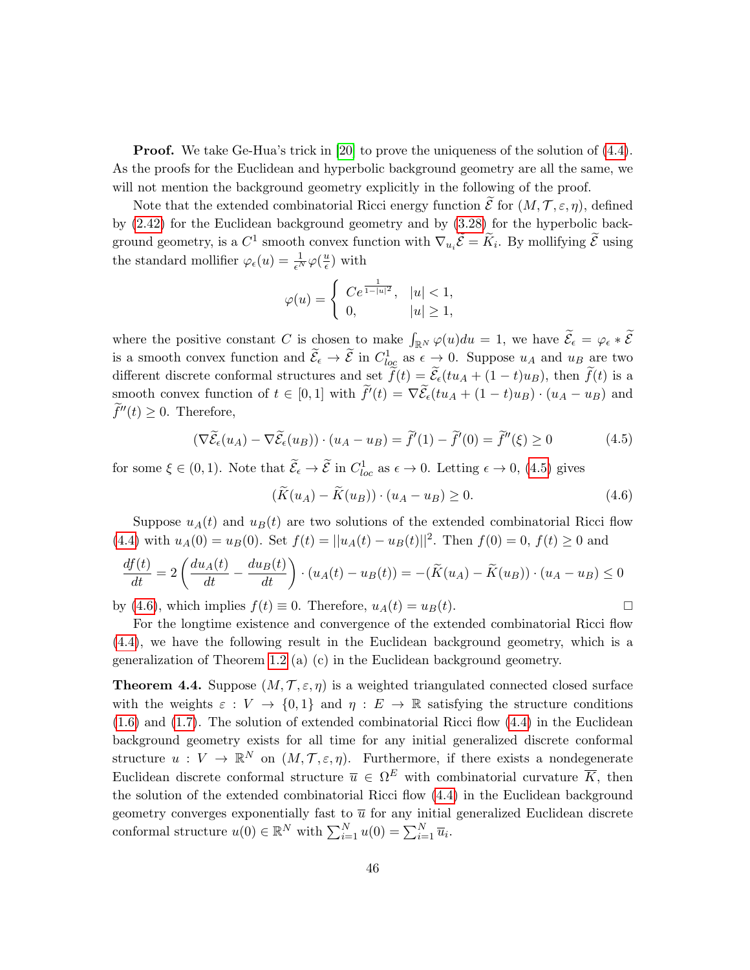**Proof.** We take Ge-Hua's trick in [\[20\]](#page-59-11) to prove the uniqueness of the solution of  $(4.4)$ . As the proofs for the Euclidean and hyperbolic background geometry are all the same, we will not mention the background geometry explicitly in the following of the proof.

Note that the extended combinatorial Ricci energy function  $\mathcal E$  for  $(M, \mathcal T, \varepsilon, \eta)$ , defined by [\(2.42\)](#page-29-2) for the Euclidean background geometry and by [\(3.28\)](#page-41-0) for the hyperbolic background geometry, is a  $C^1$  smooth convex function with  $\nabla_{u_i}\tilde{\mathcal{E}} = \tilde{K}_i$ . By mollifying  $\tilde{\mathcal{E}}$  using the standard mollifier  $\varphi_{\epsilon}(u) = \frac{1}{\epsilon^N} \varphi(\frac{u}{\epsilon})$  $\frac{u}{\epsilon}$ ) with

$$
\varphi(u) = \begin{cases} C e^{\frac{1}{1-|u|^2}}, & |u| < 1, \\ 0, & |u| \ge 1, \end{cases}
$$

where the positive constant C is chosen to make  $\int_{\mathbb{R}^N} \varphi(u) du = 1$ , we have  $\mathcal{E}_{\epsilon} = \varphi_{\epsilon} * \mathcal{E}$ is a smooth convex function and  $\tilde{\mathcal{E}}_{\epsilon} \to \tilde{\mathcal{E}}$  in  $C_{loc}^1$  as  $\epsilon \to 0$ . Suppose  $u_A$  and  $u_B$  are two different discrete conformal structures and set  $\tilde{f}(t) = \tilde{\mathcal{E}}_{\epsilon}(tu_A + (1-t)u_B)$ , then  $\tilde{f}(t)$  is a smooth convex function of  $t \in [0,1]$  with  $\tilde{f}'(t) = \nabla \tilde{\mathcal{E}}_{\epsilon}(tu_A + (1-t)u_B) \cdot (u_A - u_B)$  and  $f''(t) \geq 0$ . Therefore,

<span id="page-45-0"></span>
$$
(\nabla \widetilde{\mathcal{E}}_{\epsilon}(u_A) - \nabla \widetilde{\mathcal{E}}_{\epsilon}(u_B)) \cdot (u_A - u_B) = \widetilde{f}'(1) - \widetilde{f}'(0) = \widetilde{f}''(\xi) \ge 0
$$
\n(4.5)

for some  $\xi \in (0,1)$ . Note that  $\widetilde{\mathcal{E}}_{\epsilon} \to \widetilde{\mathcal{E}}$  in  $C^1_{loc}$  as  $\epsilon \to 0$ . Letting  $\epsilon \to 0$ , [\(4.5\)](#page-45-0) gives

<span id="page-45-1"></span>
$$
(\widetilde{K}(u_A) - \widetilde{K}(u_B)) \cdot (u_A - u_B) \ge 0. \tag{4.6}
$$

Suppose  $u_A(t)$  and  $u_B(t)$  are two solutions of the extended combinatorial Ricci flow [\(4.4\)](#page-44-0) with  $u_A(0) = u_B(0)$ . Set  $f(t) = ||u_A(t) - u_B(t)||^2$ . Then  $f(0) = 0$ ,  $f(t) \ge 0$  and

$$
\frac{df(t)}{dt} = 2\left(\frac{du_A(t)}{dt} - \frac{du_B(t)}{dt}\right) \cdot (u_A(t) - u_B(t)) = -(\widetilde{K}(u_A) - \widetilde{K}(u_B)) \cdot (u_A - u_B) \le 0
$$

by [\(4.6\)](#page-45-1), which implies  $f(t) \equiv 0$ . Therefore,  $u_A(t) = u_B(t)$ .

$$
\sqcup
$$

For the longtime existence and convergence of the extended combinatorial Ricci flow [\(4.4\)](#page-44-0), we have the following result in the Euclidean background geometry, which is a generalization of Theorem [1.2](#page-8-0) (a) (c) in the Euclidean background geometry.

<span id="page-45-2"></span>**Theorem 4.4.** Suppose  $(M, \mathcal{T}, \varepsilon, \eta)$  is a weighted triangulated connected closed surface with the weights  $\varepsilon : V \to \{0,1\}$  and  $\eta : E \to \mathbb{R}$  satisfying the structure conditions  $(1.6)$  and  $(1.7)$ . The solution of extended combinatorial Ricci flow  $(4.4)$  in the Euclidean background geometry exists for all time for any initial generalized discrete conformal structure  $u: V \to \mathbb{R}^N$  on  $(M, \mathcal{T}, \varepsilon, \eta)$ . Furthermore, if there exists a nondegenerate Euclidean discrete conformal structure  $\bar{u} \in \Omega^E$  with combinatorial curvature  $\bar{K}$ , then the solution of the extended combinatorial Ricci flow [\(4.4\)](#page-44-0) in the Euclidean background geometry converges exponentially fast to  $\bar{u}$  for any initial generalized Euclidean discrete conformal structure  $u(0) \in \mathbb{R}^N$  with  $\sum_{i=1}^N u(0) = \sum_{i=1}^N \overline{u}_i$ .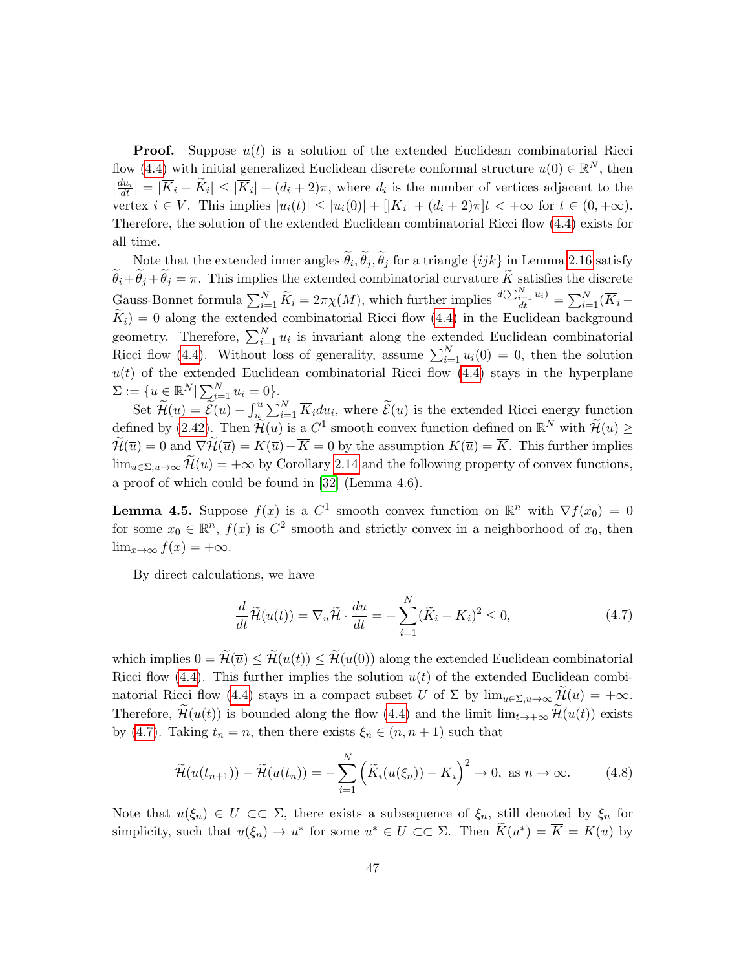**Proof.** Suppose  $u(t)$  is a solution of the extended Euclidean combinatorial Ricci flow [\(4.4\)](#page-44-0) with initial generalized Euclidean discrete conformal structure  $u(0) \in \mathbb{R}^N$ , then  $\left|\frac{du_i}{dt}\right| = |\overline{K}_i - \widetilde{K}_i| \leq |\overline{K}_i| + (d_i + 2)\pi$ , where  $d_i$  is the number of vertices adjacent to the vertex  $i \in V$ . This implies  $|u_i(t)| \leq |u_i(0)| + |\overline{K}_i| + (d_i + 2)\pi]t < +\infty$  for  $t \in (0, +\infty)$ . Therefore, the solution of the extended Euclidean combinatorial Ricci flow [\(4.4\)](#page-44-0) exists for all time.

Note that the extended inner angles  $\theta_i$ ,  $\theta_j$ ,  $\theta_j$  for a triangle  $\{ijk\}$  in Lemma [2.16](#page-27-1) satisfy  $\sim$  $\widetilde{\theta}_i+\widetilde{\theta}_j+\widetilde{\theta}_j=\pi$ . This implies the extended combinatorial curvature  $\widetilde{K}$  satisfies the discrete Gauss-Bonnet formula  $\sum_{i=1}^{N} \widetilde{K}_i = 2\pi \chi(M)$ , which further implies  $\frac{d(\sum_{i=1}^{N} u_i)}{dt} = \sum_{i=1}^{N} (\overline{K}_i - \overline{K}_i)$  $\widetilde{K}_i$  = 0 along the extended combinatorial Ricci flow [\(4.4\)](#page-44-0) in the Euclidean background geometry. Therefore,  $\sum_{i=1}^{N} u_i$  is invariant along the extended Euclidean combinatorial Ricci flow [\(4.4\)](#page-44-0). Without loss of generality, assume  $\sum_{i=1}^{N} u_i(0) = 0$ , then the solution  $u(t)$  of the extended Euclidean combinatorial Ricci flow  $(4.4)$  stays in the hyperplane  $\Sigma := \{ u \in \mathbb{R}^N | \sum_{i=1}^N u_i = 0 \}.$ 

Set  $\widetilde{\mathcal{H}}(u) = \widetilde{\mathcal{E}}(u) - \int_{\overline{\mathcal{H}}}^{u} \sum_{i=1}^{N} \overline{K}_i du_i$ , where  $\widetilde{\mathcal{E}}(u)$  is the extended Ricci energy function defined by  $(2.42)$ . Then  $\widetilde{\mathcal{H}}(u)$  is a  $C^1$  smooth convex function defined on  $\mathbb{R}^N$  with  $\widetilde{\mathcal{H}}(u) \geq$  $\widetilde{\mathcal{H}}(\overline{u}) = 0$  and  $\nabla \widetilde{\mathcal{H}}(\overline{u}) = K(\overline{u}) - \overline{K} = 0$  by the assumption  $K(\overline{u}) = \overline{K}$ . This further implies  $\lim_{u \in \Sigma, u \to \infty} \widetilde{\mathcal{H}}(u) = +\infty$  by Corollary [2.14](#page-26-1) and the following property of convex functions, a proof of which could be found in [\[32\]](#page-60-19) (Lemma 4.6).

<span id="page-46-2"></span>**Lemma 4.5.** Suppose  $f(x)$  is a  $C^1$  smooth convex function on  $\mathbb{R}^n$  with  $\nabla f(x_0) = 0$ for some  $x_0 \in \mathbb{R}^n$ ,  $f(x)$  is  $C^2$  smooth and strictly convex in a neighborhood of  $x_0$ , then  $\lim_{x\to\infty} f(x) = +\infty.$ 

By direct calculations, we have

<span id="page-46-0"></span>
$$
\frac{d}{dt}\widetilde{\mathcal{H}}(u(t)) = \nabla_u \widetilde{\mathcal{H}} \cdot \frac{du}{dt} = -\sum_{i=1}^N (\widetilde{K}_i - \overline{K}_i)^2 \le 0,
$$
\n(4.7)

which implies  $0 = \widetilde{\mathcal{H}}(\overline{u}) \leq \widetilde{\mathcal{H}}(u(t)) \leq \widetilde{\mathcal{H}}(u(0))$  along the extended Euclidean combinatorial Ricci flow [\(4.4\)](#page-44-0). This further implies the solution  $u(t)$  of the extended Euclidean combi-natorial Ricci flow [\(4.4\)](#page-44-0) stays in a compact subset U of  $\Sigma$  by  $\lim_{u \in \Sigma, u \to \infty} \mathcal{H}(u) = +\infty$ . Therefore,  $\widetilde{\mathcal{H}}(u(t))$  is bounded along the flow [\(4.4\)](#page-44-0) and the limit  $\lim_{t\to+\infty}\widetilde{\mathcal{H}}(u(t))$  exists by [\(4.7\)](#page-46-0). Taking  $t_n = n$ , then there exists  $\xi_n \in (n, n+1)$  such that

<span id="page-46-1"></span>
$$
\widetilde{\mathcal{H}}(u(t_{n+1})) - \widetilde{\mathcal{H}}(u(t_n)) = -\sum_{i=1}^N \left( \widetilde{K}_i(u(\xi_n)) - \overline{K}_i \right)^2 \to 0, \text{ as } n \to \infty.
$$
 (4.8)

Note that  $u(\xi_n) \in U \subset \Sigma$ , there exists a subsequence of  $\xi_n$ , still denoted by  $\xi_n$  for simplicity, such that  $u(\xi_n) \to u^*$  for some  $u^* \in U \subset\subset \Sigma$ . Then  $\widetilde{K}(u^*) = \overline{K} = K(\overline{u})$  by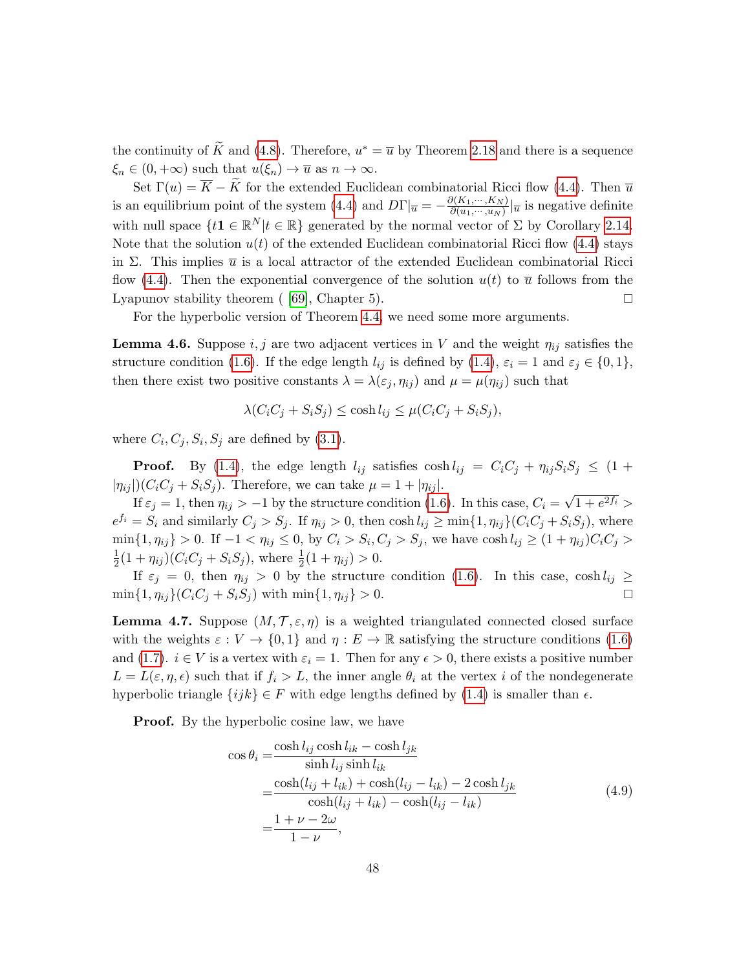the continuity of  $\tilde{K}$  and [\(4.8\)](#page-46-1). Therefore,  $u^* = \overline{u}$  by Theorem [2.18](#page-29-1) and there is a sequence  $\xi_n \in (0, +\infty)$  such that  $u(\xi_n) \to \overline{u}$  as  $n \to \infty$ .

Set  $\Gamma(u) = \overline{K} - \widetilde{K}$  for the extended Euclidean combinatorial Ricci flow [\(4.4\)](#page-44-0). Then  $\overline{u}$ is an equilibrium point of the system [\(4.4\)](#page-44-0) and  $D\Gamma|_{\overline{u}} = -\frac{\partial (K_1,\dots,K_N)}{\partial (u_1,\dots,u_N)}$  $\frac{\partial (\mathbf{A}_1, \cdots, \mathbf{A}_N)}{\partial (u_1, \cdots, u_N)} \big|_{\overline{u}}$  is negative definite with null space  $\{t\mathbf{1} \in \mathbb{R}^N | t \in \mathbb{R}\}$  generated by the normal vector of  $\Sigma$  by Corollary [2.14.](#page-26-1) Note that the solution  $u(t)$  of the extended Euclidean combinatorial Ricci flow [\(4.4\)](#page-44-0) stays in Σ. This implies  $\bar{u}$  is a local attractor of the extended Euclidean combinatorial Ricci flow [\(4.4\)](#page-44-0). Then the exponential convergence of the solution  $u(t)$  to  $\overline{u}$  follows from the Lyapunov stability theorem  $(69)$ , Chapter 5).

For the hyperbolic version of Theorem [4.4,](#page-45-2) we need some more arguments.

<span id="page-47-0"></span>**Lemma 4.6.** Suppose i, j are two adjacent vertices in V and the weight  $\eta_{ij}$  satisfies the structure condition [\(1.6\)](#page-6-2). If the edge length  $l_{ij}$  is defined by [\(1.4\)](#page-4-1),  $\varepsilon_i = 1$  and  $\varepsilon_j \in \{0, 1\}$ , then there exist two positive constants  $\lambda = \lambda(\varepsilon_j, \eta_{ij})$  and  $\mu = \mu(\eta_{ij})$  such that

$$
\lambda(C_iC_j + S_iS_j) \le \cosh l_{ij} \le \mu(C_iC_j + S_iS_j),
$$

where  $C_i, C_j, S_i, S_j$  are defined by  $(3.1)$ .

**Proof.** By [\(1.4\)](#page-4-1), the edge length  $l_{ij}$  satisfies  $\cosh l_{ij} = C_i C_j + \eta_{ij} S_i S_j \leq (1 +$  $|\eta_{ij}|(C_iC_j + S_iS_j)$ . Therefore, we can take  $\mu = 1 + |\eta_{ij}|$ . √

If  $\varepsilon_j = 1$ , then  $\eta_{ij} > -1$  by the structure condition [\(1.6\)](#page-6-2). In this case,  $C_i =$  $\frac{1+e^{2f_i}}{1+e^{2f_i}}$  $e^{f_i} = S_i$  and similarly  $C_j > S_j$ . If  $\eta_{ij} > 0$ , then  $\cosh l_{ij} \ge \min\{1, \eta_{ij}\}(C_iC_j + S_iS_j)$ , where  $\min\{1, \eta_{ij}\} > 0$ . If  $-1 < \eta_{ij} \leq 0$ , by  $C_i > S_i$ ,  $C_j > S_j$ , we have  $\cosh l_{ij} \geq (1 + \eta_{ij})C_iC_j >$ 1  $\frac{1}{2}(1+\eta_{ij})(C_iC_j+S_iS_j)$ , where  $\frac{1}{2}(1+\eta_{ij})>0$ .

If  $\varepsilon_j = 0$ , then  $\eta_{ij} > 0$  by the structure condition [\(1.6\)](#page-6-2). In this case, cosh  $l_{ij} \geq$  $\min\{1, \eta_{ij}\}(C_iC_j + S_iS_j)$  with  $\min\{1, \eta_{ij}\} > 0.$ 

<span id="page-47-2"></span>**Lemma 4.7.** Suppose  $(M, \mathcal{T}, \varepsilon, \eta)$  is a weighted triangulated connected closed surface with the weights  $\varepsilon : V \to \{0,1\}$  and  $\eta : E \to \mathbb{R}$  satisfying the structure conditions [\(1.6\)](#page-6-2) and [\(1.7\)](#page-6-3).  $i \in V$  is a vertex with  $\varepsilon_i = 1$ . Then for any  $\epsilon > 0$ , there exists a positive number  $L = L(\varepsilon, \eta, \epsilon)$  such that if  $f_i > L$ , the inner angle  $\theta_i$  at the vertex i of the nondegenerate hyperbolic triangle  $\{ijk\} \in F$  with edge lengths defined by [\(1.4\)](#page-4-1) is smaller than  $\epsilon$ .

**Proof.** By the hyperbolic cosine law, we have

<span id="page-47-1"></span>
$$
\cos \theta_i = \frac{\cosh l_{ij} \cosh l_{ik} - \cosh l_{jk}}{\sinh l_{ij} \sinh l_{ik}}
$$
  
= 
$$
\frac{\cosh(l_{ij} + l_{ik}) + \cosh(l_{ij} - l_{ik}) - 2 \cosh l_{jk}}{\cosh(l_{ij} + l_{ik}) - \cosh(l_{ij} - l_{ik})}
$$
  
= 
$$
\frac{1 + \nu - 2\omega}{1 - \nu},
$$
 (4.9)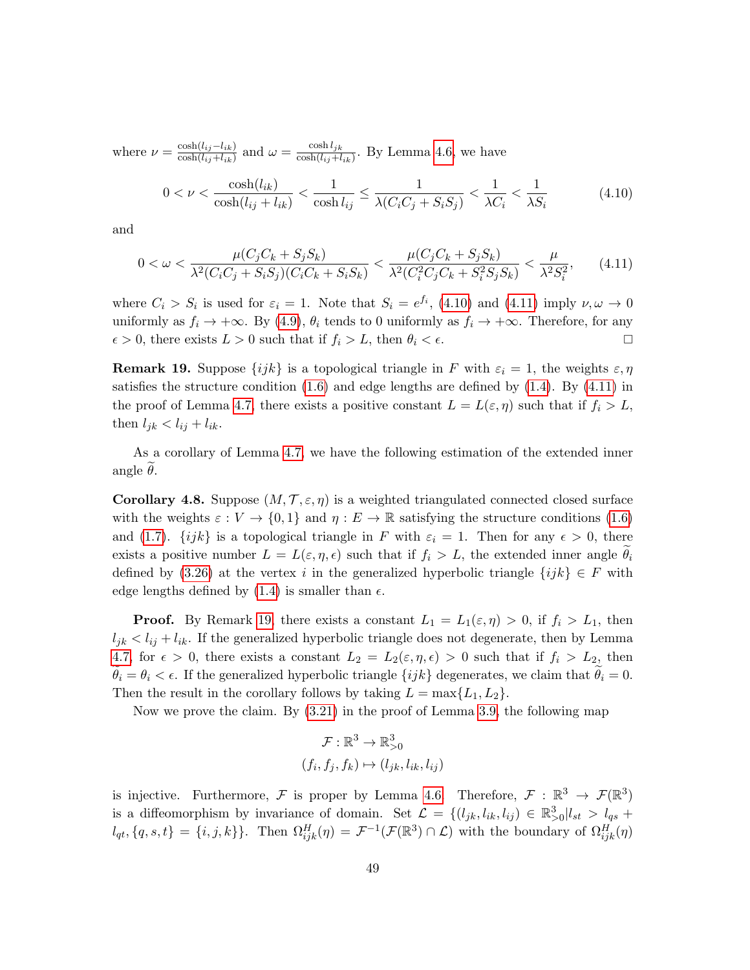where  $\nu = \frac{\cosh(l_{ij}-l_{ik})}{\cosh(l_{ij}+l_{ij})}$  $\frac{\cosh(l_{ij}-l_{ik})}{\cosh(l_{ij}+l_{ik})}$  and  $\omega = \frac{\cosh l_{jk}}{\cosh(l_{ij}+l_{ik})}$  $\frac{\cosh(i_j + l_{ik})}{\cosh(i_j + l_{ik})}$ . By Lemma [4.6,](#page-47-0) we have

<span id="page-48-0"></span>
$$
0 < \nu < \frac{\cosh(l_{ik})}{\cosh(l_{ij} + l_{ik})} < \frac{1}{\cosh(l_{ij})} \le \frac{1}{\lambda(C_i C_j + S_i S_j)} < \frac{1}{\lambda C_i} < \frac{1}{\lambda S_i} \tag{4.10}
$$

and

<span id="page-48-1"></span>
$$
0 < \omega < \frac{\mu(C_j C_k + S_j S_k)}{\lambda^2 (C_i C_j + S_i S_j)(C_i C_k + S_i S_k)} < \frac{\mu(C_j C_k + S_j S_k)}{\lambda^2 (C_i^2 C_j C_k + S_i^2 S_j S_k)} < \frac{\mu}{\lambda^2 S_i^2},\tag{4.11}
$$

where  $C_i > S_i$  is used for  $\varepsilon_i = 1$ . Note that  $S_i = e^{f_i}$ , [\(4.10\)](#page-48-0) and [\(4.11\)](#page-48-1) imply  $\nu, \omega \to 0$ uniformly as  $f_i \to +\infty$ . By [\(4.9\)](#page-47-1),  $\theta_i$  tends to 0 uniformly as  $f_i \to +\infty$ . Therefore, for any  $\epsilon > 0$ , there exists  $L > 0$  such that if  $f_i > L$ , then  $\theta_i < \epsilon$ .

<span id="page-48-2"></span>**Remark 19.** Suppose  $\{ijk\}$  is a topological triangle in F with  $\varepsilon_i = 1$ , the weights  $\varepsilon, \eta$ satisfies the structure condition  $(1.6)$  and edge lengths are defined by  $(1.4)$ . By  $(4.11)$  in the proof of Lemma [4.7,](#page-47-2) there exists a positive constant  $L = L(\varepsilon, \eta)$  such that if  $f_i > L$ , then  $l_{jk} < l_{ij} + l_{ik}$ .

As a corollary of Lemma [4.7,](#page-47-2) we have the following estimation of the extended inner angle  $\theta$ .

<span id="page-48-3"></span>**Corollary 4.8.** Suppose  $(M, \mathcal{T}, \varepsilon, \eta)$  is a weighted triangulated connected closed surface with the weights  $\varepsilon : V \to \{0,1\}$  and  $\eta : E \to \mathbb{R}$  satisfying the structure conditions [\(1.6\)](#page-6-2) and [\(1.7\)](#page-6-3).  $\{ijk\}$  is a topological triangle in F with  $\varepsilon_i = 1$ . Then for any  $\epsilon > 0$ , there exists a positive number  $L = L(\varepsilon, \eta, \epsilon)$  such that if  $f_i > L$ , the extended inner angle  $\theta_i$ defined by [\(3.26\)](#page-40-2) at the vertex i in the generalized hyperbolic triangle  $\{ijk\} \in F$  with edge lengths defined by  $(1.4)$  is smaller than  $\epsilon$ .

**Proof.** By Remark [19,](#page-48-2) there exists a constant  $L_1 = L_1(\varepsilon, \eta) > 0$ , if  $f_i > L_1$ , then  $l_{jk} < l_{ij} + l_{ik}$ . If the generalized hyperbolic triangle does not degenerate, then by Lemma [4.7,](#page-47-2) for  $\epsilon > 0$ , there exists a constant  $L_2 = L_2(\epsilon, \eta, \epsilon) > 0$  such that if  $f_i > L_2$ , then  $\theta_i = \theta_i < \epsilon$ . If the generalized hyperbolic triangle  $\{ijk\}$  degenerates, we claim that  $\theta_i = 0$ . Then the result in the corollary follows by taking  $L = \max\{L_1, L_2\}.$ 

Now we prove the claim. By [\(3.21\)](#page-37-0) in the proof of Lemma [3.9,](#page-36-2) the following map

$$
\mathcal{F}: \mathbb{R}^3 \to \mathbb{R}^3_{>0}
$$

$$
(f_i, f_j, f_k) \mapsto (l_{jk}, l_{ik}, l_{ij})
$$

is injective. Furthermore, F is proper by Lemma [4.6.](#page-47-0) Therefore,  $\mathcal{F}: \mathbb{R}^3 \to \mathcal{F}(\mathbb{R}^3)$ is a diffeomorphism by invariance of domain. Set  $\mathcal{L} = \{(l_{jk}, l_{ik}, l_{ij}) \in \mathbb{R}^3_{>0} | l_{st} > l_{qs} +$  $l_{qt}, \{q, s, t\} = \{i, j, k\}$ . Then  $\Omega_{ijk}^H(\eta) = \mathcal{F}^{-1}(\mathcal{F}(\mathbb{R}^3) \cap \mathcal{L})$  with the boundary of  $\Omega_{ijk}^H(\eta)$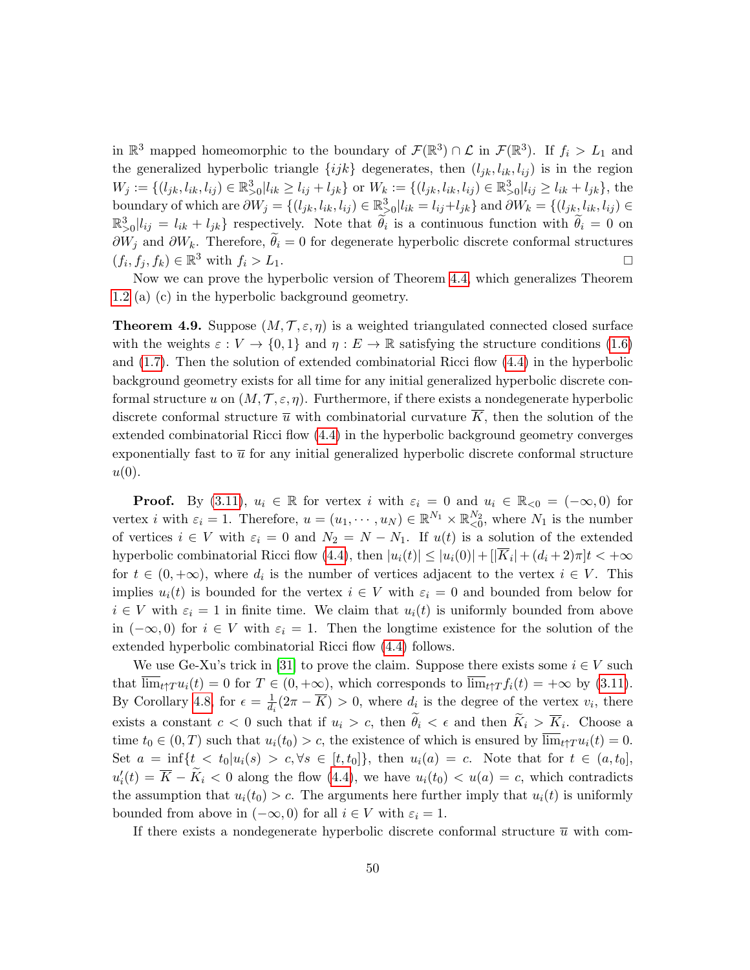in  $\mathbb{R}^3$  mapped homeomorphic to the boundary of  $\mathcal{F}(\mathbb{R}^3) \cap \mathcal{L}$  in  $\mathcal{F}(\mathbb{R}^3)$ . If  $f_i > L_1$  and the generalized hyperbolic triangle  $\{ijk\}$  degenerates, then  $(l_{jk}, l_{ik}, l_{ij})$  is in the region  $W_j := \{(l_{jk}, l_{ik}, l_{ij}) \in \mathbb{R}^3_{>0} | l_{ik} \ge l_{ij} + l_{jk}\}$  or  $W_k := \{(l_{jk}, l_{ik}, l_{ij}) \in \mathbb{R}^3_{>0} | l_{ij} \ge l_{ik} + l_{jk}\}$ , the boundary of which are  $\partial W_j = \{(l_{jk}, l_{ik}, l_{ij}) \in \mathbb{R}^3_{\geq 0} | l_{ik} = l_{ij} + l_{jk}\}\$  and  $\partial W_k = \{(l_{jk}, l_{ik}, l_{ij}) \in \mathbb{R}^3_{\geq 0} | l_{ik} = l_{ik} + l_{ik}\}\$  $\mathbb{R}^3_{>0}|l_{ij}=l_{ik}+l_{jk}\}\text{ respectively. Note that }\widetilde{\theta}_i\text{ is a continuous function with }\widetilde{\theta}_i=0\text{ on }i$  $\partial W_j$  and  $\partial W_k$ . Therefore,  $\hat{\theta}_i = 0$  for degenerate hyperbolic discrete conformal structures  $(f_i, f_i, f_k) \in \mathbb{R}^3$  with  $f_i > L_1$ .  $(f_i, f_j, f_k) \in \mathbb{R}^3$  with  $f_i > L_1$ .

Now we can prove the hyperbolic version of Theorem [4.4,](#page-45-2) which generalizes Theorem [1.2](#page-8-0) (a) (c) in the hyperbolic background geometry.

**Theorem 4.9.** Suppose  $(M, \mathcal{T}, \varepsilon, \eta)$  is a weighted triangulated connected closed surface with the weights  $\varepsilon : V \to \{0,1\}$  and  $\eta : E \to \mathbb{R}$  satisfying the structure conditions [\(1.6\)](#page-6-2) and [\(1.7\)](#page-6-3). Then the solution of extended combinatorial Ricci flow [\(4.4\)](#page-44-0) in the hyperbolic background geometry exists for all time for any initial generalized hyperbolic discrete conformal structure u on  $(M, \mathcal{T}, \varepsilon, \eta)$ . Furthermore, if there exists a nondegenerate hyperbolic discrete conformal structure  $\bar{u}$  with combinatorial curvature  $\bar{K}$ , then the solution of the extended combinatorial Ricci flow [\(4.4\)](#page-44-0) in the hyperbolic background geometry converges exponentially fast to  $\bar{u}$  for any initial generalized hyperbolic discrete conformal structure  $u(0)$ .

**Proof.** By [\(3.11\)](#page-35-1),  $u_i \in \mathbb{R}$  for vertex i with  $\varepsilon_i = 0$  and  $u_i \in \mathbb{R}_{\leq 0} = (-\infty, 0)$  for vertex *i* with  $\varepsilon_i = 1$ . Therefore,  $u = (u_1, \dots, u_N) \in \mathbb{R}^{N_1} \times \mathbb{R}_{\leq 0}^{N_2}$ , where  $N_1$  is the number of vertices  $i \in V$  with  $\varepsilon_i = 0$  and  $N_2 = N - N_1$ . If  $u(t)$  is a solution of the extended hyperbolic combinatorial Ricci flow [\(4.4\)](#page-44-0), then  $|u_i(t)| \le |u_i(0)| + |\overline{K}_i| + (d_i + 2)\pi]t < +\infty$ for  $t \in (0, +\infty)$ , where  $d_i$  is the number of vertices adjacent to the vertex  $i \in V$ . This implies  $u_i(t)$  is bounded for the vertex  $i \in V$  with  $\varepsilon_i = 0$  and bounded from below for  $i \in V$  with  $\varepsilon_i = 1$  in finite time. We claim that  $u_i(t)$  is uniformly bounded from above in  $(-\infty,0)$  for  $i \in V$  with  $\varepsilon_i = 1$ . Then the longtime existence for the solution of the extended hyperbolic combinatorial Ricci flow  $(4.4)$  follows.

We use Ge-Xu's trick in [\[31\]](#page-60-14) to prove the claim. Suppose there exists some  $i \in V$  such that  $\overline{\lim}_{t\uparrow T}u_i(t) = 0$  for  $T \in (0, +\infty)$ , which corresponds to  $\overline{\lim}_{t\uparrow T}f_i(t) = +\infty$  by [\(3.11\)](#page-35-1). By Corollary [4.8,](#page-48-3) for  $\epsilon = \frac{1}{d}$  $\frac{1}{d_i}(2\pi - \overline{K}) > 0$ , where  $d_i$  is the degree of the vertex  $v_i$ , there exists a constant  $c < 0$  such that if  $u_i > c$ , then  $\theta_i < \epsilon$  and then  $K_i > K_i$ . Choose a time  $t_0 \in (0,T)$  such that  $u_i(t_0) > c$ , the existence of which is ensured by  $\overline{\lim}_{t \uparrow T} u_i(t) = 0$ . Set  $a = \inf\{t < t_0 | u_i(s) > c, \forall s \in [t, t_0]\},\$  then  $u_i(a) = c$ . Note that for  $t \in (a, t_0],$  $u'_i(t) = \overline{K} - \widetilde{K}_i < 0$  along the flow [\(4.4\)](#page-44-0), we have  $u_i(t_0) < u(a) = c$ , which contradicts the assumption that  $u_i(t_0) > c$ . The arguments here further imply that  $u_i(t)$  is uniformly bounded from above in  $(-\infty, 0)$  for all  $i \in V$  with  $\varepsilon_i = 1$ .

If there exists a nondegenerate hyperbolic discrete conformal structure  $\bar{u}$  with com-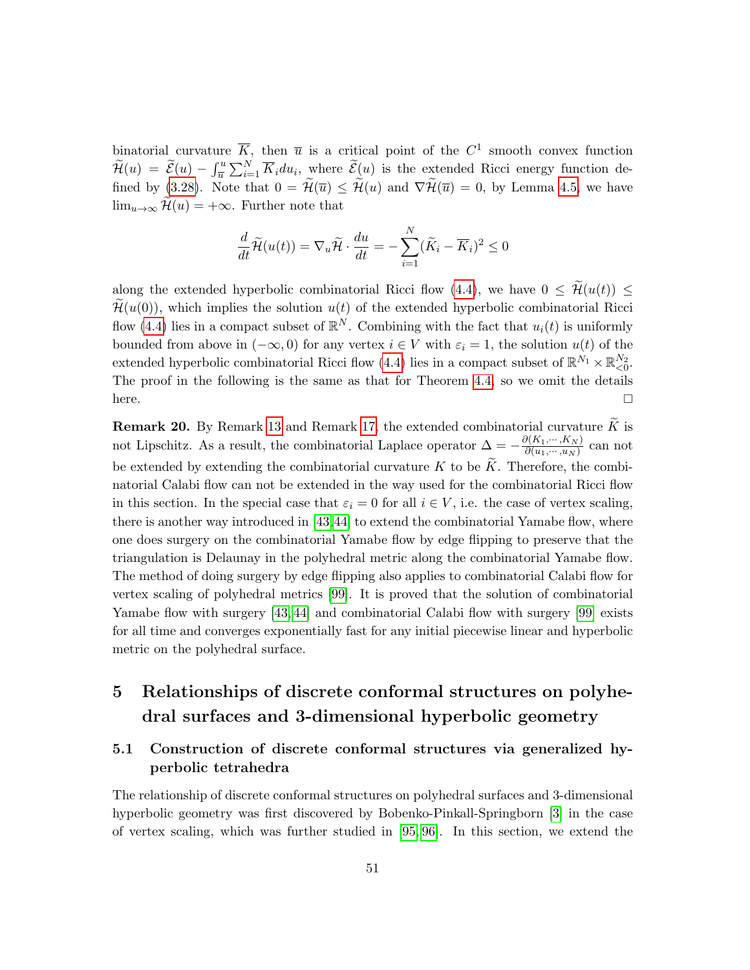binatorial curvature  $\overline{K}$ , then  $\overline{u}$  is a critical point of the  $C^1$  smooth convex function  $\widetilde{\mathcal{H}}(u) = \widetilde{\mathcal{E}}(u) - \int_{\overline{u}}^u \sum_{i=1}^N \overline{K}_i du_i$ , where  $\widetilde{\mathcal{E}}(u)$  is the extended Ricci energy function de-fined by [\(3.28\)](#page-41-0). Note that  $0 = \mathcal{H}(\overline{u}) \leq \mathcal{H}(u)$  and  $\nabla \mathcal{H}(\overline{u}) = 0$ , by Lemma [4.5,](#page-46-2) we have  $\lim_{u\to\infty} \widetilde{\mathcal{H}}(u) = +\infty$ . Further note that

$$
\frac{d}{dt}\widetilde{\mathcal{H}}(u(t)) = \nabla_u \widetilde{\mathcal{H}} \cdot \frac{du}{dt} = -\sum_{i=1}^N (\widetilde{K}_i - \overline{K}_i)^2 \le 0
$$

along the extended hyperbolic combinatorial Ricci flow [\(4.4\)](#page-44-0), we have  $0 \leq \tilde{\mathcal{H}}(u(t)) \leq$  $\widetilde{\mathcal{H}}(u(0))$ , which implies the solution  $u(t)$  of the extended hyperbolic combinatorial Ricci flow [\(4.4\)](#page-44-0) lies in a compact subset of  $\mathbb{R}^N$ . Combining with the fact that  $u_i(t)$  is uniformly bounded from above in  $(-\infty, 0)$  for any vertex  $i \in V$  with  $\varepsilon_i = 1$ , the solution  $u(t)$  of the extended hyperbolic combinatorial Ricci flow [\(4.4\)](#page-44-0) lies in a compact subset of  $\mathbb{R}^{N_1} \times \mathbb{R}_{\leq 0}^{N_2}$ . The proof in the following is the same as that for Theorem [4.4,](#page-45-2) so we omit the details here.  $\Box$ 

<span id="page-50-2"></span>**Remark 20.** By Remark [13](#page-24-3) and Remark [17,](#page-36-3) the extended combinatorial curvature  $\widetilde{K}$  is not Lipschitz. As a result, the combinatorial Laplace operator  $\Delta = -\frac{\partial (K_1, \dots, K_N)}{\partial (u_1, \dots, u_N)}$  $\frac{\partial (N_1,\cdots,N_N)}{\partial (u_1,\cdots,u_N)}$  can not be extended by extending the combinatorial curvature K to be  $\tilde{K}$ . Therefore, the combinatorial Calabi flow can not be extended in the way used for the combinatorial Ricci flow in this section. In the special case that  $\varepsilon_i = 0$  for all  $i \in V$ , i.e. the case of vertex scaling, there is another way introduced in [\[43,](#page-60-7)[44\]](#page-60-15) to extend the combinatorial Yamabe flow, where one does surgery on the combinatorial Yamabe flow by edge flipping to preserve that the triangulation is Delaunay in the polyhedral metric along the combinatorial Yamabe flow. The method of doing surgery by edge flipping also applies to combinatorial Calabi flow for vertex scaling of polyhedral metrics [\[99\]](#page-63-8). It is proved that the solution of combinatorial Yamabe flow with surgery [\[43,](#page-60-7) [44\]](#page-60-15) and combinatorial Calabi flow with surgery [\[99\]](#page-63-8) exists for all time and converges exponentially fast for any initial piecewise linear and hyperbolic metric on the polyhedral surface.

## <span id="page-50-0"></span>5 Relationships of discrete conformal structures on polyhedral surfaces and 3-dimensional hyperbolic geometry

## <span id="page-50-1"></span>5.1 Construction of discrete conformal structures via generalized hyperbolic tetrahedra

The relationship of discrete conformal structures on polyhedral surfaces and 3-dimensional hyperbolic geometry was first discovered by Bobenko-Pinkall-Springborn [\[3\]](#page-58-0) in the case of vertex scaling, which was further studied in [\[95,](#page-63-2) [96\]](#page-63-0). In this section, we extend the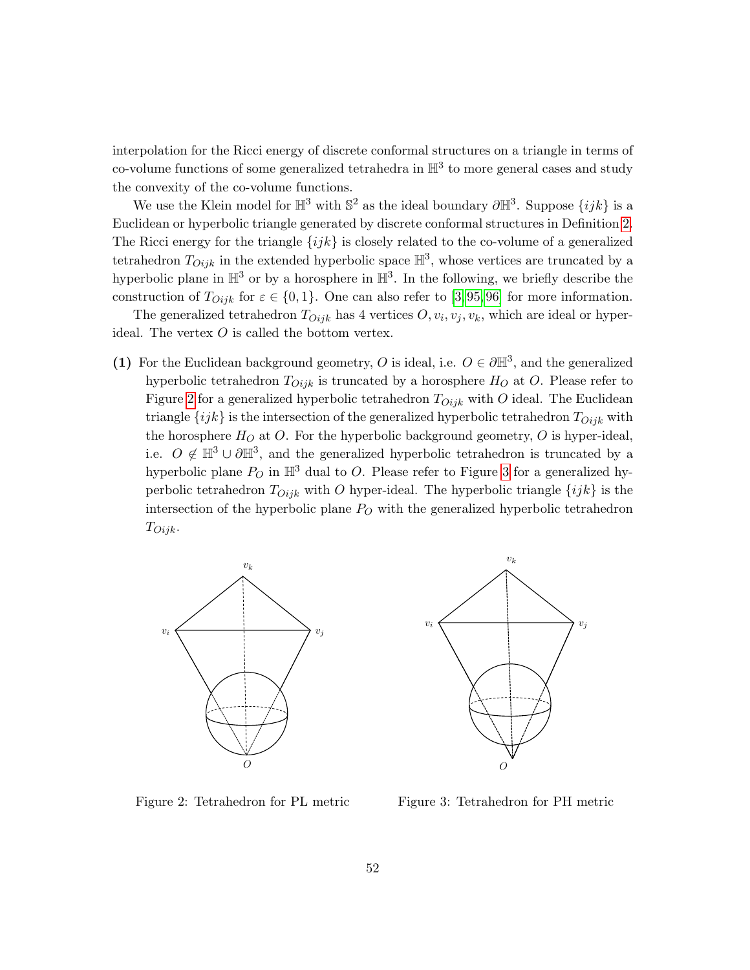interpolation for the Ricci energy of discrete conformal structures on a triangle in terms of co-volume functions of some generalized tetrahedra in  $\mathbb{H}^3$  to more general cases and study the convexity of the co-volume functions.

We use the Klein model for  $\mathbb{H}^3$  with  $\mathbb{S}^2$  as the ideal boundary  $\partial \mathbb{H}^3$ . Suppose  $\{ijk\}$  is a Euclidean or hyperbolic triangle generated by discrete conformal structures in Definition [2.](#page-3-2) The Ricci energy for the triangle  $\{ijk\}$  is closely related to the co-volume of a generalized tetrahedron  $T_{Oijk}$  in the extended hyperbolic space  $\mathbb{H}^3$ , whose vertices are truncated by a hyperbolic plane in  $\mathbb{H}^3$  or by a horosphere in  $\mathbb{H}^3$ . In the following, we briefly describe the construction of  $T_{Oijk}$  for  $\varepsilon \in \{0,1\}$ . One can also refer to [\[3,](#page-58-0)95,96] for more information.

The generalized tetrahedron  $T_{Oijk}$  has 4 vertices  $O, v_i, v_j, v_k$ , which are ideal or hyperideal. The vertex  $O$  is called the bottom vertex.

(1) For the Euclidean background geometry, O is ideal, i.e.  $O \in \partial \mathbb{H}^3$ , and the generalized hyperbolic tetrahedron  $T_{Oijk}$  is truncated by a horosphere  $H_O$  at O. Please refer to Figure [2](#page-51-0) for a generalized hyperbolic tetrahedron  $T_{Oijk}$  with O ideal. The Euclidean triangle  $\{ijk\}$  is the intersection of the generalized hyperbolic tetrahedron  $T_{Oijk}$  with the horosphere  $H_O$  at O. For the hyperbolic background geometry, O is hyper-ideal, i.e.  $O \notin \mathbb{H}^3 \cup \partial \mathbb{H}^3$ , and the generalized hyperbolic tetrahedron is truncated by a hyperbolic plane  $P_O$  in  $\mathbb{H}^3$  dual to O. Please refer to Figure [3](#page-51-1) for a generalized hyperbolic tetrahedron  $T_{Oijk}$  with O hyper-ideal. The hyperbolic triangle  $\{ijk\}$  is the intersection of the hyperbolic plane  $P_O$  with the generalized hyperbolic tetrahedron  $T_{Oijk}$ .





<span id="page-51-0"></span>Figure 2: Tetrahedron for PL metric

<span id="page-51-1"></span>Figure 3: Tetrahedron for PH metric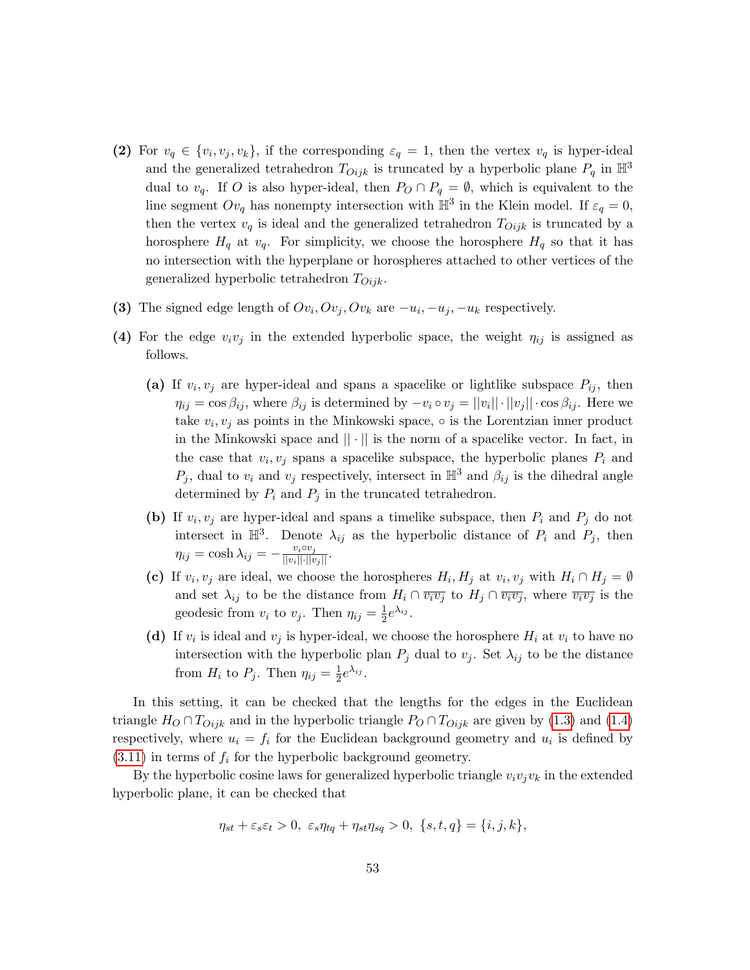- (2) For  $v_q \in \{v_i, v_j, v_k\}$ , if the corresponding  $\varepsilon_q = 1$ , then the vertex  $v_q$  is hyper-ideal and the generalized tetrahedron  $T_{Oijk}$  is truncated by a hyperbolic plane  $P_q$  in  $\mathbb{H}^3$ dual to  $v_q$ . If O is also hyper-ideal, then  $P_O \cap P_q = \emptyset$ , which is equivalent to the line segment  $Ov_q$  has nonempty intersection with  $\mathbb{H}^3$  in the Klein model. If  $\varepsilon_q = 0$ , then the vertex  $v_q$  is ideal and the generalized tetrahedron  $T_{Oijk}$  is truncated by a horosphere  $H_q$  at  $v_q$ . For simplicity, we choose the horosphere  $H_q$  so that it has no intersection with the hyperplane or horospheres attached to other vertices of the generalized hyperbolic tetrahedron  $T_{Oijk}$ .
- (3) The signed edge length of  $Ov_i, Ov_j, Ov_k$  are  $-u_i, -u_j, -u_k$  respectively.
- (4) For the edge  $v_i v_j$  in the extended hyperbolic space, the weight  $\eta_{ij}$  is assigned as follows.
	- (a) If  $v_i, v_j$  are hyper-ideal and spans a spacelike or lightlike subspace  $P_{ij}$ , then  $\eta_{ij} = \cos \beta_{ij}$ , where  $\beta_{ij}$  is determined by  $-v_i \circ v_j = ||v_i|| \cdot ||v_j|| \cdot \cos \beta_{ij}$ . Here we take  $v_i, v_j$  as points in the Minkowski space,  $\circ$  is the Lorentzian inner product in the Minkowski space and  $|| \cdot ||$  is the norm of a spacelike vector. In fact, in the case that  $v_i, v_j$  spans a spacelike subspace, the hyperbolic planes  $P_i$  and  $P_j$ , dual to  $v_i$  and  $v_j$  respectively, intersect in  $\mathbb{H}^3$  and  $\beta_{ij}$  is the dihedral angle determined by  $P_i$  and  $P_j$  in the truncated tetrahedron.
	- (b) If  $v_i, v_j$  are hyper-ideal and spans a timelike subspace, then  $P_i$  and  $P_j$  do not intersect in  $\mathbb{H}^3$ . Denote  $\lambda_{ij}$  as the hyperbolic distance of  $P_i$  and  $P_j$ , then  $\eta_{ij} = \cosh \lambda_{ij} = -\frac{v_i \circ v_j}{\vert\vert v_i \vert\vert \cdot \vert\vert v_j \vert\vert}.$
	- (c) If  $v_i, v_j$  are ideal, we choose the horospheres  $H_i, H_j$  at  $v_i, v_j$  with  $H_i \cap H_j = \emptyset$ and set  $\lambda_{ij}$  to be the distance from  $H_i \cap \overline{v_i v_j}$  to  $H_j \cap \overline{v_i v_j}$ , where  $\overline{v_i v_j}$  is the geodesic from  $v_i$  to  $v_j$ . Then  $\eta_{ij} = \frac{1}{2}$  $\frac{1}{2}e^{\lambda_{ij}}.$
	- (d) If  $v_i$  is ideal and  $v_j$  is hyper-ideal, we choose the horosphere  $H_i$  at  $v_i$  to have no intersection with the hyperbolic plan  $P_j$  dual to  $v_j$ . Set  $\lambda_{ij}$  to be the distance from  $H_i$  to  $P_j$ . Then  $\eta_{ij} = \frac{1}{2}$  $\frac{1}{2}e^{\lambda_{ij}}.$

In this setting, it can be checked that the lengths for the edges in the Euclidean triangle  $H_O \cap T_{Oijk}$  and in the hyperbolic triangle  $P_O \cap T_{Oijk}$  are given by [\(1.3\)](#page-4-0) and [\(1.4\)](#page-4-1) respectively, where  $u_i = f_i$  for the Euclidean background geometry and  $u_i$  is defined by  $(3.11)$  in terms of  $f_i$  for the hyperbolic background geometry.

By the hyperbolic cosine laws for generalized hyperbolic triangle  $v_i v_j v_k$  in the extended hyperbolic plane, it can be checked that

$$
\eta_{st} + \varepsilon_s \varepsilon_t > 0, \ \varepsilon_s \eta_{tq} + \eta_{st} \eta_{sq} > 0, \ \{s, t, q\} = \{i, j, k\},\
$$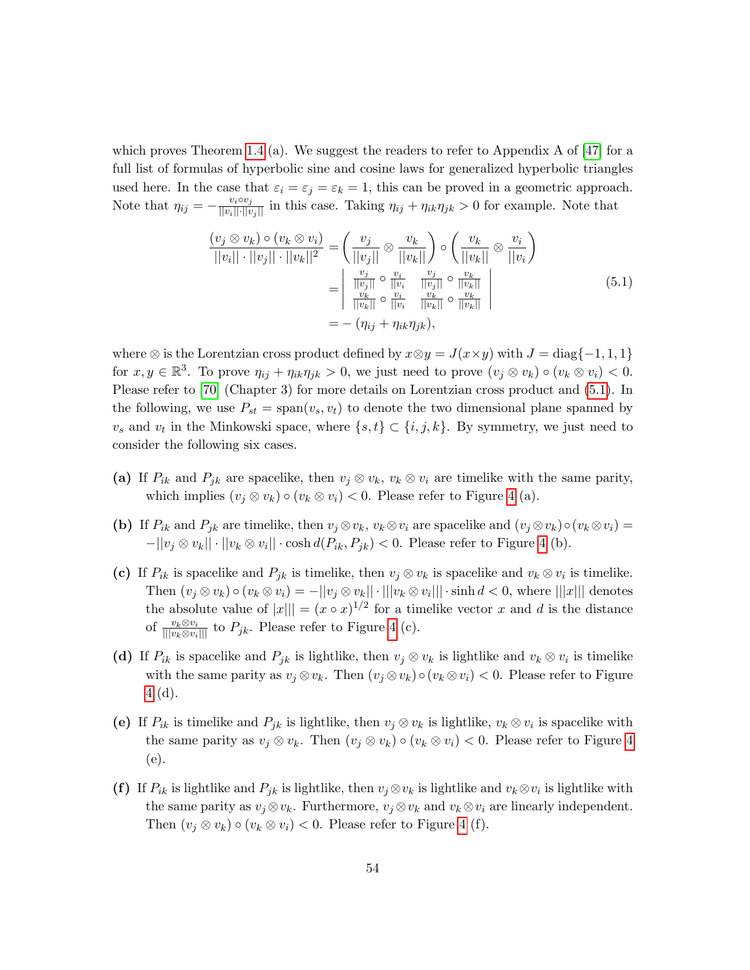which proves Theorem [1.4](#page-11-2) (a). We suggest the readers to refer to Appendix A of  $[47]$  for a full list of formulas of hyperbolic sine and cosine laws for generalized hyperbolic triangles used here. In the case that  $\varepsilon_i = \varepsilon_j = \varepsilon_k = 1$ , this can be proved in a geometric approach. Note that  $\eta_{ij} = -\frac{v_i \circ v_j}{\|v_i\| \cdot \|v_j\|}$  in this case. Taking  $\eta_{ij} + \eta_{ik}\eta_{jk} > 0$  for example. Note that

<span id="page-53-0"></span>
$$
\frac{(v_j \otimes v_k) \circ (v_k \otimes v_i)}{||v_i|| \cdot ||v_j|| \cdot ||v_k||^2} = \left(\frac{v_j}{||v_j||} \otimes \frac{v_k}{||v_k||}\right) \circ \left(\frac{v_k}{||v_k||} \otimes \frac{v_i}{||v_i||}\right)
$$

$$
= \left| \frac{\frac{v_j}{||v_j||} \circ \frac{v_i}{||v_i}}{\frac{v_k}{||v_k||} \circ \frac{v_i}{||v_i}} \cdot \frac{\frac{v_j}{||v_j||} \circ \frac{v_k}{||v_k||}}{\frac{v_k}{||v_k||} \circ \frac{v_k}{||v_k||}}\right|
$$
(5.1)
$$
= - (\eta_{ij} + \eta_{ik}\eta_{jk}),
$$

where ⊗ is the Lorentzian cross product defined by  $x \otimes y = J(x \times y)$  with  $J = \text{diag}\{-1, 1, 1\}$ for  $x, y \in \mathbb{R}^3$ . To prove  $\eta_{ij} + \eta_{ik}\eta_{jk} > 0$ , we just need to prove  $(v_j \otimes v_k) \circ (v_k \otimes v_i) < 0$ . Please refer to [\[70\]](#page-62-19) (Chapter 3) for more details on Lorentzian cross product and  $(5.1)$ . In the following, we use  $P_{st} = \text{span}(v_s, v_t)$  to denote the two dimensional plane spanned by  $v_s$  and  $v_t$  in the Minkowski space, where  $\{s, t\} \subset \{i, j, k\}$ . By symmetry, we just need to consider the following six cases.

- (a) If  $P_{ik}$  and  $P_{jk}$  are spacelike, then  $v_j \otimes v_k$ ,  $v_k \otimes v_i$  are timelike with the same parity, which implies  $(v_i \otimes v_k) \circ (v_k \otimes v_i) < 0$ . Please refer to Figure [4](#page-54-1) (a).
- (b) If  $P_{ik}$  and  $P_{jk}$  are timelike, then  $v_j \otimes v_k$ ,  $v_k \otimes v_i$  are spacelike and  $(v_j \otimes v_k) \circ (v_k \otimes v_i) =$  $-||v_j \otimes v_k|| \cdot ||v_k \otimes v_i|| \cdot \cosh d(P_{ik}, P_{jk}) < 0$ . Please refer to Figure [4](#page-54-1) (b).
- (c) If  $P_{ik}$  is spacelike and  $P_{jk}$  is timelike, then  $v_j \otimes v_k$  is spacelike and  $v_k \otimes v_i$  is timelike. Then  $(v_j \otimes v_k) \circ (v_k \otimes v_i) = -||v_j \otimes v_k|| \cdot |||v_k \otimes v_i||| \cdot \sinh d < 0$ , where  $|||x|||$  denotes the absolute value of  $||x||| = (x \circ x)^{1/2}$  for a timelike vector x and d is the distance of  $\frac{v_k \otimes v_i}{\left|\left|\left|v_k \otimes v_i\right|\right|\right|}$  to  $P_{jk}$ . Please refer to Figure [4](#page-54-1) (c).
- (d) If  $P_{ik}$  is spacelike and  $P_{jk}$  is lightlike, then  $v_j \otimes v_k$  is lightlike and  $v_k \otimes v_i$  is timelike with the same parity as  $v_i \otimes v_k$ . Then  $(v_i \otimes v_k) \circ (v_k \otimes v_i) < 0$ . Please refer to Figure [4](#page-54-1) (d).
- (e) If  $P_{ik}$  is timelike and  $P_{jk}$  is lightlike, then  $v_j \otimes v_k$  is lightlike,  $v_k \otimes v_i$  is spacelike with the same parity as  $v_i \otimes v_k$ . Then  $(v_i \otimes v_k) \circ (v_k \otimes v_i) < 0$ . Please refer to Figure [4](#page-54-1) (e).
- (f) If  $P_{ik}$  is lightlike and  $P_{jk}$  is lightlike, then  $v_j \otimes v_k$  is lightlike and  $v_k \otimes v_i$  is lightlike with the same parity as  $v_j \otimes v_k$ . Furthermore,  $v_j \otimes v_k$  and  $v_k \otimes v_i$  are linearly independent. Then  $(v_j \otimes v_k) \circ (v_k \otimes v_i) < 0$ . Please refer to Figure [4](#page-54-1) (f).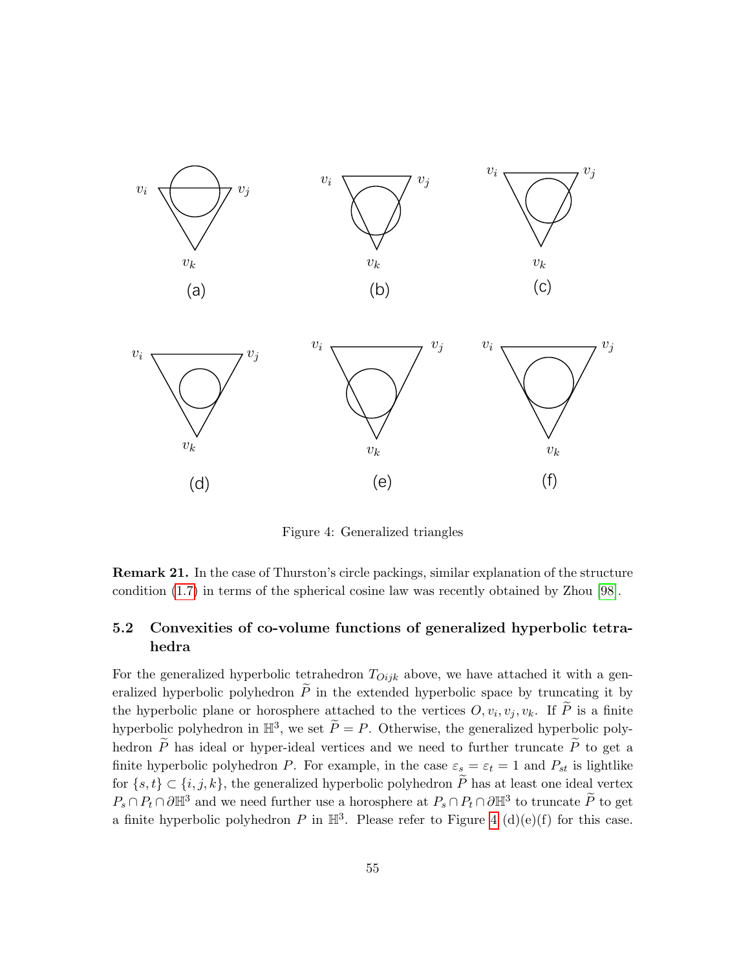

<span id="page-54-1"></span>Figure 4: Generalized triangles

Remark 21. In the case of Thurston's circle packings, similar explanation of the structure condition [\(1.7\)](#page-6-3) in terms of the spherical cosine law was recently obtained by Zhou [\[98\]](#page-63-4).

## <span id="page-54-0"></span>hedra 5.2 Convexities of co-volume functions of generalized hyperbolic tetra-

For the generalized hyperbolic tetrahedron  $T_{Oijk}$  above, we have attached it with a generalized hyperbolic polyhedron  $\widetilde{P}$  in the extended hyperbolic space by truncating it by the hyperbolic plane or horosphere attached to the vertices  $O, v_i, v_j, v_k$ . If P is a finite hyperbolic polyhedron in  $\mathbb{H}^3$ , we set  $\widetilde{P} = P$ . Otherwise, the generalized hyperbolic polyhedron  $\widetilde{P}$  has ideal or hyper-ideal vertices and we need to further truncate  $\widetilde{P}$  to get a finite hyperbolic polyhedron P. For example, in the case  $\varepsilon_s = \varepsilon_t = 1$  and  $P_{st}$  is lightlike for  $\{s, t\} \subset \{i, j, k\}$ , the generalized hyperbolic polyhedron  $\widetilde{P}$  has at least one ideal vertex  $P_s \cap P_t \cap \partial \mathbb{H}^3$  and we need further use a horosphere at  $P_s \cap P_t \cap \partial \mathbb{H}^3$  to truncate  $\widetilde{P}$  to get a finite hyperbolic polyhedron P in  $\mathbb{H}^3$ . Please refer to Figure [4](#page-54-1) (d)(e)(f) for this case.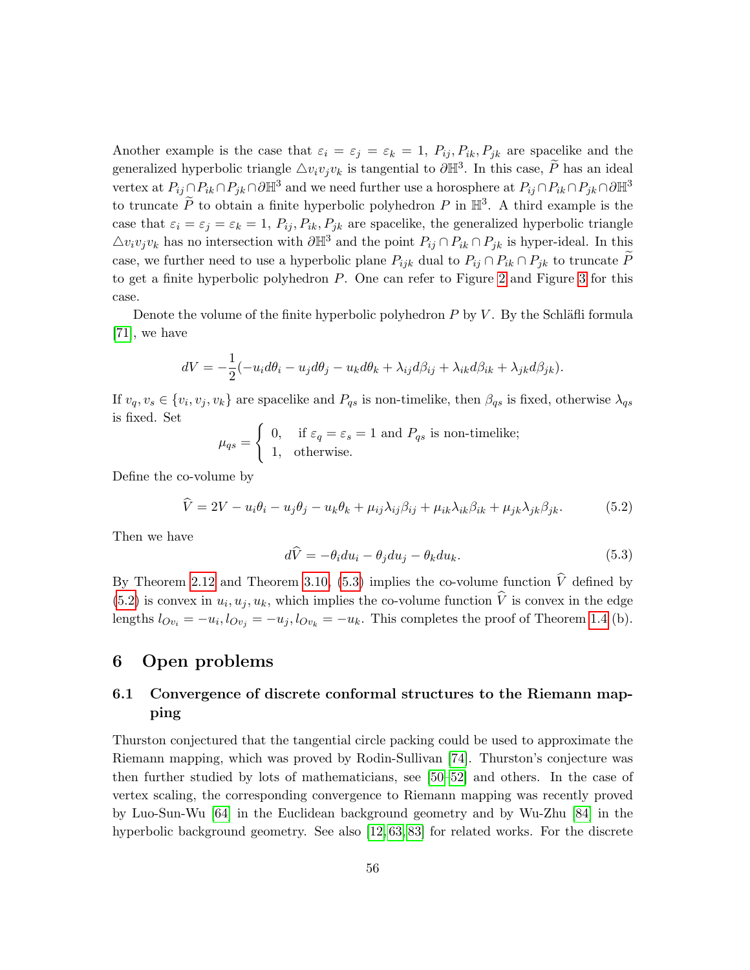Another example is the case that  $\varepsilon_i = \varepsilon_j = \varepsilon_k = 1$ ,  $P_{ij}, P_{ik}, P_{jk}$  are spacelike and the generalized hyperbolic triangle  $\triangle v_i v_j v_k$  is tangential to  $\partial \mathbb{H}^3$ . In this case,  $\widetilde{P}$  has an ideal vertex at  $P_{ij} \cap P_{ik} \cap P_{jk} \cap \partial \mathbb{H}^3$  and we need further use a horosphere at  $P_{ij} \cap P_{ik} \cap P_{jk} \cap \partial \mathbb{H}^3$ to truncate  $\widetilde{P}$  to obtain a finite hyperbolic polyhedron  $P$  in  $\mathbb{H}^3$ . A third example is the case that  $\varepsilon_i = \varepsilon_j = \varepsilon_k = 1$ ,  $P_{ij}$ ,  $P_{ik}$ ,  $P_{jk}$  are spacelike, the generalized hyperbolic triangle  $\Delta v_i v_j v_k$  has no intersection with  $\partial \mathbb{H}^3$  and the point  $P_{ij} \cap P_{ik} \cap P_{jk}$  is hyper-ideal. In this case, we further need to use a hyperbolic plane  $P_{ijk}$  dual to  $P_{ij} \cap P_{ik} \cap P_{jk}$  to truncate P to get a finite hyperbolic polyhedron P. One can refer to Figure [2](#page-51-0) and Figure [3](#page-51-1) for this case.

Denote the volume of the finite hyperbolic polyhedron  $P$  by  $V$ . By the Schläfli formula [\[71\]](#page-62-15), we have

$$
dV = -\frac{1}{2}(-u_i d\theta_i - u_j d\theta_j - u_k d\theta_k + \lambda_{ij} d\beta_{ij} + \lambda_{ik} d\beta_{ik} + \lambda_{jk} d\beta_{jk}).
$$

If  $v_q, v_s \in \{v_i, v_j, v_k\}$  are spacelike and  $P_{qs}$  is non-timelike, then  $\beta_{qs}$  is fixed, otherwise  $\lambda_{qs}$ is fixed. Set

$$
\mu_{qs} = \begin{cases} 0, & \text{if } \varepsilon_q = \varepsilon_s = 1 \text{ and } P_{qs} \text{ is non-timelike;} \\ 1, & \text{otherwise.} \end{cases}
$$

Define the co-volume by

<span id="page-55-2"></span>
$$
\widehat{V} = 2V - u_i\theta_i - u_j\theta_j - u_k\theta_k + \mu_{ij}\lambda_{ij}\beta_{ij} + \mu_{ik}\lambda_{ik}\beta_{ik} + \mu_{jk}\lambda_{jk}\beta_{jk}.
$$
 (5.2)

Then we have

<span id="page-55-3"></span>
$$
d\hat{V} = -\theta_i du_i - \theta_j du_j - \theta_k du_k. \tag{5.3}
$$

By Theorem [2.12](#page-25-1) and Theorem [3.10,](#page-38-0) [\(5.3\)](#page-55-3) implies the co-volume function  $\hat{V}$  defined by  $(5.2)$  is convex in  $u_i, u_j, u_k$ , which implies the co-volume function V is convex in the edge lengths  $l_{Ov_i} = -u_i, l_{Ov_j} = -u_j, l_{Ov_k} = -u_k$ . This completes the proof of Theorem [1.4](#page-11-2) (b).

### <span id="page-55-0"></span>6 Open problems

## <span id="page-55-1"></span>6.1 Convergence of discrete conformal structures to the Riemann mapping

Thurston conjectured that the tangential circle packing could be used to approximate the Riemann mapping, which was proved by Rodin-Sullivan [\[74\]](#page-62-2). Thurston's conjecture was then further studied by lots of mathematicians, see [\[50–](#page-61-4)[52\]](#page-61-18) and others. In the case of vertex scaling, the corresponding convergence to Riemann mapping was recently proved by Luo-Sun-Wu [\[64\]](#page-61-8) in the Euclidean background geometry and by Wu-Zhu [\[84\]](#page-62-10) in the hyperbolic background geometry. See also [\[12,](#page-59-8) [63,](#page-61-19) [83\]](#page-62-9) for related works. For the discrete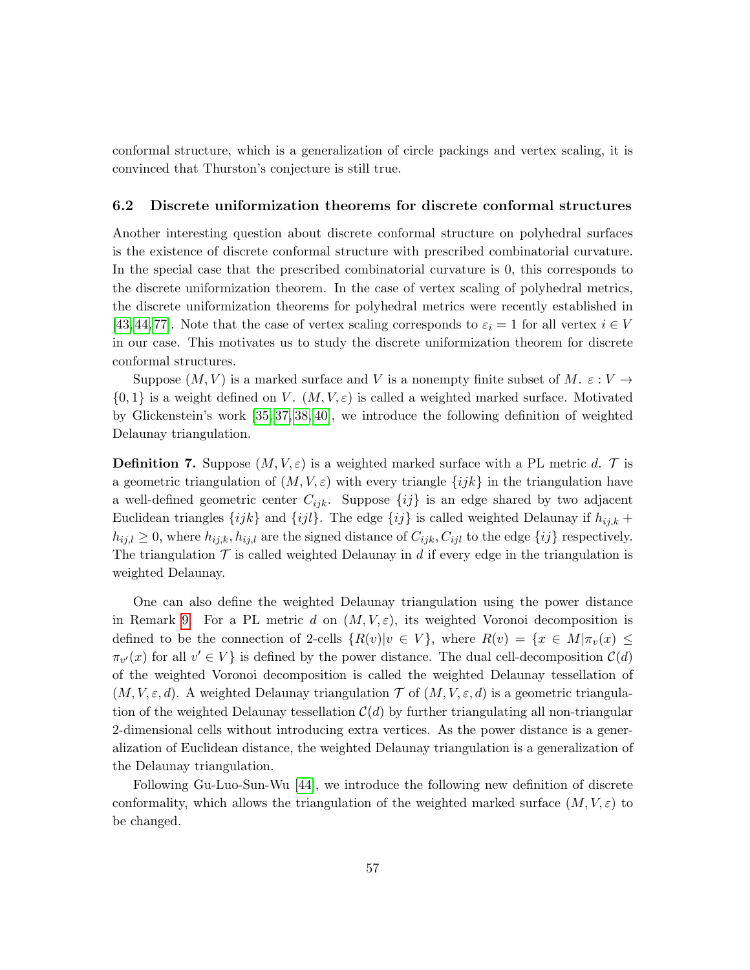conformal structure, which is a generalization of circle packings and vertex scaling, it is convinced that Thurston's conjecture is still true.

#### <span id="page-56-0"></span>6.2 Discrete uniformization theorems for discrete conformal structures

Another interesting question about discrete conformal structure on polyhedral surfaces is the existence of discrete conformal structure with prescribed combinatorial curvature. In the special case that the prescribed combinatorial curvature is 0, this corresponds to the discrete uniformization theorem. In the case of vertex scaling of polyhedral metrics, the discrete uniformization theorems for polyhedral metrics were recently established in [\[43,](#page-60-7) [44,](#page-60-15) [77\]](#page-62-7). Note that the case of vertex scaling corresponds to  $\varepsilon_i = 1$  for all vertex  $i \in V$ in our case. This motivates us to study the discrete uniformization theorem for discrete conformal structures.

Suppose  $(M, V)$  is a marked surface and V is a nonempty finite subset of M.  $\varepsilon : V \to$  $\{0,1\}$  is a weight defined on V.  $(M, V, \varepsilon)$  is called a weighted marked surface. Motivated by Glickenstein's work [\[35,](#page-60-11) [37,](#page-60-20) [38,](#page-60-1) [40\]](#page-60-6), we introduce the following definition of weighted Delaunay triangulation.

**Definition 7.** Suppose  $(M, V, \varepsilon)$  is a weighted marked surface with a PL metric d. T is a geometric triangulation of  $(M, V, \varepsilon)$  with every triangle  $\{ijk\}$  in the triangulation have a well-defined geometric center  $C_{ijk}$ . Suppose  $\{ij\}$  is an edge shared by two adjacent Euclidean triangles  $\{ijk\}$  and  $\{ijl\}$ . The edge  $\{ij\}$  is called weighted Delaunay if  $h_{ij,k}$  +  $h_{ij,l} \geq 0$ , where  $h_{ij,k}, h_{ij,l}$  are the signed distance of  $C_{ijk}, C_{ijl}$  to the edge  $\{ij\}$  respectively. The triangulation  $\mathcal T$  is called weighted Delaunay in d if every edge in the triangulation is weighted Delaunay.

One can also define the weighted Delaunay triangulation using the power distance in Remark [9.](#page-17-1) For a PL metric d on  $(M, V, \varepsilon)$ , its weighted Voronoi decomposition is defined to be the connection of 2-cells  $\{R(v)|v \in V\}$ , where  $R(v) = \{x \in M | \pi_v(x) \leq$  $\pi_{v'}(x)$  for all  $v' \in V$  is defined by the power distance. The dual cell-decomposition  $\mathcal{C}(d)$ of the weighted Voronoi decomposition is called the weighted Delaunay tessellation of  $(M, V, \varepsilon, d)$ . A weighted Delaunay triangulation  $\mathcal T$  of  $(M, V, \varepsilon, d)$  is a geometric triangulation of the weighted Delaunay tessellation  $\mathcal{C}(d)$  by further triangulating all non-triangular 2-dimensional cells without introducing extra vertices. As the power distance is a generalization of Euclidean distance, the weighted Delaunay triangulation is a generalization of the Delaunay triangulation.

Following Gu-Luo-Sun-Wu [\[44\]](#page-60-15), we introduce the following new definition of discrete conformality, which allows the triangulation of the weighted marked surface  $(M, V, \varepsilon)$  to be changed.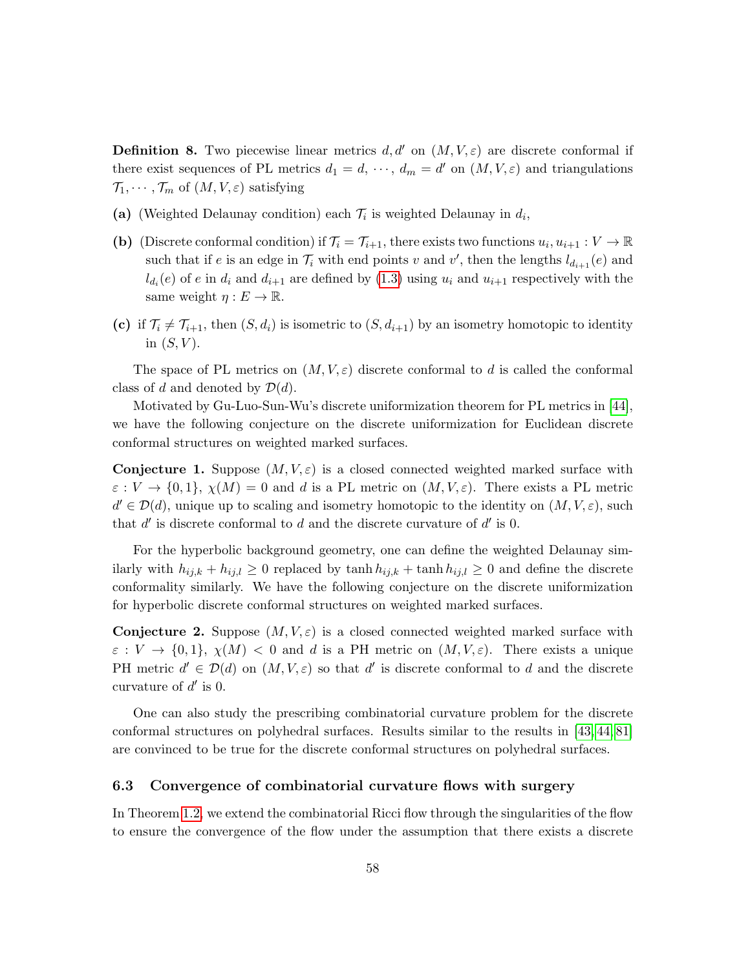**Definition 8.** Two piecewise linear metrics d, d' on  $(M, V, \varepsilon)$  are discrete conformal if there exist sequences of PL metrics  $d_1 = d, \dots, d_m = d'$  on  $(M, V, \varepsilon)$  and triangulations  $\mathcal{T}_1, \cdots, \mathcal{T}_m$  of  $(M, V, \varepsilon)$  satisfying

- (a) (Weighted Delaunay condition) each  $\mathcal{T}_i$  is weighted Delaunay in  $d_i$ ,
- (b) (Discrete conformal condition) if  $\mathcal{T}_i = \mathcal{T}_{i+1}$ , there exists two functions  $u_i, u_{i+1} : V \to \mathbb{R}$ such that if e is an edge in  $\mathcal{T}_i$  with end points v and v', then the lengths  $l_{d_{i+1}}(e)$  and  $l_{d_i}(e)$  of e in  $d_i$  and  $d_{i+1}$  are defined by  $(1.3)$  using  $u_i$  and  $u_{i+1}$  respectively with the same weight  $\eta : E \to \mathbb{R}$ .
- (c) if  $\mathcal{T}_i \neq \mathcal{T}_{i+1}$ , then  $(S, d_i)$  is isometric to  $(S, d_{i+1})$  by an isometry homotopic to identity in  $(S, V)$ .

The space of PL metrics on  $(M, V, \varepsilon)$  discrete conformal to d is called the conformal class of d and denoted by  $\mathcal{D}(d)$ .

Motivated by Gu-Luo-Sun-Wu's discrete uniformization theorem for PL metrics in [\[44\]](#page-60-15), we have the following conjecture on the discrete uniformization for Euclidean discrete conformal structures on weighted marked surfaces.

**Conjecture 1.** Suppose  $(M, V, \varepsilon)$  is a closed connected weighted marked surface with  $\varepsilon : V \to \{0,1\}, \chi(M) = 0$  and d is a PL metric on  $(M, V, \varepsilon)$ . There exists a PL metric  $d' \in \mathcal{D}(d)$ , unique up to scaling and isometry homotopic to the identity on  $(M, V, \varepsilon)$ , such that  $d'$  is discrete conformal to  $d$  and the discrete curvature of  $d'$  is 0.

For the hyperbolic background geometry, one can define the weighted Delaunay similarly with  $h_{ij,k} + h_{ij,l} \geq 0$  replaced by tanh  $h_{ij,k} + \tanh h_{ij,l} \geq 0$  and define the discrete conformality similarly. We have the following conjecture on the discrete uniformization for hyperbolic discrete conformal structures on weighted marked surfaces.

**Conjecture 2.** Suppose  $(M, V, \varepsilon)$  is a closed connected weighted marked surface with  $\varepsilon: V \to \{0, 1\}, \chi(M) < 0$  and d is a PH metric on  $(M, V, \varepsilon)$ . There exists a unique PH metric  $d' \in \mathcal{D}(d)$  on  $(M, V, \varepsilon)$  so that d' is discrete conformal to d and the discrete curvature of  $d'$  is 0.

One can also study the prescribing combinatorial curvature problem for the discrete conformal structures on polyhedral surfaces. Results similar to the results in [\[43,](#page-60-7) [44,](#page-60-15) [81\]](#page-62-0) are convinced to be true for the discrete conformal structures on polyhedral surfaces.

#### <span id="page-57-0"></span>6.3 Convergence of combinatorial curvature flows with surgery

In Theorem [1.2,](#page-8-0) we extend the combinatorial Ricci flow through the singularities of the flow to ensure the convergence of the flow under the assumption that there exists a discrete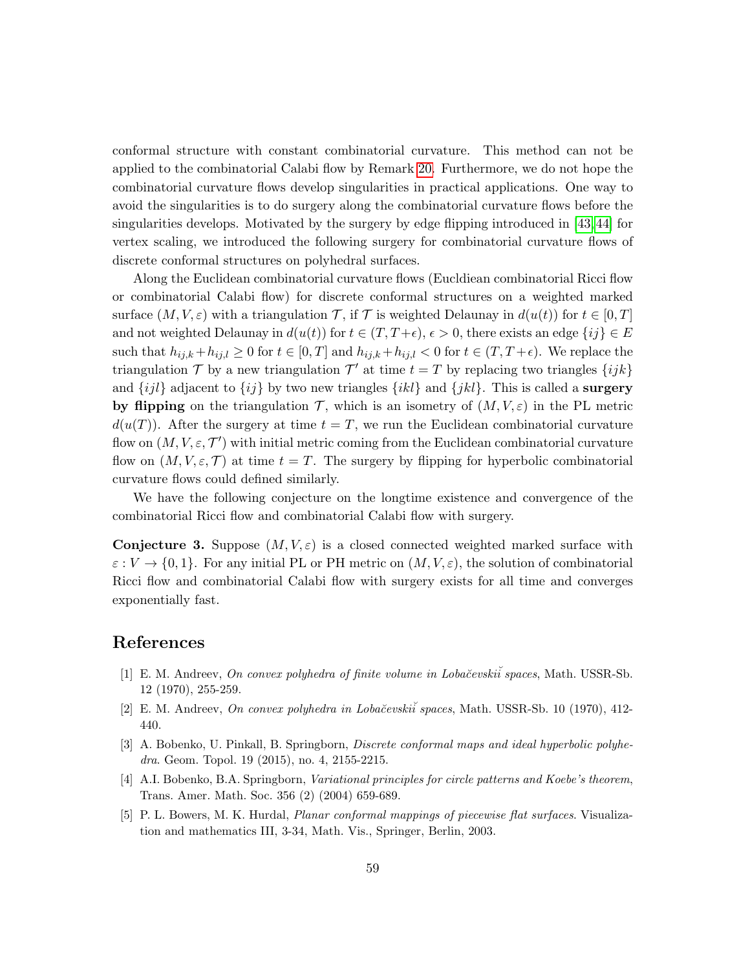conformal structure with constant combinatorial curvature. This method can not be applied to the combinatorial Calabi flow by Remark [20.](#page-50-2) Furthermore, we do not hope the combinatorial curvature flows develop singularities in practical applications. One way to avoid the singularities is to do surgery along the combinatorial curvature flows before the singularities develops. Motivated by the surgery by edge flipping introduced in [\[43,](#page-60-7) [44\]](#page-60-15) for vertex scaling, we introduced the following surgery for combinatorial curvature flows of discrete conformal structures on polyhedral surfaces.

Along the Euclidean combinatorial curvature flows (Eucldiean combinatorial Ricci flow or combinatorial Calabi flow) for discrete conformal structures on a weighted marked surface  $(M, V, \varepsilon)$  with a triangulation  $\mathcal{T}$ , if  $\mathcal{T}$  is weighted Delaunay in  $d(u(t))$  for  $t \in [0, T]$ and not weighted Delaunay in  $d(u(t))$  for  $t \in (T, T+\epsilon)$ ,  $\epsilon > 0$ , there exists an edge  $\{ij\} \in E$ such that  $h_{ij,k} + h_{ij,l} \geq 0$  for  $t \in [0,T]$  and  $h_{ij,k} + h_{ij,l} < 0$  for  $t \in (T, T + \epsilon)$ . We replace the triangulation T by a new triangulation  $\mathcal{T}'$  at time  $t = T$  by replacing two triangles  $\{ijk\}$ and  $\{ijl\}$  adjacent to  $\{ij\}$  by two new triangles  $\{ikl\}$  and  $\{jkl\}$ . This is called a **surgery** by flipping on the triangulation  $\mathcal{T}$ , which is an isometry of  $(M, V, \varepsilon)$  in the PL metric  $d(u(T))$ . After the surgery at time  $t = T$ , we run the Euclidean combinatorial curvature flow on  $(M, V, \varepsilon, \mathcal{T}')$  with initial metric coming from the Euclidean combinatorial curvature flow on  $(M, V, \varepsilon, \mathcal{T})$  at time  $t = T$ . The surgery by flipping for hyperbolic combinatorial curvature flows could defined similarly.

We have the following conjecture on the longtime existence and convergence of the combinatorial Ricci flow and combinatorial Calabi flow with surgery.

**Conjecture 3.** Suppose  $(M, V, \varepsilon)$  is a closed connected weighted marked surface with  $\varepsilon: V \to \{0,1\}$ . For any initial PL or PH metric on  $(M, V, \varepsilon)$ , the solution of combinatorial Ricci flow and combinatorial Calabi flow with surgery exists for all time and converges exponentially fast.

### References

- <span id="page-58-1"></span>[1] E. M. Andreev, On convex polyhedra of finite volume in Lobačevski $\check{i}$  spaces, Math. USSR-Sb. 12 (1970), 255-259.
- <span id="page-58-2"></span>[2] E. M. Andreev, On convex polyhedra in Loba˘cevski˘i spaces, Math. USSR-Sb. 10 (1970), 412- 440.
- <span id="page-58-0"></span>[3] A. Bobenko, U. Pinkall, B. Springborn, Discrete conformal maps and ideal hyperbolic polyhedra. Geom. Topol. 19 (2015), no. 4, 2155-2215.
- <span id="page-58-3"></span>[4] A.I. Bobenko, B.A. Springborn, *Variational principles for circle patterns and Koebe's theorem*, Trans. Amer. Math. Soc. 356 (2) (2004) 659-689.
- [5] P. L. Bowers, M. K. Hurdal, Planar conformal mappings of piecewise flat surfaces. Visualization and mathematics III, 3-34, Math. Vis., Springer, Berlin, 2003.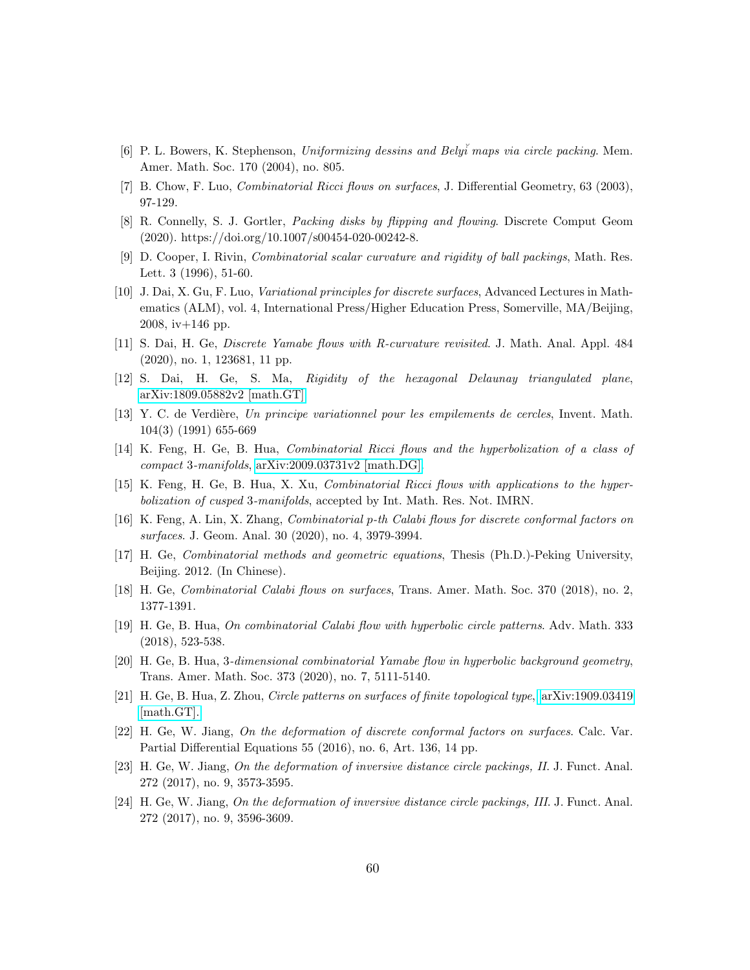- <span id="page-59-0"></span>[6] P. L. Bowers, K. Stephenson, Uniformizing dessins and Bely˘i maps via circle packing. Mem. Amer. Math. Soc. 170 (2004), no. 805.
- <span id="page-59-1"></span>[7] B. Chow, F. Luo, Combinatorial Ricci flows on surfaces, J. Differential Geometry, 63 (2003), 97-129.
- <span id="page-59-2"></span>[8] R. Connelly, S. J. Gortler, Packing disks by flipping and flowing. Discrete Comput Geom (2020). https://doi.org/10.1007/s00454-020-00242-8.
- <span id="page-59-10"></span>[9] D. Cooper, I. Rivin, Combinatorial scalar curvature and rigidity of ball packings, Math. Res. Lett. 3 (1996), 51-60.
- <span id="page-59-17"></span>[10] J. Dai, X. Gu, F. Luo, Variational principles for discrete surfaces, Advanced Lectures in Mathematics (ALM), vol. 4, International Press/Higher Education Press, Somerville, MA/Beijing, 2008, iv+146 pp.
- <span id="page-59-12"></span>[11] S. Dai, H. Ge, Discrete Yamabe flows with R-curvature revisited. J. Math. Anal. Appl. 484 (2020), no. 1, 123681, 11 pp.
- <span id="page-59-8"></span>[12] S. Dai, H. Ge, S. Ma, Rigidity of the hexagonal Delaunay triangulated plane, [arXiv:1809.05882v2 \[math.GT\].](https://arxiv.org/abs/1809.05882)
- <span id="page-59-3"></span>[13] Y. C. de Verdière, Un principe variationnel pour les empilements de cercles, Invent. Math. 104(3) (1991) 655-669
- <span id="page-59-13"></span>[14] K. Feng, H. Ge, B. Hua, Combinatorial Ricci flows and the hyperbolization of a class of compact 3-manifolds, [arXiv:2009.03731v2 \[math.DG\].](https://arxiv.org/abs/2009.03731)
- <span id="page-59-14"></span>[15] K. Feng, H. Ge, B. Hua, X. Xu, Combinatorial Ricci flows with applications to the hyperbolization of cusped 3-manifolds, accepted by Int. Math. Res. Not. IMRN.
- <span id="page-59-16"></span>[16] K. Feng, A. Lin, X. Zhang, Combinatorial p-th Calabi flows for discrete conformal factors on surfaces. J. Geom. Anal. 30 (2020), no. 4, 3979-3994.
- <span id="page-59-4"></span>[17] H. Ge, Combinatorial methods and geometric equations, Thesis (Ph.D.)-Peking University, Beijing. 2012. (In Chinese).
- <span id="page-59-15"></span>[18] H. Ge, Combinatorial Calabi flows on surfaces, Trans. Amer. Math. Soc. 370 (2018), no. 2, 1377-1391.
- <span id="page-59-5"></span>[19] H. Ge, B. Hua, On combinatorial Calabi flow with hyperbolic circle patterns. Adv. Math. 333 (2018), 523-538.
- <span id="page-59-11"></span>[20] H. Ge, B. Hua, 3-dimensional combinatorial Yamabe flow in hyperbolic background geometry, Trans. Amer. Math. Soc. 373 (2020), no. 7, 5111-5140.
- <span id="page-59-6"></span>[21] H. Ge, B. Hua, Z. Zhou, Circle patterns on surfaces of finite topological type, [arXiv:1909.03419](https://arxiv.org/abs/1909.03419) [\[math.GT\].](https://arxiv.org/abs/1909.03419)
- <span id="page-59-9"></span>[22] H. Ge, W. Jiang, On the deformation of discrete conformal factors on surfaces. Calc. Var. Partial Differential Equations 55 (2016), no. 6, Art. 136, 14 pp.
- <span id="page-59-7"></span>[23] H. Ge, W. Jiang, On the deformation of inversive distance circle packings, II. J. Funct. Anal. 272 (2017), no. 9, 3573-3595.
- [24] H. Ge, W. Jiang, On the deformation of inversive distance circle packings, III. J. Funct. Anal. 272 (2017), no. 9, 3596-3609.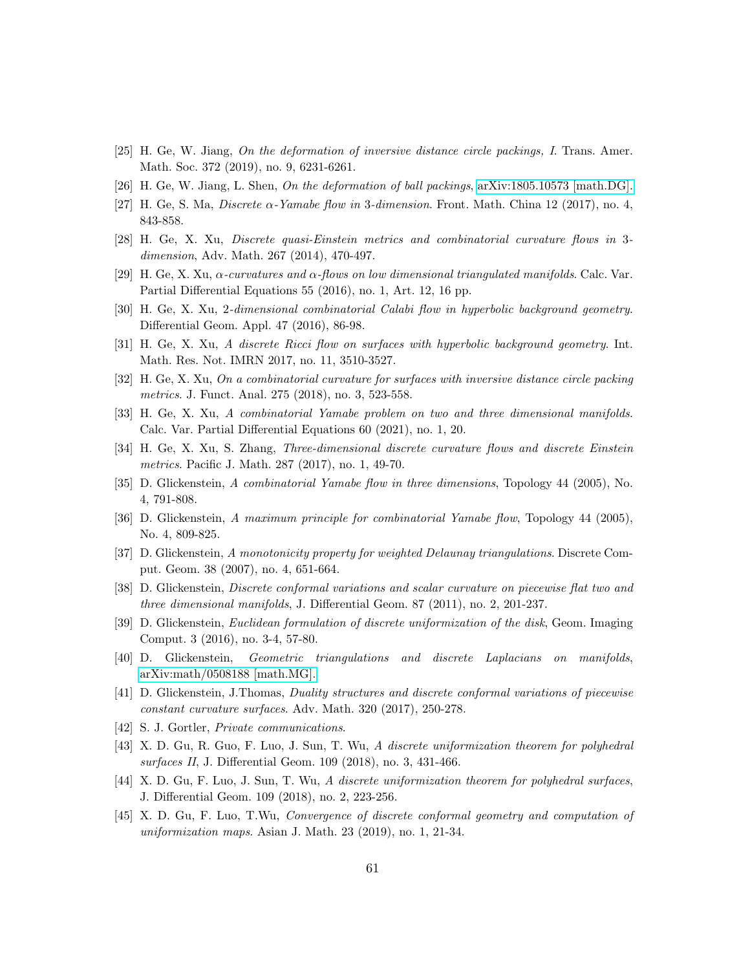- <span id="page-60-3"></span>[25] H. Ge, W. Jiang, On the deformation of inversive distance circle packings, I. Trans. Amer. Math. Soc. 372 (2019), no. 9, 6231-6261.
- <span id="page-60-9"></span>[26] H. Ge, W. Jiang, L. Shen, On the deformation of ball packings, [arXiv:1805.10573 \[math.DG\].](https://arxiv.org/abs/1805.10573)
- <span id="page-60-10"></span>[27] H. Ge, S. Ma, *Discrete*  $\alpha$ -Yamabe flow in 3-dimension. Front. Math. China 12 (2017), no. 4, 843-858.
- <span id="page-60-4"></span>[28] H. Ge, X. Xu, Discrete quasi-Einstein metrics and combinatorial curvature flows in 3 dimension, Adv. Math. 267 (2014), 470-497.
- <span id="page-60-13"></span>[29] H. Ge, X. Xu,  $\alpha$ -curvatures and  $\alpha$ -flows on low dimensional triangulated manifolds. Calc. Var. Partial Differential Equations 55 (2016), no. 1, Art. 12, 16 pp.
- <span id="page-60-16"></span>[30] H. Ge, X. Xu, 2-dimensional combinatorial Calabi flow in hyperbolic background geometry. Differential Geom. Appl. 47 (2016), 86-98.
- <span id="page-60-14"></span>[31] H. Ge, X. Xu, A discrete Ricci flow on surfaces with hyperbolic background geometry. Int. Math. Res. Not. IMRN 2017, no. 11, 3510-3527.
- <span id="page-60-19"></span>[32] H. Ge, X. Xu, On a combinatorial curvature for surfaces with inversive distance circle packing metrics. J. Funct. Anal. 275 (2018), no. 3, 523-558.
- <span id="page-60-5"></span>[33] H. Ge, X. Xu, A combinatorial Yamabe problem on two and three dimensional manifolds. Calc. Var. Partial Differential Equations 60 (2021), no. 1, 20.
- <span id="page-60-17"></span>[34] H. Ge, X. Xu, S. Zhang, Three-dimensional discrete curvature flows and discrete Einstein metrics. Pacific J. Math. 287 (2017), no. 1, 49-70.
- <span id="page-60-11"></span>[35] D. Glickenstein, A combinatorial Yamabe flow in three dimensions, Topology 44 (2005), No. 4, 791-808.
- <span id="page-60-12"></span>[36] D. Glickenstein, A maximum principle for combinatorial Yamabe flow, Topology 44 (2005), No. 4, 809-825.
- <span id="page-60-20"></span>[37] D. Glickenstein, A monotonicity property for weighted Delaunay triangulations. Discrete Comput. Geom. 38 (2007), no. 4, 651-664.
- <span id="page-60-1"></span>[38] D. Glickenstein, Discrete conformal variations and scalar curvature on piecewise flat two and three dimensional manifolds, J. Differential Geom. 87 (2011), no. 2, 201-237.
- <span id="page-60-0"></span>[39] D. Glickenstein, Euclidean formulation of discrete uniformization of the disk, Geom. Imaging Comput. 3 (2016), no. 3-4, 57-80.
- <span id="page-60-6"></span>[40] D. Glickenstein, Geometric triangulations and discrete Laplacians on manifolds, [arXiv:math/0508188 \[math.MG\].](https://arxiv.org/abs/math/0508188)
- <span id="page-60-2"></span>[41] D. Glickenstein, J.Thomas, Duality structures and discrete conformal variations of piecewise constant curvature surfaces. Adv. Math. 320 (2017), 250-278.
- <span id="page-60-18"></span>[42] S. J. Gortler, *Private communications*.
- <span id="page-60-7"></span>[43] X. D. Gu, R. Guo, F. Luo, J. Sun, T. Wu, A discrete uniformization theorem for polyhedral surfaces II, J. Differential Geom. 109 (2018), no. 3, 431-466.
- <span id="page-60-15"></span>[44] X. D. Gu, F. Luo, J. Sun, T. Wu, A discrete uniformization theorem for polyhedral surfaces, J. Differential Geom. 109 (2018), no. 2, 223-256.
- <span id="page-60-8"></span>[45] X. D. Gu, F. Luo, T.Wu, Convergence of discrete conformal geometry and computation of uniformization maps. Asian J. Math. 23 (2019), no. 1, 21-34.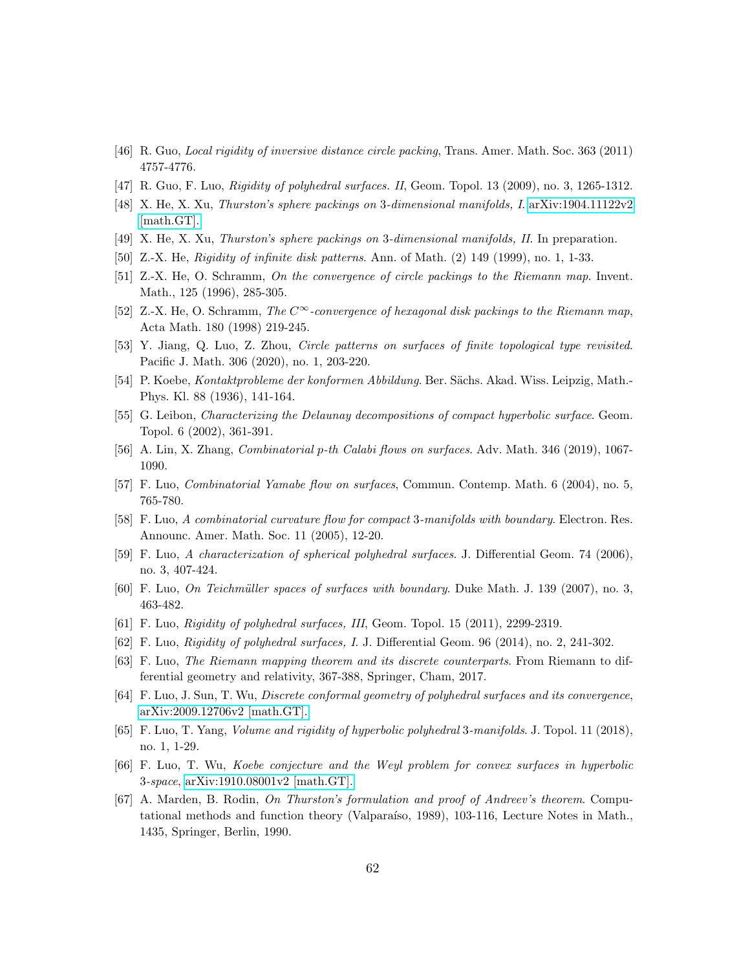- <span id="page-61-2"></span>[46] R. Guo, Local rigidity of inversive distance circle packing, Trans. Amer. Math. Soc. 363 (2011) 4757-4776.
- <span id="page-61-10"></span><span id="page-61-3"></span>[47] R. Guo, F. Luo, Rigidity of polyhedral surfaces. II, Geom. Topol. 13 (2009), no. 3, 1265-1312.
- [48] X. He, X. Xu, Thurston's sphere packings on 3-dimensional manifolds, I. [arXiv:1904.11122v2](https://arxiv.org/abs/1904.11122) [\[math.GT\].](https://arxiv.org/abs/1904.11122)
- <span id="page-61-11"></span><span id="page-61-4"></span>[49] X. He, X. Xu, Thurston's sphere packings on 3-dimensional manifolds, II. In preparation.
- [50] Z.-X. He, *Rigidity of infinite disk patterns.* Ann. of Math. (2) 149 (1999), no. 1, 1-33.
- [51] Z.-X. He, O. Schramm, On the convergence of circle packings to the Riemann map. Invent. Math., 125 (1996), 285-305.
- <span id="page-61-18"></span>[52] Z.-X. He, O. Schramm, The  $C^{\infty}$ -convergence of hexagonal disk packings to the Riemann map, Acta Math. 180 (1998) 219-245.
- [53] Y. Jiang, Q. Luo, Z. Zhou, Circle patterns on surfaces of finite topological type revisited. Pacific J. Math. 306 (2020), no. 1, 203-220.
- <span id="page-61-5"></span>[54] P. Koebe, Kontaktprobleme der konformen Abbildung. Ber. S¨achs. Akad. Wiss. Leipzig, Math.- Phys. Kl. 88 (1936), 141-164.
- <span id="page-61-14"></span>[55] G. Leibon, *Characterizing the Delaunay decompositions of compact hyperbolic surface*. Geom. Topol. 6 (2002), 361-391.
- <span id="page-61-13"></span>[56] A. Lin, X. Zhang, Combinatorial p-th Calabi flows on surfaces. Adv. Math. 346 (2019), 1067- 1090.
- <span id="page-61-0"></span>[57] F. Luo, Combinatorial Yamabe flow on surfaces, Commun. Contemp. Math. 6 (2004), no. 5, 765-780.
- <span id="page-61-12"></span>[58] F. Luo, A combinatorial curvature flow for compact 3-manifolds with boundary. Electron. Res. Announc. Amer. Math. Soc. 11 (2005), 12-20.
- <span id="page-61-15"></span>[59] F. Luo, A characterization of spherical polyhedral surfaces. J. Differential Geom. 74 (2006), no. 3, 407-424.
- <span id="page-61-17"></span>[60] F. Luo, On Teichmüller spaces of surfaces with boundary. Duke Math. J. 139 (2007), no. 3, 463-482.
- <span id="page-61-6"></span>[61] F. Luo, Rigidity of polyhedral surfaces, III, Geom. Topol. 15 (2011), 2299-2319.
- <span id="page-61-1"></span>[62] F. Luo, Rigidity of polyhedral surfaces, I. J. Differential Geom. 96 (2014), no. 2, 241-302.
- <span id="page-61-19"></span>[63] F. Luo, The Riemann mapping theorem and its discrete counterparts. From Riemann to differential geometry and relativity, 367-388, Springer, Cham, 2017.
- <span id="page-61-8"></span>[64] F. Luo, J. Sun, T. Wu, Discrete conformal geometry of polyhedral surfaces and its convergence, [arXiv:2009.12706v2 \[math.GT\].](https://arxiv.org/abs/2009.12706)
- <span id="page-61-16"></span>[65] F. Luo, T. Yang, Volume and rigidity of hyperbolic polyhedral 3-manifolds. J. Topol. 11 (2018), no. 1, 1-29.
- <span id="page-61-9"></span>[66] F. Luo, T. Wu, Koebe conjecture and the Weyl problem for convex surfaces in hyperbolic 3-space, [arXiv:1910.08001v2 \[math.GT\].](https://arxiv.org/abs/1910.08001)
- <span id="page-61-7"></span>[67] A. Marden, B. Rodin, On Thurston's formulation and proof of Andreev's theorem. Computational methods and function theory (Valparaíso, 1989), 103-116, Lecture Notes in Math., 1435, Springer, Berlin, 1990.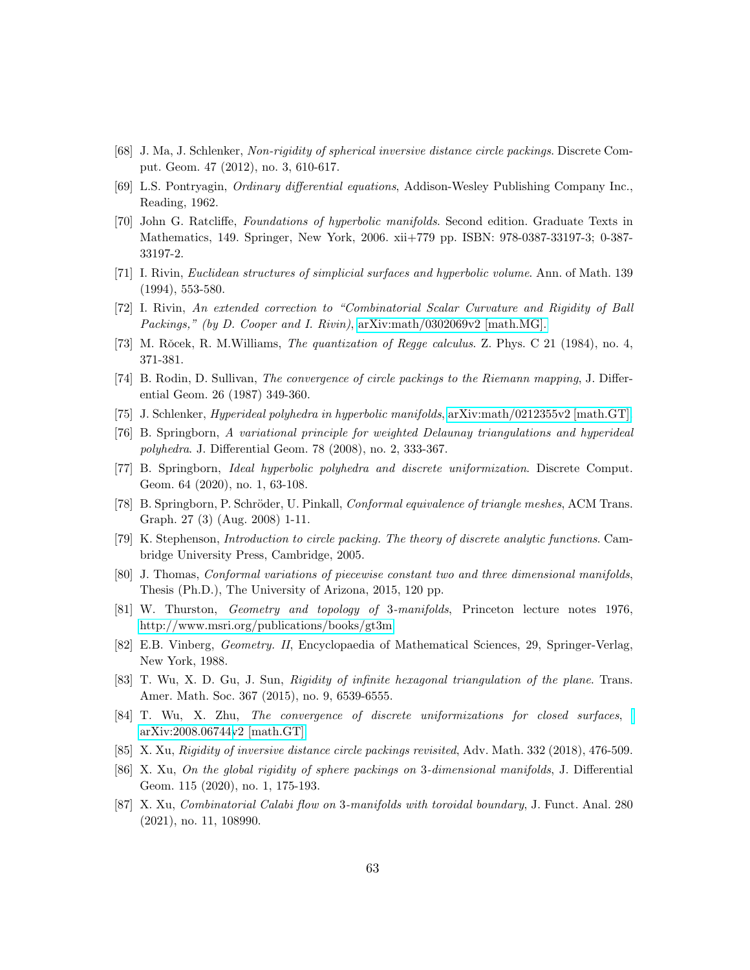- <span id="page-62-1"></span>[68] J. Ma, J. Schlenker, Non-rigidity of spherical inversive distance circle packings. Discrete Comput. Geom. 47 (2012), no. 3, 610-617.
- <span id="page-62-18"></span>[69] L.S. Pontryagin, Ordinary differential equations, Addison-Wesley Publishing Company Inc., Reading, 1962.
- <span id="page-62-19"></span>[70] John G. Ratcliffe, Foundations of hyperbolic manifolds. Second edition. Graduate Texts in Mathematics, 149. Springer, New York, 2006. xii+779 pp. ISBN: 978-0387-33197-3; 0-387- 33197-2.
- <span id="page-62-15"></span>[71] I. Rivin, Euclidean structures of simplicial surfaces and hyperbolic volume. Ann. of Math. 139 (1994), 553-580.
- <span id="page-62-11"></span>[72] I. Rivin, An extended correction to "Combinatorial Scalar Curvature and Rigidity of Ball Packings," (by D. Cooper and I. Rivin), [arXiv:math/0302069v2 \[math.MG\].](http://arxiv.org/abs/math/0302069v2)
- <span id="page-62-6"></span>[73] M. Rǒcek, R. M. Williams, The quantization of Regge calculus. Z. Phys. C 21 (1984), no. 4, 371-381.
- <span id="page-62-2"></span>[74] B. Rodin, D. Sullivan, The convergence of circle packings to the Riemann mapping, J. Differential Geom. 26 (1987) 349-360.
- <span id="page-62-16"></span>[75] J. Schlenker, Hyperideal polyhedra in hyperbolic manifolds, [arXiv:math/0212355v2 \[math.GT\].](https://arxiv.org/abs/math/0212355)
- <span id="page-62-3"></span>[76] B. Springborn, A variational principle for weighted Delaunay triangulations and hyperideal polyhedra. J. Differential Geom. 78 (2008), no. 2, 333-367.
- <span id="page-62-7"></span>[77] B. Springborn, Ideal hyperbolic polyhedra and discrete uniformization. Discrete Comput. Geom. 64 (2020), no. 1, 63-108.
- <span id="page-62-8"></span>[78] B. Springborn, P. Schröder, U. Pinkall, *Conformal equivalence of triangle meshes*, ACM Trans. Graph. 27 (3) (Aug. 2008) 1-11.
- <span id="page-62-4"></span>[79] K. Stephenson, Introduction to circle packing. The theory of discrete analytic functions. Cambridge University Press, Cambridge, 2005.
- <span id="page-62-12"></span>[80] J. Thomas, Conformal variations of piecewise constant two and three dimensional manifolds, Thesis (Ph.D.), The University of Arizona, 2015, 120 pp.
- <span id="page-62-0"></span>[81] W. Thurston, Geometry and topology of 3-manifolds, Princeton lecture notes 1976, [http://www.msri.org/publications/books/gt3m.](http://www.msri.org/publications/books/gt3m)
- <span id="page-62-17"></span>[82] E.B. Vinberg, Geometry. II, Encyclopaedia of Mathematical Sciences, 29, Springer-Verlag, New York, 1988.
- <span id="page-62-9"></span>[83] T. Wu, X. D. Gu, J. Sun, Rigidity of infinite hexagonal triangulation of the plane. Trans. Amer. Math. Soc. 367 (2015), no. 9, 6539-6555.
- <span id="page-62-10"></span>[84] T. Wu, X. Zhu, The convergence of discrete uniformizations for closed surfaces, [arXiv:2008.06744v2 \[math.GT\].](https://arxiv.org/abs/2008.06744)
- <span id="page-62-5"></span>[85] X. Xu, Rigidity of inversive distance circle packings revisited, Adv. Math. 332 (2018), 476-509.
- <span id="page-62-13"></span>[86] X. Xu, On the global rigidity of sphere packings on 3-dimensional manifolds, J. Differential Geom. 115 (2020), no. 1, 175-193.
- <span id="page-62-14"></span>[87] X. Xu, Combinatorial Calabi flow on 3-manifolds with toroidal boundary, J. Funct. Anal. 280 (2021), no. 11, 108990.